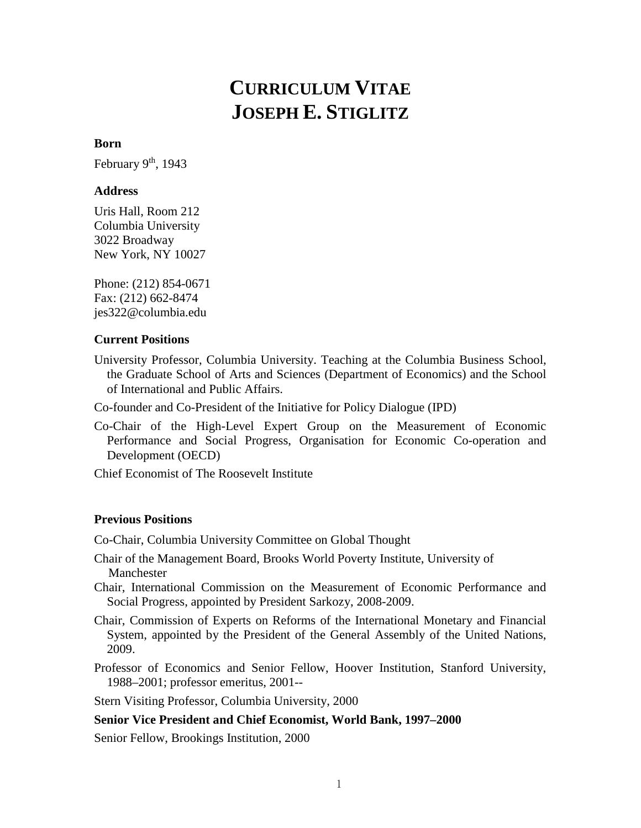# **CURRICULUM VITAE JOSEPH E. STIGLITZ**

# **Born**

February  $9<sup>th</sup>$ , 1943

# **Address**

Uris Hall, Room 212 Columbia University 3022 Broadway New York, NY 10027

Phone: (212) 854-0671 Fax: (212) 662-8474 jes322@columbia.edu

# **Current Positions**

- University Professor, Columbia University. Teaching at the Columbia Business School, the Graduate School of Arts and Sciences (Department of Economics) and the School of International and Public Affairs.
- Co-founder and Co-President of the [Initiative for Policy Dialogue \(IPD\)](http://www.policydialogue.org/)
- Co-Chair of the High-Level Expert Group on the Measurement of Economic Performance and Social Progress, Organisation for Economic Co-operation and Development (OECD)

Chief Economist of The Roosevelt Institute

# **Previous Positions**

Co-Chair, Columbia University Committee on Global Thought

Chair of the Management Board, [Brooks World Poverty Institute,](http://www.humanities.manchester.ac.uk/bwpi/) University of **Manchester** 

Chair, International Commission on the Measurement of Economic Performance and Social Progress, appointed by President Sarkozy, 2008-2009.

- Chair, Commission of Experts on Reforms of the International Monetary and Financial System, appointed by the President of the General Assembly of the United Nations, 2009.
- Professor of Economics and Senior Fellow, Hoover Institution, Stanford University, 1988–2001; professor emeritus, 2001--

Stern Visiting Professor, Columbia University, 2000

# **Senior Vice President and Chief Economist, World Bank, 1997–2000**

Senior Fellow, Brookings Institution, 2000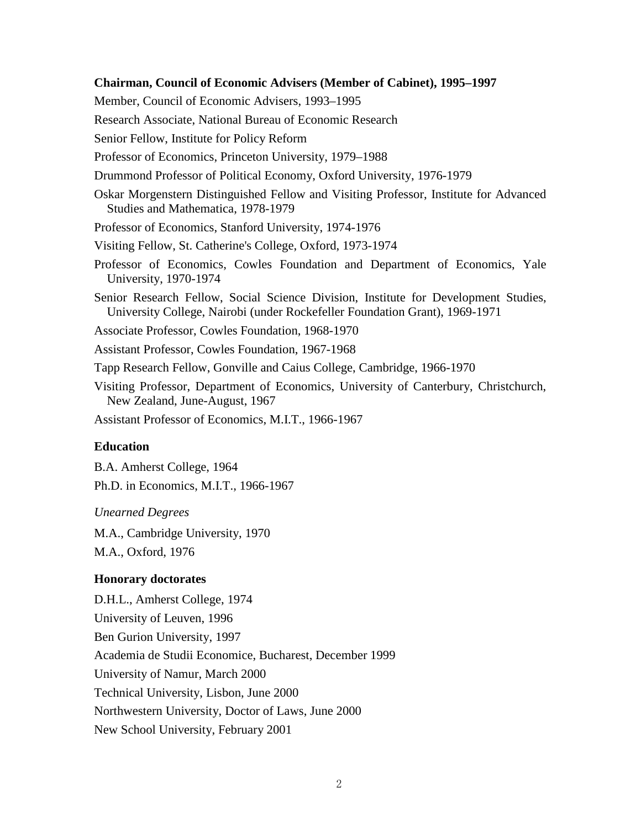### **Chairman, Council of Economic Advisers (Member of Cabinet), 1995–1997**

Member, Council of Economic Advisers, 1993–1995

Research Associate, National Bureau of Economic Research

Senior Fellow, Institute for Policy Reform

- Professor of Economics, Princeton University, 1979–1988
- Drummond Professor of Political Economy, Oxford University, 1976-1979
- Oskar Morgenstern Distinguished Fellow and Visiting Professor, Institute for Advanced Studies and Mathematica, 1978-1979

Professor of Economics, Stanford University, 1974-1976

- Visiting Fellow, St. Catherine's College, Oxford, 1973-1974
- Professor of Economics, Cowles Foundation and Department of Economics, Yale University, 1970-1974
- Senior Research Fellow, Social Science Division, Institute for Development Studies, University College, Nairobi (under Rockefeller Foundation Grant), 1969-1971
- Associate Professor, Cowles Foundation, 1968-1970
- Assistant Professor, Cowles Foundation, 1967-1968

Tapp Research Fellow, Gonville and Caius College, Cambridge, 1966-1970

Visiting Professor, Department of Economics, University of Canterbury, Christchurch, New Zealand, June-August, 1967

Assistant Professor of Economics, M.I.T., 1966-1967

#### **Education**

B.A. Amherst College, 1964 Ph.D. in Economics, M.I.T., 1966-1967

*Unearned Degrees*

M.A., Cambridge University, 1970 M.A., Oxford, 1976

#### **Honorary doctorates**

D.H.L., Amherst College, 1974 University of Leuven, 1996 Ben Gurion University, 1997 Academia de Studii Economice, Bucharest, December 1999 University of Namur, March 2000 Technical University, Lisbon, June 2000 Northwestern University, Doctor of Laws, June 2000 New School University, February 2001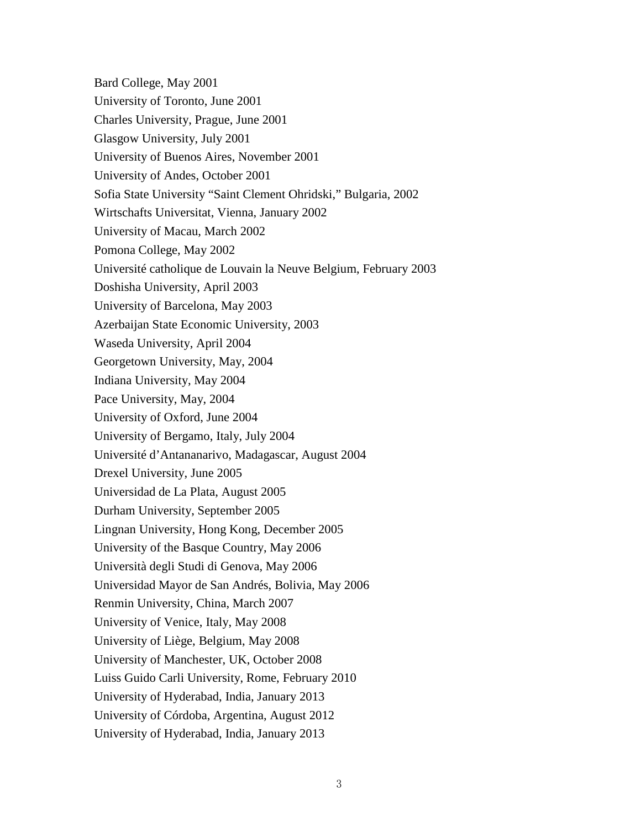Bard College, May 2001 University of Toronto, June 2001 Charles University, Prague, June 2001 Glasgow University, July 2001 University of Buenos Aires, November 2001 University of Andes, October 2001 Sofia State University "Saint Clement Ohridski," Bulgaria, 2002 Wirtschafts Universitat, Vienna, January 2002 University of Macau, March 2002 Pomona College, May 2002 Université catholique de Louvain la Neuve Belgium, February 2003 Doshisha University, April 2003 University of Barcelona, May 2003 Azerbaijan State Economic University, 2003 Waseda University, April 2004 Georgetown University, May, 2004 Indiana University, May 2004 Pace University, May, 2004 University of Oxford, June 2004 University of Bergamo, Italy, July 2004 Université d'Antananarivo, Madagascar, August 2004 Drexel University, June 2005 Universidad de La Plata, August 2005 Durham University, September 2005 Lingnan University, Hong Kong, December 2005 University of the Basque Country, May 2006 Università degli Studi di Genova, May 2006 Universidad Mayor de San Andrés, Bolivia, May 2006 Renmin University, China, March 2007 University of Venice, Italy, May 2008 University of Liège, Belgium, May 2008 University of Manchester, UK, October 2008 Luiss Guido Carli University, Rome, February 2010 University of Hyderabad, India, January 2013 University of Córdoba, Argentina, August 2012 University of Hyderabad, India, January 2013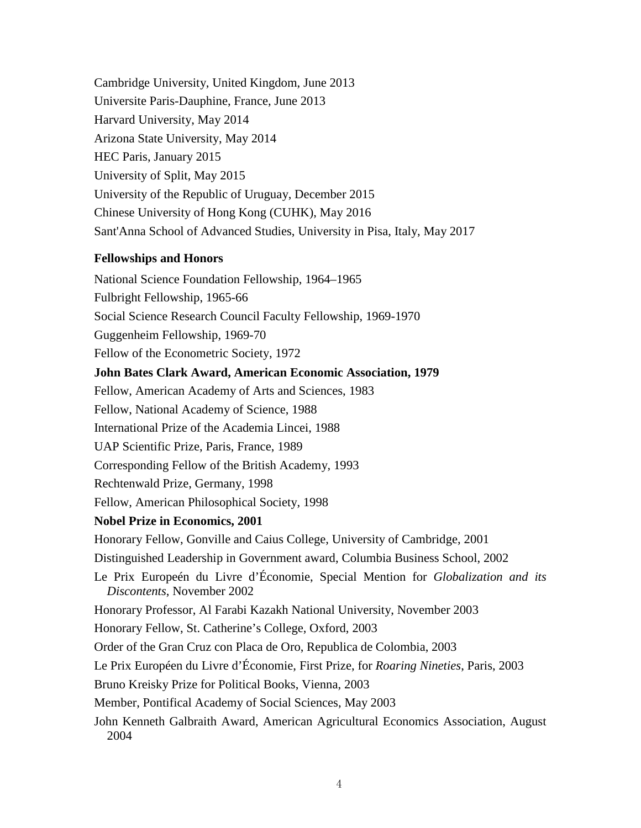Cambridge University, United Kingdom, June 2013 Universite Paris-Dauphine, France, June 2013 Harvard University, May 2014 Arizona State University, May 2014 HEC Paris, January 2015 University of Split, May 2015 University of the Republic of Uruguay, December 2015 Chinese University of Hong Kong (CUHK), May 2016 Sant'Anna School of Advanced Studies, University in Pisa, Italy, May 2017

# **Fellowships and Honors**

National Science Foundation Fellowship, 1964–1965 Fulbright Fellowship, 1965-66 Social Science Research Council Faculty Fellowship, 1969-1970 Guggenheim Fellowship, 1969-70 Fellow of the Econometric Society, 1972 **John Bates Clark Award, American Economic Association, 1979** Fellow, American Academy of Arts and Sciences, 1983 Fellow, National Academy of Science, 1988 International Prize of the Academia Lincei, 1988 UAP Scientific Prize, Paris, France, 1989 Corresponding Fellow of the British Academy, 1993 Rechtenwald Prize, Germany, 1998 Fellow, American Philosophical Society, 1998 **Nobel Prize in Economics, 2001** Honorary Fellow, Gonville and Caius College, University of Cambridge, 2001 Distinguished Leadership in Government award, Columbia Business School, 2002 Le Prix Europeén du Livre d'Économie, Special Mention for *Globalization and its Discontents*, November 2002 Honorary Professor, Al Farabi Kazakh National University, November 2003 Honorary Fellow, St. Catherine's College, Oxford, 2003 Order of the Gran Cruz con Placa de Oro, Republica de Colombia, 2003 Le Prix Européen du Livre d'Économie, First Prize, for *Roaring Nineties*, Paris, 2003 Bruno Kreisky Prize for Political Books, Vienna, 2003 Member, Pontifical Academy of Social Sciences, May 2003 John Kenneth Galbraith Award, American Agricultural Economics Association, August 2004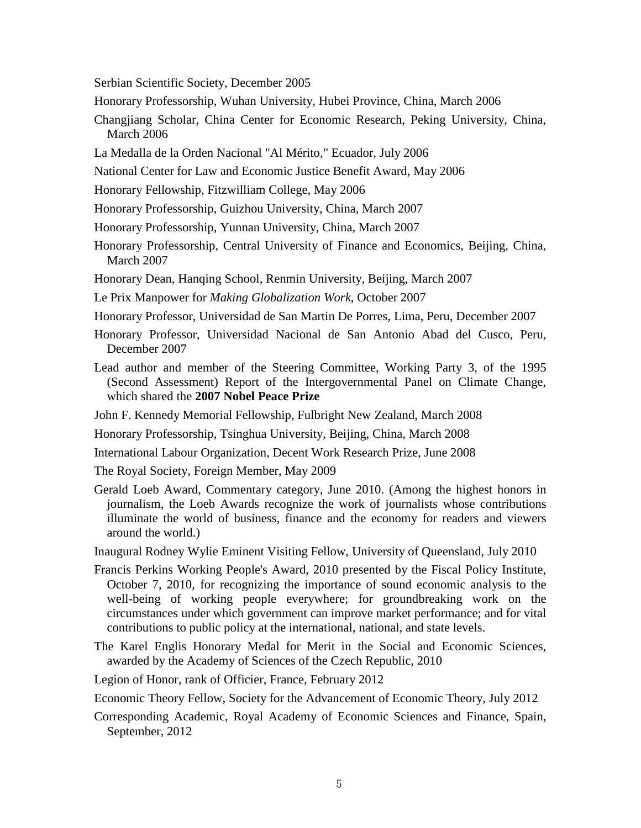Serbian Scientific Society, December 2005

Honorary Professorship, Wuhan University, Hubei Province, China, March 2006

- Changjiang Scholar, China Center for Economic Research, Peking University, China, March 2006
- La Medalla de la Orden Nacional "Al Mérito," Ecuador, July 2006
- National Center for Law and Economic Justice Benefit Award, May 2006
- Honorary Fellowship, Fitzwilliam College, May 2006
- Honorary Professorship, Guizhou University, China, March 2007
- Honorary Professorship, Yunnan University, China, March 2007
- Honorary Professorship, Central University of Finance and Economics, Beijing, China, March 2007
- Honorary Dean, Hanqing School, Renmin University, Beijing, March 2007
- Le Prix Manpower for *Making Globalization Work*, October 2007
- Honorary Professor, Universidad de San Martin De Porres, Lima, Peru, December 2007
- Honorary Professor, Universidad Nacional de San Antonio Abad del Cusco, Peru, December 2007
- Lead author and member of the Steering Committee, Working Party 3, of the 1995 (Second Assessment) Report of the Intergovernmental Panel on Climate Change, which shared the **2007 Nobel Peace Prize**
- John F. Kennedy Memorial Fellowship, Fulbright New Zealand, March 2008
- Honorary Professorship, Tsinghua University, Beijing, China, March 2008
- International Labour Organization, Decent Work Research Prize, June 2008
- The Royal Society, Foreign Member, May 2009
- Gerald Loeb Award, Commentary category, June 2010. (Among the highest honors in journalism, the Loeb Awards recognize the work of journalists whose contributions illuminate the world of business, finance and the economy for readers and viewers around the world.)
- Inaugural Rodney Wylie Eminent Visiting Fellow, University of Queensland, July 2010
- Francis Perkins Working People's Award, 2010 presented by the Fiscal Policy Institute, October 7, 2010, for recognizing the importance of sound economic analysis to the well-being of working people everywhere; for groundbreaking work on the circumstances under which government can improve market performance; and for vital contributions to public policy at the international, national, and state levels.
- The Karel Englis Honorary Medal for Merit in the Social and Economic Sciences, awarded by the Academy of Sciences of the Czech Republic, 2010
- Legion of Honor, rank of Officier, France, February 2012
- Economic Theory Fellow, Society for the Advancement of Economic Theory, July 2012
- Corresponding Academic, Royal Academy of Economic Sciences and Finance, Spain, September, 2012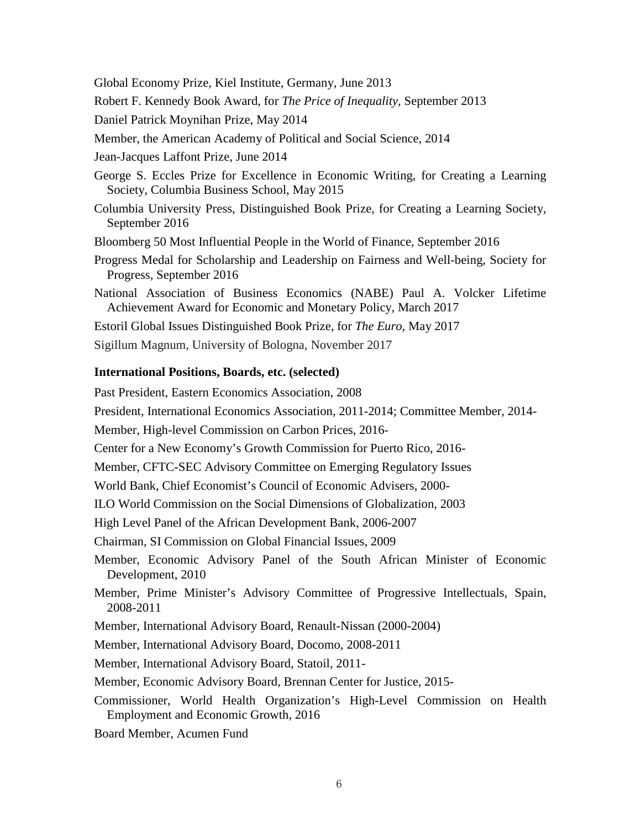Global Economy Prize, Kiel Institute, Germany, June 2013

Robert F. Kennedy Book Award, for *The Price of Inequality*, September 2013

Daniel Patrick Moynihan Prize, May 2014

Member, the American Academy of Political and Social Science, 2014

Jean-Jacques Laffont Prize, June 2014

George S. Eccles Prize for Excellence in Economic Writing, for Creating a Learning Society, Columbia Business School, May 2015

Columbia University Press, Distinguished Book Prize, for Creating a Learning Society, September 2016

Bloomberg 50 Most Influential People in the World of Finance, September 2016

Progress Medal for Scholarship and Leadership on Fairness and Well-being, Society for Progress, September 2016

National Association of Business Economics (NABE) Paul A. Volcker Lifetime Achievement Award for Economic and Monetary Policy, March 2017

Estoril Global Issues Distinguished Book Prize, for *The Euro*, May 2017

Sigillum Magnum, University of Bologna, November 2017

#### **International Positions, Boards, etc. (selected)**

Past President, Eastern Economics Association, 2008

President, International Economics Association, 2011-2014; Committee Member, 2014-

Member, High-level Commission on Carbon Prices, 2016-

Center for a New Economy's Growth Commission for Puerto Rico, 2016-

Member, CFTC-SEC Advisory Committee on Emerging Regulatory Issues

World Bank, Chief Economist's Council of Economic Advisers, 2000-

ILO World Commission on the Social Dimensions of Globalization, 2003

High Level Panel of the African Development Bank, 2006-2007

Chairman, SI Commission on Global Financial Issues, 2009

Member, Economic Advisory Panel of the South African Minister of Economic Development, 2010

Member, Prime Minister's Advisory Committee of Progressive Intellectuals, Spain, 2008-2011

Member, International Advisory Board, Renault-Nissan (2000-2004)

Member, International Advisory Board, Docomo, 2008-2011

Member, International Advisory Board, Statoil, 2011-

Member, Economic Advisory Board, Brennan Center for Justice, 2015-

Commissioner, World Health Organization's High-Level Commission on Health Employment and Economic Growth, 2016

Board Member, Acumen Fund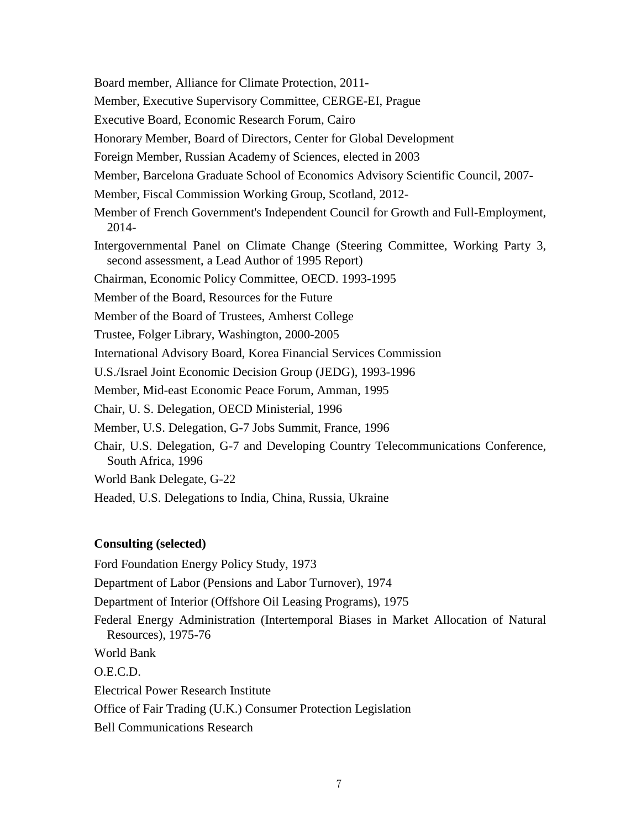Board member, Alliance for Climate Protection, 2011-

Member, Executive Supervisory Committee, CERGE-EI, Prague

Executive Board, Economic Research Forum, Cairo

Honorary Member, Board of Directors, Center for Global Development

Foreign Member, Russian Academy of Sciences, elected in 2003

Member, Barcelona Graduate School of Economics Advisory Scientific Council, 2007-

Member, Fiscal Commission Working Group, Scotland, 2012-

Member of French Government's Independent Council for Growth and Full-Employment, 2014-

Intergovernmental Panel on Climate Change (Steering Committee, Working Party 3, second assessment, a Lead Author of 1995 Report)

Chairman, Economic Policy Committee, OECD. 1993-1995

Member of the Board, Resources for the Future

Member of the Board of Trustees, Amherst College

Trustee, Folger Library, Washington, 2000-2005

International Advisory Board, Korea Financial Services Commission

U.S./Israel Joint Economic Decision Group (JEDG), 1993-1996

Member, Mid-east Economic Peace Forum, Amman, 1995

Chair, U. S. Delegation, OECD Ministerial, 1996

Member, U.S. Delegation, G-7 Jobs Summit, France, 1996

Chair, U.S. Delegation, G-7 and Developing Country Telecommunications Conference, South Africa, 1996

World Bank Delegate, G-22

Headed, U.S. Delegations to India, China, Russia, Ukraine

# **Consulting (selected)**

Ford Foundation Energy Policy Study, 1973

Department of Labor (Pensions and Labor Turnover), 1974

Department of Interior (Offshore Oil Leasing Programs), 1975

Federal Energy Administration (Intertemporal Biases in Market Allocation of Natural Resources), 1975-76

World Bank

O.E.C.D.

Electrical Power Research Institute

Office of Fair Trading (U.K.) Consumer Protection Legislation

Bell Communications Research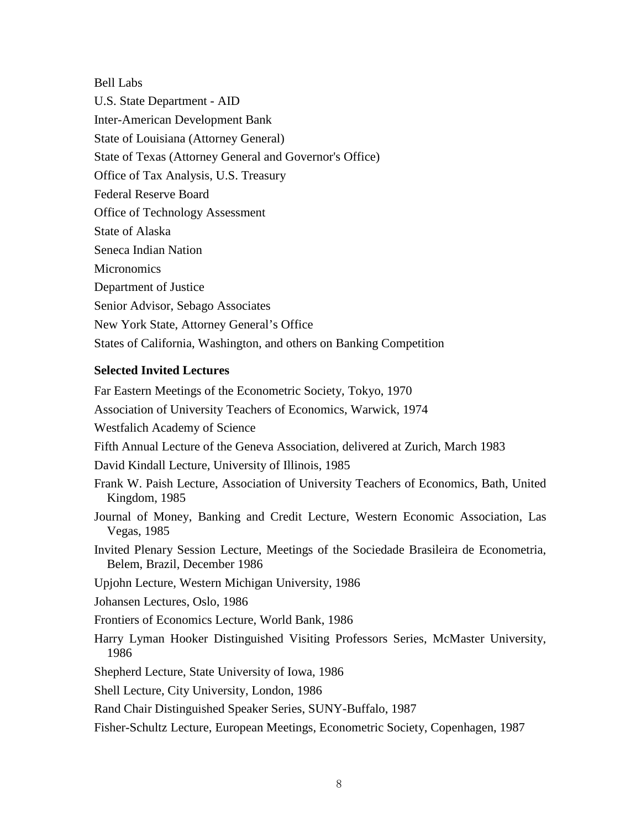Bell Labs U.S. State Department - AID Inter-American Development Bank State of Louisiana (Attorney General) State of Texas (Attorney General and Governor's Office) Office of Tax Analysis, U.S. Treasury Federal Reserve Board Office of Technology Assessment State of Alaska Seneca Indian Nation **Micronomics** Department of Justice Senior Advisor, Sebago Associates New York State, Attorney General's Office States of California, Washington, and others on Banking Competition

# **Selected Invited Lectures**

Far Eastern Meetings of the Econometric Society, Tokyo, 1970 Association of University Teachers of Economics, Warwick, 1974 Westfalich Academy of Science Fifth Annual Lecture of the Geneva Association, delivered at Zurich, March 1983 David Kindall Lecture, University of Illinois, 1985 Frank W. Paish Lecture, Association of University Teachers of Economics, Bath, United Kingdom, 1985 Journal of Money, Banking and Credit Lecture, Western Economic Association, Las Vegas, 1985 Invited Plenary Session Lecture, Meetings of the Sociedade Brasileira de Econometria, Belem, Brazil, December 1986 Upjohn Lecture, Western Michigan University, 1986 Johansen Lectures, Oslo, 1986 Frontiers of Economics Lecture, World Bank, 1986 Harry Lyman Hooker Distinguished Visiting Professors Series, McMaster University, 1986 Shepherd Lecture, State University of Iowa, 1986 Shell Lecture, City University, London, 1986 Rand Chair Distinguished Speaker Series, SUNY-Buffalo, 1987

Fisher-Schultz Lecture, European Meetings, Econometric Society, Copenhagen, 1987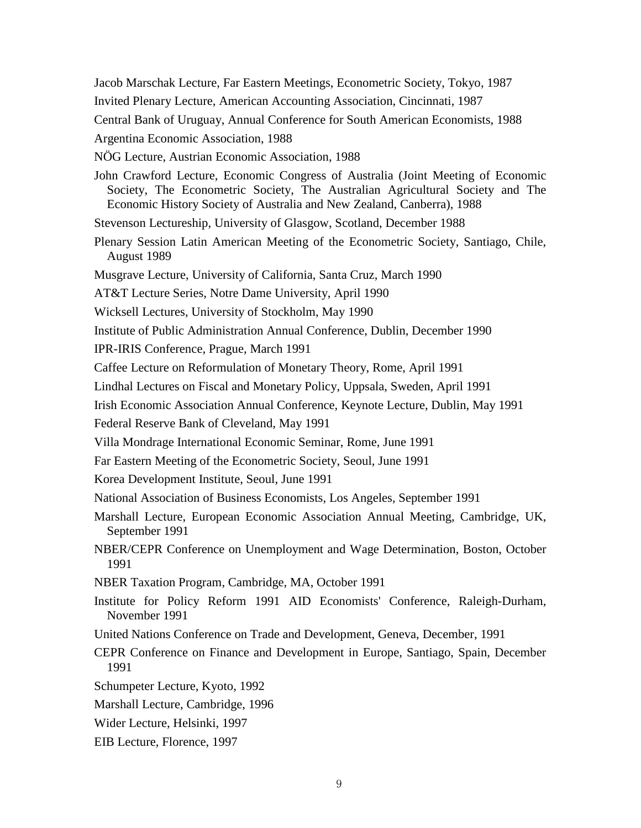Jacob Marschak Lecture, Far Eastern Meetings, Econometric Society, Tokyo, 1987

Invited Plenary Lecture, American Accounting Association, Cincinnati, 1987

Central Bank of Uruguay, Annual Conference for South American Economists, 1988

Argentina Economic Association, 1988

NÖG Lecture, Austrian Economic Association, 1988

John Crawford Lecture, Economic Congress of Australia (Joint Meeting of Economic Society, The Econometric Society, The Australian Agricultural Society and The Economic History Society of Australia and New Zealand, Canberra), 1988

Stevenson Lectureship, University of Glasgow, Scotland, December 1988

Plenary Session Latin American Meeting of the Econometric Society, Santiago, Chile, August 1989

Musgrave Lecture, University of California, Santa Cruz, March 1990

AT&T Lecture Series, Notre Dame University, April 1990

Wicksell Lectures, University of Stockholm, May 1990

Institute of Public Administration Annual Conference, Dublin, December 1990

IPR-IRIS Conference, Prague, March 1991

Caffee Lecture on Reformulation of Monetary Theory, Rome, April 1991

Lindhal Lectures on Fiscal and Monetary Policy, Uppsala, Sweden, April 1991

Irish Economic Association Annual Conference, Keynote Lecture, Dublin, May 1991

Federal Reserve Bank of Cleveland, May 1991

Villa Mondrage International Economic Seminar, Rome, June 1991

Far Eastern Meeting of the Econometric Society, Seoul, June 1991

Korea Development Institute, Seoul, June 1991

National Association of Business Economists, Los Angeles, September 1991

Marshall Lecture, European Economic Association Annual Meeting, Cambridge, UK, September 1991

NBER/CEPR Conference on Unemployment and Wage Determination, Boston, October 1991

NBER Taxation Program, Cambridge, MA, October 1991

- Institute for Policy Reform 1991 AID Economists' Conference, Raleigh-Durham, November 1991
- United Nations Conference on Trade and Development, Geneva, December, 1991

CEPR Conference on Finance and Development in Europe, Santiago, Spain, December 1991

- Schumpeter Lecture, Kyoto, 1992
- Marshall Lecture, Cambridge, 1996
- Wider Lecture, Helsinki, 1997
- EIB Lecture, Florence, 1997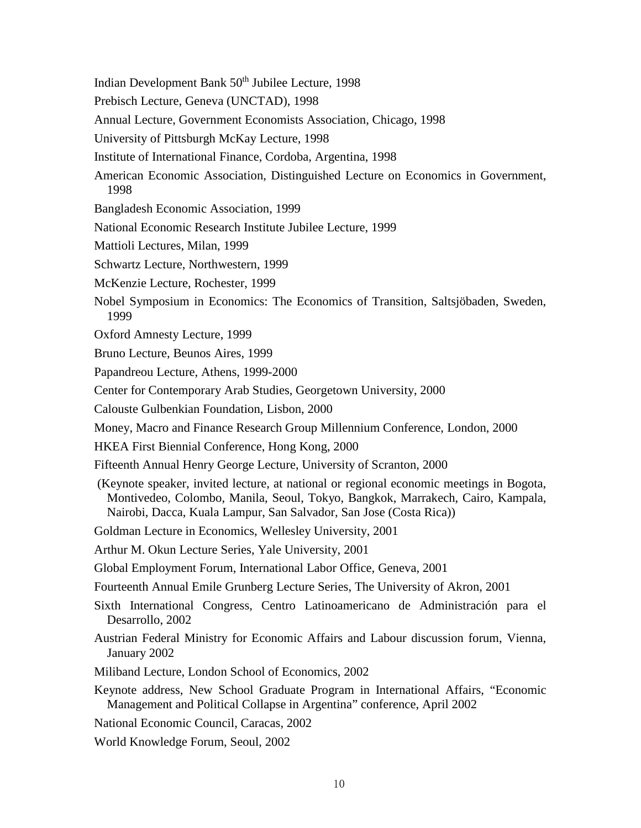- Indian Development Bank 50th Jubilee Lecture, 1998
- Prebisch Lecture, Geneva (UNCTAD), 1998
- Annual Lecture, Government Economists Association, Chicago, 1998
- University of Pittsburgh McKay Lecture, 1998
- Institute of International Finance, Cordoba, Argentina, 1998
- American Economic Association, Distinguished Lecture on Economics in Government, 1998
- Bangladesh Economic Association, 1999
- National Economic Research Institute Jubilee Lecture, 1999
- Mattioli Lectures, Milan, 1999
- Schwartz Lecture, Northwestern, 1999
- McKenzie Lecture, Rochester, 1999
- Nobel Symposium in Economics: The Economics of Transition, Saltsjöbaden, Sweden, 1999
- Oxford Amnesty Lecture, 1999
- Bruno Lecture, Beunos Aires, 1999
- Papandreou Lecture, Athens, 1999-2000
- Center for Contemporary Arab Studies, Georgetown University, 2000
- Calouste Gulbenkian Foundation, Lisbon, 2000
- Money, Macro and Finance Research Group Millennium Conference, London, 2000
- HKEA First Biennial Conference, Hong Kong, 2000
- Fifteenth Annual Henry George Lecture, University of Scranton, 2000
- (Keynote speaker, invited lecture, at national or regional economic meetings in Bogota, Montivedeo, Colombo, Manila, Seoul, Tokyo, Bangkok, Marrakech, Cairo, Kampala, Nairobi, Dacca, Kuala Lampur, San Salvador, San Jose (Costa Rica))

Goldman Lecture in Economics, Wellesley University, 2001

- Arthur M. Okun Lecture Series, Yale University, 2001
- Global Employment Forum, International Labor Office, Geneva, 2001
- Fourteenth Annual Emile Grunberg Lecture Series, The University of Akron, 2001
- Sixth International Congress, Centro Latinoamericano de Administración para el Desarrollo, 2002
- Austrian Federal Ministry for Economic Affairs and Labour discussion forum, Vienna, January 2002
- Miliband Lecture, London School of Economics, 2002
- Keynote address, New School Graduate Program in International Affairs, "Economic Management and Political Collapse in Argentina" conference, April 2002
- National Economic Council, Caracas, 2002
- World Knowledge Forum, Seoul, 2002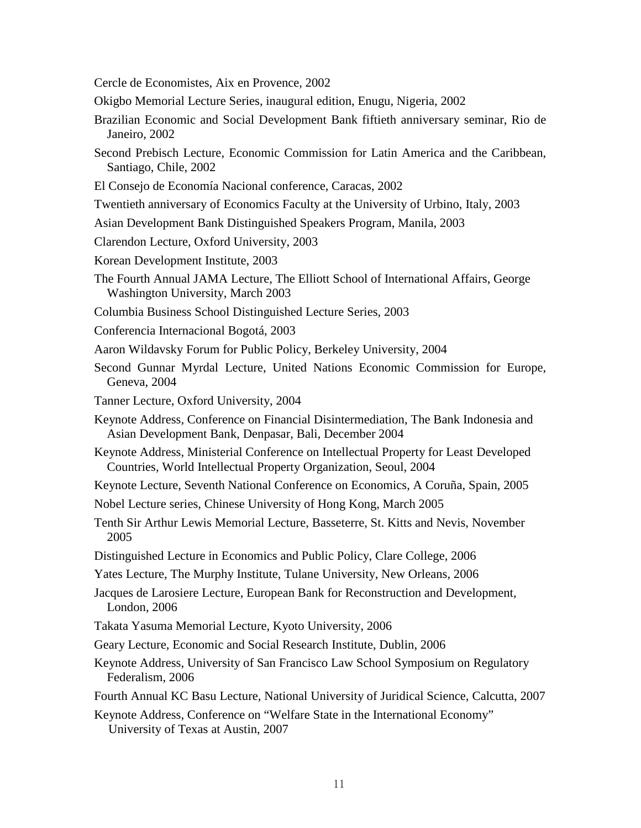Cercle de Economistes, Aix en Provence, 2002

Okigbo Memorial Lecture Series, inaugural edition, Enugu, Nigeria, 2002

- Brazilian Economic and Social Development Bank fiftieth anniversary seminar, Rio de Janeiro, 2002
- Second Prebisch Lecture, Economic Commission for Latin America and the Caribbean, Santiago, Chile, 2002
- El Consejo de Economía Nacional conference, Caracas, 2002
- Twentieth anniversary of Economics Faculty at the University of Urbino, Italy, 2003
- Asian Development Bank Distinguished Speakers Program, Manila, 2003
- Clarendon Lecture, Oxford University, 2003
- Korean Development Institute, 2003
- The Fourth Annual JAMA Lecture, The Elliott School of International Affairs, George Washington University, March 2003
- Columbia Business School Distinguished Lecture Series, 2003
- Conferencia Internacional Bogotá, 2003
- Aaron Wildavsky Forum for Public Policy, Berkeley University, 2004
- Second Gunnar Myrdal Lecture, United Nations Economic Commission for Europe, Geneva, 2004
- Tanner Lecture, Oxford University, 2004
- Keynote Address, Conference on Financial Disintermediation, The Bank Indonesia and Asian Development Bank, Denpasar, Bali, December 2004
- Keynote Address, Ministerial Conference on Intellectual Property for Least Developed Countries, World Intellectual Property Organization, Seoul, 2004
- Keynote Lecture, Seventh National Conference on Economics, A Coruña, Spain, 2005
- Nobel Lecture series, Chinese University of Hong Kong, March 2005
- Tenth Sir Arthur Lewis Memorial Lecture, Basseterre, St. Kitts and Nevis, November 2005
- Distinguished Lecture in Economics and Public Policy, Clare College, 2006
- Yates Lecture, The Murphy Institute, Tulane University, New Orleans, 2006

Jacques de Larosiere Lecture, European Bank for Reconstruction and Development, London, 2006

- Takata Yasuma Memorial Lecture, Kyoto University, 2006
- Geary Lecture, Economic and Social Research Institute, Dublin, 2006
- Keynote Address, University of San Francisco Law School Symposium on Regulatory Federalism, 2006
- Fourth Annual KC Basu Lecture, National University of Juridical Science, Calcutta, 2007
- Keynote Address, Conference on "Welfare State in the International Economy" University of Texas at Austin, 2007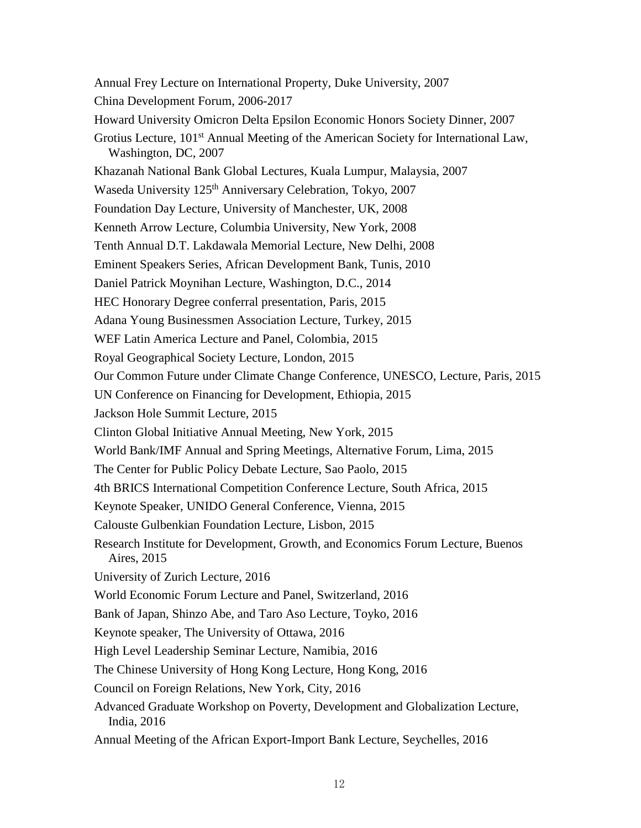Annual Frey Lecture on International Property, Duke University, 2007 China Development Forum, 2006-2017 Howard University Omicron Delta Epsilon Economic Honors Society Dinner, 2007 Grotius Lecture, 101<sup>st</sup> Annual Meeting of the American Society for International Law, Washington, DC, 2007 Khazanah National Bank Global Lectures, Kuala Lumpur, Malaysia, 2007 Waseda University 125<sup>th</sup> Anniversary Celebration, Tokyo, 2007 Foundation Day Lecture, University of Manchester, UK, 2008 Kenneth Arrow Lecture, Columbia University, New York, 2008 Tenth Annual D.T. Lakdawala Memorial Lecture, New Delhi, 2008 Eminent Speakers Series, African Development Bank, Tunis, 2010 Daniel Patrick Moynihan Lecture, Washington, D.C., 2014 [HEC Honorary Degree conferral presentation,](https://www.youtube.com/watch?v=b1CPDIj2Bu8) Paris, 2015 Adana Young Businessmen Association Lecture, Turkey, 2015 WEF Latin America Lecture and Panel, Colombia, 2015 Royal Geographical Society Lecture, London, 2015 Our Common Future under Climate Change Conference, UNESCO, Lecture, Paris, 2015 UN Conference on Financing for Development, Ethiopia, 2015 Jackson Hole Summit Lecture, 2015 Clinton Global Initiative Annual Meeting, New York, 2015 World Bank/IMF Annual and Spring Meetings, Alternative Forum, Lima, 2015 The Center for Public Policy Debate Lecture, Sao Paolo, 2015 4th BRICS International Competition Conference Lecture, South Africa, 2015 Keynote Speaker, UNIDO General Conference, Vienna, 2015 Calouste Gulbenkian Foundation Lecture, Lisbon, 2015 Research Institute for Development, Growth, and Economics Forum Lecture, Buenos Aires, 2015 University of Zurich Lecture, 2016 World Economic Forum Lecture and Panel, Switzerland, 2016 Bank of Japan, Shinzo Abe, and Taro Aso Lecture, Toyko, 2016 Keynote speaker, The University of Ottawa, 2016 High Level Leadership Seminar Lecture, Namibia, 2016 The Chinese University of Hong Kong Lecture, Hong Kong, 2016 Council on Foreign Relations, New York, City, 2016 Advanced Graduate Workshop on Poverty, Development and Globalization Lecture, India, 2016 Annual Meeting of the African Export-Import Bank Lecture, Seychelles, 2016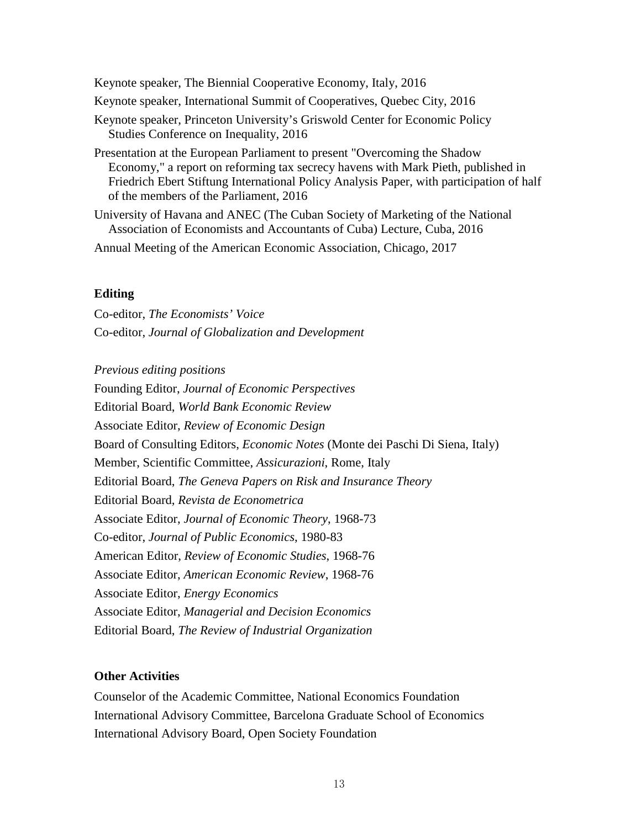Keynote speaker, The Biennial Cooperative Economy, Italy, 2016 Keynote speaker, International Summit of Cooperatives, Quebec City, 2016 Keynote speaker, Princeton University's Griswold Center for Economic Policy Studies Conference on Inequality, 2016

Presentation at the European Parliament to present ["Overcoming the Shadow](http://www8.gsb.columbia.edu/faculty/jstiglitz/sites/jstiglitz/files/Overcoming%20the%20Shadow%20Economy.pdf)  [Economy,"](http://www8.gsb.columbia.edu/faculty/jstiglitz/sites/jstiglitz/files/Overcoming%20the%20Shadow%20Economy.pdf) a report on reforming tax secrecy havens with Mark Pieth, published in Friedrich Ebert Stiftung International Policy Analysis Paper, with participation of half of the members of the Parliament, 2016

University of Havana and ANEC (The Cuban Society of Marketing of the National Association of Economists and Accountants of Cuba) Lecture, Cuba, 2016

Annual Meeting of the American Economic Association, Chicago, 2017

# **Editing**

Co-editor, *The Economists' Voice* Co-editor, *Journal of Globalization and Development*

*Previous editing positions*

Founding Editor, *Journal of Economic Perspectives* Editorial Board, *World Bank Economic Review* Associate Editor, *Review of Economic Design* Board of Consulting Editors, *Economic Notes* (Monte dei Paschi Di Siena, Italy) Member, Scientific Committee, *Assicurazioni*, Rome, Italy Editorial Board, *The Geneva Papers on Risk and Insurance Theory* Editorial Board, *Revista de Econometrica* Associate Editor, *Journal of Economic Theory*, 1968-73 Co-editor, *Journal of Public Economics*, 1980-83 American Editor, *Review of Economic Studies*, 1968-76 Associate Editor, *American Economic Review*, 1968-76 Associate Editor, *Energy Economics* Associate Editor, *Managerial and Decision Economics* Editorial Board, *The Review of Industrial Organization*

# **Other Activities**

Counselor of the Academic Committee, National Economics Foundation International Advisory Committee, Barcelona Graduate School of Economics International Advisory Board, Open Society Foundation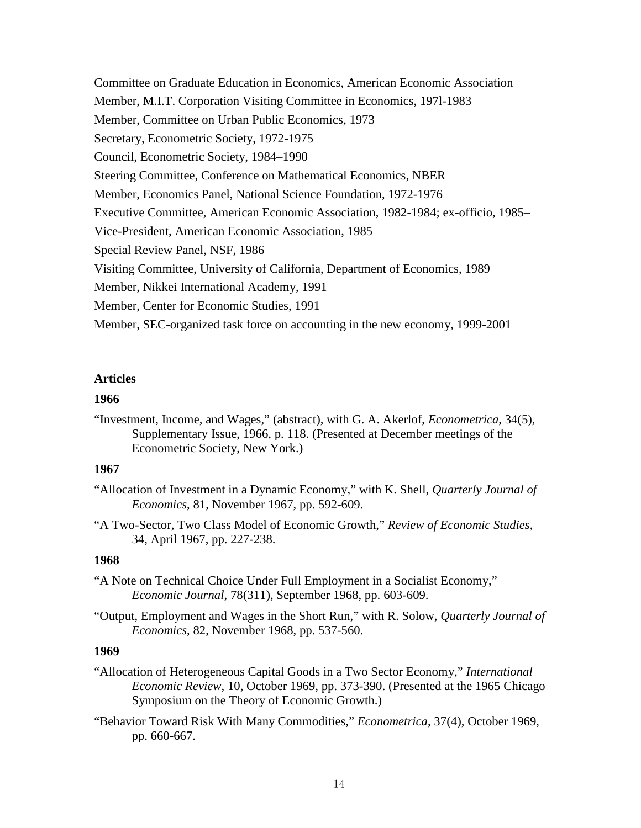Committee on Graduate Education in Economics, American Economic Association Member, M.I.T. Corporation Visiting Committee in Economics, 197l-1983 Member, Committee on Urban Public Economics, 1973 Secretary, Econometric Society, 1972-1975 Council, Econometric Society, 1984–1990 Steering Committee, Conference on Mathematical Economics, NBER Member, Economics Panel, National Science Foundation, 1972-1976 Executive Committee, American Economic Association, 1982-1984; ex-officio, 1985– Vice-President, American Economic Association, 1985 Special Review Panel, NSF, 1986 Visiting Committee, University of California, Department of Economics, 1989 Member, Nikkei International Academy, 1991 Member, Center for Economic Studies, 1991 Member, SEC-organized task force on accounting in the new economy, 1999-2001

# **Articles**

### **1966**

"Investment, Income, and Wages," (abstract), with G. A. Akerlof, *Econometrica*, 34(5), Supplementary Issue, 1966, p. 118. (Presented at December meetings of the Econometric Society, New York.)

# **1967**

- "Allocation of Investment in a Dynamic Economy," with K. Shell, *Quarterly Journal of Economics*, 81, November 1967, pp. 592-609.
- "A Two-Sector, Two Class Model of Economic Growth," *Review of Economic Studies*, 34, April 1967, pp. 227-238.

# **1968**

- "A Note on Technical Choice Under Full Employment in a Socialist Economy," *Economic Journal*, 78(311), September 1968, pp. 603-609.
- "Output, Employment and Wages in the Short Run," with R. Solow, *Quarterly Journal of Economics*, 82, November 1968, pp. 537-560.

- "Allocation of Heterogeneous Capital Goods in a Two Sector Economy," *International Economic Review*, 10, October 1969, pp. 373-390. (Presented at the 1965 Chicago Symposium on the Theory of Economic Growth.)
- "Behavior Toward Risk With Many Commodities," *Econometrica*, 37(4), October 1969, pp. 660-667.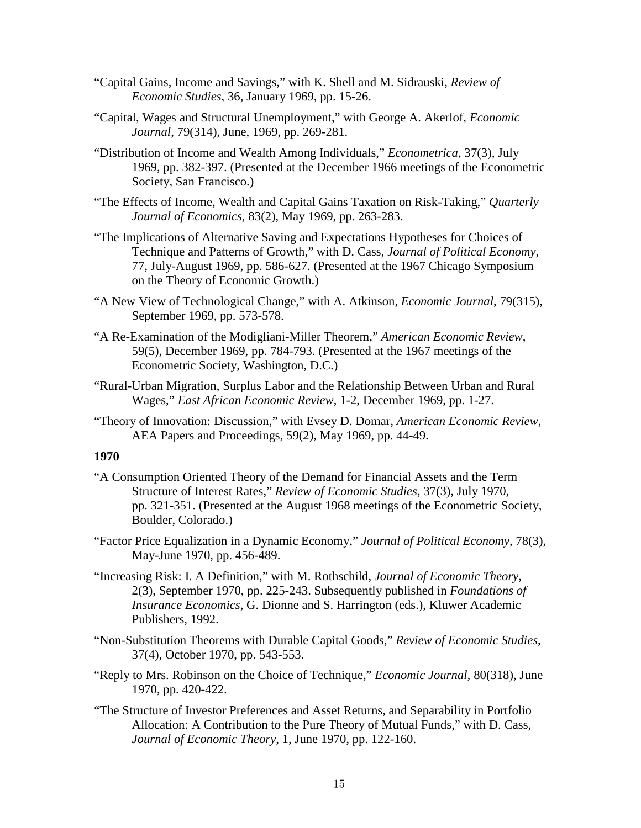- "Capital Gains, Income and Savings," with K. Shell and M. Sidrauski, *Review of Economic Studies*, 36, January 1969, pp. 15-26.
- "Capital, Wages and Structural Unemployment," with George A. Akerlof, *Economic Journal*, 79(314), June, 1969, pp. 269-281.
- "Distribution of Income and Wealth Among Individuals," *Econometrica*, 37(3), July 1969, pp. 382-397. (Presented at the December 1966 meetings of the Econometric Society, San Francisco.)
- "The Effects of Income, Wealth and Capital Gains Taxation on Risk-Taking," *Quarterly Journal of Economics*, 83(2), May 1969, pp. 263-283.
- "The Implications of Alternative Saving and Expectations Hypotheses for Choices of Technique and Patterns of Growth," with D. Cass, *Journal of Political Economy*, 77, July-August 1969, pp. 586-627. (Presented at the 1967 Chicago Symposium on the Theory of Economic Growth.)
- "A New View of Technological Change," with A. Atkinson, *Economic Journal*, 79(315), September 1969, pp. 573-578.
- "A Re-Examination of the Modigliani-Miller Theorem," *American Economic Review*, 59(5), December 1969, pp. 784-793. (Presented at the 1967 meetings of the Econometric Society, Washington, D.C.)
- "Rural-Urban Migration, Surplus Labor and the Relationship Between Urban and Rural Wages," *East African Economic Review*, 1-2, December 1969, pp. 1-27.
- "Theory of Innovation: Discussion," with Evsey D. Domar, *American Economic Review*, AEA Papers and Proceedings, 59(2), May 1969, pp. 44-49.

- "A Consumption Oriented Theory of the Demand for Financial Assets and the Term Structure of Interest Rates," *Review of Economic Studies*, 37(3), July 1970, pp. 321-351. (Presented at the August 1968 meetings of the Econometric Society, Boulder, Colorado.)
- "Factor Price Equalization in a Dynamic Economy," *Journal of Political Economy*, 78(3), May-June 1970, pp. 456-489.
- "Increasing Risk: I. A Definition," with M. Rothschild, *Journal of Economic Theory*, 2(3), September 1970, pp. 225-243. Subsequently published in *Foundations of Insurance Economics*, G. Dionne and S. Harrington (eds.), Kluwer Academic Publishers, 1992.
- "Non-Substitution Theorems with Durable Capital Goods," *Review of Economic Studies*, 37(4), October 1970, pp. 543-553.
- "Reply to Mrs. Robinson on the Choice of Technique," *Economic Journal*, 80(318), June 1970, pp. 420-422.
- "The Structure of Investor Preferences and Asset Returns, and Separability in Portfolio Allocation: A Contribution to the Pure Theory of Mutual Funds," with D. Cass, *Journal of Economic Theory*, 1, June 1970, pp. 122-160.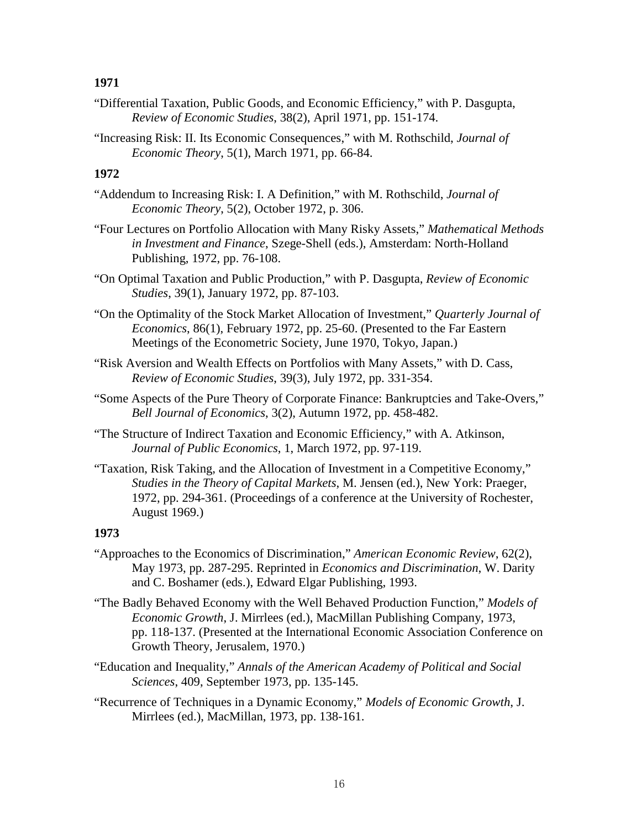- "Differential Taxation, Public Goods, and Economic Efficiency," with P. Dasgupta, *Review of Economic Studies*, 38(2), April 1971, pp. 151-174.
- "Increasing Risk: II. Its Economic Consequences," with M. Rothschild, *Journal of Economic Theory*, 5(1), March 1971, pp. 66-84.

# **1972**

- "Addendum to Increasing Risk: I. A Definition," with M. Rothschild, *Journal of Economic Theory*, 5(2), October 1972, p. 306.
- "Four Lectures on Portfolio Allocation with Many Risky Assets," *Mathematical Methods in Investment and Finance*, Szege-Shell (eds.), Amsterdam: North-Holland Publishing, 1972, pp. 76-108.
- "On Optimal Taxation and Public Production," with P. Dasgupta, *Review of Economic Studies*, 39(1), January 1972, pp. 87-103.
- "On the Optimality of the Stock Market Allocation of Investment," *Quarterly Journal of Economics*, 86(1), February 1972, pp. 25-60. (Presented to the Far Eastern Meetings of the Econometric Society, June 1970, Tokyo, Japan.)
- "Risk Aversion and Wealth Effects on Portfolios with Many Assets," with D. Cass, *Review of Economic Studies*, 39(3), July 1972, pp. 331-354.
- "Some Aspects of the Pure Theory of Corporate Finance: Bankruptcies and Take-Overs," *Bell Journal of Economics*, 3(2), Autumn 1972, pp. 458-482.
- "The Structure of Indirect Taxation and Economic Efficiency," with A. Atkinson, *Journal of Public Economics*, 1, March 1972, pp. 97-119.
- "Taxation, Risk Taking, and the Allocation of Investment in a Competitive Economy," *Studies in the Theory of Capital Markets*, M. Jensen (ed.), New York: Praeger, 1972, pp. 294-361. (Proceedings of a conference at the University of Rochester, August 1969.)

- "Approaches to the Economics of Discrimination," *American Economic Review*, 62(2), May 1973, pp. 287-295. Reprinted in *Economics and Discrimination*, W. Darity and C. Boshamer (eds.), Edward Elgar Publishing, 1993.
- "The Badly Behaved Economy with the Well Behaved Production Function," *Models of Economic Growth*, J. Mirrlees (ed.), MacMillan Publishing Company, 1973, pp. 118-137. (Presented at the International Economic Association Conference on Growth Theory, Jerusalem, 1970.)
- "Education and Inequality," *Annals of the American Academy of Political and Social Sciences*, 409, September 1973, pp. 135-145.
- "Recurrence of Techniques in a Dynamic Economy," *Models of Economic Growth*, J. Mirrlees (ed.), MacMillan, 1973, pp. 138-161.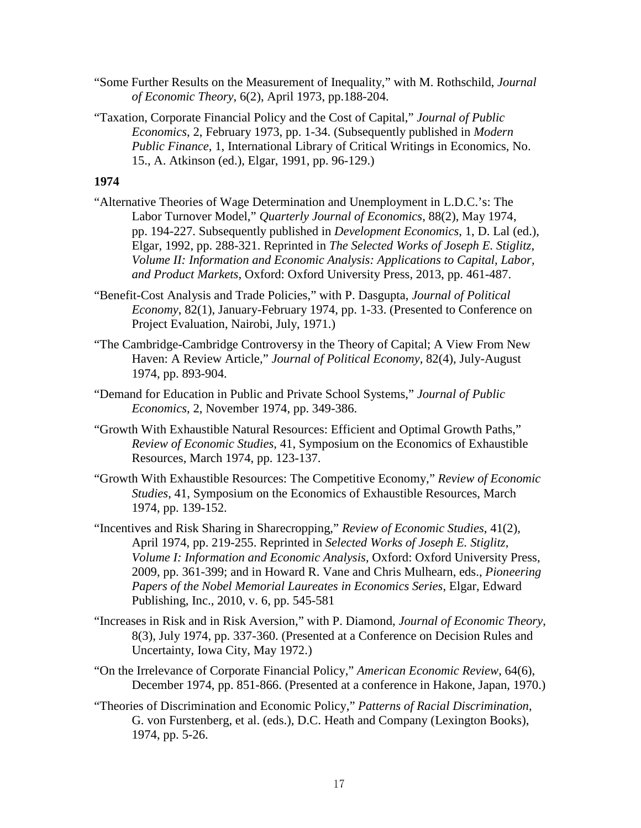- "Some Further Results on the Measurement of Inequality," with M. Rothschild, *Journal of Economic Theory*, 6(2), April 1973, pp.188-204.
- "Taxation, Corporate Financial Policy and the Cost of Capital," *Journal of Public Economics*, 2, February 1973, pp. 1-34. (Subsequently published in *Modern Public Finance*, 1, International Library of Critical Writings in Economics, No. 15., A. Atkinson (ed.), Elgar, 1991, pp. 96-129.)

- "Alternative Theories of Wage Determination and Unemployment in L.D.C.'s: The Labor Turnover Model," *Quarterly Journal of Economics*, 88(2), May 1974, pp. 194-227. Subsequently published in *Development Economics*, 1, D. Lal (ed.), Elgar, 1992, pp. 288-321. Reprinted in *The Selected Works of Joseph E. Stiglitz, Volume II: Information and Economic Analysis: Applications to Capital, Labor, and Product Markets*, Oxford: Oxford University Press, 2013, pp. 461-487.
- "Benefit-Cost Analysis and Trade Policies," with P. Dasgupta, *Journal of Political Economy*, 82(1), January-February 1974, pp. 1-33. (Presented to Conference on Project Evaluation, Nairobi, July, 1971.)
- "The Cambridge-Cambridge Controversy in the Theory of Capital; A View From New Haven: A Review Article," *Journal of Political Economy*, 82(4), July-August 1974, pp. 893-904.
- "Demand for Education in Public and Private School Systems," *Journal of Public Economics*, 2, November 1974, pp. 349-386.
- "Growth With Exhaustible Natural Resources: Efficient and Optimal Growth Paths," *Review of Economic Studies*, 41, Symposium on the Economics of Exhaustible Resources, March 1974, pp. 123-137.
- "Growth With Exhaustible Resources: The Competitive Economy," *Review of Economic Studies*, 41, Symposium on the Economics of Exhaustible Resources, March 1974, pp. 139-152.
- "Incentives and Risk Sharing in Sharecropping," *Review of Economic Studies*, 41(2), April 1974, pp. 219-255. Reprinted in *Selected Works of Joseph E. Stiglitz, Volume I: Information and Economic Analysis*, Oxford: Oxford University Press, 2009, pp. 361-399; and in Howard R. Vane and Chris Mulhearn, eds., *Pioneering Papers of the Nobel Memorial Laureates in Economics Series*, Elgar, Edward Publishing, Inc., 2010, v. 6, pp. 545-581
- "Increases in Risk and in Risk Aversion," with P. Diamond, *Journal of Economic Theory*, 8(3), July 1974, pp. 337-360. (Presented at a Conference on Decision Rules and Uncertainty, Iowa City, May 1972.)
- "On the Irrelevance of Corporate Financial Policy," *American Economic Review*, 64(6), December 1974, pp. 851-866. (Presented at a conference in Hakone, Japan, 1970.)
- "Theories of Discrimination and Economic Policy," *Patterns of Racial Discrimination*, G. von Furstenberg, et al. (eds.), D.C. Heath and Company (Lexington Books), 1974, pp. 5-26.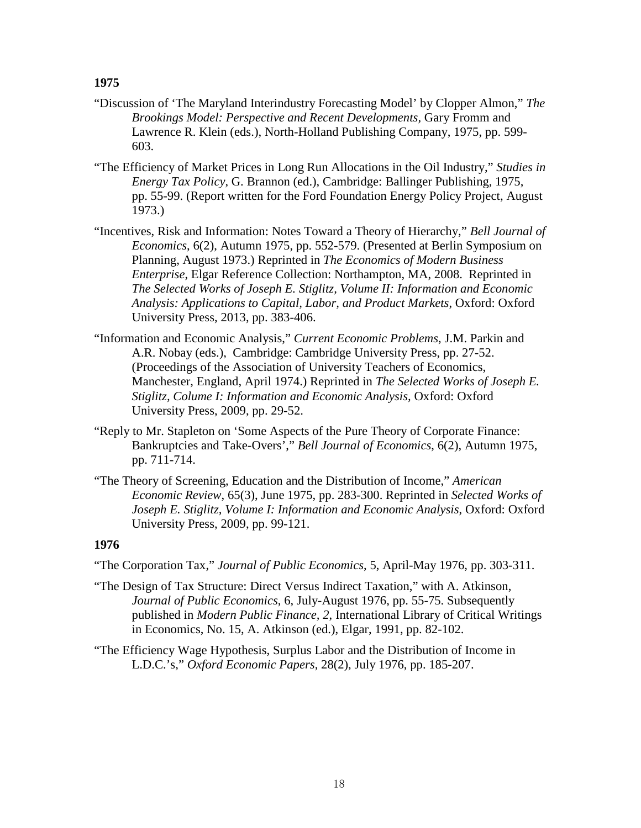- "Discussion of 'The Maryland Interindustry Forecasting Model' by Clopper Almon," *The Brookings Model: Perspective and Recent Developments,* Gary Fromm and Lawrence R. Klein (eds.), North-Holland Publishing Company, 1975, pp. 599- 603.
- "The Efficiency of Market Prices in Long Run Allocations in the Oil Industry," *Studies in Energy Tax Policy*, G. Brannon (ed.), Cambridge: Ballinger Publishing, 1975, pp. 55-99. (Report written for the Ford Foundation Energy Policy Project, August 1973.)
- "Incentives, Risk and Information: Notes Toward a Theory of Hierarchy," *Bell Journal of Economics*, 6(2), Autumn 1975, pp. 552-579. (Presented at Berlin Symposium on Planning, August 1973.) Reprinted in *The Economics of Modern Business Enterprise*, Elgar Reference Collection: Northampton, MA, 2008. Reprinted in *The Selected Works of Joseph E. Stiglitz, Volume II: Information and Economic Analysis: Applications to Capital, Labor, and Product Markets*, Oxford: Oxford University Press, 2013, pp. 383-406.
- "Information and Economic Analysis," *Current Economic Problems*, J.M. Parkin and A.R. Nobay (eds.), Cambridge: Cambridge University Press, pp. 27-52. (Proceedings of the Association of University Teachers of Economics, Manchester, England, April 1974.) Reprinted in *The Selected Works of Joseph E. Stiglitz, Colume I: Information and Economic Analysis,* Oxford: Oxford University Press, 2009, pp. 29-52.
- "Reply to Mr. Stapleton on 'Some Aspects of the Pure Theory of Corporate Finance: Bankruptcies and Take-Overs'," *Bell Journal of Economics*, 6(2), Autumn 1975, pp. 711-714.
- "The Theory of Screening, Education and the Distribution of Income," *American Economic Review*, 65(3), June 1975, pp. 283-300. Reprinted in *Selected Works of Joseph E. Stiglitz, Volume I: Information and Economic Analysis*, Oxford: Oxford University Press, 2009, pp. 99-121.

- "The Corporation Tax," *Journal of Public Economics*, 5, April-May 1976, pp. 303-311.
- "The Design of Tax Structure: Direct Versus Indirect Taxation," with A. Atkinson, *Journal of Public Economics*, 6, July-August 1976, pp. 55-75. Subsequently published in *Modern Public Finance, 2*, International Library of Critical Writings in Economics, No. 15, A. Atkinson (ed.), Elgar, 1991, pp. 82-102.
- "The Efficiency Wage Hypothesis, Surplus Labor and the Distribution of Income in L.D.C.'s," *Oxford Economic Papers*, 28(2), July 1976, pp. 185-207.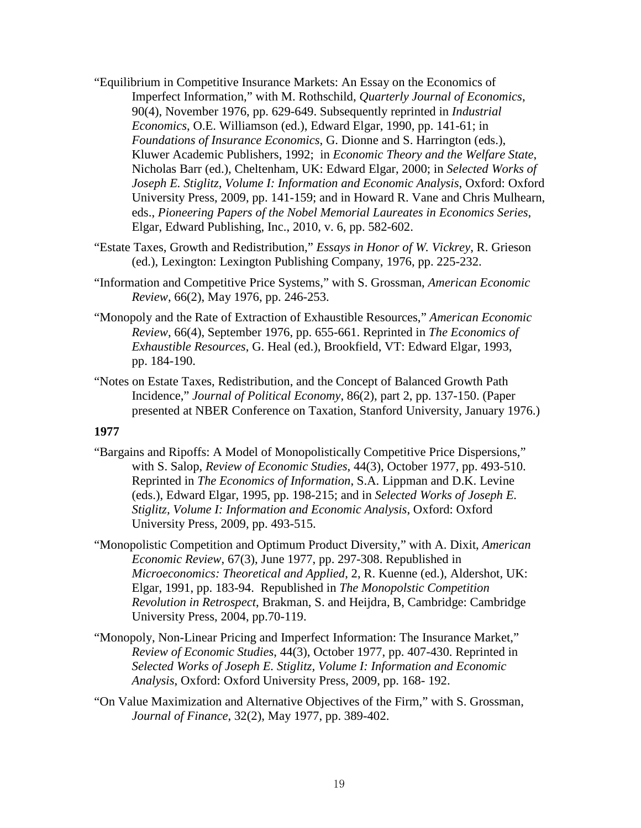- "Equilibrium in Competitive Insurance Markets: An Essay on the Economics of Imperfect Information," with M. Rothschild, *Quarterly Journal of Economics*, 90(4), November 1976, pp. 629-649. Subsequently reprinted in *Industrial Economics*, O.E. Williamson (ed.), Edward Elgar, 1990, pp. 141-61; in *Foundations of Insurance Economics*, G. Dionne and S. Harrington (eds.), Kluwer Academic Publishers, 1992; in *Economic Theory and the Welfare State*, Nicholas Barr (ed.), Cheltenham, UK: Edward Elgar, 2000; in *Selected Works of Joseph E. Stiglitz, Volume I: Information and Economic Analysis*, Oxford: Oxford University Press, 2009, pp. 141-159; and in Howard R. Vane and Chris Mulhearn, eds., *Pioneering Papers of the Nobel Memorial Laureates in Economics Series*, Elgar, Edward Publishing, Inc., 2010, v. 6, pp. 582-602.
- "Estate Taxes, Growth and Redistribution," *Essays in Honor of W. Vickrey*, R. Grieson (ed.), Lexington: Lexington Publishing Company, 1976, pp. 225-232.
- "Information and Competitive Price Systems," with S. Grossman, *American Economic Review*, 66(2), May 1976, pp. 246-253.
- "Monopoly and the Rate of Extraction of Exhaustible Resources," *American Economic Review*, 66(4), September 1976, pp. 655-661. Reprinted in *The Economics of Exhaustible Resources*, G. Heal (ed.), Brookfield, VT: Edward Elgar, 1993, pp. 184-190.
- "Notes on Estate Taxes, Redistribution, and the Concept of Balanced Growth Path Incidence," *Journal of Political Economy*, 86(2), part 2, pp. 137-150. (Paper presented at NBER Conference on Taxation, Stanford University, January 1976.)

- "Bargains and Ripoffs: A Model of Monopolistically Competitive Price Dispersions," with S. Salop, *Review of Economic Studies*, 44(3), October 1977, pp. 493-510. Reprinted in *The Economics of Information*, S.A. Lippman and D.K. Levine (eds.), Edward Elgar, 1995, pp. 198-215; and in *Selected Works of Joseph E. Stiglitz, Volume I: Information and Economic Analysis*, Oxford: Oxford University Press, 2009, pp. 493-515.
- "Monopolistic Competition and Optimum Product Diversity," with A. Dixit, *American Economic Review*, 67(3), June 1977, pp. 297-308. Republished in *Microeconomics: Theoretical and Applied*, 2, R. Kuenne (ed.), Aldershot, UK: Elgar, 1991, pp. 183-94. Republished in *The Monopolstic Competition Revolution in Retrospect*, Brakman, S. and Heijdra, B, Cambridge: Cambridge University Press, 2004, pp.70-119.
- "Monopoly, Non-Linear Pricing and Imperfect Information: The Insurance Market," *Review of Economic Studies*, 44(3), October 1977, pp. 407-430. Reprinted in *Selected Works of Joseph E. Stiglitz, Volume I: Information and Economic Analysis*, Oxford: Oxford University Press, 2009, pp. 168- 192.
- "On Value Maximization and Alternative Objectives of the Firm," with S. Grossman, *Journal of Finance*, 32(2), May 1977, pp. 389-402.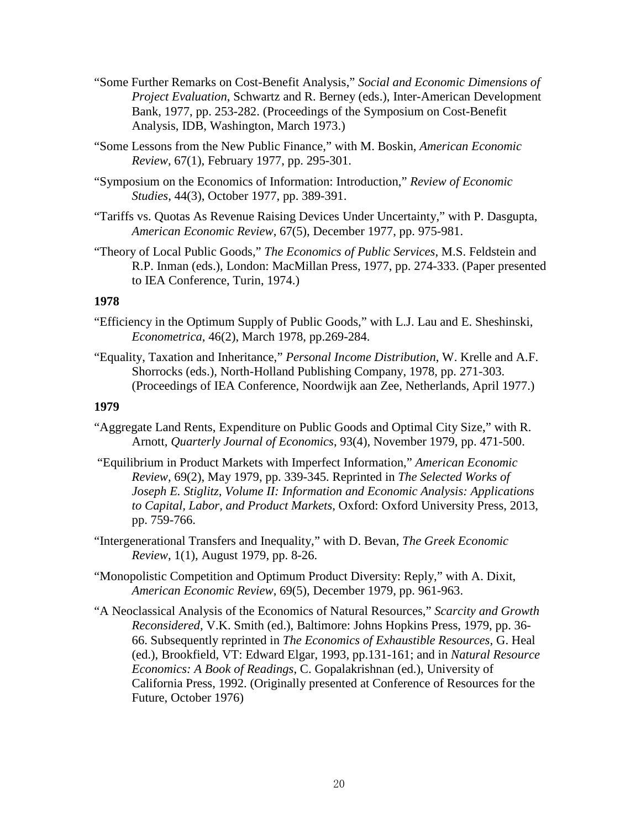- "Some Further Remarks on Cost-Benefit Analysis," *Social and Economic Dimensions of Project Evaluation*, Schwartz and R. Berney (eds.), Inter-American Development Bank, 1977, pp. 253-282. (Proceedings of the Symposium on Cost-Benefit Analysis, IDB, Washington, March 1973.)
- "Some Lessons from the New Public Finance," with M. Boskin, *American Economic Review*, 67(1), February 1977, pp. 295-301.
- "Symposium on the Economics of Information: Introduction," *Review of Economic Studies*, 44(3), October 1977, pp. 389-391.
- "Tariffs vs. Quotas As Revenue Raising Devices Under Uncertainty," with P. Dasgupta, *American Economic Review*, 67(5), December 1977, pp. 975-981.
- "Theory of Local Public Goods," *The Economics of Public Services*, M.S. Feldstein and R.P. Inman (eds.), London: MacMillan Press, 1977, pp. 274-333. (Paper presented to IEA Conference, Turin, 1974.)

- "Efficiency in the Optimum Supply of Public Goods," with L.J. Lau and E. Sheshinski, *Econometrica*, 46(2), March 1978, pp.269-284.
- "Equality, Taxation and Inheritance," *Personal Income Distribution*, W. Krelle and A.F. Shorrocks (eds.), North-Holland Publishing Company, 1978, pp. 271-303. (Proceedings of IEA Conference, Noordwijk aan Zee, Netherlands, April 1977.)

- "Aggregate Land Rents, Expenditure on Public Goods and Optimal City Size," with R. Arnott, *Quarterly Journal of Economics*, 93(4), November 1979, pp. 471-500.
- "Equilibrium in Product Markets with Imperfect Information," *American Economic Review*, 69(2), May 1979, pp. 339-345. Reprinted in *The Selected Works of Joseph E. Stiglitz, Volume II: Information and Economic Analysis: Applications to Capital, Labor, and Product Markets*, Oxford: Oxford University Press, 2013, pp. 759-766.
- "Intergenerational Transfers and Inequality," with D. Bevan, *The Greek Economic Review*, 1(1), August 1979, pp. 8-26.
- "Monopolistic Competition and Optimum Product Diversity: Reply," with A. Dixit, *American Economic Review*, 69(5), December 1979, pp. 961-963.
- "A Neoclassical Analysis of the Economics of Natural Resources," *Scarcity and Growth Reconsidered*, V.K. Smith (ed.), Baltimore: Johns Hopkins Press, 1979, pp. 36- 66. Subsequently reprinted in *The Economics of Exhaustible Resources*, G. Heal (ed.), Brookfield, VT: Edward Elgar, 1993, pp.131-161; and in *Natural Resource Economics: A Book of Readings*, C. Gopalakrishnan (ed.), University of California Press, 1992. (Originally presented at Conference of Resources for the Future, October 1976)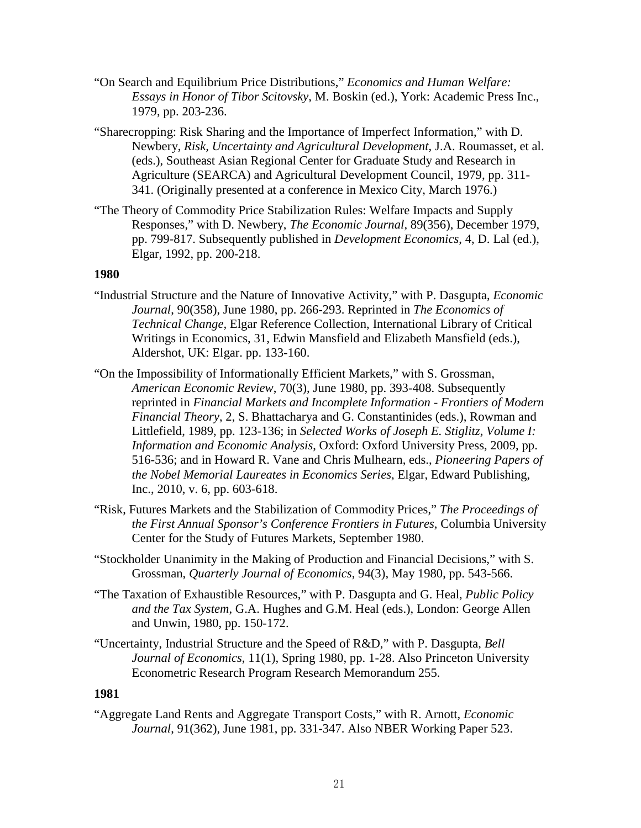- "On Search and Equilibrium Price Distributions," *Economics and Human Welfare: Essays in Honor of Tibor Scitovsky*, M. Boskin (ed.), York: Academic Press Inc., 1979, pp. 203-236.
- "Sharecropping: Risk Sharing and the Importance of Imperfect Information," with D. Newbery, *Risk, Uncertainty and Agricultural Development*, J.A. Roumasset, et al. (eds.), Southeast Asian Regional Center for Graduate Study and Research in Agriculture (SEARCA) and Agricultural Development Council, 1979, pp. 311- 341. (Originally presented at a conference in Mexico City, March 1976.)
- "The Theory of Commodity Price Stabilization Rules: Welfare Impacts and Supply Responses," with D. Newbery, *The Economic Journal*, 89(356), December 1979, pp. 799-817. Subsequently published in *Development Economics*, 4, D. Lal (ed.), Elgar, 1992, pp. 200-218.

- "Industrial Structure and the Nature of Innovative Activity," with P. Dasgupta, *Economic Journal*, 90(358), June 1980, pp. 266-293. Reprinted in *The Economics of Technical Change,* Elgar Reference Collection, International Library of Critical Writings in Economics, 31, Edwin Mansfield and Elizabeth Mansfield (eds.), Aldershot, UK: Elgar. pp. 133-160.
- "On the Impossibility of Informationally Efficient Markets," with S. Grossman, *American Economic Review*, 70(3), June 1980, pp. 393-408. Subsequently reprinted in *Financial Markets and Incomplete Information - Frontiers of Modern Financial Theory*, 2, S. Bhattacharya and G. Constantinides (eds.), Rowman and Littlefield, 1989, pp. 123-136; in *Selected Works of Joseph E. Stiglitz, Volume I: Information and Economic Analysis*, Oxford: Oxford University Press, 2009, pp. 516-536; and in Howard R. Vane and Chris Mulhearn, eds., *Pioneering Papers of the Nobel Memorial Laureates in Economics Series*, Elgar, Edward Publishing, Inc., 2010, v. 6, pp. 603-618.
- "Risk, Futures Markets and the Stabilization of Commodity Prices," *The Proceedings of the First Annual Sponsor's Conference Frontiers in Futures*, Columbia University Center for the Study of Futures Markets, September 1980.
- "Stockholder Unanimity in the Making of Production and Financial Decisions," with S. Grossman, *Quarterly Journal of Economics*, 94(3), May 1980, pp. 543-566.
- "The Taxation of Exhaustible Resources," with P. Dasgupta and G. Heal, *Public Policy and the Tax System*, G.A. Hughes and G.M. Heal (eds.), London: George Allen and Unwin, 1980, pp. 150-172.
- "Uncertainty, Industrial Structure and the Speed of R&D," with P. Dasgupta, *Bell Journal of Economics*, 11(1), Spring 1980, pp. 1-28. Also Princeton University Econometric Research Program Research Memorandum 255.

# **1981**

"Aggregate Land Rents and Aggregate Transport Costs," with R. Arnott, *Economic Journal*, 91(362), June 1981, pp. 331-347. Also NBER Working Paper 523.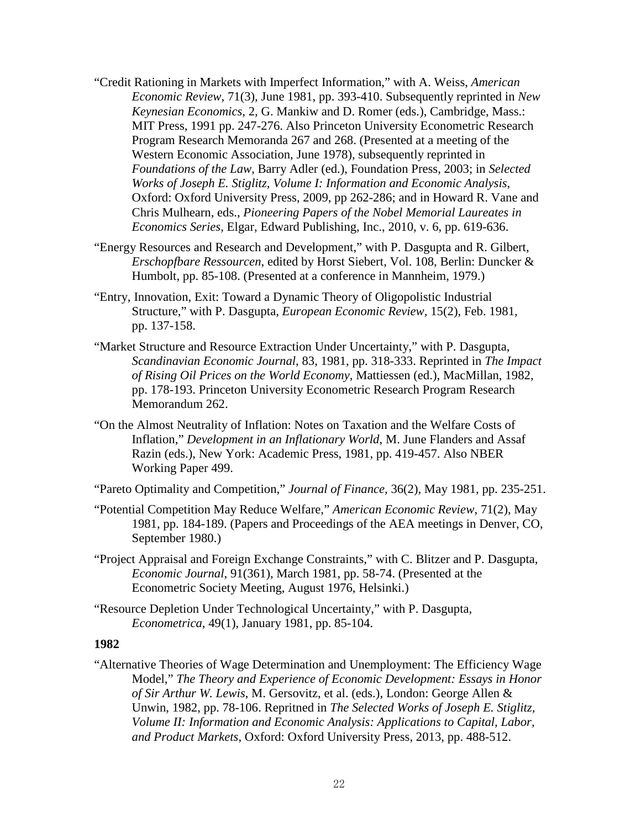- "Credit Rationing in Markets with Imperfect Information," with A. Weiss, *American Economic Review*, 71(3), June 1981, pp. 393-410. Subsequently reprinted in *New Keynesian Economics*, 2, G. Mankiw and D. Romer (eds.), Cambridge, Mass.: MIT Press, 1991 pp. 247-276. Also Princeton University Econometric Research Program Research Memoranda 267 and 268. (Presented at a meeting of the Western Economic Association, June 1978), subsequently reprinted in *Foundations of the Law*, Barry Adler (ed.), Foundation Press, 2003; in *Selected Works of Joseph E. Stiglitz, Volume I: Information and Economic Analysis*, Oxford: Oxford University Press, 2009, pp 262-286; and in Howard R. Vane and Chris Mulhearn, eds., *Pioneering Papers of the Nobel Memorial Laureates in Economics Series*, Elgar, Edward Publishing, Inc., 2010, v. 6, pp. 619-636.
- "Energy Resources and Research and Development," with P. Dasgupta and R. Gilbert, *Erschopfbare Ressourcen*, edited by Horst Siebert, Vol. 108, Berlin: Duncker & Humbolt, pp. 85-108. (Presented at a conference in Mannheim, 1979.)
- "Entry, Innovation, Exit: Toward a Dynamic Theory of Oligopolistic Industrial Structure," with P. Dasgupta, *European Economic Review,* 15(2), Feb. 1981, pp. 137-158.
- "Market Structure and Resource Extraction Under Uncertainty," with P. Dasgupta, *Scandinavian Economic Journal*, 83, 1981, pp. 318-333. Reprinted in *The Impact of Rising Oil Prices on the World Economy*, Mattiessen (ed.), MacMillan, 1982, pp. 178-193. Princeton University Econometric Research Program Research Memorandum 262.
- "On the Almost Neutrality of Inflation: Notes on Taxation and the Welfare Costs of Inflation," *Development in an Inflationary World*, M. June Flanders and Assaf Razin (eds.), New York: Academic Press, 1981, pp. 419-457. Also NBER Working Paper 499.
- "Pareto Optimality and Competition," *Journal of Finance*, 36(2), May 1981, pp. 235-251.
- "Potential Competition May Reduce Welfare," *American Economic Review*, 71(2), May 1981, pp. 184-189. (Papers and Proceedings of the AEA meetings in Denver, CO, September 1980.)
- "Project Appraisal and Foreign Exchange Constraints," with C. Blitzer and P. Dasgupta, *Economic Journal*, 91(361), March 1981, pp. 58-74. (Presented at the Econometric Society Meeting, August 1976, Helsinki.)
- "Resource Depletion Under Technological Uncertainty," with P. Dasgupta, *Econometrica*, 49(1), January 1981, pp. 85-104.

"Alternative Theories of Wage Determination and Unemployment: The Efficiency Wage Model," *The Theory and Experience of Economic Development: Essays in Honor of Sir Arthur W. Lewis*, M. Gersovitz, et al. (eds.), London: George Allen & Unwin, 1982, pp. 78-106. Repritned in *The Selected Works of Joseph E. Stiglitz, Volume II: Information and Economic Analysis: Applications to Capital, Labor, and Product Markets*, Oxford: Oxford University Press, 2013, pp. 488-512.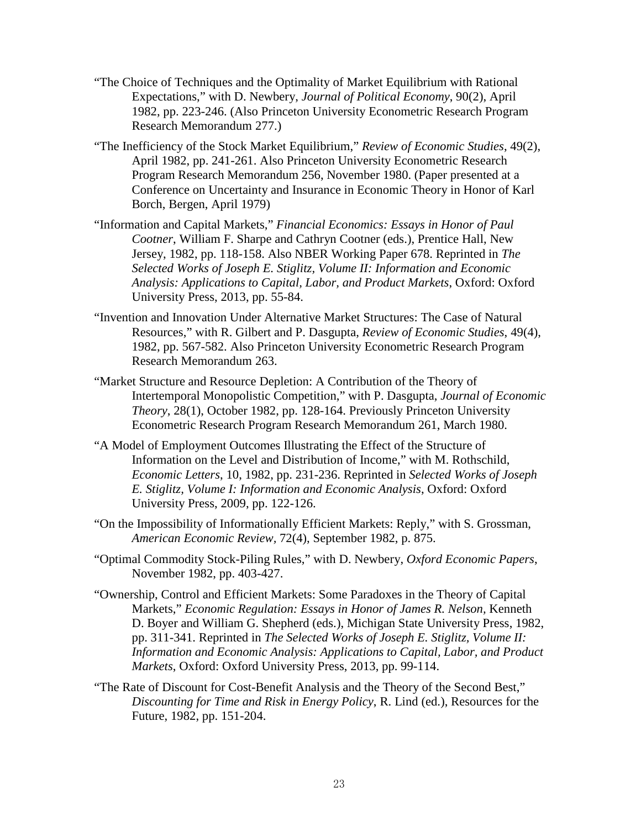- "The Choice of Techniques and the Optimality of Market Equilibrium with Rational Expectations," with D. Newbery, *Journal of Political Economy*, 90(2), April 1982, pp. 223-246. (Also Princeton University Econometric Research Program Research Memorandum 277.)
- "The Inefficiency of the Stock Market Equilibrium," *Review of Economic Studies*, 49(2), April 1982, pp. 241-261. Also Princeton University Econometric Research Program Research Memorandum 256, November 1980. (Paper presented at a Conference on Uncertainty and Insurance in Economic Theory in Honor of Karl Borch, Bergen, April 1979)
- "Information and Capital Markets," *Financial Economics: Essays in Honor of Paul Cootner*, William F. Sharpe and Cathryn Cootner (eds.), Prentice Hall, New Jersey, 1982, pp. 118-158. Also NBER Working Paper 678. Reprinted in *The Selected Works of Joseph E. Stiglitz, Volume II: Information and Economic Analysis: Applications to Capital, Labor, and Product Markets*, Oxford: Oxford University Press, 2013, pp. 55-84.
- "Invention and Innovation Under Alternative Market Structures: The Case of Natural Resources," with R. Gilbert and P. Dasgupta, *Review of Economic Studies*, 49(4), 1982, pp. 567-582. Also Princeton University Econometric Research Program Research Memorandum 263.
- "Market Structure and Resource Depletion: A Contribution of the Theory of Intertemporal Monopolistic Competition," with P. Dasgupta, *Journal of Economic Theory*, 28(1), October 1982, pp. 128-164. Previously Princeton University Econometric Research Program Research Memorandum 261, March 1980.
- "A Model of Employment Outcomes Illustrating the Effect of the Structure of Information on the Level and Distribution of Income," with M. Rothschild, *Economic Letters*, 10, 1982, pp. 231-236. Reprinted in *Selected Works of Joseph E. Stiglitz, Volume I: Information and Economic Analysis*, Oxford: Oxford University Press, 2009, pp. 122-126.
- "On the Impossibility of Informationally Efficient Markets: Reply," with S. Grossman, *American Economic Review,* 72(4), September 1982, p. 875.
- "Optimal Commodity Stock-Piling Rules," with D. Newbery, *Oxford Economic Papers*, November 1982, pp. 403-427.
- "Ownership, Control and Efficient Markets: Some Paradoxes in the Theory of Capital Markets," *Economic Regulation: Essays in Honor of James R. Nelson,* Kenneth D. Boyer and William G. Shepherd (eds.), Michigan State University Press, 1982, pp. 311-341. Reprinted in *The Selected Works of Joseph E. Stiglitz, Volume II: Information and Economic Analysis: Applications to Capital, Labor, and Product Markets*, Oxford: Oxford University Press, 2013, pp. 99-114.
- "The Rate of Discount for Cost-Benefit Analysis and the Theory of the Second Best," *Discounting for Time and Risk in Energy Policy*, R. Lind (ed.), Resources for the Future, 1982, pp. 151-204.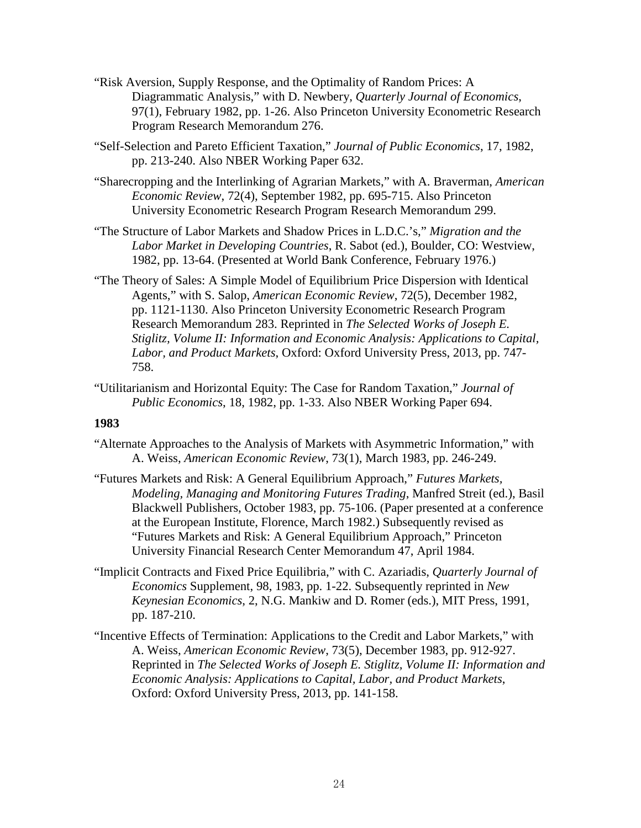- "Risk Aversion, Supply Response, and the Optimality of Random Prices: A Diagrammatic Analysis," with D. Newbery, *Quarterly Journal of Economics*, 97(1), February 1982, pp. 1-26. Also Princeton University Econometric Research Program Research Memorandum 276.
- "Self-Selection and Pareto Efficient Taxation," *Journal of Public Economics*, 17, 1982, pp. 213-240. Also NBER Working Paper 632.
- "Sharecropping and the Interlinking of Agrarian Markets," with A. Braverman, *American Economic Review*, 72(4), September 1982, pp. 695-715. Also Princeton University Econometric Research Program Research Memorandum 299.
- "The Structure of Labor Markets and Shadow Prices in L.D.C.'s," *Migration and the Labor Market in Developing Countries*, R. Sabot (ed.), Boulder, CO: Westview, 1982, pp. 13-64. (Presented at World Bank Conference, February 1976.)
- "The Theory of Sales: A Simple Model of Equilibrium Price Dispersion with Identical Agents," with S. Salop, *American Economic Review*, 72(5), December 1982, pp. 1121-1130. Also Princeton University Econometric Research Program Research Memorandum 283. Reprinted in *The Selected Works of Joseph E. Stiglitz, Volume II: Information and Economic Analysis: Applications to Capital, Labor, and Product Markets*, Oxford: Oxford University Press, 2013, pp. 747- 758.
- "Utilitarianism and Horizontal Equity: The Case for Random Taxation," *Journal of Public Economics*, 18, 1982, pp. 1-33. Also NBER Working Paper 694.

- "Alternate Approaches to the Analysis of Markets with Asymmetric Information," with A. Weiss, *American Economic Review*, 73(1), March 1983, pp. 246-249.
- "Futures Markets and Risk: A General Equilibrium Approach," *Futures Markets, Modeling, Managing and Monitoring Futures Trading*, Manfred Streit (ed.), Basil Blackwell Publishers, October 1983, pp. 75-106. (Paper presented at a conference at the European Institute, Florence, March 1982.) Subsequently revised as "Futures Markets and Risk: A General Equilibrium Approach," Princeton University Financial Research Center Memorandum 47, April 1984.
- "Implicit Contracts and Fixed Price Equilibria," with C. Azariadis, *Quarterly Journal of Economics* Supplement, 98, 1983, pp. 1-22. Subsequently reprinted in *New Keynesian Economics*, 2, N.G. Mankiw and D. Romer (eds.), MIT Press, 1991, pp. 187-210.
- "Incentive Effects of Termination: Applications to the Credit and Labor Markets," with A. Weiss, *American Economic Review*, 73(5), December 1983, pp. 912-927. Reprinted in *The Selected Works of Joseph E. Stiglitz, Volume II: Information and Economic Analysis: Applications to Capital, Labor, and Product Markets*, Oxford: Oxford University Press, 2013, pp. 141-158.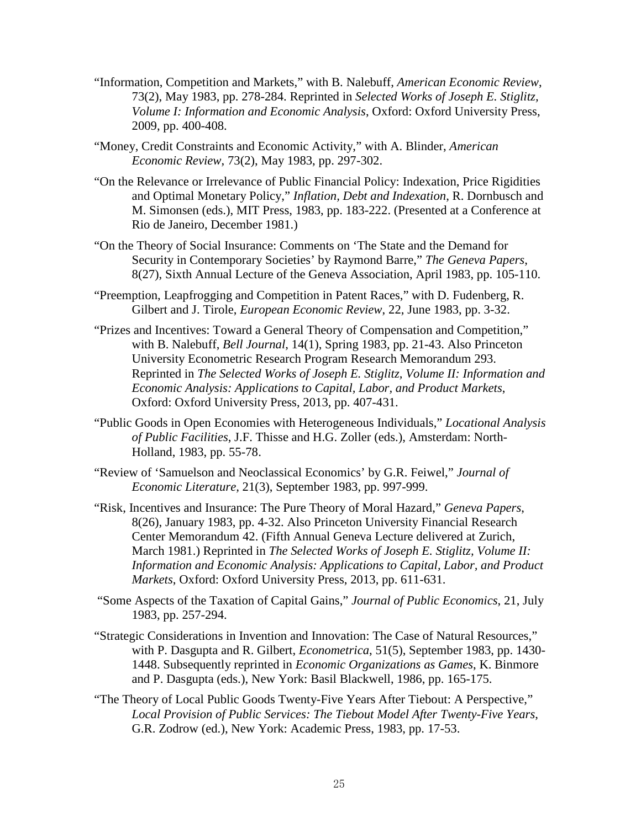- "Information, Competition and Markets," with B. Nalebuff, *American Economic Review*, 73(2), May 1983, pp. 278-284. Reprinted in *Selected Works of Joseph E. Stiglitz, Volume I: Information and Economic Analysis*, Oxford: Oxford University Press, 2009, pp. 400-408.
- "Money, Credit Constraints and Economic Activity," with A. Blinder, *American Economic Review*, 73(2), May 1983, pp. 297-302.
- "On the Relevance or Irrelevance of Public Financial Policy: Indexation, Price Rigidities and Optimal Monetary Policy," *Inflation, Debt and Indexation*, R. Dornbusch and M. Simonsen (eds.), MIT Press, 1983, pp. 183-222. (Presented at a Conference at Rio de Janeiro, December 1981.)
- "On the Theory of Social Insurance: Comments on 'The State and the Demand for Security in Contemporary Societies' by Raymond Barre," *The Geneva Papers*, 8(27), Sixth Annual Lecture of the Geneva Association, April 1983, pp. 105-110.
- "Preemption, Leapfrogging and Competition in Patent Races," with D. Fudenberg, R. Gilbert and J. Tirole, *European Economic Review*, 22, June 1983, pp. 3-32.
- "Prizes and Incentives: Toward a General Theory of Compensation and Competition," with B. Nalebuff, *Bell Journal*, 14(1), Spring 1983, pp. 21-43. Also Princeton University Econometric Research Program Research Memorandum 293. Reprinted in *The Selected Works of Joseph E. Stiglitz, Volume II: Information and Economic Analysis: Applications to Capital, Labor, and Product Markets*, Oxford: Oxford University Press, 2013, pp. 407-431.
- "Public Goods in Open Economies with Heterogeneous Individuals," *Locational Analysis of Public Facilities*, J.F. Thisse and H.G. Zoller (eds.), Amsterdam: North-Holland, 1983, pp. 55-78.
- "Review of 'Samuelson and Neoclassical Economics' by G.R. Feiwel," *Journal of Economic Literature,* 21(3), September 1983, pp. 997-999.
- "Risk, Incentives and Insurance: The Pure Theory of Moral Hazard," *Geneva Papers*, 8(26), January 1983, pp. 4-32. Also Princeton University Financial Research Center Memorandum 42. (Fifth Annual Geneva Lecture delivered at Zurich, March 1981.) Reprinted in *The Selected Works of Joseph E. Stiglitz, Volume II: Information and Economic Analysis: Applications to Capital, Labor, and Product Markets*, Oxford: Oxford University Press, 2013, pp. 611-631.
- "Some Aspects of the Taxation of Capital Gains," *Journal of Public Economics*, 21, July 1983, pp. 257-294.
- "Strategic Considerations in Invention and Innovation: The Case of Natural Resources," with P. Dasgupta and R. Gilbert, *Econometrica*, 51(5), September 1983, pp. 1430- 1448. Subsequently reprinted in *Economic Organizations as Games*, K. Binmore and P. Dasgupta (eds.), New York: Basil Blackwell, 1986, pp. 165-175.
- "The Theory of Local Public Goods Twenty-Five Years After Tiebout: A Perspective," *Local Provision of Public Services: The Tiebout Model After Twenty-Five Years*, G.R. Zodrow (ed.), New York: Academic Press, 1983, pp. 17-53.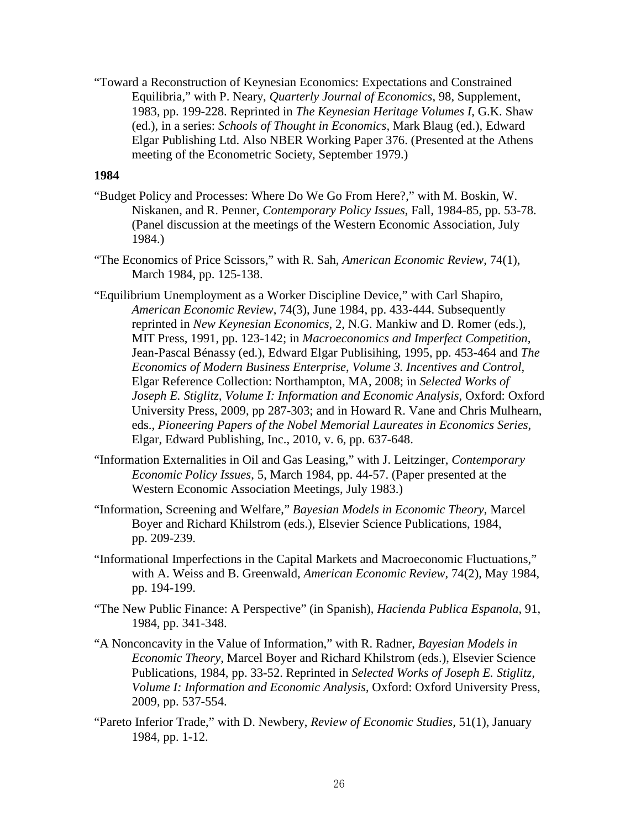"Toward a Reconstruction of Keynesian Economics: Expectations and Constrained Equilibria," with P. Neary, *Quarterly Journal of Economics*, 98, Supplement, 1983, pp. 199-228. Reprinted in *The Keynesian Heritage Volumes I*, G.K. Shaw (ed.), in a series: *Schools of Thought in Economics,* Mark Blaug (ed.), Edward Elgar Publishing Ltd. Also NBER Working Paper 376. (Presented at the Athens meeting of the Econometric Society, September 1979.)

- "Budget Policy and Processes: Where Do We Go From Here?," with M. Boskin, W. Niskanen, and R. Penner, *Contemporary Policy Issues*, Fall, 1984-85, pp. 53-78. (Panel discussion at the meetings of the Western Economic Association, July 1984.)
- "The Economics of Price Scissors," with R. Sah, *American Economic Review*, 74(1), March 1984, pp. 125-138.
- "Equilibrium Unemployment as a Worker Discipline Device," with Carl Shapiro, *American Economic Review*, 74(3), June 1984, pp. 433-444. Subsequently reprinted in *New Keynesian Economics*, 2, N.G. Mankiw and D. Romer (eds.), MIT Press, 1991, pp. 123-142; in *Macroeconomics and Imperfect Competition,*  Jean-Pascal Bénassy (ed.), Edward Elgar Publisihing, 1995, pp. 453-464 and *The Economics of Modern Business Enterprise*, *Volume 3. Incentives and Control,*  Elgar Reference Collection: Northampton, MA, 2008; in *Selected Works of Joseph E. Stiglitz, Volume I: Information and Economic Analysis*, Oxford: Oxford University Press, 2009, pp 287-303; and in Howard R. Vane and Chris Mulhearn, eds., *Pioneering Papers of the Nobel Memorial Laureates in Economics Series*, Elgar, Edward Publishing, Inc., 2010, v. 6, pp. 637-648.
- "Information Externalities in Oil and Gas Leasing," with J. Leitzinger, *Contemporary Economic Policy Issues*, 5, March 1984, pp. 44-57. (Paper presented at the Western Economic Association Meetings, July 1983.)
- "Information, Screening and Welfare," *Bayesian Models in Economic Theory*, Marcel Boyer and Richard Khilstrom (eds.), Elsevier Science Publications, 1984, pp. 209-239.
- "Informational Imperfections in the Capital Markets and Macroeconomic Fluctuations," with A. Weiss and B. Greenwald, *American Economic Review*, 74(2), May 1984, pp. 194-199.
- "The New Public Finance: A Perspective" (in Spanish), *Hacienda Publica Espanola*, 91, 1984, pp. 341-348.
- "A Nonconcavity in the Value of Information," with R. Radner, *Bayesian Models in Economic Theory*, Marcel Boyer and Richard Khilstrom (eds.), Elsevier Science Publications, 1984, pp. 33-52. Reprinted in *Selected Works of Joseph E. Stiglitz, Volume I: Information and Economic Analysis*, Oxford: Oxford University Press, 2009, pp. 537-554.
- "Pareto Inferior Trade," with D. Newbery, *Review of Economic Studies*, 51(1), January 1984, pp. 1-12.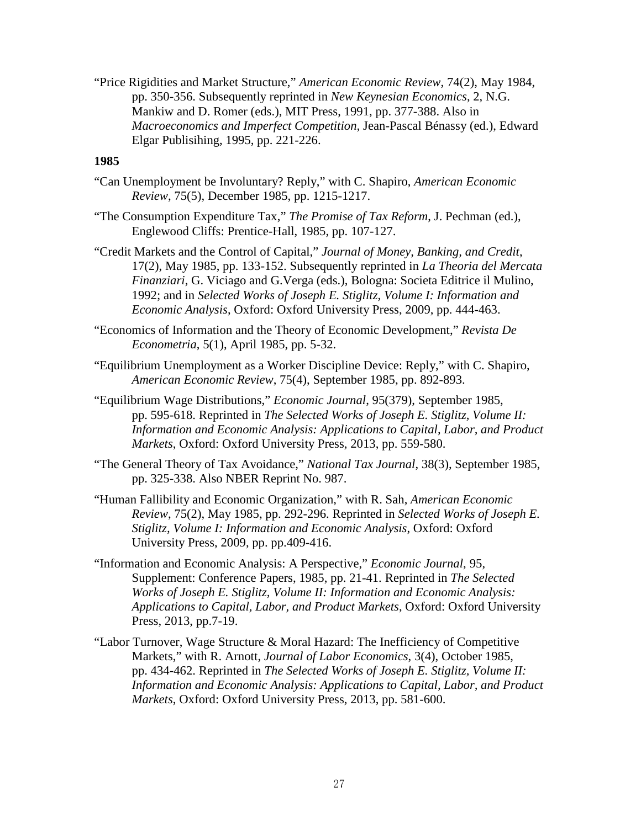"Price Rigidities and Market Structure," *American Economic Review*, 74(2), May 1984, pp. 350-356. Subsequently reprinted in *New Keynesian Economics*, 2, N.G. Mankiw and D. Romer (eds.), MIT Press, 1991, pp. 377-388. Also in *Macroeconomics and Imperfect Competition,* Jean-Pascal Bénassy (ed.), Edward Elgar Publisihing, 1995, pp. 221-226.

- "Can Unemployment be Involuntary? Reply," with C. Shapiro, *American Economic Review*, 75(5), December 1985, pp. 1215-1217.
- "The Consumption Expenditure Tax," *The Promise of Tax Reform*, J. Pechman (ed.), Englewood Cliffs: Prentice-Hall, 1985, pp. 107-127.
- "Credit Markets and the Control of Capital," *Journal of Money, Banking, and Credit*, 17(2), May 1985, pp. 133-152. Subsequently reprinted in *La Theoria del Mercata Finanziari*, G. Viciago and G.Verga (eds.), Bologna: Societa Editrice il Mulino, 1992; and in *Selected Works of Joseph E. Stiglitz, Volume I: Information and Economic Analysis*, Oxford: Oxford University Press, 2009, pp. 444-463.
- "Economics of Information and the Theory of Economic Development," *Revista De Econometria*, 5(1), April 1985, pp. 5-32.
- "Equilibrium Unemployment as a Worker Discipline Device: Reply," with C. Shapiro, *American Economic Review*, 75(4), September 1985, pp. 892-893.
- "Equilibrium Wage Distributions," *Economic Journal*, 95(379), September 1985, pp. 595-618. Reprinted in *The Selected Works of Joseph E. Stiglitz, Volume II: Information and Economic Analysis: Applications to Capital, Labor, and Product Markets*, Oxford: Oxford University Press, 2013, pp. 559-580.
- "The General Theory of Tax Avoidance," *National Tax Journal*, 38(3), September 1985, pp. 325-338. Also NBER Reprint No. 987.
- "Human Fallibility and Economic Organization," with R. Sah, *American Economic Review*, 75(2), May 1985, pp. 292-296. Reprinted in *Selected Works of Joseph E. Stiglitz, Volume I: Information and Economic Analysis*, Oxford: Oxford University Press, 2009, pp. pp.409-416.
- "Information and Economic Analysis: A Perspective," *Economic Journal*, 95, Supplement: Conference Papers, 1985, pp. 21-41. Reprinted in *The Selected Works of Joseph E. Stiglitz, Volume II: Information and Economic Analysis: Applications to Capital, Labor, and Product Markets*, Oxford: Oxford University Press, 2013, pp.7-19.
- "Labor Turnover, Wage Structure & Moral Hazard: The Inefficiency of Competitive Markets," with R. Arnott, *Journal of Labor Economics*, 3(4), October 1985, pp. 434-462. Reprinted in *The Selected Works of Joseph E. Stiglitz, Volume II: Information and Economic Analysis: Applications to Capital, Labor, and Product Markets*, Oxford: Oxford University Press, 2013, pp. 581-600.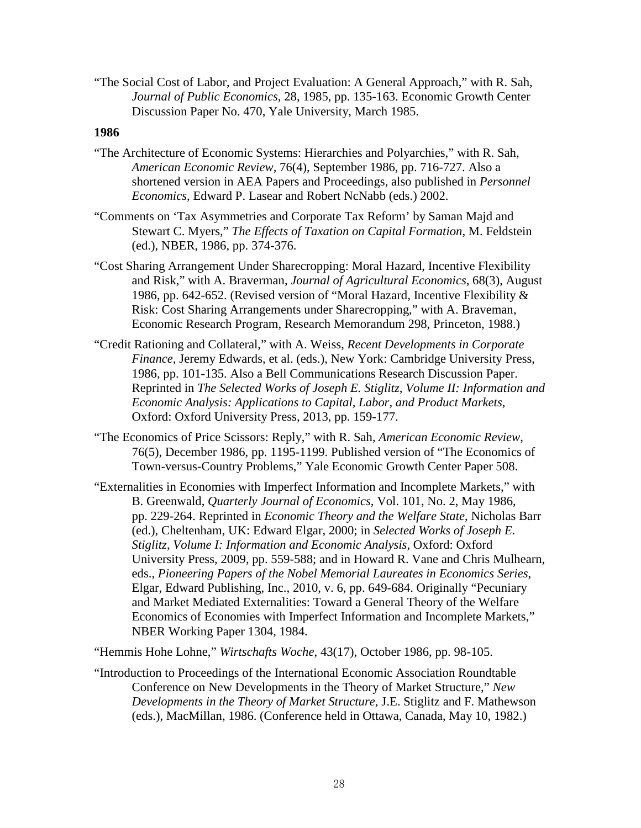"The Social Cost of Labor, and Project Evaluation: A General Approach," with R. Sah, *Journal of Public Economics*, 28, 1985, pp. 135-163. Economic Growth Center Discussion Paper No. 470, Yale University, March 1985.

# **1986**

- "The Architecture of Economic Systems: Hierarchies and Polyarchies," with R. Sah, *American Economic Review*, 76(4), September 1986, pp. 716-727. Also a shortened version in AEA Papers and Proceedings, also published in *Personnel Economics*, Edward P. Lasear and Robert NcNabb (eds.) 2002.
- "Comments on 'Tax Asymmetries and Corporate Tax Reform' by Saman Majd and Stewart C. Myers," *The Effects of Taxation on Capital Formation*, M. Feldstein (ed.), NBER, 1986, pp. 374-376.
- "Cost Sharing Arrangement Under Sharecropping: Moral Hazard, Incentive Flexibility and Risk," with A. Braverman, *Journal of Agricultural Economics*, 68(3), August 1986, pp. 642-652. (Revised version of "Moral Hazard, Incentive Flexibility & Risk: Cost Sharing Arrangements under Sharecropping," with A. Braveman, Economic Research Program, Research Memorandum 298, Princeton, 1988.)
- "Credit Rationing and Collateral," with A. Weiss, *Recent Developments in Corporate Finance*, Jeremy Edwards, et al. (eds.), New York: Cambridge University Press, 1986, pp. 101-135. Also a Bell Communications Research Discussion Paper. Reprinted in *The Selected Works of Joseph E. Stiglitz, Volume II: Information and Economic Analysis: Applications to Capital, Labor, and Product Markets*, Oxford: Oxford University Press, 2013, pp. 159-177.
- "The Economics of Price Scissors: Reply," with R. Sah, *American Economic Review*, 76(5), December 1986, pp. 1195-1199. Published version of "The Economics of Town-versus-Country Problems," Yale Economic Growth Center Paper 508.
- "Externalities in Economies with Imperfect Information and Incomplete Markets," with B. Greenwald, *Quarterly Journal of Economics*, Vol. 101, No. 2, May 1986, pp. 229-264. Reprinted in *Economic Theory and the Welfare State*, Nicholas Barr (ed.), Cheltenham, UK: Edward Elgar, 2000; in *Selected Works of Joseph E. Stiglitz, Volume I: Information and Economic Analysis*, Oxford: Oxford University Press, 2009, pp. 559-588; and in Howard R. Vane and Chris Mulhearn, eds., *Pioneering Papers of the Nobel Memorial Laureates in Economics Series*, Elgar, Edward Publishing, Inc., 2010, v. 6, pp. 649-684. Originally "Pecuniary and Market Mediated Externalities: Toward a General Theory of the Welfare Economics of Economies with Imperfect Information and Incomplete Markets," NBER Working Paper 1304, 1984.

"Hemmis Hohe Lohne," *Wirtschafts Woche*, 43(17), October 1986, pp. 98-105.

"Introduction to Proceedings of the International Economic Association Roundtable Conference on New Developments in the Theory of Market Structure," *New Developments in the Theory of Market Structure*, J.E. Stiglitz and F. Mathewson (eds.), MacMillan, 1986. (Conference held in Ottawa, Canada, May 10, 1982.)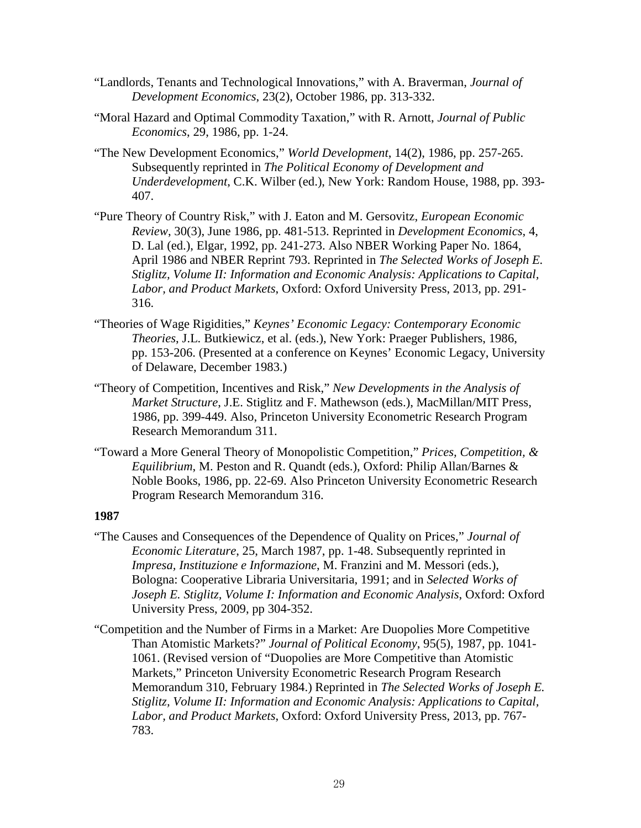- "Landlords, Tenants and Technological Innovations," with A. Braverman, *Journal of Development Economics*, 23(2), October 1986, pp. 313-332.
- "Moral Hazard and Optimal Commodity Taxation," with R. Arnott, *Journal of Public Economics*, 29, 1986, pp. 1-24.
- "The New Development Economics," *World Development*, 14(2), 1986, pp. 257-265. Subsequently reprinted in *The Political Economy of Development and Underdevelopment*, C.K. Wilber (ed.), New York: Random House, 1988, pp. 393- 407.
- "Pure Theory of Country Risk," with J. Eaton and M. Gersovitz, *European Economic Review*, 30(3), June 1986, pp. 481-513. Reprinted in *Development Economics*, 4, D. Lal (ed.), Elgar, 1992, pp. 241-273. Also NBER Working Paper No. 1864, April 1986 and NBER Reprint 793. Reprinted in *The Selected Works of Joseph E. Stiglitz, Volume II: Information and Economic Analysis: Applications to Capital, Labor, and Product Markets*, Oxford: Oxford University Press, 2013, pp. 291- 316.
- "Theories of Wage Rigidities," *Keynes' Economic Legacy: Contemporary Economic Theories*, J.L. Butkiewicz, et al. (eds.), New York: Praeger Publishers, 1986, pp. 153-206. (Presented at a conference on Keynes' Economic Legacy, University of Delaware, December 1983.)
- "Theory of Competition, Incentives and Risk," *New Developments in the Analysis of Market Structure*, J.E. Stiglitz and F. Mathewson (eds.), MacMillan/MIT Press, 1986, pp. 399-449. Also, Princeton University Econometric Research Program Research Memorandum 311.
- "Toward a More General Theory of Monopolistic Competition," *Prices, Competition, & Equilibrium*, M. Peston and R. Quandt (eds.), Oxford: Philip Allan/Barnes & Noble Books, 1986, pp. 22-69. Also Princeton University Econometric Research Program Research Memorandum 316.

- "The Causes and Consequences of the Dependence of Quality on Prices," *Journal of Economic Literature*, 25, March 1987, pp. 1-48. Subsequently reprinted in *Impresa, Instituzione e Informazione*, M. Franzini and M. Messori (eds.), Bologna: Cooperative Libraria Universitaria, 1991; and in *Selected Works of Joseph E. Stiglitz, Volume I: Information and Economic Analysis*, Oxford: Oxford University Press, 2009, pp 304-352.
- "Competition and the Number of Firms in a Market: Are Duopolies More Competitive Than Atomistic Markets?" *Journal of Political Economy*, 95(5), 1987, pp. 1041- 1061. (Revised version of "Duopolies are More Competitive than Atomistic Markets," Princeton University Econometric Research Program Research Memorandum 310, February 1984.) Reprinted in *The Selected Works of Joseph E. Stiglitz, Volume II: Information and Economic Analysis: Applications to Capital, Labor, and Product Markets*, Oxford: Oxford University Press, 2013, pp. 767- 783.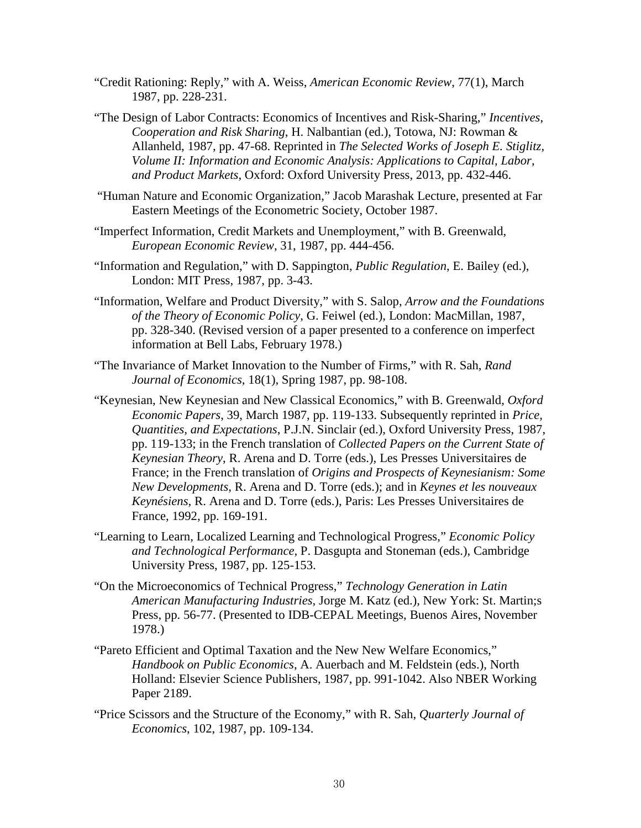- "Credit Rationing: Reply," with A. Weiss, *American Economic Review*, 77(1), March 1987, pp. 228-231.
- "The Design of Labor Contracts: Economics of Incentives and Risk-Sharing," *Incentives*, *Cooperation and Risk Sharing*, H. Nalbantian (ed.), Totowa, NJ: Rowman & Allanheld, 1987, pp. 47-68. Reprinted in *The Selected Works of Joseph E. Stiglitz, Volume II: Information and Economic Analysis: Applications to Capital, Labor, and Product Markets*, Oxford: Oxford University Press, 2013, pp. 432-446.
- "Human Nature and Economic Organization," Jacob Marashak Lecture, presented at Far Eastern Meetings of the Econometric Society, October 1987.
- "Imperfect Information, Credit Markets and Unemployment," with B. Greenwald, *European Economic Review*, 31, 1987, pp. 444-456.
- "Information and Regulation," with D. Sappington, *Public Regulation*, E. Bailey (ed.), London: MIT Press, 1987, pp. 3-43.
- "Information, Welfare and Product Diversity," with S. Salop, *Arrow and the Foundations of the Theory of Economic Policy*, G. Feiwel (ed.), London: MacMillan, 1987, pp. 328-340. (Revised version of a paper presented to a conference on imperfect information at Bell Labs, February 1978.)
- "The Invariance of Market Innovation to the Number of Firms," with R. Sah, *Rand Journal of Economics*, 18(1), Spring 1987, pp. 98-108.
- "Keynesian, New Keynesian and New Classical Economics," with B. Greenwald, *Oxford Economic Papers*, 39, March 1987, pp. 119-133. Subsequently reprinted in *Price, Quantities, and Expectations*, P.J.N. Sinclair (ed.), Oxford University Press, 1987, pp. 119-133; in the French translation of *Collected Papers on the Current State of Keynesian Theory*, R. Arena and D. Torre (eds.), Les Presses Universitaires de France; in the French translation of *Origins and Prospects of Keynesianism: Some New Developments*, R. Arena and D. Torre (eds.); and in *Keynes et les nouveaux Keynésiens,* R. Arena and D. Torre (eds.), Paris: Les Presses Universitaires de France, 1992, pp. 169-191.
- "Learning to Learn, Localized Learning and Technological Progress," *Economic Policy and Technological Performance*, P. Dasgupta and Stoneman (eds.), Cambridge University Press, 1987, pp. 125-153.
- "On the Microeconomics of Technical Progress," *Technology Generation in Latin American Manufacturing Industries*, Jorge M. Katz (ed.), New York: St. Martin;s Press, pp. 56-77. (Presented to IDB-CEPAL Meetings, Buenos Aires, November 1978.)
- "Pareto Efficient and Optimal Taxation and the New New Welfare Economics," *Handbook on Public Economics*, A. Auerbach and M. Feldstein (eds.), North Holland: Elsevier Science Publishers, 1987, pp. 991-1042. Also NBER Working Paper 2189.
- "Price Scissors and the Structure of the Economy," with R. Sah, *Quarterly Journal of Economics*, 102, 1987, pp. 109-134.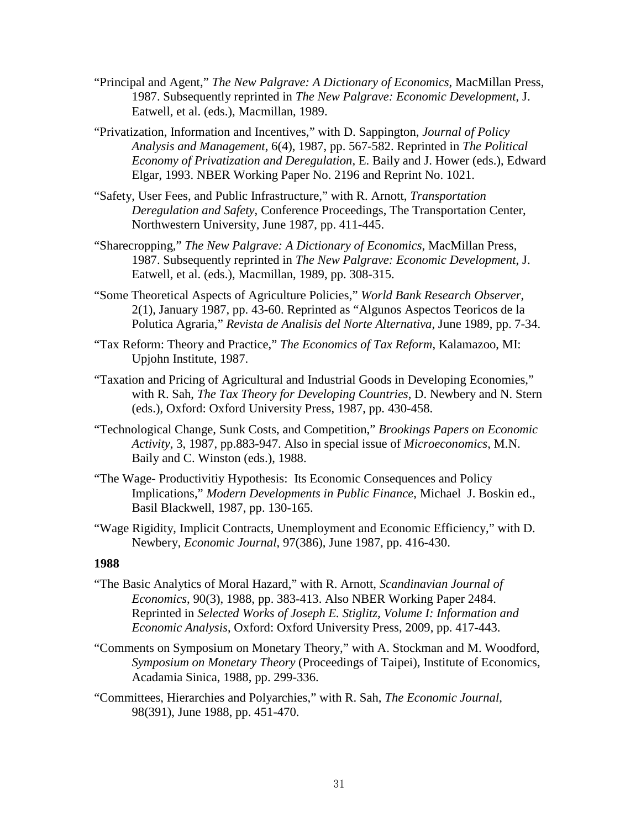- "Principal and Agent," *The New Palgrave: A Dictionary of Economics*, MacMillan Press, 1987. Subsequently reprinted in *The New Palgrave: Economic Development*, J. Eatwell, et al. (eds.), Macmillan, 1989.
- "Privatization, Information and Incentives," with D. Sappington, *Journal of Policy Analysis and Management*, 6(4), 1987, pp. 567-582. Reprinted in *The Political Economy of Privatization and Deregulation*, E. Baily and J. Hower (eds.), Edward Elgar, 1993. NBER Working Paper No. 2196 and Reprint No. 1021.
- "Safety, User Fees, and Public Infrastructure," with R. Arnott, *Transportation Deregulation and Safety*, Conference Proceedings, The Transportation Center, Northwestern University, June 1987, pp. 411-445.
- "Sharecropping," *The New Palgrave: A Dictionary of Economics*, MacMillan Press, 1987. Subsequently reprinted in *The New Palgrave: Economic Development*, J. Eatwell, et al. (eds.), Macmillan, 1989, pp. 308-315.
- "Some Theoretical Aspects of Agriculture Policies," *World Bank Research Observer*, 2(1), January 1987, pp. 43-60. Reprinted as "Algunos Aspectos Teoricos de la Polutica Agraria," *Revista de Analisis del Norte Alternativa*, June 1989, pp. 7-34.
- "Tax Reform: Theory and Practice," *The Economics of Tax Reform*, Kalamazoo, MI: Upjohn Institute, 1987.
- "Taxation and Pricing of Agricultural and Industrial Goods in Developing Economies," with R. Sah, *The Tax Theory for Developing Countries*, D. Newbery and N. Stern (eds.), Oxford: Oxford University Press, 1987, pp. 430-458.
- "Technological Change, Sunk Costs, and Competition," *Brookings Papers on Economic Activity*, 3, 1987, pp.883-947. Also in special issue of *Microeconomics*, M.N. Baily and C. Winston (eds.), 1988.
- "The Wage- Productivitiy Hypothesis: Its Economic Consequences and Policy Implications," *Modern Developments in Public Finance*, Michael J. Boskin ed., Basil Blackwell, 1987, pp. 130-165.
- "Wage Rigidity, Implicit Contracts, Unemployment and Economic Efficiency," with D. Newbery, *Economic Journal*, 97(386), June 1987, pp. 416-430.

- "The Basic Analytics of Moral Hazard," with R. Arnott, *Scandinavian Journal of Economics*, 90(3), 1988, pp. 383-413. Also NBER Working Paper 2484. Reprinted in *Selected Works of Joseph E. Stiglitz, Volume I: Information and Economic Analysis*, Oxford: Oxford University Press, 2009, pp. 417-443.
- "Comments on Symposium on Monetary Theory," with A. Stockman and M. Woodford, *Symposium on Monetary Theory* (Proceedings of Taipei), Institute of Economics, Acadamia Sinica, 1988, pp. 299-336.
- "Committees, Hierarchies and Polyarchies," with R. Sah, *The Economic Journal*, 98(391), June 1988, pp. 451-470.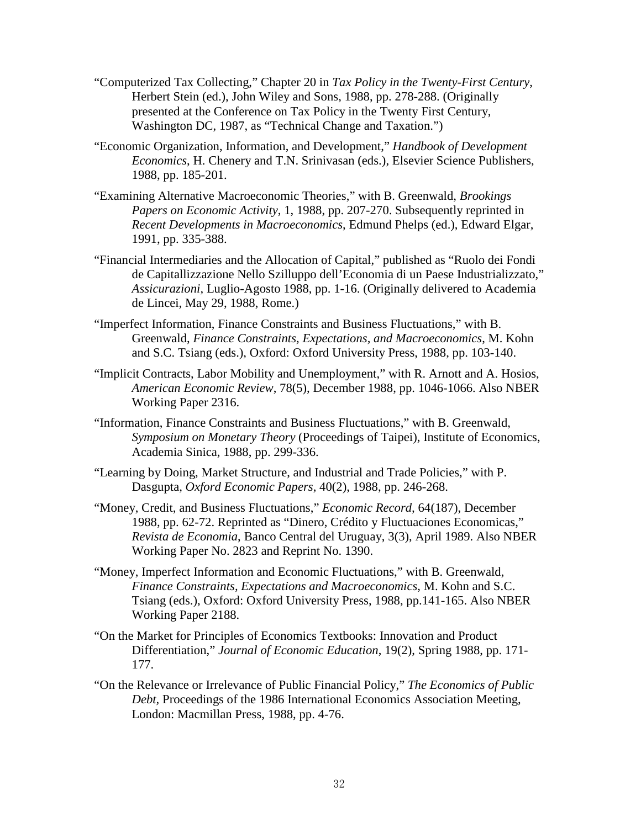- "Computerized Tax Collecting," Chapter 20 in *Tax Policy in the Twenty-First Century*, Herbert Stein (ed.), John Wiley and Sons, 1988, pp. 278-288. (Originally presented at the Conference on Tax Policy in the Twenty First Century, Washington DC, 1987, as "Technical Change and Taxation.")
- "Economic Organization, Information, and Development," *Handbook of Development Economics*, H. Chenery and T.N. Srinivasan (eds.), Elsevier Science Publishers, 1988, pp. 185-201.
- "Examining Alternative Macroeconomic Theories," with B. Greenwald, *Brookings Papers on Economic Activity*, 1, 1988, pp. 207-270. Subsequently reprinted in *Recent Developments in Macroeconomics*, Edmund Phelps (ed.), Edward Elgar, 1991, pp. 335-388.
- "Financial Intermediaries and the Allocation of Capital," published as "Ruolo dei Fondi de Capitallizzazione Nello Szilluppo dell'Economia di un Paese Industrializzato," *Assicurazioni*, Luglio-Agosto 1988, pp. 1-16. (Originally delivered to Academia de Lincei, May 29, 1988, Rome.)
- "Imperfect Information, Finance Constraints and Business Fluctuations," with B. Greenwald, *Finance Constraints, Expectations, and Macroeconomics*, M. Kohn and S.C. Tsiang (eds.), Oxford: Oxford University Press, 1988, pp. 103-140.
- "Implicit Contracts, Labor Mobility and Unemployment," with R. Arnott and A. Hosios, *American Economic Review*, 78(5), December 1988, pp. 1046-1066. Also NBER Working Paper 2316.
- "Information, Finance Constraints and Business Fluctuations," with B. Greenwald, *Symposium on Monetary Theory* (Proceedings of Taipei), Institute of Economics, Academia Sinica, 1988, pp. 299-336.
- "Learning by Doing, Market Structure, and Industrial and Trade Policies," with P. Dasgupta, *Oxford Economic Papers*, 40(2), 1988, pp. 246-268.
- "Money, Credit, and Business Fluctuations," *Economic Record,* 64(187), December 1988, pp. 62-72. Reprinted as "Dinero, Crédito y Fluctuaciones Economicas," *Revista de Economia*, Banco Central del Uruguay, 3(3), April 1989. Also NBER Working Paper No. 2823 and Reprint No. 1390.
- "Money, Imperfect Information and Economic Fluctuations," with B. Greenwald, *Finance Constraints, Expectations and Macroeconomics*, M. Kohn and S.C. Tsiang (eds.), Oxford: Oxford University Press, 1988, pp.141-165. Also NBER Working Paper 2188.
- "On the Market for Principles of Economics Textbooks: Innovation and Product Differentiation," *Journal of Economic Education*, 19(2), Spring 1988, pp. 171- 177.
- "On the Relevance or Irrelevance of Public Financial Policy," *The Economics of Public Debt,* Proceedings of the 1986 International Economics Association Meeting, London: Macmillan Press, 1988, pp. 4-76.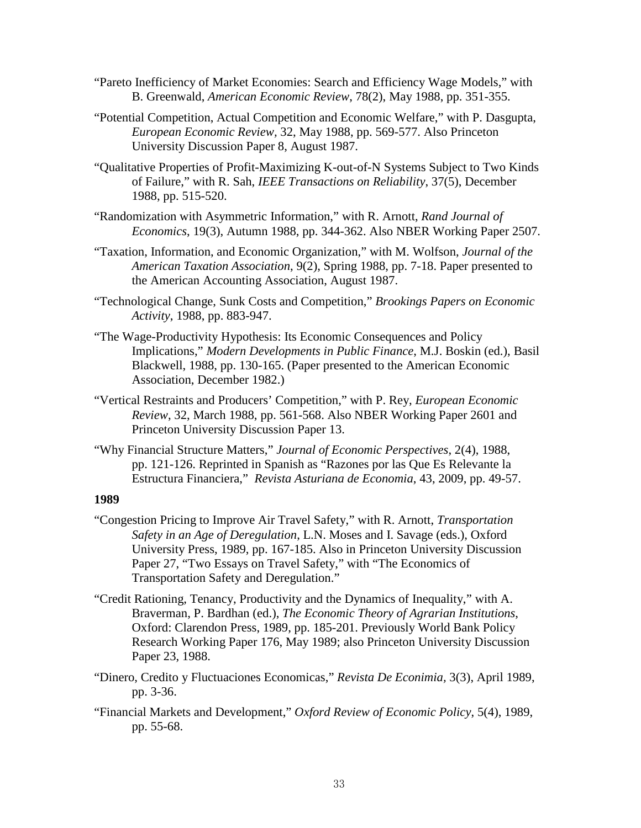- "Pareto Inefficiency of Market Economies: Search and Efficiency Wage Models," with B. Greenwald, *American Economic Review*, 78(2), May 1988, pp. 351-355.
- "Potential Competition, Actual Competition and Economic Welfare," with P. Dasgupta, *European Economic Review,* 32, May 1988, pp. 569-577. Also Princeton University Discussion Paper 8, August 1987.
- "Qualitative Properties of Profit-Maximizing K-out-of-N Systems Subject to Two Kinds of Failure," with R. Sah, *IEEE Transactions on Reliability*, 37(5), December 1988, pp. 515-520.
- "Randomization with Asymmetric Information," with R. Arnott, *Rand Journal of Economics*, 19(3), Autumn 1988, pp. 344-362. Also NBER Working Paper 2507.
- "Taxation, Information, and Economic Organization," with M. Wolfson, *Journal of the American Taxation Association*, 9(2), Spring 1988, pp. 7-18. Paper presented to the American Accounting Association, August 1987.
- "Technological Change, Sunk Costs and Competition," *Brookings Papers on Economic Activity*, 1988, pp. 883-947.
- "The Wage-Productivity Hypothesis: Its Economic Consequences and Policy Implications," *Modern Developments in Public Finance*, M.J. Boskin (ed.), Basil Blackwell, 1988, pp. 130-165. (Paper presented to the American Economic Association, December 1982.)
- "Vertical Restraints and Producers' Competition," with P. Rey, *European Economic Review*, 32, March 1988, pp. 561-568. Also NBER Working Paper 2601 and Princeton University Discussion Paper 13.
- "Why Financial Structure Matters," *Journal of Economic Perspectives*, 2(4), 1988, pp. 121-126. Reprinted in Spanish as "Razones por las Que Es Relevante la Estructura Financiera," *Revista Asturiana de Economia*, 43, 2009, pp. 49-57.

- "Congestion Pricing to Improve Air Travel Safety," with R. Arnott, *Transportation Safety in an Age of Deregulation*, L.N. Moses and I. Savage (eds.), Oxford University Press, 1989, pp. 167-185. Also in Princeton University Discussion Paper 27, "Two Essays on Travel Safety," with "The Economics of Transportation Safety and Deregulation."
- "Credit Rationing, Tenancy, Productivity and the Dynamics of Inequality," with A. Braverman, P. Bardhan (ed.), *The Economic Theory of Agrarian Institutions*, Oxford: Clarendon Press, 1989, pp. 185-201. Previously World Bank Policy Research Working Paper 176, May 1989; also Princeton University Discussion Paper 23, 1988.
- "Dinero, Credito y Fluctuaciones Economicas," *Revista De Econimia,* 3(3), April 1989, pp. 3-36.
- "Financial Markets and Development," *Oxford Review of Economic Policy*, 5(4), 1989, pp. 55-68.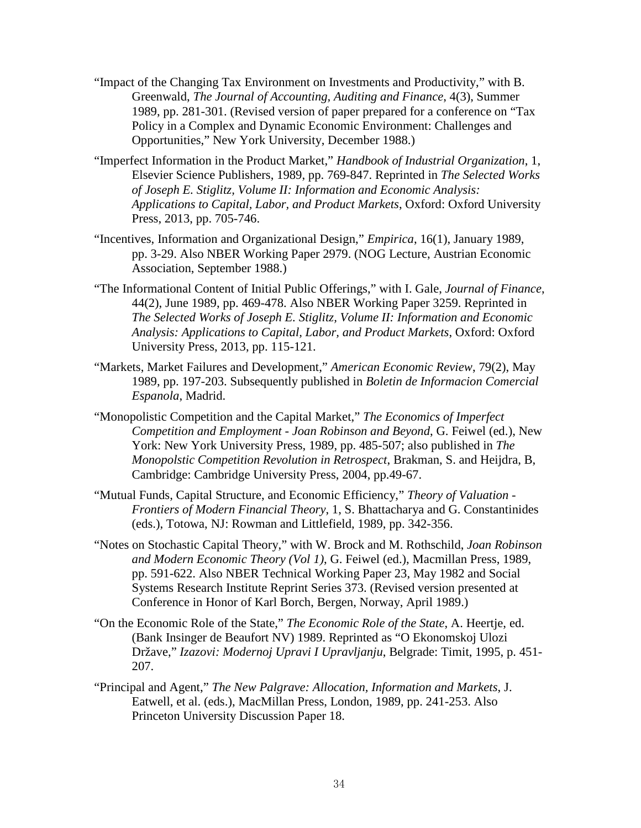- "Impact of the Changing Tax Environment on Investments and Productivity," with B. Greenwald, *The Journal of Accounting, Auditing and Finance*, 4(3), Summer 1989, pp. 281-301. (Revised version of paper prepared for a conference on "Tax Policy in a Complex and Dynamic Economic Environment: Challenges and Opportunities," New York University, December 1988.)
- "Imperfect Information in the Product Market," *Handbook of Industrial Organization*, 1, Elsevier Science Publishers, 1989, pp. 769-847. Reprinted in *The Selected Works of Joseph E. Stiglitz, Volume II: Information and Economic Analysis: Applications to Capital, Labor, and Product Markets*, Oxford: Oxford University Press, 2013, pp. 705-746.
- "Incentives, Information and Organizational Design," *Empirica*, 16(1), January 1989, pp. 3-29. Also NBER Working Paper 2979. (NOG Lecture, Austrian Economic Association, September 1988.)
- "The Informational Content of Initial Public Offerings," with I. Gale, *Journal of Finance*, 44(2), June 1989, pp. 469-478. Also NBER Working Paper 3259. Reprinted in *The Selected Works of Joseph E. Stiglitz, Volume II: Information and Economic Analysis: Applications to Capital, Labor, and Product Markets*, Oxford: Oxford University Press, 2013, pp. 115-121.
- "Markets, Market Failures and Development," *American Economic Review*, 79(2), May 1989, pp. 197-203. Subsequently published in *Boletin de Informacion Comercial Espanola*, Madrid.
- "Monopolistic Competition and the Capital Market," *The Economics of Imperfect Competition and Employment - Joan Robinson and Beyond*, G. Feiwel (ed.), New York: New York University Press, 1989, pp. 485-507; also published in *The Monopolstic Competition Revolution in Retrospect*, Brakman, S. and Heijdra, B, Cambridge: Cambridge University Press, 2004, pp.49-67.
- "Mutual Funds, Capital Structure, and Economic Efficiency," *Theory of Valuation - Frontiers of Modern Financial Theory*, 1, S. Bhattacharya and G. Constantinides (eds.), Totowa, NJ: Rowman and Littlefield, 1989, pp. 342-356.
- "Notes on Stochastic Capital Theory," with W. Brock and M. Rothschild, *Joan Robinson and Modern Economic Theory (Vol 1)*, G. Feiwel (ed.), Macmillan Press, 1989, pp. 591-622. Also NBER Technical Working Paper 23, May 1982 and Social Systems Research Institute Reprint Series 373. (Revised version presented at Conference in Honor of Karl Borch, Bergen, Norway, April 1989.)
- "On the Economic Role of the State," *The Economic Role of the State*, A. Heertje, ed. (Bank Insinger de Beaufort NV) 1989. Reprinted as "O Ekonomskoj Ulozi Države," *Izazovi: Modernoj Upravi I Upravljanju*, Belgrade: Timit, 1995, p. 451- 207.
- "Principal and Agent," *The New Palgrave: Allocation, Information and Markets*, J. Eatwell, et al. (eds.), MacMillan Press, London, 1989, pp. 241-253. Also Princeton University Discussion Paper 18.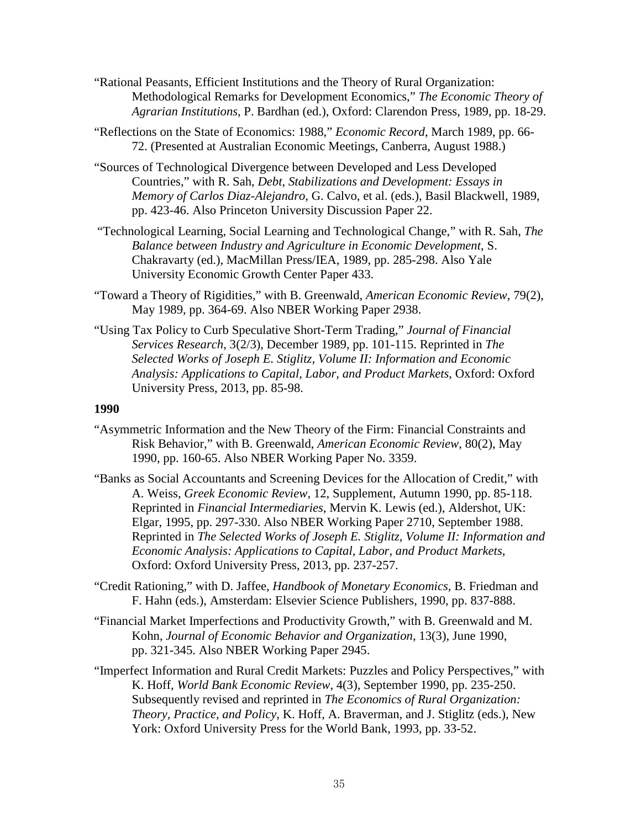- "Rational Peasants, Efficient Institutions and the Theory of Rural Organization: Methodological Remarks for Development Economics," *The Economic Theory of Agrarian Institutions*, P. Bardhan (ed.), Oxford: Clarendon Press, 1989, pp. 18-29.
- "Reflections on the State of Economics: 1988," *Economic Record*, March 1989, pp. 66- 72. (Presented at Australian Economic Meetings, Canberra, August 1988.)
- "Sources of Technological Divergence between Developed and Less Developed Countries," with R. Sah, *Debt, Stabilizations and Development: Essays in Memory of Carlos Diaz-Alejandro*, G. Calvo, et al. (eds.), Basil Blackwell, 1989, pp. 423-46. Also Princeton University Discussion Paper 22.
- "Technological Learning, Social Learning and Technological Change," with R. Sah, *The Balance between Industry and Agriculture in Economic Development*, S. Chakravarty (ed.), MacMillan Press/IEA, 1989, pp. 285-298. Also Yale University Economic Growth Center Paper 433.
- "Toward a Theory of Rigidities," with B. Greenwald, *American Economic Review,* 79(2), May 1989, pp. 364-69. Also NBER Working Paper 2938.
- "Using Tax Policy to Curb Speculative Short-Term Trading," *Journal of Financial Services Research*, 3(2/3), December 1989, pp. 101-115. Reprinted in *The Selected Works of Joseph E. Stiglitz, Volume II: Information and Economic Analysis: Applications to Capital, Labor, and Product Markets*, Oxford: Oxford University Press, 2013, pp. 85-98.

- "Asymmetric Information and the New Theory of the Firm: Financial Constraints and Risk Behavior," with B. Greenwald, *American Economic Review*, 80(2), May 1990, pp. 160-65. Also NBER Working Paper No. 3359.
- "Banks as Social Accountants and Screening Devices for the Allocation of Credit," with A. Weiss, *Greek Economic Review,* 12, Supplement, Autumn 1990, pp. 85-118. Reprinted in *Financial Intermediaries*, Mervin K. Lewis (ed.), Aldershot, UK: Elgar, 1995, pp. 297-330. Also NBER Working Paper 2710, September 1988. Reprinted in *The Selected Works of Joseph E. Stiglitz, Volume II: Information and Economic Analysis: Applications to Capital, Labor, and Product Markets*, Oxford: Oxford University Press, 2013, pp. 237-257.
- "Credit Rationing," with D. Jaffee, *Handbook of Monetary Economics*, B. Friedman and F. Hahn (eds.), Amsterdam: Elsevier Science Publishers, 1990, pp. 837-888.
- "Financial Market Imperfections and Productivity Growth," with B. Greenwald and M. Kohn, *Journal of Economic Behavior and Organization,* 13(3), June 1990, pp. 321-345. Also NBER Working Paper 2945.
- "Imperfect Information and Rural Credit Markets: Puzzles and Policy Perspectives," with K. Hoff, *World Bank Economic Review*, 4(3), September 1990, pp. 235-250. Subsequently revised and reprinted in *The Economics of Rural Organization: Theory, Practice, and Policy*, K. Hoff, A. Braverman, and J. Stiglitz (eds.), New York: Oxford University Press for the World Bank, 1993, pp. 33-52.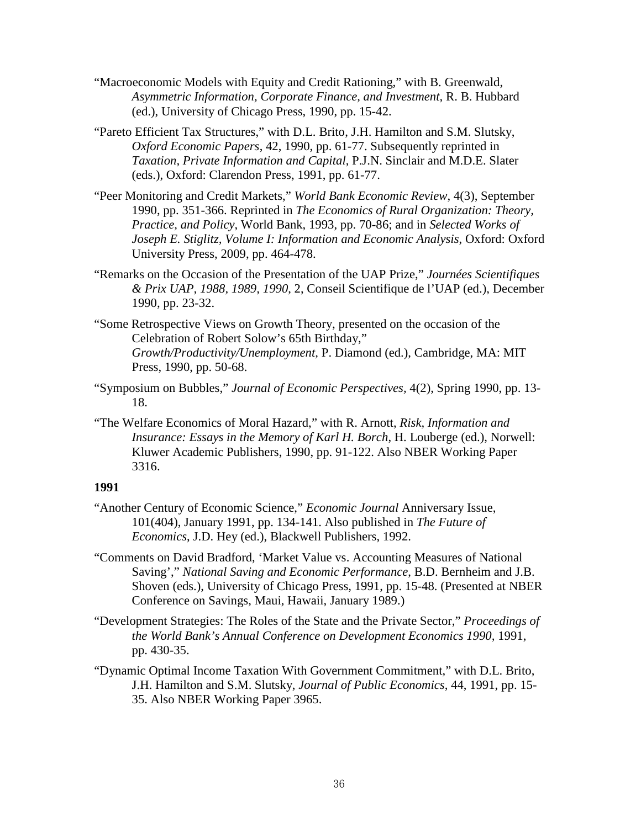- "Macroeconomic Models with Equity and Credit Rationing," with B. Greenwald, *Asymmetric Information, Corporate Finance, and Investment,* R. B. Hubbard (ed.), University of Chicago Press, 1990, pp. 15-42.
- "Pareto Efficient Tax Structures," with D.L. Brito, J.H. Hamilton and S.M. Slutsky, *Oxford Economic Papers*, 42, 1990, pp. 61-77. Subsequently reprinted in *Taxation, Private Information and Capital*, P.J.N. Sinclair and M.D.E. Slater (eds.), Oxford: Clarendon Press, 1991, pp. 61-77.
- "Peer Monitoring and Credit Markets," *World Bank Economic Review*, 4(3), September 1990, pp. 351-366. Reprinted in *The Economics of Rural Organization: Theory, Practice, and Policy*, World Bank, 1993, pp. 70-86; and in *Selected Works of Joseph E. Stiglitz, Volume I: Information and Economic Analysis*, Oxford: Oxford University Press, 2009, pp. 464-478.
- "Remarks on the Occasion of the Presentation of the UAP Prize," *Journées Scientifiques & Prix UAP, 1988, 1989, 1990*, 2, Conseil Scientifique de l'UAP (ed.), December 1990, pp. 23-32.
- "Some Retrospective Views on Growth Theory, presented on the occasion of the Celebration of Robert Solow's 65th Birthday," *Growth/Productivity/Unemployment,* P. Diamond (ed.), Cambridge, MA: MIT Press, 1990, pp. 50-68.
- "Symposium on Bubbles," *Journal of Economic Perspectives,* 4(2), Spring 1990, pp. 13- 18.
- "The Welfare Economics of Moral Hazard," with R. Arnott, *Risk, Information and Insurance: Essays in the Memory of Karl H. Borch*, H. Louberge (ed.), Norwell: Kluwer Academic Publishers, 1990, pp. 91-122. Also NBER Working Paper 3316.

- "Another Century of Economic Science," *Economic Journal* Anniversary Issue, 101(404), January 1991, pp. 134-141. Also published in *The Future of Economics*, J.D. Hey (ed.), Blackwell Publishers, 1992.
- "Comments on David Bradford, 'Market Value vs. Accounting Measures of National Saving'," *National Saving and Economic Performance*, B.D. Bernheim and J.B. Shoven (eds.), University of Chicago Press, 1991, pp. 15-48. (Presented at NBER Conference on Savings, Maui, Hawaii, January 1989.)
- "Development Strategies: The Roles of the State and the Private Sector," *Proceedings of the World Bank's Annual Conference on Development Economics 1990,* 1991, pp. 430-35.
- "Dynamic Optimal Income Taxation With Government Commitment," with D.L. Brito, J.H. Hamilton and S.M. Slutsky, *Journal of Public Economics*, 44, 1991, pp. 15- 35. Also NBER Working Paper 3965.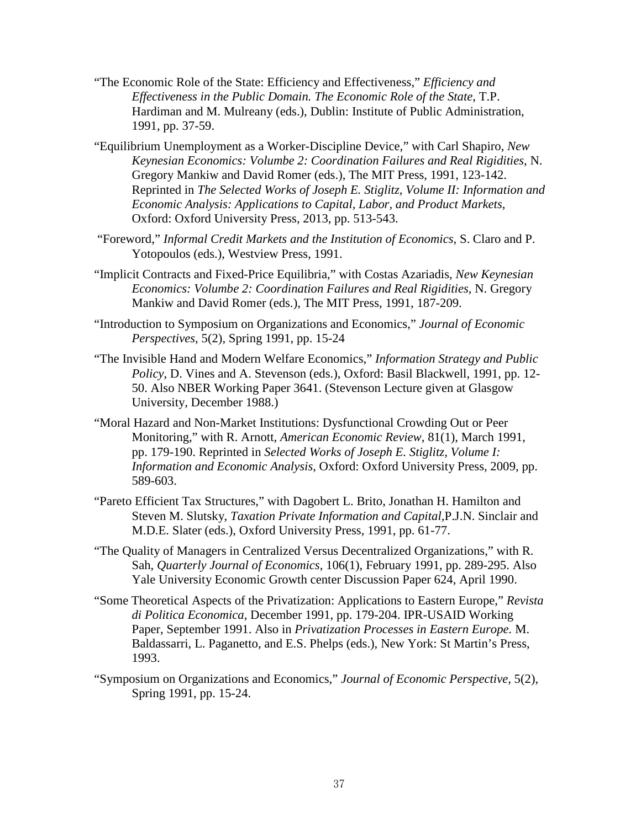- "The Economic Role of the State: Efficiency and Effectiveness," *Efficiency and Effectiveness in the Public Domain. The Economic Role of the State*, T.P. Hardiman and M. Mulreany (eds.), Dublin: Institute of Public Administration, 1991, pp. 37-59.
- "Equilibrium Unemployment as a Worker-Discipline Device," with Carl Shapiro, *New Keynesian Economics: Volumbe 2: Coordination Failures and Real Rigidities,* N. Gregory Mankiw and David Romer (eds.), The MIT Press, 1991, 123-142. Reprinted in *The Selected Works of Joseph E. Stiglitz, Volume II: Information and Economic Analysis: Applications to Capital, Labor, and Product Markets*, Oxford: Oxford University Press, 2013, pp. 513-543.
- "Foreword," *Informal Credit Markets and the Institution of Economics,* S. Claro and P. Yotopoulos (eds.), Westview Press, 1991.
- "Implicit Contracts and Fixed-Price Equilibria," with Costas Azariadis, *New Keynesian Economics: Volumbe 2: Coordination Failures and Real Rigidities,* N. Gregory Mankiw and David Romer (eds.), The MIT Press, 1991, 187-209.
- "Introduction to Symposium on Organizations and Economics," *Journal of Economic Perspectives*, 5(2), Spring 1991, pp. 15-24
- "The Invisible Hand and Modern Welfare Economics," *Information Strategy and Public Policy*, D. Vines and A. Stevenson (eds.), Oxford: Basil Blackwell, 1991, pp. 12- 50. Also NBER Working Paper 3641. (Stevenson Lecture given at Glasgow University, December 1988.)
- "Moral Hazard and Non-Market Institutions: Dysfunctional Crowding Out or Peer Monitoring," with R. Arnott, *American Economic Review*, 81(1), March 1991, pp. 179-190. Reprinted in *Selected Works of Joseph E. Stiglitz, Volume I: Information and Economic Analysis*, Oxford: Oxford University Press, 2009, pp. 589-603.
- "Pareto Efficient Tax Structures," with Dagobert L. Brito, Jonathan H. Hamilton and Steven M. Slutsky, *Taxation Private Information and Capital,*P.J.N. Sinclair and M.D.E. Slater (eds.), Oxford University Press, 1991, pp. 61-77.
- "The Quality of Managers in Centralized Versus Decentralized Organizations," with R. Sah, *Quarterly Journal of Economics*, 106(1), February 1991, pp. 289-295. Also Yale University Economic Growth center Discussion Paper 624, April 1990.
- "Some Theoretical Aspects of the Privatization: Applications to Eastern Europe," *Revista di Politica Economica*, December 1991, pp. 179-204. IPR-USAID Working Paper, September 1991. Also in *Privatization Processes in Eastern Europe.* M. Baldassarri, L. Paganetto, and E.S. Phelps (eds.), New York: St Martin's Press, 1993.
- "Symposium on Organizations and Economics," *Journal of Economic Perspective,* 5(2), Spring 1991, pp. 15-24.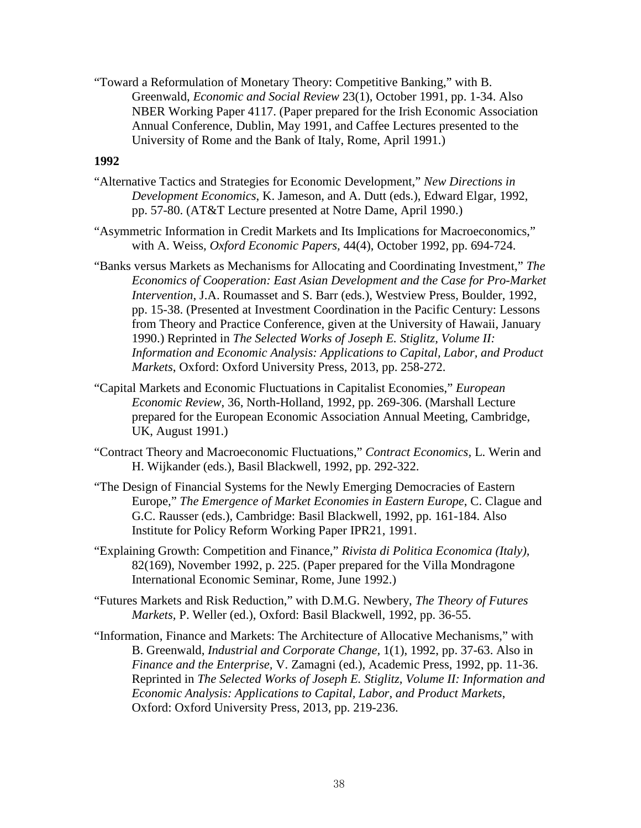"Toward a Reformulation of Monetary Theory: Competitive Banking," with B. Greenwald, *Economic and Social Review* 23(1), October 1991, pp. 1-34. Also NBER Working Paper 4117. (Paper prepared for the Irish Economic Association Annual Conference, Dublin, May 1991, and Caffee Lectures presented to the University of Rome and the Bank of Italy, Rome, April 1991.)

- "Alternative Tactics and Strategies for Economic Development," *New Directions in Development Economics*, K. Jameson, and A. Dutt (eds.), Edward Elgar, 1992, pp. 57-80. (AT&T Lecture presented at Notre Dame, April 1990.)
- "Asymmetric Information in Credit Markets and Its Implications for Macroeconomics," with A. Weiss, *Oxford Economic Papers,* 44(4), October 1992, pp. 694-724.
- "Banks versus Markets as Mechanisms for Allocating and Coordinating Investment," *The Economics of Cooperation: East Asian Development and the Case for Pro-Market Intervention*, J.A. Roumasset and S. Barr (eds.), Westview Press, Boulder, 1992, pp. 15-38. (Presented at Investment Coordination in the Pacific Century: Lessons from Theory and Practice Conference, given at the University of Hawaii, January 1990.) Reprinted in *The Selected Works of Joseph E. Stiglitz, Volume II: Information and Economic Analysis: Applications to Capital, Labor, and Product Markets*, Oxford: Oxford University Press, 2013, pp. 258-272.
- "Capital Markets and Economic Fluctuations in Capitalist Economies," *European Economic Review*, 36, North-Holland, 1992, pp. 269-306. (Marshall Lecture prepared for the European Economic Association Annual Meeting, Cambridge, UK, August 1991.)
- "Contract Theory and Macroeconomic Fluctuations," *Contract Economics,* L. Werin and H. Wijkander (eds.), Basil Blackwell, 1992, pp. 292-322.
- "The Design of Financial Systems for the Newly Emerging Democracies of Eastern Europe," *The Emergence of Market Economies in Eastern Europe*, C. Clague and G.C. Rausser (eds.), Cambridge: Basil Blackwell, 1992, pp. 161-184. Also Institute for Policy Reform Working Paper IPR21, 1991.
- "Explaining Growth: Competition and Finance," *Rivista di Politica Economica (Italy),* 82(169), November 1992, p. 225. (Paper prepared for the Villa Mondragone International Economic Seminar, Rome, June 1992.)
- "Futures Markets and Risk Reduction," with D.M.G. Newbery, *The Theory of Futures Markets,* P. Weller (ed.), Oxford: Basil Blackwell, 1992, pp. 36-55.
- "Information, Finance and Markets: The Architecture of Allocative Mechanisms," with B. Greenwald, *Industrial and Corporate Change,* 1(1), 1992, pp. 37-63. Also in *Finance and the Enterprise,* V. Zamagni (ed.), Academic Press, 1992, pp. 11-36. Reprinted in *The Selected Works of Joseph E. Stiglitz, Volume II: Information and Economic Analysis: Applications to Capital, Labor, and Product Markets*, Oxford: Oxford University Press, 2013, pp. 219-236.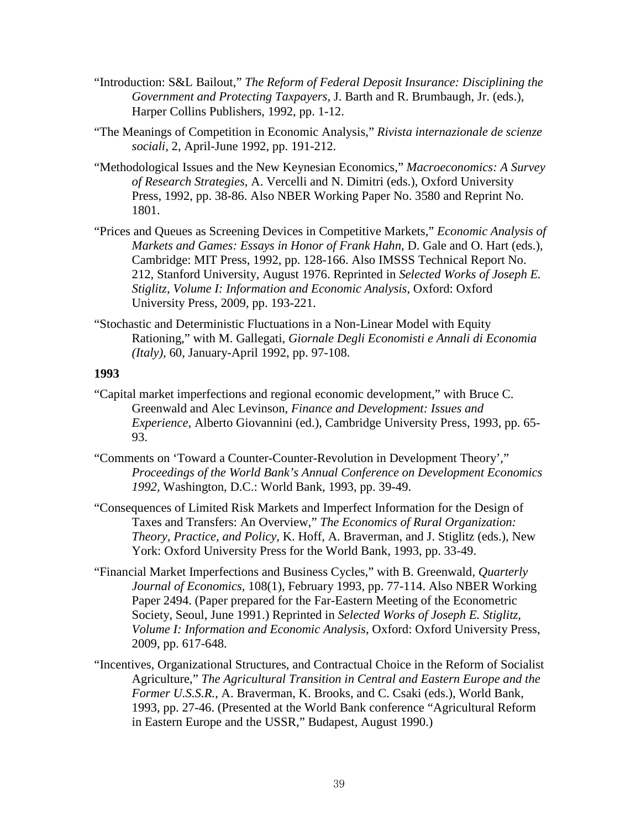- "Introduction: S&L Bailout," *The Reform of Federal Deposit Insurance: Disciplining the Government and Protecting Taxpayers,* J. Barth and R. Brumbaugh, Jr. (eds.), Harper Collins Publishers, 1992, pp. 1-12.
- "The Meanings of Competition in Economic Analysis," *Rivista internazionale de scienze sociali,* 2, April-June 1992, pp. 191-212.
- "Methodological Issues and the New Keynesian Economics," *Macroeconomics: A Survey of Research Strategies*, A. Vercelli and N. Dimitri (eds.), Oxford University Press, 1992, pp. 38-86. Also NBER Working Paper No. 3580 and Reprint No. 1801.
- "Prices and Queues as Screening Devices in Competitive Markets," *Economic Analysis of Markets and Games: Essays in Honor of Frank Hahn*, D. Gale and O. Hart (eds.), Cambridge: MIT Press, 1992, pp. 128-166. Also IMSSS Technical Report No. 212, Stanford University, August 1976. Reprinted in *Selected Works of Joseph E. Stiglitz, Volume I: Information and Economic Analysis*, Oxford: Oxford University Press, 2009, pp. 193-221.
- "Stochastic and Deterministic Fluctuations in a Non-Linear Model with Equity Rationing," with M. Gallegati, *Giornale Degli Economisti e Annali di Economia (Italy),* 60, January-April 1992, pp. 97-108.

- "Capital market imperfections and regional economic development," with Bruce C. Greenwald and Alec Levinson, *Finance and Development: Issues and Experience,* Alberto Giovannini (ed.), Cambridge University Press, 1993, pp. 65- 93.
- "Comments on 'Toward a Counter-Counter-Revolution in Development Theory'," *Proceedings of the World Bank's Annual Conference on Development Economics 1992,* Washington, D.C.: World Bank, 1993, pp. 39-49.
- "Consequences of Limited Risk Markets and Imperfect Information for the Design of Taxes and Transfers: An Overview," *The Economics of Rural Organization: Theory, Practice, and Policy*, K. Hoff, A. Braverman, and J. Stiglitz (eds.), New York: Oxford University Press for the World Bank, 1993, pp. 33-49.
- "Financial Market Imperfections and Business Cycles," with B. Greenwald, *Quarterly Journal of Economics,* 108(1), February 1993, pp. 77-114. Also NBER Working Paper 2494. (Paper prepared for the Far-Eastern Meeting of the Econometric Society, Seoul, June 1991.) Reprinted in *Selected Works of Joseph E. Stiglitz, Volume I: Information and Economic Analysis*, Oxford: Oxford University Press, 2009, pp. 617-648.
- "Incentives, Organizational Structures, and Contractual Choice in the Reform of Socialist Agriculture," *The Agricultural Transition in Central and Eastern Europe and the Former U.S.S.R.*, A. Braverman, K. Brooks, and C. Csaki (eds.), World Bank, 1993, pp. 27-46. (Presented at the World Bank conference "Agricultural Reform in Eastern Europe and the USSR," Budapest, August 1990.)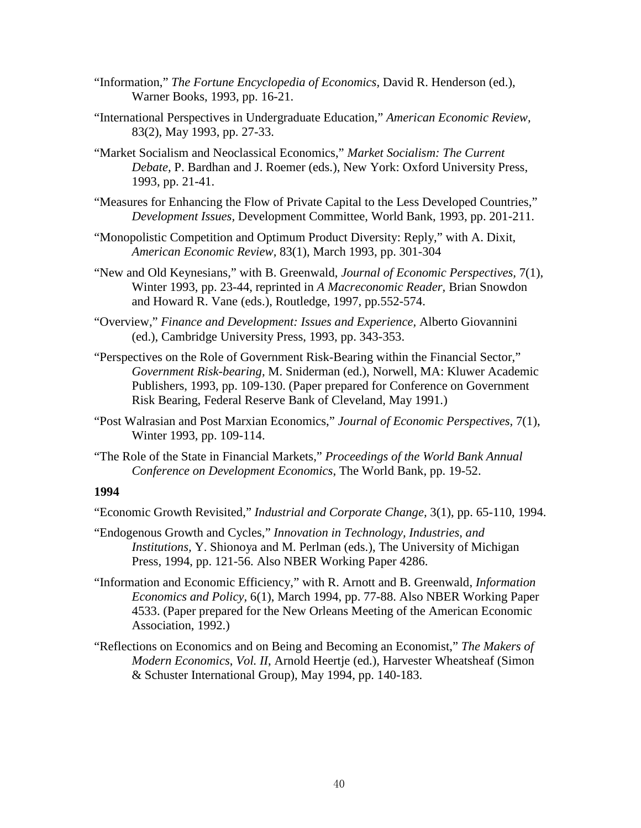- "Information," *The Fortune Encyclopedia of Economics,* David R. Henderson (ed.), Warner Books, 1993, pp. 16-21.
- "International Perspectives in Undergraduate Education," *American Economic Review,* 83(2), May 1993, pp. 27-33.
- "Market Socialism and Neoclassical Economics," *Market Socialism: The Current Debate,* P. Bardhan and J. Roemer (eds.), New York: Oxford University Press, 1993, pp. 21-41.
- "Measures for Enhancing the Flow of Private Capital to the Less Developed Countries," *Development Issues,* Development Committee, World Bank, 1993, pp. 201-211.
- "Monopolistic Competition and Optimum Product Diversity: Reply," with A. Dixit, *American Economic Review,* 83(1), March 1993, pp. 301-304
- "New and Old Keynesians," with B. Greenwald, *Journal of Economic Perspectives,* 7(1), Winter 1993, pp. 23-44, reprinted in *A Macreconomic Reader,* Brian Snowdon and Howard R. Vane (eds.), Routledge, 1997, pp.552-574.
- "Overview," *Finance and Development: Issues and Experience,* Alberto Giovannini (ed.), Cambridge University Press, 1993, pp. 343-353.
- "Perspectives on the Role of Government Risk-Bearing within the Financial Sector," *Government Risk-bearing,* M. Sniderman (ed.), Norwell, MA: Kluwer Academic Publishers, 1993, pp. 109-130. (Paper prepared for Conference on Government Risk Bearing, Federal Reserve Bank of Cleveland, May 1991.)
- "Post Walrasian and Post Marxian Economics," *Journal of Economic Perspectives,* 7(1), Winter 1993, pp. 109-114.
- "The Role of the State in Financial Markets," *Proceedings of the World Bank Annual Conference on Development Economics*, The World Bank, pp. 19-52.

- "Economic Growth Revisited," *Industrial and Corporate Change,* 3(1), pp. 65-110, 1994.
- "Endogenous Growth and Cycles," *Innovation in Technology, Industries, and Institutions,* Y. Shionoya and M. Perlman (eds.), The University of Michigan Press, 1994, pp. 121-56. Also NBER Working Paper 4286.
- "Information and Economic Efficiency," with R. Arnott and B. Greenwald, *Information Economics and Policy,* 6(1), March 1994, pp. 77-88. Also NBER Working Paper 4533. (Paper prepared for the New Orleans Meeting of the American Economic Association, 1992.)
- "Reflections on Economics and on Being and Becoming an Economist," *The Makers of Modern Economics*, *Vol. II*, Arnold Heertje (ed.), Harvester Wheatsheaf (Simon & Schuster International Group), May 1994, pp. 140-183.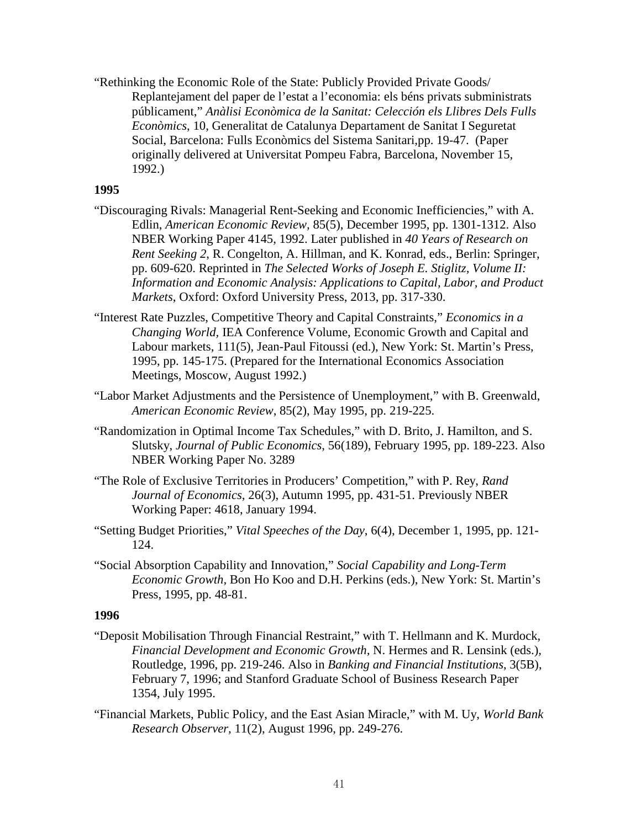"Rethinking the Economic Role of the State: Publicly Provided Private Goods/ Replantejament del paper de l'estat a l'economia: els béns privats subministrats públicament," *Anàlisi Econòmica de la Sanitat: Celección els Llibres Dels Fulls Econòmics*, 10, Generalitat de Catalunya Departament de Sanitat I Seguretat Social, Barcelona: Fulls Econòmics del Sistema Sanitari,pp. 19-47. (Paper originally delivered at Universitat Pompeu Fabra, Barcelona, November 15, 1992.)

## **1995**

- "Discouraging Rivals: Managerial Rent-Seeking and Economic Inefficiencies," with A. Edlin, *American Economic Review,* 85(5), December 1995, pp. 1301-1312. Also NBER Working Paper 4145, 1992. Later published in *40 Years of Research on Rent Seeking 2*, R. Congelton, A. Hillman, and K. Konrad, eds., Berlin: Springer, pp. 609-620. Reprinted in *The Selected Works of Joseph E. Stiglitz, Volume II: Information and Economic Analysis: Applications to Capital, Labor, and Product Markets*, Oxford: Oxford University Press, 2013, pp. 317-330.
- "Interest Rate Puzzles, Competitive Theory and Capital Constraints," *Economics in a Changing World,* IEA Conference Volume, Economic Growth and Capital and Labour markets, 111(5), Jean-Paul Fitoussi (ed.), New York: St. Martin's Press, 1995, pp. 145-175. (Prepared for the International Economics Association Meetings, Moscow, August 1992.)
- "Labor Market Adjustments and the Persistence of Unemployment," with B. Greenwald, *American Economic Review*, 85(2), May 1995, pp. 219-225.
- "Randomization in Optimal Income Tax Schedules," with D. Brito, J. Hamilton, and S. Slutsky, *Journal of Public Economics*, 56(189), February 1995, pp. 189-223. Also NBER Working Paper No. 3289
- "The Role of Exclusive Territories in Producers' Competition," with P. Rey, *Rand Journal of Economics*, 26(3), Autumn 1995, pp. 431-51. Previously NBER Working Paper: 4618, January 1994.
- "Setting Budget Priorities," *Vital Speeches of the Day*, 6(4), December 1, 1995, pp. 121- 124.
- "Social Absorption Capability and Innovation," *Social Capability and Long-Term Economic Growth,* Bon Ho Koo and D.H. Perkins (eds.), New York: St. Martin's Press, 1995, pp. 48-81.

- "Deposit Mobilisation Through Financial Restraint," with T. Hellmann and K. Murdock, *Financial Development and Economic Growth,* N. Hermes and R. Lensink (eds.), Routledge, 1996, pp. 219-246. Also in *Banking and Financial Institutions*, 3(5B), February 7, 1996; and Stanford Graduate School of Business Research Paper 1354, July 1995.
- "Financial Markets, Public Policy, and the East Asian Miracle," with M. Uy, *World Bank Research Observer,* 11(2), August 1996, pp. 249-276.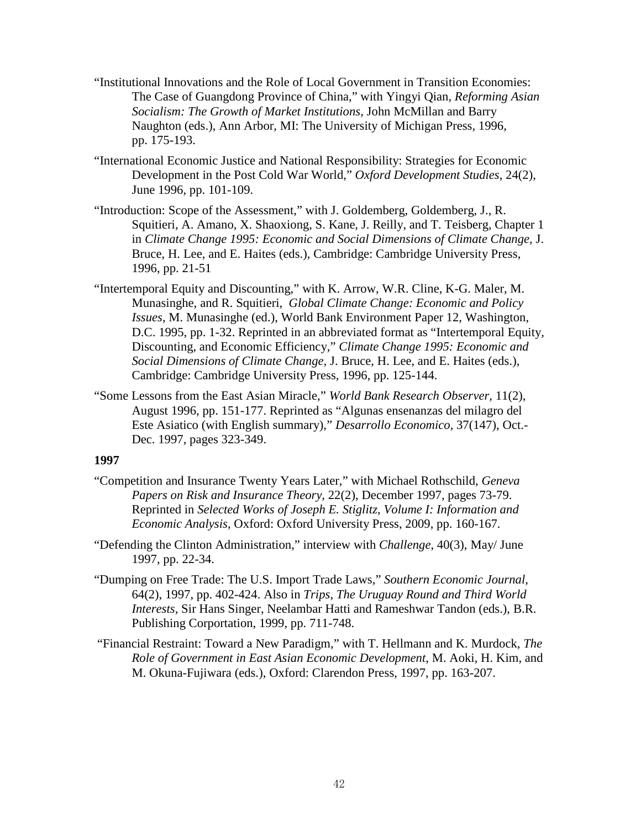- "Institutional Innovations and the Role of Local Government in Transition Economies: The Case of Guangdong Province of China," with Yingyi Qian, *Reforming Asian Socialism: The Growth of Market Institutions*, John McMillan and Barry Naughton (eds.), Ann Arbor, MI: The University of Michigan Press, 1996, pp. 175-193.
- "International Economic Justice and National Responsibility: Strategies for Economic Development in the Post Cold War World," *Oxford Development Studies*, 24(2), June 1996, pp. 101-109.
- "Introduction: Scope of the Assessment," with J. Goldemberg, Goldemberg, J., R. Squitieri, A. Amano, X. Shaoxiong, S. Kane, J. Reilly, and T. Teisberg, Chapter 1 in *Climate Change 1995: Economic and Social Dimensions of Climate Change,* J. Bruce, H. Lee, and E. Haites (eds.), Cambridge: Cambridge University Press, 1996, pp. 21-51
- "Intertemporal Equity and Discounting," with K. Arrow, W.R. Cline, K-G. Maler, M. Munasinghe, and R. Squitieri, *Global Climate Change: Economic and Policy Issues,* M. Munasinghe (ed.), World Bank Environment Paper 12, Washington, D.C. 1995, pp. 1-32. Reprinted in an abbreviated format as "Intertemporal Equity, Discounting, and Economic Efficiency," *Climate Change 1995: Economic and Social Dimensions of Climate Change,* J. Bruce, H. Lee, and E. Haites (eds.), Cambridge: Cambridge University Press, 1996, pp. 125-144.
- "Some Lessons from the East Asian Miracle," *World Bank Research Observer*, 11(2), August 1996, pp. 151-177. Reprinted as "Algunas ensenanzas del milagro del Este Asiatico (with English summary)," *Desarrollo Economico*, 37(147), Oct.- Dec. 1997, pages 323-349.

- "Competition and Insurance Twenty Years Later," with Michael Rothschild, *Geneva Papers on Risk and Insurance Theory*, 22(2), December 1997, pages 73-79. Reprinted in *Selected Works of Joseph E. Stiglitz, Volume I: Information and Economic Analysis*, Oxford: Oxford University Press, 2009, pp. 160-167.
- "Defending the Clinton Administration," interview with *Challenge*, 40(3), May/ June 1997, pp. 22-34.
- "Dumping on Free Trade: The U.S. Import Trade Laws," *Southern Economic Journal,*  64(2), 1997, pp. 402-424. Also in *Trips, The Uruguay Round and Third World Interests,* Sir Hans Singer, Neelambar Hatti and Rameshwar Tandon (eds.), B.R. Publishing Corportation, 1999, pp. 711-748.
- "Financial Restraint: Toward a New Paradigm," with T. Hellmann and K. Murdock, *The Role of Government in East Asian Economic Development*, M. Aoki, H. Kim, and M. Okuna-Fujiwara (eds.), Oxford: Clarendon Press, 1997, pp. 163-207.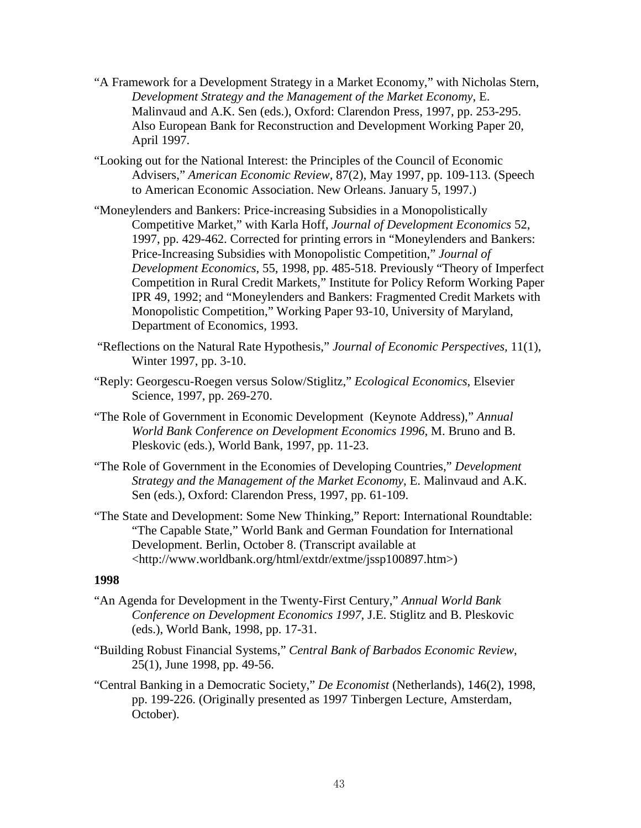- "A Framework for a Development Strategy in a Market Economy," with Nicholas Stern, *Development Strategy and the Management of the Market Economy*, E. Malinvaud and A.K. Sen (eds.), Oxford: Clarendon Press, 1997, pp. 253-295. Also European Bank for Reconstruction and Development Working Paper 20, April 1997.
- "Looking out for the National Interest: the Principles of the Council of Economic Advisers," *American Economic Review,* 87(2), May 1997, pp. 109-113. (Speech to American Economic Association. New Orleans. January 5, 1997.)
- "Moneylenders and Bankers: Price-increasing Subsidies in a Monopolistically Competitive Market," with Karla Hoff, *Journal of Development Economics* 52, 1997, pp. 429-462. Corrected for printing errors in "Moneylenders and Bankers: Price-Increasing Subsidies with Monopolistic Competition," *Journal of Development Economics*, 55, 1998, pp. 485-518. Previously "Theory of Imperfect Competition in Rural Credit Markets," Institute for Policy Reform Working Paper IPR 49, 1992; and "Moneylenders and Bankers: Fragmented Credit Markets with Monopolistic Competition," Working Paper 93-10, University of Maryland, Department of Economics, 1993.
- "Reflections on the Natural Rate Hypothesis," *Journal of Economic Perspectives,* 11(1), Winter 1997, pp. 3-10.
- "Reply: Georgescu-Roegen versus Solow/Stiglitz," *Ecological Economics*, Elsevier Science, 1997, pp. 269-270.
- "The Role of Government in Economic Development (Keynote Address)," *Annual World Bank Conference on Development Economics 1996*, M. Bruno and B. Pleskovic (eds.), World Bank, 1997, pp. 11-23.
- "The Role of Government in the Economies of Developing Countries," *Development Strategy and the Management of the Market Economy*, E. Malinvaud and A.K. Sen (eds.), Oxford: Clarendon Press, 1997, pp. 61-109.
- "The State and Development: Some New Thinking," Report: International Roundtable: "The Capable State," World Bank and German Foundation for International Development. Berlin, October 8. (Transcript available at <http://www.worldbank.org/html/extdr/extme/jssp100897.htm>)

- "An Agenda for Development in the Twenty-First Century," *Annual World Bank Conference on Development Economics 1997*, J.E. Stiglitz and B. Pleskovic (eds.), World Bank, 1998, pp. 17-31.
- "Building Robust Financial Systems," *Central Bank of Barbados Economic Review*, 25(1), June 1998, pp. 49-56.
- "Central Banking in a Democratic Society," *De Economist* (Netherlands), 146(2), 1998, pp. 199-226. (Originally presented as 1997 Tinbergen Lecture, Amsterdam, October).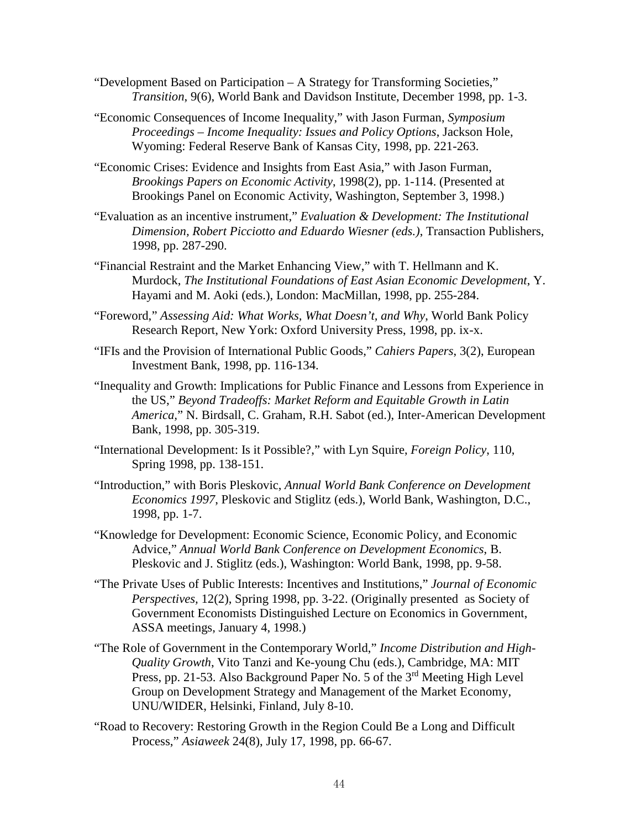- "Development Based on Participation A Strategy for Transforming Societies," *Transition*, 9(6), World Bank and Davidson Institute, December 1998, pp. 1-3.
- "Economic Consequences of Income Inequality," with Jason Furman, *[Symposium](http://www.kc.frb.org/publicat/sympos/1998/S98stiglitz.pdf)  Proceedings – [Income Inequality: Issues and Policy Options](http://www.kc.frb.org/publicat/sympos/1998/S98stiglitz.pdf)*, Jackson Hole, Wyoming: Federal Reserve Bank of Kansas City, 1998, pp. 221-263.
- "Economic Crises: Evidence and Insights from East Asia," with Jason Furman, *Brookings Papers on Economic Activity*, 1998(2), pp. 1-114. (Presented at Brookings Panel on Economic Activity, Washington, September 3, 1998.)
- "Evaluation as an incentive instrument," *Evaluation & Development: The Institutional Dimension, R*o*bert Picciotto and Eduardo Wiesner (eds.)*, Transaction Publishers, 1998, pp. 287-290.
- "Financial Restraint and the Market Enhancing View," with T. Hellmann and K. Murdock, *The Institutional Foundations of East Asian Economic Development*, Y. Hayami and M. Aoki (eds.), London: MacMillan, 1998, pp. 255-284.
- "Foreword," *Assessing Aid: What Works, What Doesn't, and Why*, World Bank Policy Research Report, New York: Oxford University Press, 1998, pp. ix-x.
- "IFIs and the Provision of International Public Goods," *Cahiers Papers*, 3(2), European Investment Bank, 1998, pp. 116-134.
- "Inequality and Growth: Implications for Public Finance and Lessons from Experience in the US," *Beyond Tradeoffs: Market Reform and Equitable Growth in Latin America,*" N. Birdsall, C. Graham, R.H. Sabot (ed.), Inter-American Development Bank, 1998, pp. 305-319.
- "International Development: Is it Possible?," with Lyn Squire, *Foreign Policy*, 110, Spring 1998, pp. 138-151.
- "Introduction," with Boris Pleskovic, *Annual World Bank Conference on Development Economics 1997*, Pleskovic and Stiglitz (eds.), World Bank, Washington, D.C., 1998, pp. 1-7.
- "Knowledge for Development: Economic Science, Economic Policy, and Economic Advice," *Annual World Bank Conference on Development Economics*, B. Pleskovic and J. Stiglitz (eds.), Washington: World Bank, 1998, pp. 9-58.
- "The Private Uses of Public Interests: Incentives and Institutions," *Journal of Economic Perspectives,* 12(2), Spring 1998, pp. 3-22. (Originally presented as Society of Government Economists Distinguished Lecture on Economics in Government, ASSA meetings, January 4, 1998.)
- "The Role of Government in the Contemporary World," *Income Distribution and High-Quality Growth*, Vito Tanzi and Ke-young Chu (eds.), Cambridge, MA: MIT Press, pp. 21-53. Also Background Paper No. 5 of the 3<sup>rd</sup> Meeting High Level Group on Development Strategy and Management of the Market Economy, UNU/WIDER, Helsinki, Finland, July 8-10.
- "Road to Recovery: Restoring Growth in the Region Could Be a Long and Difficult Process," *Asiaweek* 24(8), July 17, 1998, pp. 66-67.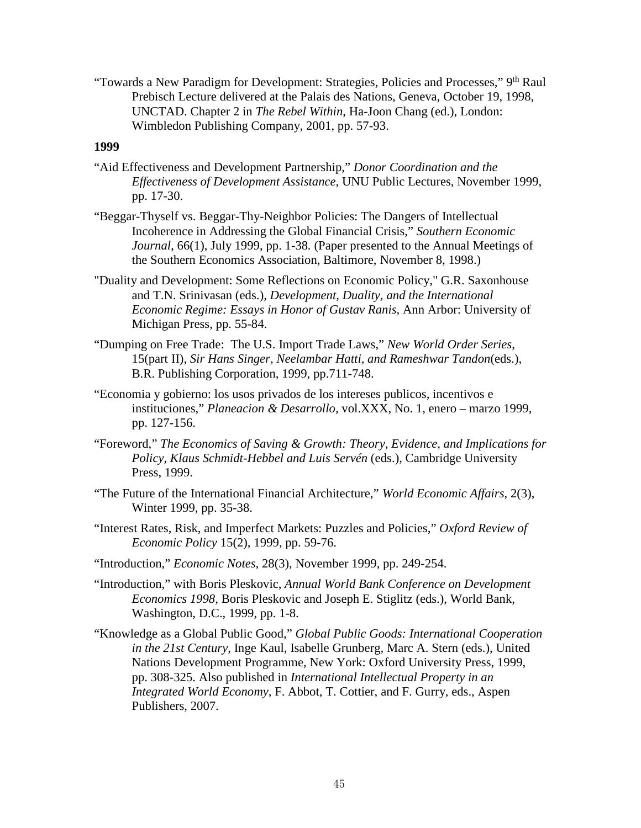"Towards a New Paradigm for Development: Strategies, Policies and Processes," 9<sup>th</sup> Raul Prebisch Lecture delivered at the Palais des Nations, Geneva, October 19, 1998, UNCTAD. Chapter 2 in *The Rebel Within*, Ha-Joon Chang (ed.), London: Wimbledon Publishing Company, 2001, pp. 57-93.

- "Aid Effectiveness and Development Partnership," *Donor Coordination and the Effectiveness of Development Assistance*, UNU Public Lectures, November 1999, pp. 17-30.
- "Beggar-Thyself vs. Beggar-Thy-Neighbor Policies: The Dangers of Intellectual Incoherence in Addressing the Global Financial Crisis," *Southern Economic Journal*, 66(1), July 1999, pp. 1-38*.* (Paper presented to the Annual Meetings of the Southern Economics Association, Baltimore, November 8, 1998.)
- "Duality and Development: Some Reflections on Economic Policy," G.R. Saxonhouse and T.N. Srinivasan (eds.), *Development, Duality, and the International Economic Regime: Essays in Honor of Gustav Ranis*, Ann Arbor: University of Michigan Press, pp. 55-84.
- "Dumping on Free Trade: The U.S. Import Trade Laws," *New World Order Series*, 15(part II), *Sir Hans Singer, Neelambar Hatti, and Rameshwar Tandon*(eds.), B.R. Publishing Corporation, 1999, pp.711-748.
- "Economia y gobierno: los usos privados de los intereses publicos, incentivos e instituciones," *Planeacion & Desarrollo,* vol.XXX, No. 1, enero – marzo 1999, pp. 127-156.
- "Foreword," *The Economics of Saving & Growth: Theory, Evidence, and Implications for Policy, Klaus Schmidt-Hebbel and Luis Servén* (eds.), Cambridge University Press, 1999.
- "The Future of the International Financial Architecture," *World Economic Affairs*, 2(3), Winter 1999, pp. 35-38.
- "Interest Rates, Risk, and Imperfect Markets: Puzzles and Policies," *Oxford Review of Economic Policy* 15(2), 1999, pp. 59-76.
- "Introduction," *Economic Notes*, 28(3), November 1999, pp. 249-254.
- "Introduction," with Boris Pleskovic, *Annual World Bank Conference on Development Economics 1998,* Boris Pleskovic and Joseph E. Stiglitz (eds.), World Bank, Washington, D.C., 1999, pp. 1-8.
- "Knowledge as a Global Public Good," *Global Public Goods: International Cooperation in the 21st Century*, Inge Kaul, Isabelle Grunberg, Marc A. Stern (eds.), United Nations Development Programme, New York: Oxford University Press, 1999, pp. 308-325. Also published in *International Intellectual Property in an Integrated World Economy,* F. Abbot, T. Cottier, and F. Gurry, eds., Aspen Publishers, 2007.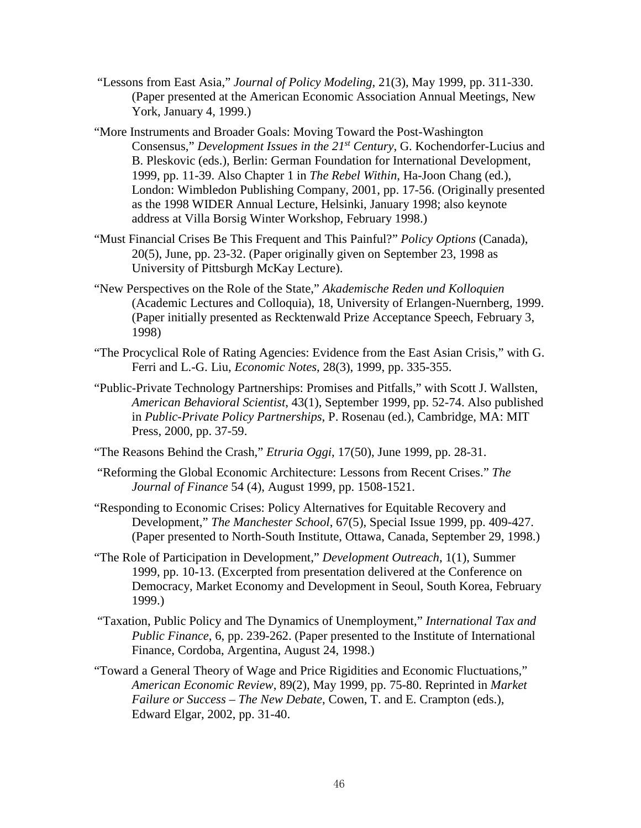- "Lessons from East Asia," *Journal of Policy Modeling*, 21(3), May 1999, pp. 311-330. (Paper presented at the American Economic Association Annual Meetings, New York, January 4, 1999.)
- "More Instruments and Broader Goals: Moving Toward the Post-Washington Consensus," *Development Issues in the 21st Century*, G. Kochendorfer-Lucius and B. Pleskovic (eds.), Berlin: German Foundation for International Development, 1999, pp. 11-39. Also Chapter 1 in *The Rebel Within*, Ha-Joon Chang (ed.), London: Wimbledon Publishing Company, 2001, pp. 17-56. (Originally presented as the 1998 WIDER Annual Lecture, Helsinki, January 1998; also keynote address at Villa Borsig Winter Workshop, February 1998.)
- "Must Financial Crises Be This Frequent and This Painful?" *Policy Options* (Canada), 20(5), June, pp. 23-32. (Paper originally given on September 23, 1998 as University of Pittsburgh McKay Lecture).
- "New Perspectives on the Role of the State," *Akademische Reden und Kolloquien*  (Academic Lectures and Colloquia), 18, University of Erlangen-Nuernberg, 1999. (Paper initially presented as Recktenwald Prize Acceptance Speech, February 3, 1998)
- "The Procyclical Role of Rating Agencies: Evidence from the East Asian Crisis," with G. Ferri and L.-G. Liu, *Economic Notes*, 28(3), 1999, pp. 335-355.
- "Public-Private Technology Partnerships: Promises and Pitfalls," with Scott J. Wallsten, *American Behavioral Scientist*, 43(1), September 1999, pp. 52-74. Also published in *Public-Private Policy Partnerships*, P. Rosenau (ed.), Cambridge, MA: MIT Press, 2000, pp. 37-59.
- "The Reasons Behind the Crash," *Etruria Oggi*, 17(50), June 1999, pp. 28-31.
- "Reforming the Global Economic Architecture: Lessons from Recent Crises." *The Journal of Finance* 54 (4), August 1999, pp. 1508-1521.
- "Responding to Economic Crises: Policy Alternatives for Equitable Recovery and Development," *The Manchester School*, 67(5), Special Issue 1999, pp. 409-427. (Paper presented to North-South Institute, Ottawa, Canada, September 29, 1998.)
- "The Role of Participation in Development," *Development Outreach*, 1(1), Summer 1999, pp. 10-13. (Excerpted from presentation delivered at the Conference on Democracy, Market Economy and Development in Seoul, South Korea, February 1999.)
- "Taxation, Public Policy and The Dynamics of Unemployment," *International Tax and Public Finance*, 6, pp. 239-262. (Paper presented to the Institute of International Finance, Cordoba, Argentina, August 24, 1998.)
- "Toward a General Theory of Wage and Price Rigidities and Economic Fluctuations," *American Economic Review*, 89(2), May 1999, pp. 75-80. Reprinted in *Market Failure or Success – The New Debate*, Cowen, T. and E. Crampton (eds.), Edward Elgar, 2002, pp. 31-40.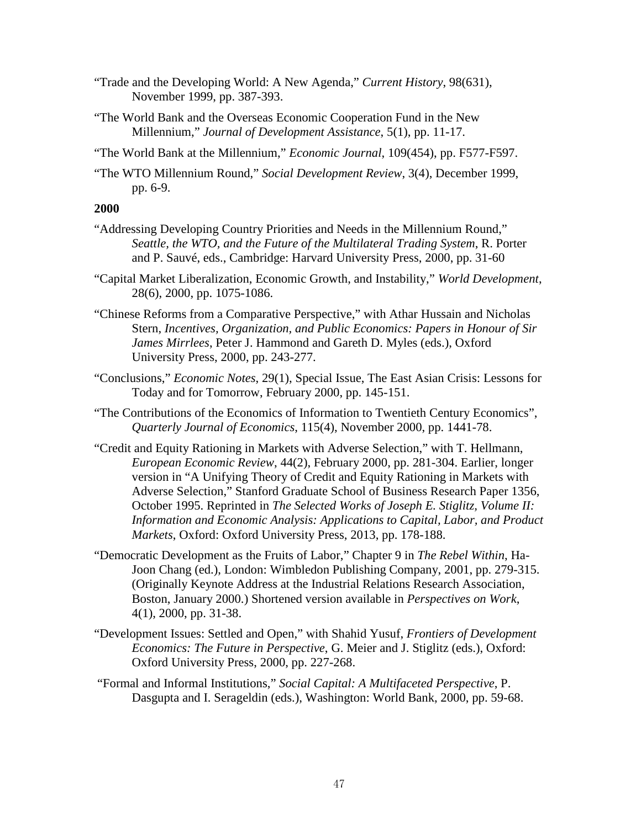- "Trade and the Developing World: A New Agenda," *Current History*, 98(631), November 1999, pp. 387-393.
- "The World Bank and the Overseas Economic Cooperation Fund in the New Millennium," *Journal of Development Assistance*, 5(1), pp. 11-17.
- "The World Bank at the Millennium," *Economic Journal*, 109(454), pp. F577-F597.
- "The WTO Millennium Round," *Social Development Review*, 3(4), December 1999, pp. 6-9.

- "Addressing Developing Country Priorities and Needs in the Millennium Round," *Seattle, the WTO, and the Future of the Multilateral Trading System*, R. Porter and P. Sauvé, eds., Cambridge: Harvard University Press, 2000, pp. 31-60
- "Capital Market Liberalization, Economic Growth, and Instability," *World Development*, 28(6), 2000, pp. 1075-1086.
- "Chinese Reforms from a Comparative Perspective," with Athar Hussain and Nicholas Stern, *Incentives, Organization, and Public Economics: Papers in Honour of Sir James Mirrlees*, Peter J. Hammond and Gareth D. Myles (eds.), Oxford University Press, 2000, pp. 243-277.
- "Conclusions," *Economic Notes*, 29(1), Special Issue, The East Asian Crisis: Lessons for Today and for Tomorrow, February 2000, pp. 145-151.
- "The Contributions of the Economics of Information to Twentieth Century Economics", *Quarterly Journal of Economics*, 115(4), November 2000, pp. 1441-78.
- "Credit and Equity Rationing in Markets with Adverse Selection," with T. Hellmann, *European Economic Review*, 44(2), February 2000, pp. 281-304. Earlier, longer version in "A Unifying Theory of Credit and Equity Rationing in Markets with Adverse Selection," Stanford Graduate School of Business Research Paper 1356, October 1995. Reprinted in *The Selected Works of Joseph E. Stiglitz, Volume II: Information and Economic Analysis: Applications to Capital, Labor, and Product Markets*, Oxford: Oxford University Press, 2013, pp. 178-188.
- "Democratic Development as the Fruits of Labor," Chapter 9 in *The Rebel Within*, Ha-Joon Chang (ed.), London: Wimbledon Publishing Company, 2001, pp. 279-315. (Originally Keynote Address at the Industrial Relations Research Association, Boston, January 2000.) Shortened version available in *Perspectives on Work*, 4(1), 2000, pp. 31-38.
- "Development Issues: Settled and Open," with Shahid Yusuf, *Frontiers of Development Economics: The Future in Perspective*, G. Meier and J. Stiglitz (eds.), Oxford: Oxford University Press, 2000, pp. 227-268.
- "Formal and Informal Institutions," *Social Capital: A Multifaceted Perspective*, P. Dasgupta and I. Serageldin (eds.), Washington: World Bank, 2000, pp. 59-68.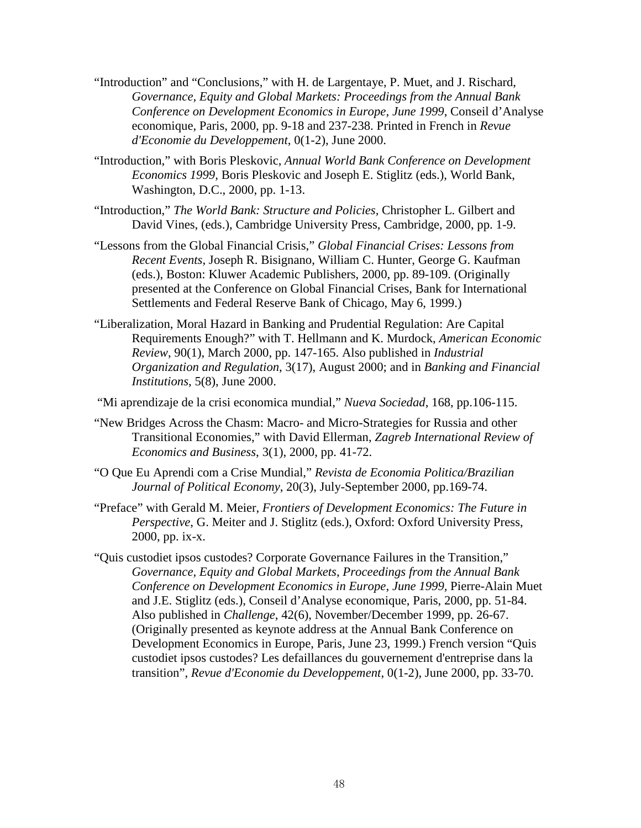- "Introduction" and "Conclusions," with H. de Largentaye, P. Muet, and J. Rischard, *Governance, Equity and Global Markets: Proceedings from the Annual Bank Conference on Development Economics in Europe, June 1999*, Conseil d'Analyse economique, Paris, 2000, pp. 9-18 and 237-238. Printed in French in *Revue d'Economie du Developpement*, 0(1-2), June 2000.
- "Introduction," with Boris Pleskovic, *Annual World Bank Conference on Development Economics 1999,* Boris Pleskovic and Joseph E. Stiglitz (eds.), World Bank, Washington, D.C., 2000, pp. 1-13.
- "Introduction," *The World Bank: Structure and Policies,* Christopher L. Gilbert and David Vines, (eds.), Cambridge University Press, Cambridge, 2000, pp. 1-9.
- "Lessons from the Global Financial Crisis," *Global Financial Crises: Lessons from Recent Events*, Joseph R. Bisignano, William C. Hunter, George G. Kaufman (eds.), Boston: Kluwer Academic Publishers, 2000, pp. 89-109. (Originally presented at the Conference on Global Financial Crises, Bank for International Settlements and Federal Reserve Bank of Chicago, May 6, 1999.)
- "Liberalization, Moral Hazard in Banking and Prudential Regulation: Are Capital Requirements Enough?" with T. Hellmann and K. Murdock, *American Economic Review*, 90(1), March 2000, pp. 147-165. Also published in *Industrial Organization and Regulation*, 3(17), August 2000; and in *Banking and Financial Institutions*, 5(8), June 2000.
- "Mi aprendizaje de la crisi economica mundial," *Nueva Sociedad*, 168, pp.106-115.
- "New Bridges Across the Chasm: Macro- and Micro-Strategies for Russia and other Transitional Economies," with David Ellerman, *Zagreb International Review of Economics and Business*, 3(1), 2000, pp. 41-72.
- "O Que Eu Aprendi com a Crise Mundial," *Revista de Economia Politica/Brazilian Journal of Political Economy*, 20(3), July-September 2000, pp.169-74.
- "Preface" with Gerald M. Meier, *Frontiers of Development Economics: The Future in Perspective*, G. Meiter and J. Stiglitz (eds.), Oxford: Oxford University Press, 2000, pp. ix-x.
- "Quis custodiet ipsos custodes? Corporate Governance Failures in the Transition," *Governance, Equity and Global Markets*, *Proceedings from the Annual Bank Conference on Development Economics in Europe*, *June 1999,* Pierre-Alain Muet and J.E. Stiglitz (eds.), Conseil d'Analyse economique, Paris, 2000, pp. 51-84. Also published in *Challenge*, 42(6), November/December 1999, pp. 26-67. (Originally presented as keynote address at the Annual Bank Conference on Development Economics in Europe, Paris, June 23, 1999.) French version "Quis custodiet ipsos custodes? Les defaillances du gouvernement d'entreprise dans la transition", *Revue d'Economie du Developpement*, 0(1-2), June 2000, pp. 33-70.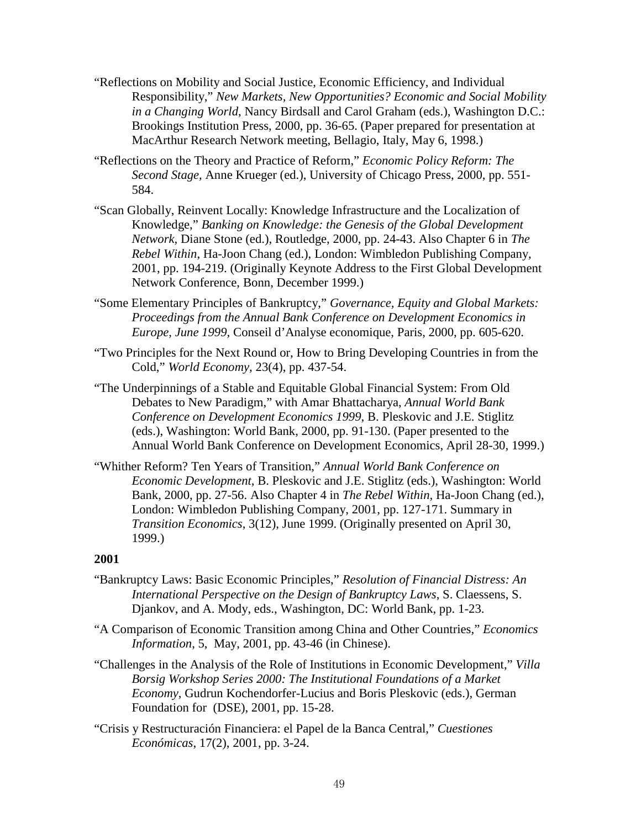- "Reflections on Mobility and Social Justice, Economic Efficiency, and Individual Responsibility," *New Markets, New Opportunities? Economic and Social Mobility in a Changing World*, Nancy Birdsall and Carol Graham (eds.), Washington D.C.: Brookings Institution Press, 2000, pp. 36-65. (Paper prepared for presentation at MacArthur Research Network meeting, Bellagio, Italy, May 6, 1998.)
- "Reflections on the Theory and Practice of Reform," *Economic Policy Reform: The Second Stage,* Anne Krueger (ed.), University of Chicago Press, 2000, pp. 551- 584.
- "Scan Globally, Reinvent Locally: Knowledge Infrastructure and the Localization of Knowledge," *Banking on Knowledge: the Genesis of the Global Development Network,* Diane Stone (ed.), Routledge, 2000, pp. 24-43. Also Chapter 6 in *The Rebel Within*, Ha-Joon Chang (ed.), London: Wimbledon Publishing Company, 2001, pp. 194-219. (Originally Keynote Address to the First Global Development Network Conference, Bonn, December 1999.)
- "Some Elementary Principles of Bankruptcy," *Governance, Equity and Global Markets: Proceedings from the Annual Bank Conference on Development Economics in Europe, June 1999,* Conseil d'Analyse economique, Paris, 2000, pp. 605-620.
- "Two Principles for the Next Round or, How to Bring Developing Countries in from the Cold," *World Economy,* 23(4), pp. 437-54.
- "The Underpinnings of a Stable and Equitable Global Financial System: From Old Debates to New Paradigm," with Amar Bhattacharya, *Annual World Bank Conference on Development Economics 1999*, B. Pleskovic and J.E. Stiglitz (eds.), Washington: World Bank, 2000, pp. 91-130. (Paper presented to the Annual World Bank Conference on Development Economics, April 28-30, 1999.)
- "Whither Reform? Ten Years of Transition," *Annual World Bank Conference on Economic Development,* B. Pleskovic and J.E. Stiglitz (eds.), Washington: World Bank, 2000, pp. 27-56. Also Chapter 4 in *The Rebel Within*, Ha-Joon Chang (ed.), London: Wimbledon Publishing Company, 2001, pp. 127-171. Summary in *Transition Economics*, 3(12), June 1999. (Originally presented on April 30, 1999.)

- "Bankruptcy Laws: Basic Economic Principles," *Resolution of Financial Distress: An International Perspective on the Design of Bankruptcy Laws*, S. Claessens, S. Djankov, and A. Mody, eds., Washington, DC: World Bank, pp. 1-23.
- "A Comparison of Economic Transition among China and Other Countries," *Economics Information*, 5, May, 2001, pp. 43-46 (in Chinese).
- "Challenges in the Analysis of the Role of Institutions in Economic Development," *Villa Borsig Workshop Series 2000: The Institutional Foundations of a Market Economy*, Gudrun Kochendorfer-Lucius and Boris Pleskovic (eds.), German Foundation for (DSE), 2001, pp. 15-28.
- "Crisis y Restructuración Financiera: el Papel de la Banca Central," *Cuestiones Económicas*, 17(2), 2001, pp. 3-24.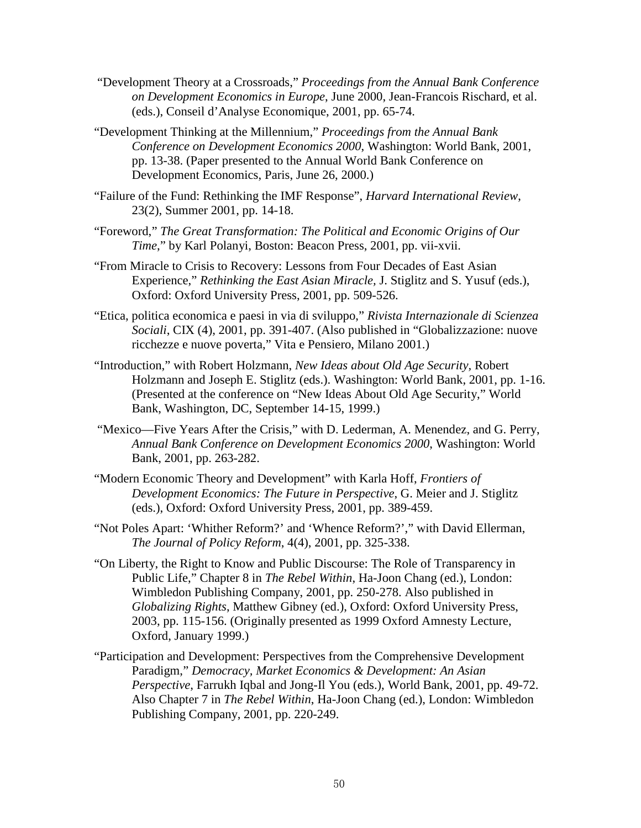- "Development Theory at a Crossroads," *Proceedings from the Annual Bank Conference on Development Economics in Europe*, June 2000, Jean-Francois Rischard, et al. (eds.), Conseil d'Analyse Economique, 2001, pp. 65-74.
- "Development Thinking at the Millennium," *Proceedings from the Annual Bank Conference on Development Economics 2000*, Washington: World Bank, 2001, pp. 13-38. (Paper presented to the Annual World Bank Conference on Development Economics, Paris, June 26, 2000.)
- "Failure of the Fund: Rethinking the IMF Response", *Harvard International Review*, 23(2), Summer 2001, pp. 14-18.
- "Foreword," *The Great Transformation: The Political and Economic Origins of Our Time*," by Karl Polanyi, Boston: Beacon Press, 2001, pp. vii-xvii.
- "From Miracle to Crisis to Recovery: Lessons from Four Decades of East Asian Experience," *Rethinking the East Asian Miracle,* J. Stiglitz and S. Yusuf (eds.), Oxford: Oxford University Press, 2001, pp. 509-526.
- "Etica, politica economica e paesi in via di sviluppo," *Rivista Internazionale di Scienzea Sociali*, CIX (4), 2001, pp. 391-407. (Also published in "Globalizzazione: nuove ricchezze e nuove poverta," Vita e Pensiero, Milano 2001.)
- "Introduction," with Robert Holzmann, *New Ideas about Old Age Security,* Robert Holzmann and Joseph E. Stiglitz (eds.). Washington: World Bank, 2001, pp. 1-16. (Presented at the conference on "New Ideas About Old Age Security," World Bank, Washington, DC, September 14-15, 1999.)
- "Mexico—Five Years After the Crisis," with D. Lederman, A. Menendez, and G. Perry, *Annual Bank Conference on Development Economics 2000*, Washington: World Bank, 2001, pp. 263-282.
- "Modern Economic Theory and Development" with Karla Hoff, *Frontiers of Development Economics: The Future in Perspective*, G. Meier and J. Stiglitz (eds.), Oxford: Oxford University Press, 2001, pp. 389-459.
- "Not Poles Apart: 'Whither Reform?' and 'Whence Reform?'," with David Ellerman, *The Journal of Policy Reform*, 4(4), 2001, pp. 325-338.
- "On Liberty, the Right to Know and Public Discourse: The Role of Transparency in Public Life," Chapter 8 in *The Rebel Within*, Ha-Joon Chang (ed.), London: Wimbledon Publishing Company, 2001, pp. 250-278. Also published in *Globalizing Rights*, Matthew Gibney (ed.), Oxford: Oxford University Press, 2003, pp. 115-156. (Originally presented as 1999 Oxford Amnesty Lecture, Oxford, January 1999.)
- "Participation and Development: Perspectives from the Comprehensive Development Paradigm," *Democracy, Market Economics & Development: An Asian Perspective*, Farrukh Iqbal and Jong-Il You (eds.), World Bank, 2001, pp. 49-72. Also Chapter 7 in *The Rebel Within*, Ha-Joon Chang (ed.), London: Wimbledon Publishing Company, 2001, pp. 220-249.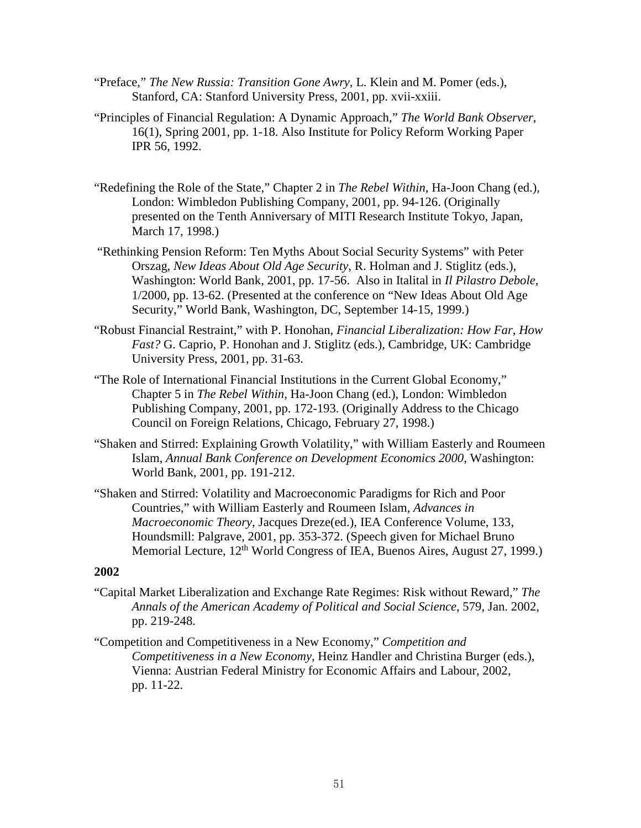- "Preface," *The New Russia: Transition Gone Awry,* L. Klein and M. Pomer (eds.), Stanford, CA: Stanford University Press, 2001, pp. xvii-xxiii.
- "Principles of Financial Regulation: A Dynamic Approach," *The World Bank Observer,*  16(1), Spring 2001, pp. 1-18. Also Institute for Policy Reform Working Paper IPR 56, 1992.
- "Redefining the Role of the State," Chapter 2 in *The Rebel Within*, Ha-Joon Chang (ed.), London: Wimbledon Publishing Company, 2001, pp. 94-126. (Originally presented on the Tenth Anniversary of MITI Research Institute Tokyo, Japan, March 17, 1998.)
- "Rethinking Pension Reform: Ten Myths About Social Security Systems" with Peter Orszag, *New Ideas About Old Age Security*, R. Holman and J. Stiglitz (eds.), Washington: World Bank, 2001, pp. 17-56. Also in Italital in *Il Pilastro Debole,*  1/2000, pp. 13-62. (Presented at the conference on "New Ideas About Old Age Security," World Bank, Washington, DC, September 14-15, 1999.)
- "Robust Financial Restraint," with P. Honohan, *Financial Liberalization: How Far, How Fast?* G. Caprio, P. Honohan and J. Stiglitz (eds.), Cambridge, UK: Cambridge University Press, 2001, pp. 31-63.
- "The Role of International Financial Institutions in the Current Global Economy," Chapter 5 in *The Rebel Within*, Ha-Joon Chang (ed.), London: Wimbledon Publishing Company, 2001, pp. 172-193. (Originally Address to the Chicago Council on Foreign Relations, Chicago, February 27, 1998.)
- "Shaken and Stirred: Explaining Growth Volatility," with William Easterly and Roumeen Islam, *Annual Bank Conference on Development Economics 2000*, Washington: World Bank, 2001, pp. 191-212.
- "Shaken and Stirred: Volatility and Macroeconomic Paradigms for Rich and Poor Countries," with William Easterly and Roumeen Islam, *Advances in Macroeconomic Theory*, Jacques Dreze(ed.), IEA Conference Volume, 133, Houndsmill: Palgrave, 2001, pp. 353-372. (Speech given for Michael Bruno Memorial Lecture, 12<sup>th</sup> World Congress of IEA, Buenos Aires, August 27, 1999.)

- "Capital Market Liberalization and Exchange Rate Regimes: Risk without Reward," *The Annals of the American Academy of Political and Social Science*, 579, Jan. 2002, pp. 219-248.
- "Competition and Competitiveness in a New Economy," *Competition and Competitiveness in a New Economy*, Heinz Handler and Christina Burger (eds.), Vienna: Austrian Federal Ministry for Economic Affairs and Labour, 2002, pp. 11-22.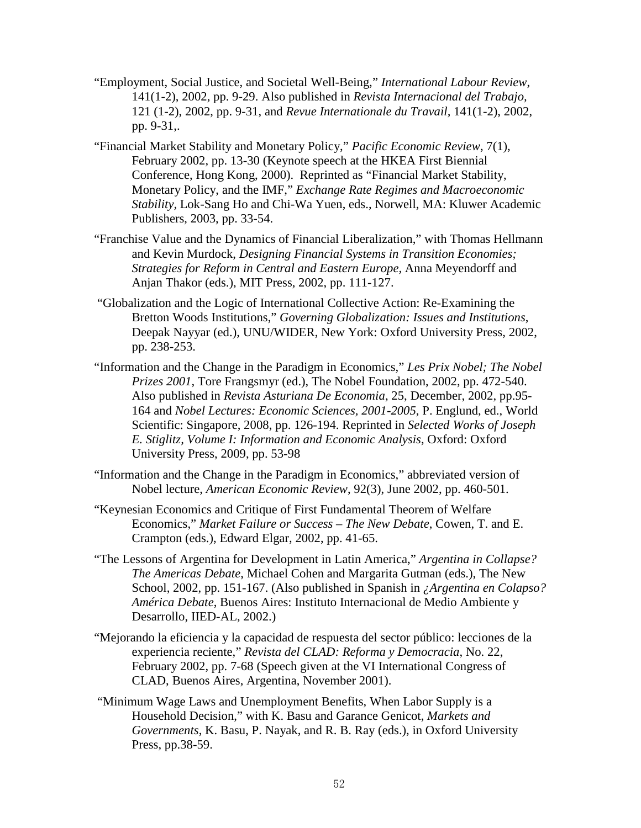- "Employment, Social Justice, and Societal Well-Being," *International Labour Review*, 141(1-2), 2002, pp. 9-29. Also published in *Revista Internacional del Trabajo,*  121 (1-2), 2002, pp. 9-31, and *Revue Internationale du Travail,* 141(1-2), 2002, pp. 9-31,.
- "Financial Market Stability and Monetary Policy," *Pacific Economic Review*, 7(1), February 2002, pp. 13-30 (Keynote speech at the HKEA First Biennial Conference, Hong Kong, 2000). Reprinted as "Financial Market Stability, Monetary Policy, and the IMF," *Exchange Rate Regimes and Macroeconomic Stability,* Lok-Sang Ho and Chi-Wa Yuen, eds., Norwell, MA: Kluwer Academic Publishers, 2003, pp. 33-54.
- "Franchise Value and the Dynamics of Financial Liberalization," with Thomas Hellmann and Kevin Murdock, *Designing Financial Systems in Transition Economies; Strategies for Reform in Central and Eastern Europe,* Anna Meyendorff and Anjan Thakor (eds.), MIT Press, 2002, pp. 111-127.
- "Globalization and the Logic of International Collective Action: Re-Examining the Bretton Woods Institutions," *Governing Globalization: Issues and Institutions*, Deepak Nayyar (ed.), UNU/WIDER, New York: Oxford University Press, 2002, pp. 238-253.
- "Information and the Change in the Paradigm in Economics," *Les Prix Nobel; The Nobel Prizes 2001,* Tore Frangsmyr (ed.), The Nobel Foundation, 2002, pp. 472-540. Also published in *Revista Asturiana De Economia*, 25, December, 2002, pp.95- 164 and *Nobel Lectures: Economic Sciences, 2001-2005*, P. Englund, ed., World Scientific: Singapore, 2008, pp. 126-194. Reprinted in *Selected Works of Joseph E. Stiglitz, Volume I: Information and Economic Analysis*, Oxford: Oxford University Press, 2009, pp. 53-98
- "Information and the Change in the Paradigm in Economics," abbreviated version of Nobel lecture, *American Economic Review*, 92(3), June 2002, pp. 460-501.
- "Keynesian Economics and Critique of First Fundamental Theorem of Welfare Economics," *Market Failure or Success – The New Debate*, Cowen, T. and E. Crampton (eds.), Edward Elgar, 2002, pp. 41-65.
- "The Lessons of Argentina for Development in Latin America," *Argentina in Collapse? The Americas Debate*, Michael Cohen and Margarita Gutman (eds.), The New School, 2002, pp. 151-167. (Also published in Spanish in *¿Argentina en Colapso? América Debate*, Buenos Aires: Instituto Internacional de Medio Ambiente y Desarrollo, IIED-AL, 2002.)
- "Mejorando la eficiencia y la capacidad de respuesta del sector público: lecciones de la experiencia reciente," *Revista del CLAD: Reforma y Democracia*, No. 22, February 2002, pp. 7-68 (Speech given at the VI International Congress of CLAD, Buenos Aires, Argentina, November 2001).
- "Minimum Wage Laws and Unemployment Benefits, When Labor Supply is a Household Decision," with K. Basu and Garance Genicot, *Markets and Governments*, K. Basu, P. Nayak, and R. B. Ray (eds.), in Oxford University Press, pp.38-59.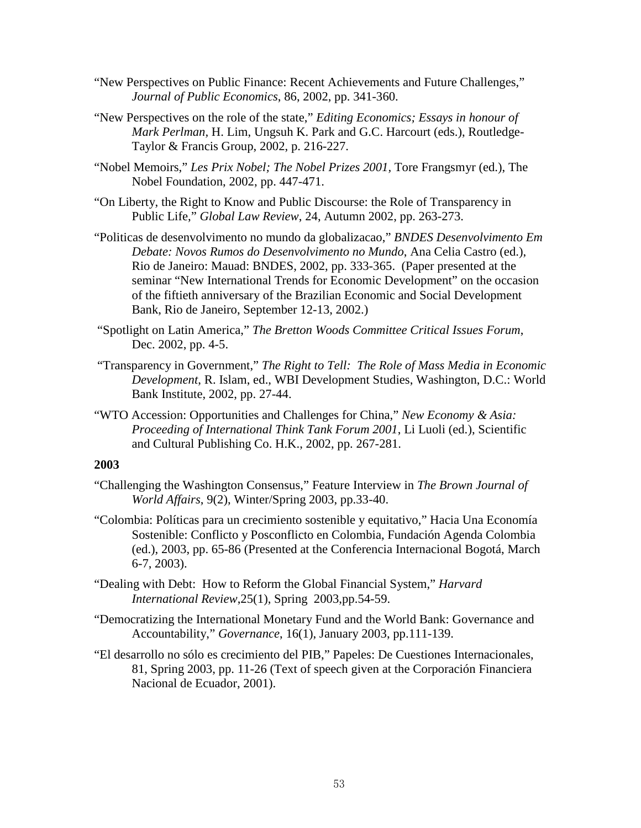- "New Perspectives on Public Finance: Recent Achievements and Future Challenges," *Journal of Public Economics*, 86, 2002, pp. 341-360.
- "New Perspectives on the role of the state," *Editing Economics; Essays in honour of Mark Perlman,* H. Lim, Ungsuh K. Park and G.C. Harcourt (eds.), Routledge-Taylor & Francis Group, 2002, p. 216-227.
- "Nobel Memoirs," *Les Prix Nobel; The Nobel Prizes 2001,* Tore Frangsmyr (ed.), The Nobel Foundation, 2002, pp. 447-471.
- "On Liberty, the Right to Know and Public Discourse: the Role of Transparency in Public Life," *Global Law Review*, 24, Autumn 2002, pp. 263-273.
- "Politicas de desenvolvimento no mundo da globalizacao," *BNDES Desenvolvimento Em Debate: Novos Rumos do Desenvolvimento no Mundo*, Ana Celia Castro (ed.), Rio de Janeiro: Mauad: BNDES, 2002, pp. 333-365. (Paper presented at the seminar "New International Trends for Economic Development" on the occasion of the fiftieth anniversary of the Brazilian Economic and Social Development Bank, Rio de Janeiro, September 12-13, 2002.)
- "Spotlight on Latin America," *The Bretton Woods Committee Critical Issues Forum*, Dec. 2002, pp. 4-5.
- "Transparency in Government," *The Right to Tell: The Role of Mass Media in Economic Development*, R. Islam, ed., WBI Development Studies, Washington, D.C.: World Bank Institute, 2002, pp. 27-44.
- "WTO Accession: Opportunities and Challenges for China," *New Economy & Asia: Proceeding of International Think Tank Forum 2001*, Li Luoli (ed.), Scientific and Cultural Publishing Co. H.K., 2002, pp. 267-281.

- "Challenging the Washington Consensus," Feature Interview in *The Brown Journal of World Affairs*, 9(2), Winter/Spring 2003, pp.33-40.
- "Colombia: Políticas para un crecimiento sostenible y equitativo," Hacia Una Economía Sostenible: Conflicto y Posconflicto en Colombia, Fundación Agenda Colombia (ed.), 2003, pp. 65-86 (Presented at the Conferencia Internacional Bogotá, March 6-7, 2003).
- "Dealing with Debt: How to Reform the Global Financial System," *Harvard International Review*,25(1), Spring 2003,pp.54-59.
- "Democratizing the International Monetary Fund and the World Bank: Governance and Accountability," *Governance*, 16(1), January 2003, pp.111-139.
- "El desarrollo no sólo es crecimiento del PIB," Papeles: De Cuestiones Internacionales, 81, Spring 2003, pp. 11-26 (Text of speech given at the Corporación Financiera Nacional de Ecuador, 2001).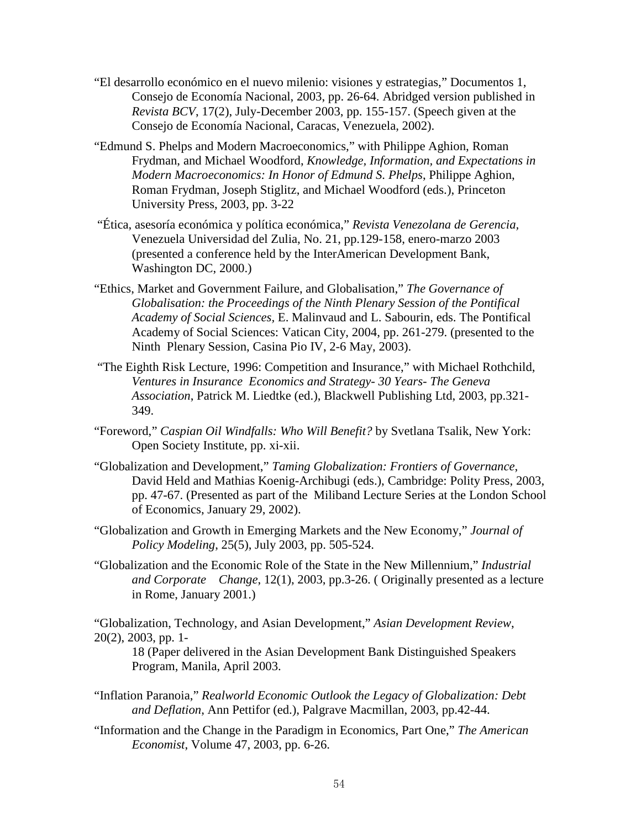- "El desarrollo económico en el nuevo milenio: visiones y estrategias," Documentos 1, Consejo de Economía Nacional, 2003, pp. 26-64. Abridged version published in *Revista BCV*, 17(2), July-December 2003, pp. 155-157. (Speech given at the Consejo de Economía Nacional, Caracas, Venezuela, 2002).
- "Edmund S. Phelps and Modern Macroeconomics," with Philippe Aghion, Roman Frydman, and Michael Woodford, *Knowledge, Information, and Expectations in Modern Macroeconomics: In Honor of Edmund S. Phelps*, Philippe Aghion, Roman Frydman, Joseph Stiglitz, and Michael Woodford (eds.), Princeton University Press, 2003, pp. 3-22
- "Ética, asesoría económica y política económica," *Revista Venezolana de Gerencia,*  Venezuela Universidad del Zulia, No. 21, pp.129-158, enero-marzo 2003 (presented a conference held by the InterAmerican Development Bank, Washington DC, 2000.)
- "Ethics, Market and Government Failure, and Globalisation," *The Governance of Globalisation: the Proceedings of the Ninth Plenary Session of the Pontifical Academy of Social Sciences,* E. Malinvaud and L. Sabourin, eds. The Pontifical Academy of Social Sciences: Vatican City, 2004, pp. 261-279. (presented to the Ninth Plenary Session, Casina Pio IV, 2-6 May, 2003).
- "The Eighth Risk Lecture, 1996: Competition and Insurance," with Michael Rothchild, *Ventures in Insurance Economics and Strategy- 30 Years- The Geneva Association*, Patrick M. Liedtke (ed.), Blackwell Publishing Ltd, 2003, pp.321- 349.
- "Foreword," *Caspian Oil Windfalls: Who Will Benefit?* by Svetlana Tsalik, New York: Open Society Institute, pp. xi-xii.
- "Globalization and Development," *Taming Globalization: Frontiers of Governance*, David Held and Mathias Koenig-Archibugi (eds.), Cambridge: Polity Press, 2003, pp. 47-67. (Presented as part of the Miliband Lecture Series at the London School of Economics, January 29, 2002).
- "Globalization and Growth in Emerging Markets and the New Economy," *Journal of Policy Modeling*, 25(5), July 2003, pp. 505-524.
- "Globalization and the Economic Role of the State in the New Millennium," *Industrial and Corporate Change*, 12(1), 2003, pp.3-26. ( Originally presented as a lecture in Rome, January 2001.)

"Globalization, Technology, and Asian Development," *Asian Development Review*, 20(2), 2003, pp. 1-

18 (Paper delivered in the Asian Development Bank Distinguished Speakers Program, Manila, April 2003.

- "Inflation Paranoia," *Realworld Economic Outlook the Legacy of Globalization: Debt and Deflation*, Ann Pettifor (ed.), Palgrave Macmillan, 2003, pp.42-44.
- "Information and the Change in the Paradigm in Economics, Part One," *The American Economist*, Volume 47, 2003, pp. 6-26.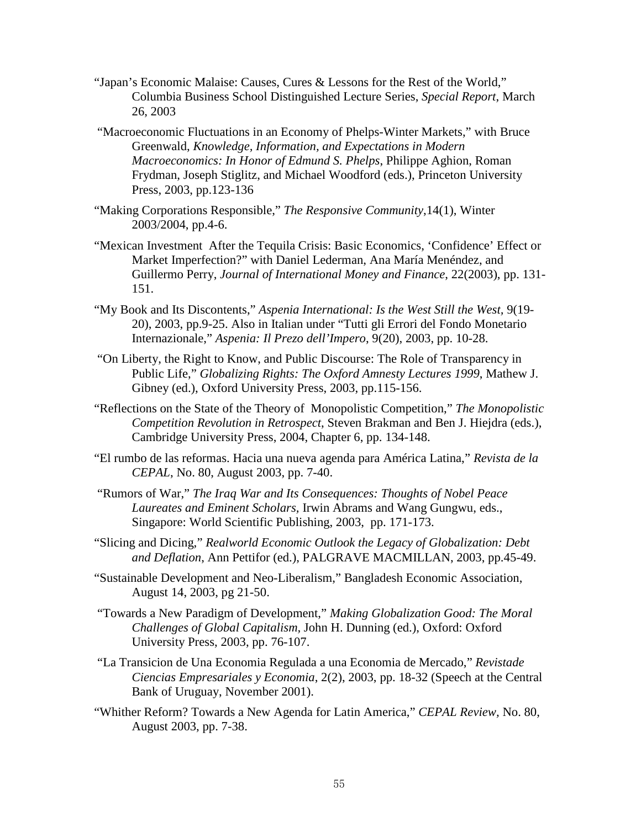- "Japan's Economic Malaise: Causes, Cures & Lessons for the Rest of the World," Columbia Business School Distinguished Lecture Series, *Special Report*, March 26, 2003
- "Macroeconomic Fluctuations in an Economy of Phelps-Winter Markets," with Bruce Greenwald, *Knowledge, Information, and Expectations in Modern Macroeconomics: In Honor of Edmund S. Phelps*, Philippe Aghion, Roman Frydman, Joseph Stiglitz, and Michael Woodford (eds.), Princeton University Press, 2003, pp.123-136
- "Making Corporations Responsible," *The Responsive Community*,14(1), Winter 2003/2004, pp.4-6.
- "Mexican Investment After the Tequila Crisis: Basic Economics, 'Confidence' Effect or Market Imperfection?" with Daniel Lederman, Ana María Menéndez, and Guillermo Perry, *Journal of International Money and Finance*, 22(2003), pp. 131- 151.
- "My Book and Its Discontents," *Aspenia International: Is the West Still the West,* 9(19- 20), 2003, pp.9-25. Also in Italian under "Tutti gli Errori del Fondo Monetario Internazionale," *Aspenia: Il Prezo dell'Impero*, 9(20), 2003, pp. 10-28.
- "On Liberty, the Right to Know, and Public Discourse: The Role of Transparency in Public Life," *Globalizing Rights: The Oxford Amnesty Lectures 1999*, Mathew J. Gibney (ed.), Oxford University Press, 2003, pp.115-156.
- "Reflections on the State of the Theory of Monopolistic Competition," *The Monopolistic Competition Revolution in Retrospect*, Steven Brakman and Ben J. Hiejdra (eds.), Cambridge University Press, 2004, Chapter 6, pp. 134-148.
- "El rumbo de las reformas. Hacia una nueva agenda para América Latina," *Revista de la CEPAL*, No. 80, August 2003, pp. 7-40.
- "Rumors of War," *The Iraq War and Its Consequences: Thoughts of Nobel Peace Laureates and Eminent Scholars,* Irwin Abrams and Wang Gungwu, eds., Singapore: World Scientific Publishing, 2003, pp. 171-173.
- "Slicing and Dicing," *Realworld Economic Outlook the Legacy of Globalization: Debt and Deflation*, Ann Pettifor (ed.), PALGRAVE MACMILLAN, 2003, pp.45-49.
- "Sustainable Development and Neo-Liberalism," Bangladesh Economic Association, August 14, 2003, pg 21-50.
- "Towards a New Paradigm of Development," *Making Globalization Good: The Moral Challenges of Global Capitalism,* John H. Dunning (ed.), Oxford: Oxford University Press, 2003, pp. 76-107.
- "La Transicion de Una Economia Regulada a una Economia de Mercado," *Revistade Ciencias Empresariales y Economia*, 2(2), 2003, pp. 18-32 (Speech at the Central Bank of Uruguay, November 2001).
- "Whither Reform? Towards a New Agenda for Latin America," *CEPAL Review,* No. 80, August 2003, pp. 7-38.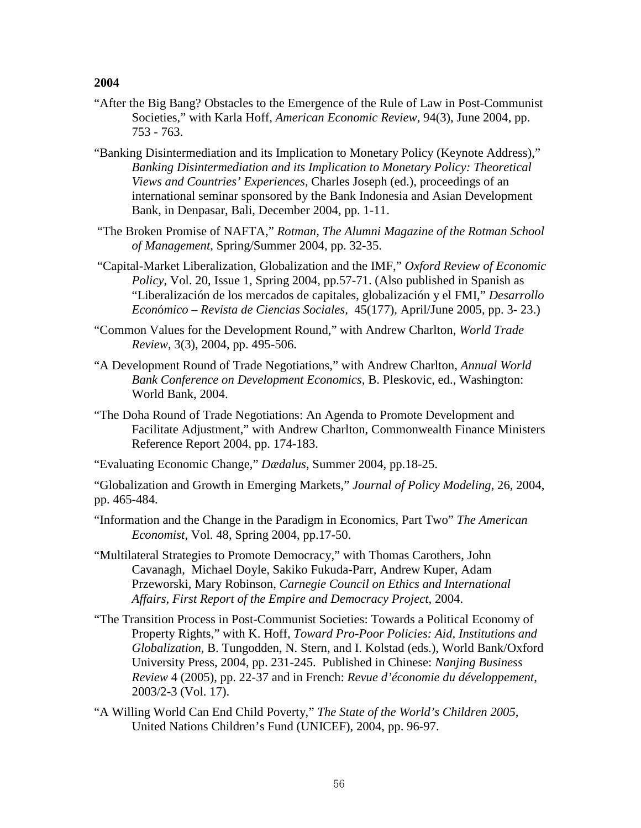- "After the Big Bang? Obstacles to the Emergence of the Rule of Law in Post-Communist Societies," with Karla Hoff, *American Economic Review*, 94(3), June 2004, pp. 753 - 763.
- "Banking Disintermediation and its Implication to Monetary Policy (Keynote Address)," *Banking Disintermediation and its Implication to Monetary Policy: Theoretical Views and Countries' Experiences,* Charles Joseph (ed.), proceedings of an international seminar sponsored by the Bank Indonesia and Asian Development Bank, in Denpasar, Bali, December 2004, pp. 1-11.
- "The Broken Promise of NAFTA," *Rotman, The Alumni Magazine of the Rotman School of Management*, Spring/Summer 2004, pp. 32-35.
- "Capital-Market Liberalization, Globalization and the IMF," *Oxford Review of Economic Policy*, Vol. 20, Issue 1, Spring 2004, pp.57-71. (Also published in Spanish as "Liberalización de los mercados de capitales, globalización y el FMI," *Desarrollo Econ*ó*mico – Revista de Ciencias Sociales,* 45(177), April/June 2005, pp. 3- 23.)
- "Common Values for the Development Round," with Andrew Charlton, *World Trade Review,* 3(3), 2004, pp. 495-506.
- "A Development Round of Trade Negotiations," with Andrew Charlton, *Annual World Bank Conference on Development Economics,* B. Pleskovic, ed., Washington: World Bank, 2004.
- "The Doha Round of Trade Negotiations: An Agenda to Promote Development and Facilitate Adjustment," with Andrew Charlton, Commonwealth Finance Ministers Reference Report 2004, pp. 174-183.

"Evaluating Economic Change," *Dædalus*, Summer 2004, pp.18-25.

"Globalization and Growth in Emerging Markets," *Journal of Policy Modeling*, 26, 2004, pp. 465-484.

- "Information and the Change in the Paradigm in Economics, Part Two" *The American Economist*, Vol. 48, Spring 2004, pp.17-50.
- "Multilateral Strategies to Promote Democracy," with Thomas Carothers, John Cavanagh, Michael Doyle, Sakiko Fukuda-Parr, Andrew Kuper, Adam Przeworski, Mary Robinson, *Carnegie Council on Ethics and International Affairs, First Report of the Empire and Democracy Project*, 2004.
- "The Transition Process in Post-Communist Societies: Towards a Political Economy of Property Rights," with K. Hoff, *Toward Pro-Poor Policies: Aid, Institutions and Globalization,* B. Tungodden, N. Stern, and I. Kolstad (eds.), World Bank/Oxford University Press, 2004, pp. 231-245. Published in Chinese: *Nanjing Business Review* 4 (2005), pp. 22-37 and in French: *Revue d'économie du développement*, 2003/2-3 (Vol. 17).
- "A Willing World Can End Child Poverty," *The State of the World's Children 2005*, United Nations Children's Fund (UNICEF), 2004, pp. 96-97.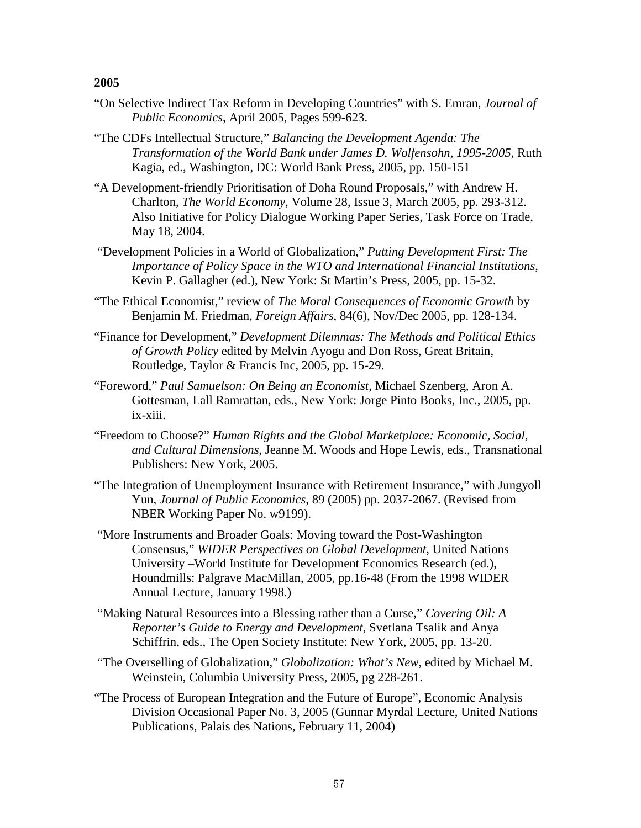- "On Selective Indirect Tax Reform in Developing Countries" with S. Emran, *Journal of Public Economics*, April 2005, Pages 599-623.
- "The CDFs Intellectual Structure," *Balancing the Development Agenda: The Transformation of the World Bank under James D. Wolfensohn, 1995-2005*, Ruth Kagia, ed., Washington, DC: World Bank Press, 2005, pp. 150-151
- "A Development-friendly Prioritisation of Doha Round Proposals," with Andrew H. Charlton, *The World Economy,* Volume 28, Issue 3, March 2005, pp. 293-312. Also Initiative for Policy Dialogue Working Paper Series, Task Force on Trade, May 18, 2004.
- "Development Policies in a World of Globalization," *Putting Development First: The Importance of Policy Space in the WTO and International Financial Institutions*, Kevin P. Gallagher (ed.), New York: St Martin's Press, 2005, pp. 15-32.
- "The Ethical Economist," review of *The Moral Consequences of Economic Growth* by Benjamin M. Friedman, *Foreign Affairs*, 84(6), Nov/Dec 2005, pp. 128-134.
- "Finance for Development," *Development Dilemmas: The Methods and Political Ethics of Growth Policy* edited by Melvin Ayogu and Don Ross, Great Britain, Routledge, Taylor & Francis Inc, 2005, pp. 15-29.
- "Foreword," *Paul Samuelson: On Being an Economist*, Michael Szenberg, Aron A. Gottesman, Lall Ramrattan, eds., New York: Jorge Pinto Books, Inc., 2005, pp. ix-xiii.
- "Freedom to Choose?" *Human Rights and the Global Marketplace: Economic, Social, and Cultural Dimensions,* Jeanne M. Woods and Hope Lewis, eds., Transnational Publishers: New York, 2005.
- "The Integration of Unemployment Insurance with Retirement Insurance," with Jungyoll Yun, *Journal of Public Economics,* 89 (2005) pp. 2037-2067. (Revised from NBER Working Paper No. w9199).
- "More Instruments and Broader Goals: Moving toward the Post-Washington Consensus," *WIDER Perspectives on Global Development*, United Nations University –World Institute for Development Economics Research (ed.), Houndmills: Palgrave MacMillan, 2005, pp.16-48 (From the 1998 WIDER Annual Lecture, January 1998.)
- "Making Natural Resources into a Blessing rather than a Curse," *Covering Oil: A Reporter's Guide to Energy and Development*, Svetlana Tsalik and Anya Schiffrin, eds., The Open Society Institute: New York, 2005, pp. 13-20.
- "The Overselling of Globalization," *Globalization: What's New*, edited by Michael M. Weinstein, Columbia University Press, 2005, pg 228-261.
- "The Process of European Integration and the Future of Europe", Economic Analysis Division Occasional Paper No. 3, 2005 (Gunnar Myrdal Lecture, United Nations Publications, Palais des Nations, February 11, 2004)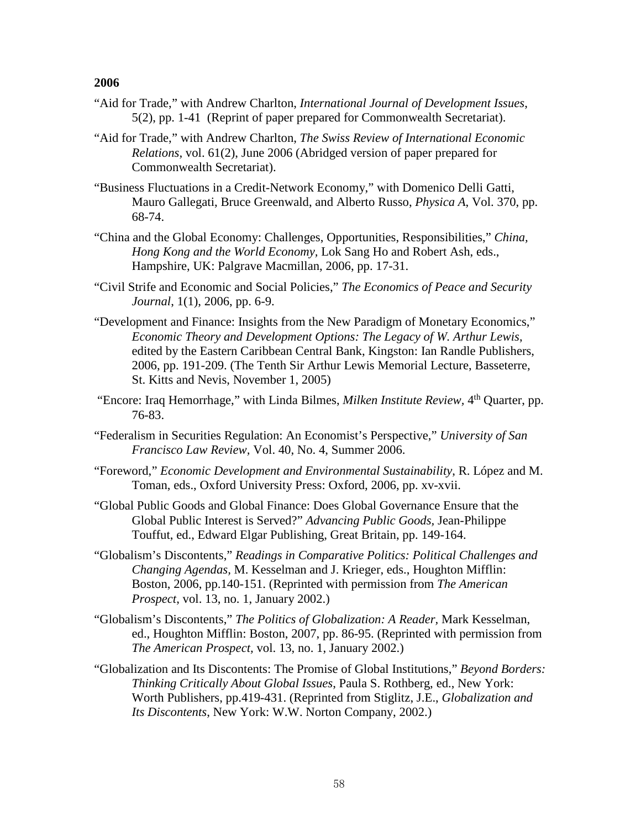- "Aid for Trade," with Andrew Charlton, *International Journal of Development Issues*, 5(2), pp. 1-41 (Reprint of paper prepared for Commonwealth Secretariat).
- "Aid for Trade," with Andrew Charlton, *The Swiss Review of International Economic Relations,* vol. 61(2), June 2006 (Abridged version of paper prepared for Commonwealth Secretariat).
- "Business Fluctuations in a Credit-Network Economy," with Domenico Delli Gatti, Mauro Gallegati, Bruce Greenwald, and Alberto Russo, *Physica A*, Vol. 370, pp. 68-74.
- "China and the Global Economy: Challenges, Opportunities, Responsibilities," *China, Hong Kong and the World Economy,* Lok Sang Ho and Robert Ash, eds., Hampshire, UK: Palgrave Macmillan, 2006, pp. 17-31.
- "Civil Strife and Economic and Social Policies," *The Economics of Peace and Security Journal*, 1(1), 2006, pp. 6-9.
- "Development and Finance: Insights from the New Paradigm of Monetary Economics," *Economic Theory and Development Options: The Legacy of W. Arthur Lewis*, edited by the Eastern Caribbean Central Bank, Kingston: Ian Randle Publishers, 2006, pp. 191-209. (The Tenth Sir Arthur Lewis Memorial Lecture, Basseterre, St. Kitts and Nevis, November 1, 2005)
- "Encore: Iraq Hemorrhage," with Linda Bilmes, *Milken Institute Review,* 4th Quarter, pp. 76-83.
- "Federalism in Securities Regulation: An Economist's Perspective," *University of San Francisco Law Review,* Vol. 40, No. 4, Summer 2006.
- "Foreword," *Economic Development and Environmental Sustainability*, R. López and M. Toman, eds., Oxford University Press: Oxford, 2006, pp. xv-xvii.
- "Global Public Goods and Global Finance: Does Global Governance Ensure that the Global Public Interest is Served?" *Advancing Public Goods,* Jean-Philippe Touffut, ed., Edward Elgar Publishing, Great Britain, pp. 149-164.
- "Globalism's Discontents," *Readings in Comparative Politics: Political Challenges and Changing Agendas,* M. Kesselman and J. Krieger, eds., Houghton Mifflin: Boston, 2006, pp.140-151. (Reprinted with permission from *The American Prospect*, vol. 13, no. 1, January 2002.)
- "Globalism's Discontents," *The Politics of Globalization: A Reader,* Mark Kesselman, ed., Houghton Mifflin: Boston, 2007, pp. 86-95. (Reprinted with permission from *The American Prospect,* vol. 13, no. 1, January 2002.)
- "Globalization and Its Discontents: The Promise of Global Institutions," *Beyond Borders: Thinking Critically About Global Issues*, Paula S. Rothberg, ed., New York: Worth Publishers, pp.419-431. (Reprinted from Stiglitz, J.E., *Globalization and Its Discontents*, New York: W.W. Norton Company, 2002.)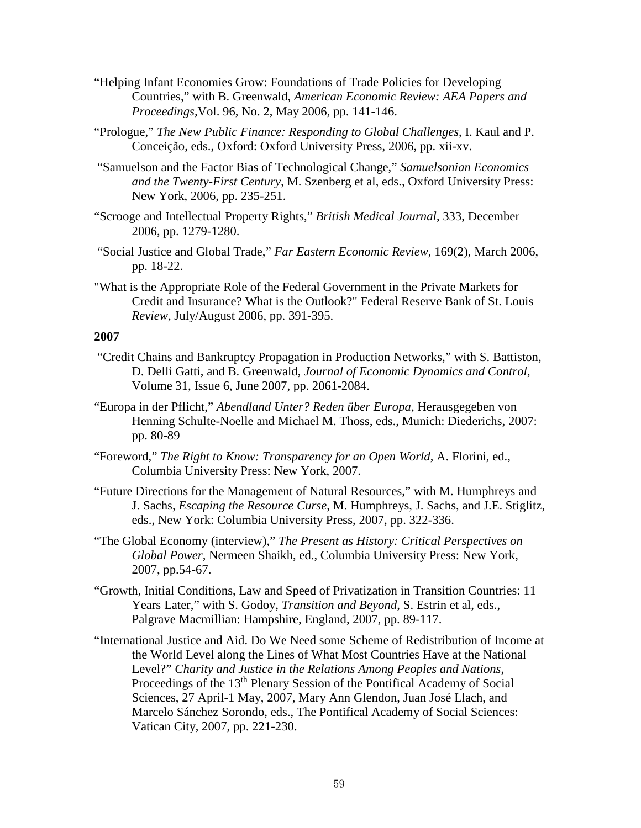- "Helping Infant Economies Grow: Foundations of Trade Policies for Developing Countries," with B. Greenwald, *American Economic Review: AEA Papers and Proceedings,*Vol. 96, No. 2, May 2006, pp. 141-146.
- "Prologue," *The New Public Finance: Responding to Global Challenges*, I. Kaul and P. Conceição, eds., Oxford: Oxford University Press, 2006, pp. xii-xv.
- "Samuelson and the Factor Bias of Technological Change," *Samuelsonian Economics and the Twenty-First Century,* M. Szenberg et al, eds., Oxford University Press: New York, 2006, pp. 235-251.
- "Scrooge and Intellectual Property Rights," *British Medical Journal*, 333, December 2006, pp. 1279-1280.
- "Social Justice and Global Trade," *Far Eastern Economic Review,* 169(2), March 2006, pp. 18-22.
- ["What is the Appropriate Role of the Federal Government in the Private Markets for](http://www2.gsb.columbia.edu/faculty/jstiglitz/download/2006_stlouisfed.pdf)  [Credit and Insurance? What is the Outlook?"](http://www2.gsb.columbia.edu/faculty/jstiglitz/download/2006_stlouisfed.pdf) Federal Reserve Bank of St. Louis *Review*, July/August 2006, pp. 391-395.

- ["Credit Chains and Bankruptcy Propagation in Production Networks,"](http://www2.gsb.columbia.edu/faculty/jstiglitz/download/2007_Credit_Chains.pdf) with S. Battiston, D. Delli Gatti, and B. Greenwald, *Journal of Economic Dynamics and Control*, Volume 31, Issue 6, June 2007, pp. 2061-2084.
- "Europa in der Pflicht," *Abendland Unter? Reden über Europa*, Herausgegeben von Henning Schulte-Noelle and Michael M. Thoss, eds., Munich: Diederichs, 2007: pp. 80-89
- "Foreword," *The Right to Know: Transparency for an Open World*, A. Florini, ed., Columbia University Press: New York, 2007.
- "Future Directions for the Management of Natural Resources," with M. Humphreys and J. Sachs, *Escaping the Resource Curse*, M. Humphreys, J. Sachs, and J.E. Stiglitz, eds., New York: Columbia University Press, 2007, pp. 322-336.
- "The Global Economy (interview)," *The Present as History: Critical Perspectives on Global Power,* Nermeen Shaikh, ed., Columbia University Press: New York, 2007, pp.54-67.
- "Growth, Initial Conditions, Law and Speed of Privatization in Transition Countries: 11 Years Later," with S. Godoy, *Transition and Beyond*, S. Estrin et al, eds., Palgrave Macmillian: Hampshire, England, 2007, pp. 89-117.
- "International Justice and Aid. Do We Need some Scheme of Redistribution of Income at the World Level along the Lines of What Most Countries Have at the National Level?" *Charity and Justice in the Relations Among Peoples and Nations*, Proceedings of the 13<sup>th</sup> Plenary Session of the Pontifical Academy of Social Sciences, 27 April-1 May, 2007, Mary Ann Glendon, Juan José Llach, and Marcelo Sánchez Sorondo, eds., The Pontifical Academy of Social Sciences: Vatican City, 2007, pp. 221-230.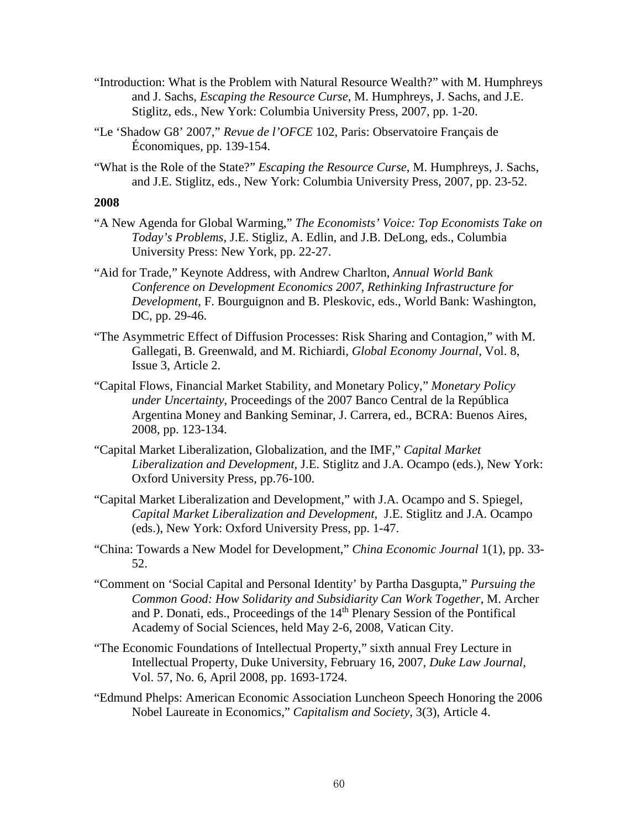- "Introduction: What is the Problem with Natural Resource Wealth?" with M. Humphreys and J. Sachs, *Escaping the Resource Curse*, M. Humphreys, J. Sachs, and J.E. Stiglitz, eds., New York: Columbia University Press, 2007, pp. 1-20.
- "Le 'Shadow G8' 2007," *Revue de l'OFCE* 102, Paris: Observatoire Français de Économiques, pp. 139-154.
- "What is the Role of the State?" *Escaping the Resource Curse*, M. Humphreys, J. Sachs, and J.E. Stiglitz, eds., New York: Columbia University Press, 2007, pp. 23-52.

- "A New Agenda for Global Warming," *The Economists' Voice: Top Economists Take on Today's Problems*, J.E. Stigliz, A. Edlin, and J.B. DeLong, eds., Columbia University Press: New York, pp. 22-27.
- "Aid for Trade," Keynote Address, with Andrew Charlton, *Annual World Bank Conference on Development Economics 2007, Rethinking Infrastructure for Development*, F. Bourguignon and B. Pleskovic, eds., World Bank: Washington, DC, pp. 29-46.
- "The Asymmetric Effect of Diffusion Processes: Risk Sharing and Contagion," with M. Gallegati, B. Greenwald, and M. Richiardi, *Global Economy Journal*, Vol. 8, Issue 3, Article 2.
- "Capital Flows, Financial Market Stability, and Monetary Policy," *Monetary Policy under Uncertainty*, Proceedings of the 2007 Banco Central de la República Argentina Money and Banking Seminar, J. Carrera, ed., BCRA: Buenos Aires, 2008, pp. 123-134.
- "Capital Market Liberalization, Globalization, and the IMF," *Capital Market Liberalization and Development*, J.E. Stiglitz and J.A. Ocampo (eds.), New York: Oxford University Press, pp.76-100.
- "Capital Market Liberalization and Development," with J.A. Ocampo and S. Spiegel, *Capital Market Liberalization and Development,* J.E. Stiglitz and J.A. Ocampo (eds.), New York: Oxford University Press, pp. 1-47.
- "China: Towards a New Model for Development," *China Economic Journal* 1(1), pp. 33- 52.
- "Comment on 'Social Capital and Personal Identity' by Partha Dasgupta," *Pursuing the Common Good: How Solidarity and Subsidiarity Can Work Together*, M. Archer and P. Donati, eds., Proceedings of the 14th Plenary Session of the Pontifical Academy of Social Sciences, held May 2-6, 2008, Vatican City.
- "The Economic Foundations of Intellectual Property," sixth annual Frey Lecture in Intellectual Property, Duke University, February 16, 2007, *Duke Law Journal*, Vol. 57, No. 6, April 2008, pp. 1693-1724.
- "Edmund Phelps: American Economic Association Luncheon Speech Honoring the 2006 Nobel Laureate in Economics," *Capitalism and Society*, 3(3), Article 4.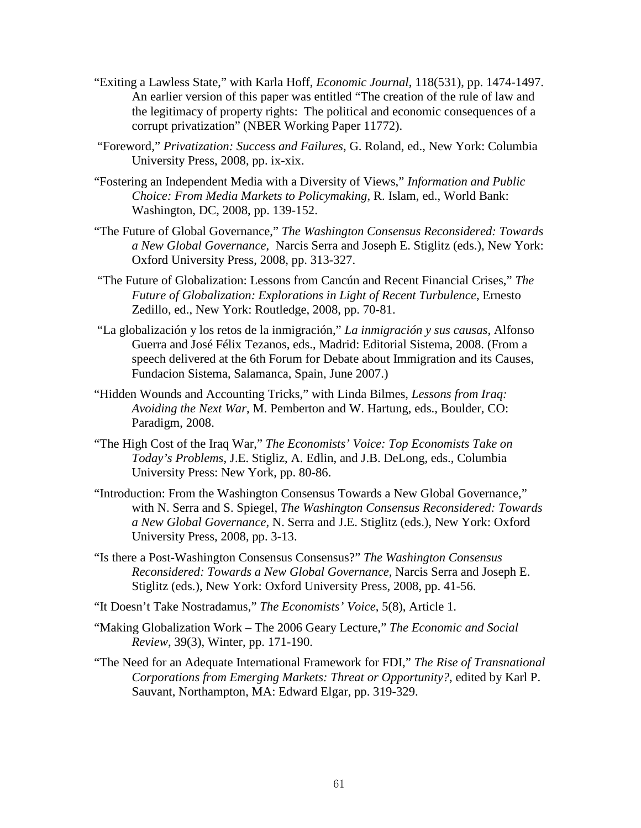- "Exiting a Lawless State," with Karla Hoff, *Economic Journal*, 118(531), pp. 1474-1497. An earlier version of this paper was entitled "The creation of the rule of law and the legitimacy of property rights: The political and economic consequences of a corrupt privatization" (NBER Working Paper 11772).
- "Foreword," *Privatization: Success and Failures*, G. Roland, ed., New York: Columbia University Press, 2008, pp. ix-xix.
- "Fostering an Independent Media with a Diversity of Views," *Information and Public Choice: From Media Markets to Policymaking*, R. Islam, ed., World Bank: Washington, DC, 2008, pp. 139-152.
- "The Future of Global Governance," *The Washington Consensus Reconsidered: Towards a New Global Governance*, Narcis Serra and Joseph E. Stiglitz (eds.), New York: Oxford University Press, 2008, pp. 313-327.
- "The Future of Globalization: Lessons from Cancún and Recent Financial Crises," *The Future of Globalization: Explorations in Light of Recent Turbulence*, Ernesto Zedillo, ed., New York: Routledge, 2008, pp. 70-81.
- "La globalización y los retos de la inmigración," *La inmigración y sus causas*, Alfonso Guerra and José Félix Tezanos, eds., Madrid: Editorial Sistema, 2008. (From a speech delivered at the 6th Forum for Debate about Immigration and its Causes, Fundacion Sistema, Salamanca, Spain, June 2007.)
- "Hidden Wounds and Accounting Tricks," with Linda Bilmes, *Lessons from Iraq: Avoiding the Next War*, M. Pemberton and W. Hartung, eds., Boulder, CO: Paradigm, 2008.
- "The High Cost of the Iraq War," *The Economists' Voice: Top Economists Take on Today's Problems*, J.E. Stigliz, A. Edlin, and J.B. DeLong, eds., Columbia University Press: New York, pp. 80-86.
- "Introduction: From the Washington Consensus Towards a New Global Governance," with N. Serra and S. Spiegel, *The Washington Consensus Reconsidered: Towards a New Global Governance*, N. Serra and J.E. Stiglitz (eds.), New York: Oxford University Press, 2008, pp. 3-13.
- "Is there a Post-Washington Consensus Consensus?" *The Washington Consensus Reconsidered: Towards a New Global Governance*, Narcis Serra and Joseph E. Stiglitz (eds.), New York: Oxford University Press, 2008, pp. 41-56.
- "It Doesn't Take Nostradamus," *The Economists' Voice*, 5(8), Article 1.
- "Making Globalization Work The 2006 Geary Lecture," *The Economic and Social Review*, 39(3), Winter, pp. 171-190.
- "The Need for an Adequate International Framework for FDI," *The Rise of Transnational Corporations from Emerging Markets: Threat or Opportunity?*, edited by Karl P. Sauvant, Northampton, MA: Edward Elgar, pp. 319-329.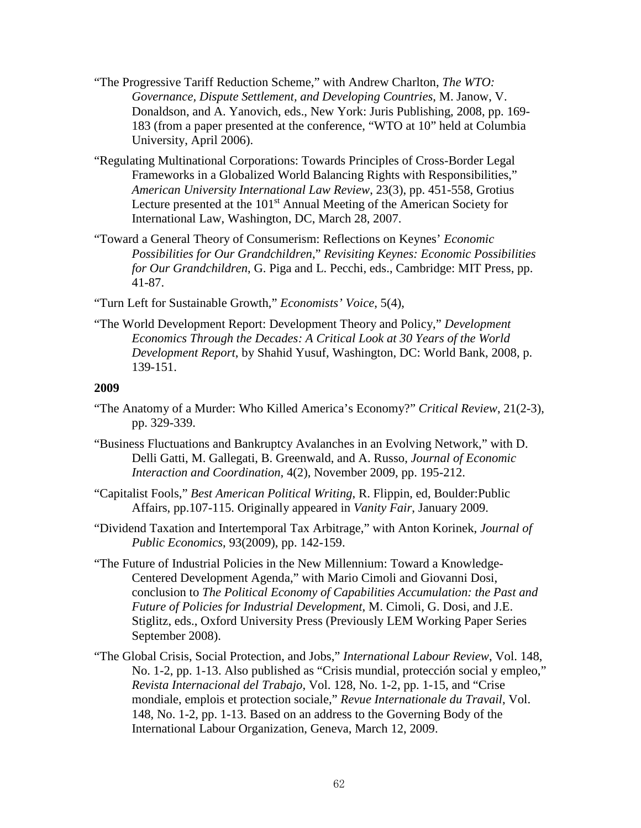- "The Progressive Tariff Reduction Scheme," with Andrew Charlton, *The WTO: Governance, Dispute Settlement, and Developing Countries*, M. Janow, V. Donaldson, and A. Yanovich, eds., New York: Juris Publishing, 2008, pp. 169- 183 (from a paper presented at the conference, "WTO at 10" held at Columbia University, April 2006).
- "Regulating Multinational Corporations: Towards Principles of Cross-Border Legal Frameworks in a Globalized World Balancing Rights with Responsibilities," *American University International Law Review*, 23(3), pp. 451-558, Grotius Lecture presented at the 101<sup>st</sup> Annual Meeting of the American Society for International Law, Washington, DC, March 28, 2007.
- "Toward a General Theory of Consumerism: Reflections on Keynes' *Economic Possibilities for Our Grandchildren*," *Revisiting Keynes: Economic Possibilities for Our Grandchildren*, G. Piga and L. Pecchi, eds., Cambridge: MIT Press, pp. 41-87.

"Turn Left for Sustainable Growth," *Economists' Voice*, 5(4),

"The World Development Report: Development Theory and Policy," *Development Economics Through the Decades: A Critical Look at 30 Years of the World Development Report*, by Shahid Yusuf, Washington, DC: World Bank, 2008, p. 139-151.

- "The Anatomy of a Murder: Who Killed America's Economy?" *Critical Review*, 21(2-3), pp. 329-339.
- "Business Fluctuations and Bankruptcy Avalanches in an Evolving Network," with D. Delli Gatti, M. Gallegati, B. Greenwald, and A. Russo, *Journal of Economic Interaction and Coordination,* 4(2), November 2009, pp. 195-212.
- "Capitalist Fools," *Best American Political Writing*, R. Flippin, ed, Boulder:Public Affairs, pp.107-115. Originally appeared in *Vanity Fair*, January 2009.
- "Dividend Taxation and Intertemporal Tax Arbitrage," with Anton Korinek, *Journal of Public Economics*, 93(2009), pp. 142-159.
- "The Future of Industrial Policies in the New Millennium: Toward a Knowledge-Centered Development Agenda," with Mario Cimoli and Giovanni Dosi, conclusion to *The Political Economy of Capabilities Accumulation: the Past and Future of Policies for Industrial Development*, M. Cimoli, G. Dosi, and J.E. Stiglitz, eds., Oxford University Press (Previously LEM Working Paper Series September 2008).
- "The Global Crisis, Social Protection, and Jobs," *International Labour Review*, Vol. 148, No. 1-2, pp. 1-13. Also published as "Crisis mundial, protección social y empleo," *Revista Internacional del Trabajo*, Vol. 128, No. 1-2, pp. 1-15, and "Crise mondiale, emplois et protection sociale," *Revue Internationale du Travail*, Vol. 148, No. 1-2, pp. 1-13. Based on an address to the Governing Body of the International Labour Organization, Geneva, March 12, 2009.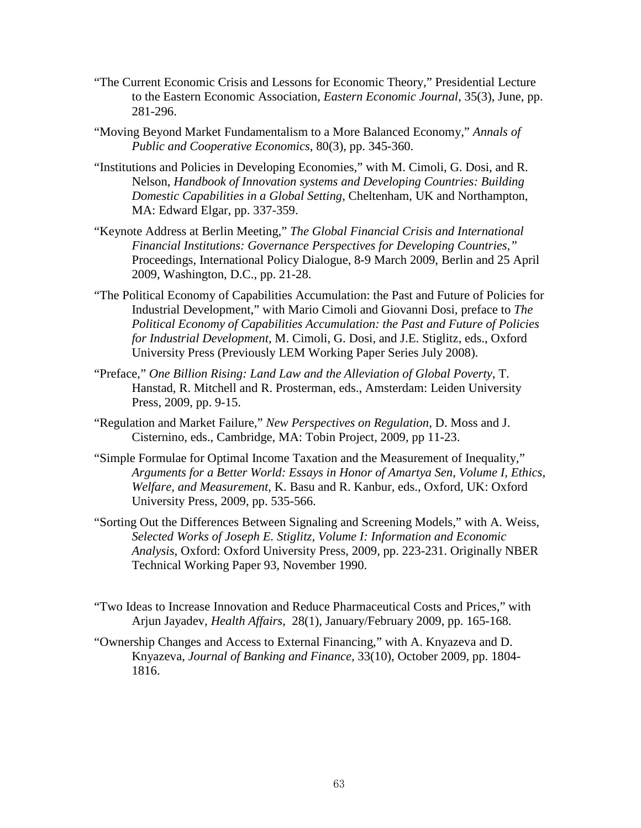- "The Current Economic Crisis and Lessons for Economic Theory," Presidential Lecture to the Eastern Economic Association, *Eastern Economic Journal*, 35(3), June, pp. 281-296.
- "Moving Beyond Market Fundamentalism to a More Balanced Economy," *Annals of Public and Cooperative Economics*, 80(3), pp. 345-360.
- "Institutions and Policies in Developing Economies," with M. Cimoli, G. Dosi, and R. Nelson, *Handbook of Innovation systems and Developing Countries: Building Domestic Capabilities in a Global Setting*, Cheltenham, UK and Northampton, MA: Edward Elgar, pp. 337-359.
- "Keynote Address at Berlin Meeting," *The Global Financial Crisis and International Financial Institutions: Governance Perspectives for Developing Countries,"* Proceedings, International Policy Dialogue, 8-9 March 2009, Berlin and 25 April 2009, Washington, D.C., pp. 21-28.
- "The Political Economy of Capabilities Accumulation: the Past and Future of Policies for Industrial Development," with Mario Cimoli and Giovanni Dosi, preface to *The Political Economy of Capabilities Accumulation: the Past and Future of Policies for Industrial Development*, M. Cimoli, G. Dosi, and J.E. Stiglitz, eds., Oxford University Press (Previously LEM Working Paper Series July 2008).
- "Preface," *One Billion Rising: Land Law and the Alleviation of Global Poverty*, T. Hanstad, R. Mitchell and R. Prosterman, eds., Amsterdam: Leiden University Press, 2009, pp. 9-15.
- "Regulation and Market Failure," *New Perspectives on Regulation*, D. Moss and J. Cisternino, eds., Cambridge, MA: Tobin Project, 2009, pp 11-23.
- "Simple Formulae for Optimal Income Taxation and the Measurement of Inequality," *Arguments for a Better World: Essays in Honor of Amartya Sen, Volume I, Ethics, Welfare, and Measurement*, K. Basu and R. Kanbur, eds., Oxford, UK: Oxford University Press, 2009, pp. 535-566.
- "Sorting Out the Differences Between Signaling and Screening Models," with A. Weiss, *Selected Works of Joseph E. Stiglitz, Volume I: Information and Economic Analysis*, Oxford: Oxford University Press, 2009, pp. 223-231. Originally NBER Technical Working Paper 93, November 1990.
- "Two Ideas to Increase Innovation and Reduce Pharmaceutical Costs and Prices," with Arjun Jayadev, *Health Affairs*, 28(1), January/February 2009, pp. 165-168.
- "Ownership Changes and Access to External Financing," with A. Knyazeva and D. Knyazeva, *Journal of Banking and Finance,* 33(10), October 2009, pp. 1804- 1816.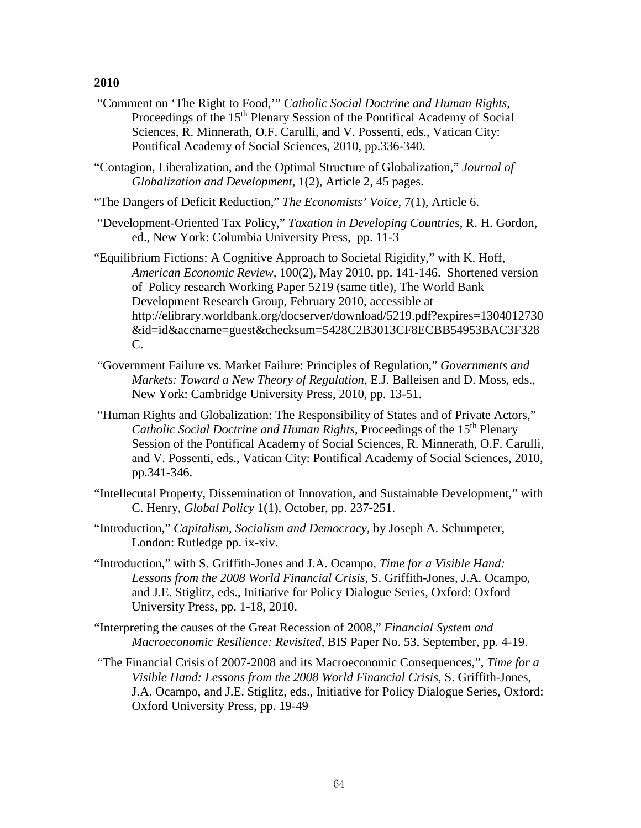"Comment on 'The Right to Food,'" *Catholic Social Doctrine and Human Rights*, Proceedings of the 15<sup>th</sup> Plenary Session of the Pontifical Academy of Social Sciences, R. Minnerath, O.F. Carulli, and V. Possenti, eds., Vatican City: Pontifical Academy of Social Sciences, 2010, pp.336-340.

"Contagion, Liberalization, and the Optimal Structure of Globalization," *Journal of Globalization and Development,* 1(2), Article 2, 45 pages.

"The Dangers of Deficit Reduction," *The Economists' Voice*, 7(1), Article 6.

- "Development-Oriented Tax Policy," *Taxation in Developing Countries*, R. H. Gordon, ed., New York: Columbia University Press, pp. 11-3
- "Equilibrium Fictions: A Cognitive Approach to Societal Rigidity," with K. Hoff, *American Economic Review,* 100(2), May 2010, pp. 141-146. Shortened version of Policy research Working Paper 5219 (same title), The World Bank Development Research Group, February 2010, accessible at http://elibrary.worldbank.org/docserver/download/5219.pdf?expires=1304012730 &id=id&accname=guest&checksum=5428C2B3013CF8ECBB54953BAC3F328 C.
- "Government Failure vs. Market Failure: Principles of Regulation," *Governments and Markets: Toward a New Theory of Regulation*, E.J. Balleisen and D. Moss, eds., New York: Cambridge University Press, 2010, pp. 13-51.
- "Human Rights and Globalization: The Responsibility of States and of Private Actors," *Catholic Social Doctrine and Human Rights*, Proceedings of the 15<sup>th</sup> Plenary Session of the Pontifical Academy of Social Sciences, R. Minnerath, O.F. Carulli, and V. Possenti, eds., Vatican City: Pontifical Academy of Social Sciences, 2010, pp.341-346.
- "Intellecutal Property, Dissemination of Innovation, and Sustainable Development," with C. Henry, *Global Policy* 1(1), October, pp. 237-251.
- "Introduction," *Capitalism, Socialism and Democracy,* by Joseph A. Schumpeter, London: Rutledge pp. ix-xiv.
- "Introduction," with S. Griffith-Jones and J.A. Ocampo, *Time for a Visible Hand: Lessons from the 2008 World Financial Crisis*, S. Griffith-Jones, J.A. Ocampo, and J.E. Stiglitz, eds., Initiative for Policy Dialogue Series, Oxford: Oxford University Press, pp. 1-18, 2010.
- "Interpreting the causes of the Great Recession of 2008," *Financial System and Macroeconomic Resilience: Revisited*, BIS Paper No. 53, September, pp. 4-19.
- "The Financial Crisis of 2007-2008 and its Macroeconomic Consequences,", *Time for a Visible Hand: Lessons from the 2008 World Financial Crisis*, S. Griffith-Jones, J.A. Ocampo, and J.E. Stiglitz, eds., Initiative for Policy Dialogue Series, Oxford: Oxford University Press, pp. 19-49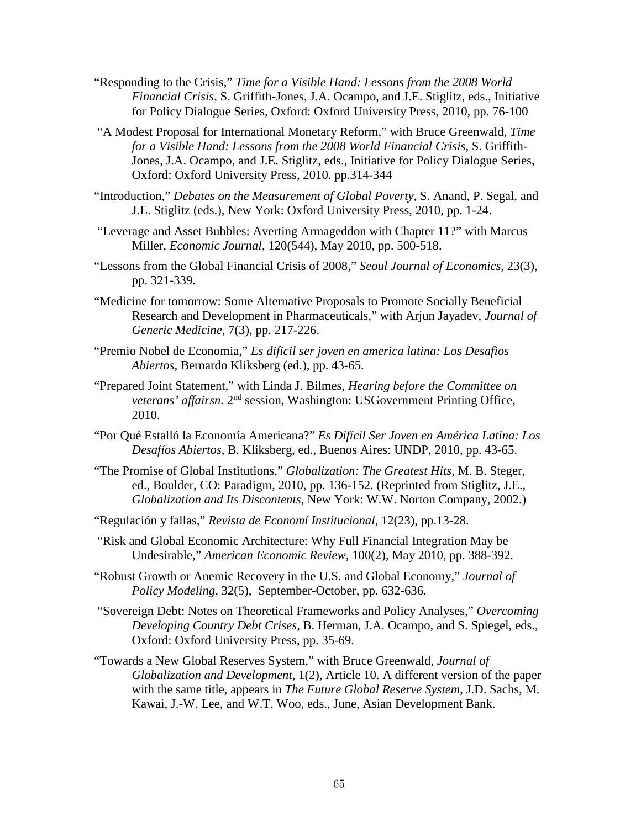- "Responding to the Crisis," *Time for a Visible Hand: Lessons from the 2008 World Financial Crisis*, S. Griffith-Jones, J.A. Ocampo, and J.E. Stiglitz, eds., Initiative for Policy Dialogue Series, Oxford: Oxford University Press, 2010, pp. 76-100
- "A Modest Proposal for International Monetary Reform," with Bruce Greenwald, *Time for a Visible Hand: Lessons from the 2008 World Financial Crisis*, S. Griffith-Jones, J.A. Ocampo, and J.E. Stiglitz, eds., Initiative for Policy Dialogue Series, Oxford: Oxford University Press, 2010. pp.314-344
- "Introduction," *Debates on the Measurement of Global Poverty,* S. Anand, P. Segal, and J.E. Stiglitz (eds.), New York: Oxford University Press, 2010, pp. 1-24.
- "Leverage and Asset Bubbles: Averting Armageddon with Chapter 11?" with Marcus Miller, *Economic Journal*, 120(544), May 2010, pp. 500-518.
- "Lessons from the Global Financial Crisis of 2008," *Seoul Journal of Economics*, 23(3), pp. 321-339.
- "Medicine for tomorrow: Some Alternative Proposals to Promote Socially Beneficial Research and Development in Pharmaceuticals," with Arjun Jayadev, *Journal of Generic Medicine*, 7(3), pp. 217-226.
- "Premio Nobel de Economia," *Es dificil ser joven en america latina: Los Desafios Abiertos,* Bernardo Kliksberg (ed.), pp. 43-65.
- "Prepared Joint Statement," with Linda J. Bilmes, *Hearing before the Committee on veterans' affairsn.* 2nd session, Washington: USGovernment Printing Office, 2010.
- "Por Qué Estalló la Economía Americana?" *Es Difícil Ser Joven en América Latina: Los Desafíos Abiertos*, B. Kliksberg, ed., Buenos Aires: UNDP, 2010, pp. 43-65.
- "The Promise of Global Institutions," *Globalization: The Greatest Hits,* M. B. Steger, ed., Boulder, CO: Paradigm, 2010, pp. 136-152. (Reprinted from Stiglitz, J.E., *Globalization and Its Discontents*, New York: W.W. Norton Company, 2002.)
- "Regulación y fallas," *Revista de Economí Institucional*, 12(23), pp.13-28.
- "Risk and Global Economic Architecture: Why Full Financial Integration May be Undesirable," *American Economic Review*, 100(2), May 2010, pp. 388-392.
- "Robust Growth or Anemic Recovery in the U.S. and Global Economy," *Journal of Policy Modeling*, 32(5), September-October, pp. 632-636.
- "Sovereign Debt: Notes on Theoretical Frameworks and Policy Analyses," *Overcoming Developing Country Debt Crises,* B. Herman, J.A. Ocampo, and S. Spiegel, eds., Oxford: Oxford University Press, pp. 35-69.
- "Towards a New Global Reserves System," with Bruce Greenwald, *Journal of Globalization and Development*, 1(2), Article 10. A different version of the paper with the same title, appears in *The Future Global Reserve System*, J.D. Sachs, M. Kawai, J.-W. Lee, and W.T. Woo, eds., June, Asian Development Bank.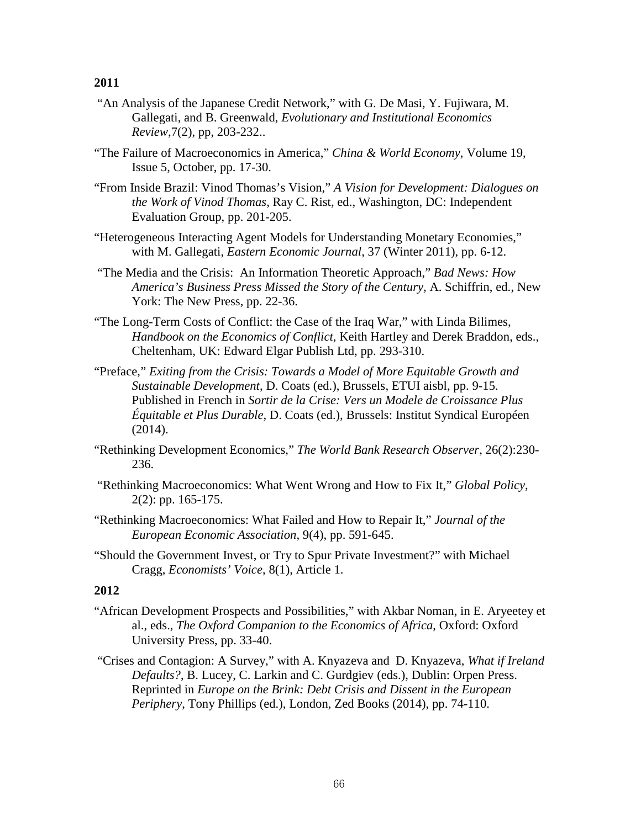- "An Analysis of the Japanese Credit Network," with G. De Masi, Y. Fujiwara, M. Gallegati, and B. Greenwald, *Evolutionary and Institutional Economics Review*,7(2), pp, 203-232..
- "The Failure of Macroeconomics in America," *China & World Economy*, Volume 19, Issue 5, October, pp. 17-30.
- "From Inside Brazil: Vinod Thomas's Vision," *A Vision for Development: Dialogues on the Work of Vinod Thomas*, Ray C. Rist, ed., Washington, DC: Independent Evaluation Group, pp. 201-205.
- "Heterogeneous Interacting Agent Models for Understanding Monetary Economies," with M. Gallegati, *Eastern Economic Journal*, 37 (Winter 2011), pp. 6-12.
- "The Media and the Crisis: An Information Theoretic Approach," *Bad News: How America's Business Press Missed the Story of the Century,* A. Schiffrin, ed., New York: The New Press, pp. 22-36.
- "The Long-Term Costs of Conflict: the Case of the Iraq War," with Linda Bilimes, *Handbook on the Economics of Conflict*, Keith Hartley and Derek Braddon, eds., Cheltenham, UK: Edward Elgar Publish Ltd, pp. 293-310.
- "Preface," *Exiting from the Crisis: Towards a Model of More Equitable Growth and Sustainable Development*, D. Coats (ed.), Brussels, ETUI aisbl, pp. 9-15. Published in French in *Sortir de la Crise: Vers un Modele de Croissance Plus Équitable et Plus Durable*, D. Coats (ed.), Brussels: Institut Syndical Européen (2014).
- "Rethinking Development Economics," *The World Bank Research Observer*, 26(2):230- 236.
- "Rethinking Macroeconomics: What Went Wrong and How to Fix It," *Global Policy*, 2(2): pp. 165-175.
- "Rethinking Macroeconomics: What Failed and How to Repair It," *Journal of the European Economic Association*, 9(4), pp. 591-645.
- "Should the Government Invest, or Try to Spur Private Investment?" with Michael Cragg, *Economists' Voice*, 8(1), Article 1.

- "African Development Prospects and Possibilities," with Akbar Noman, in E. Aryeetey et al., eds., *The Oxford Companion to the Economics of Africa*, Oxford: Oxford University Press, pp. 33-40.
- "Crises and Contagion: A Survey," with A. Knyazeva and D. Knyazeva, *What if Ireland Defaults?*, B. Lucey, C. Larkin and C. Gurdgiev (eds.), Dublin: Orpen Press. Reprinted in *Europe on the Brink: Debt Crisis and Dissent in the European Periphery*, Tony Phillips (ed.), London, Zed Books (2014), pp. 74-110.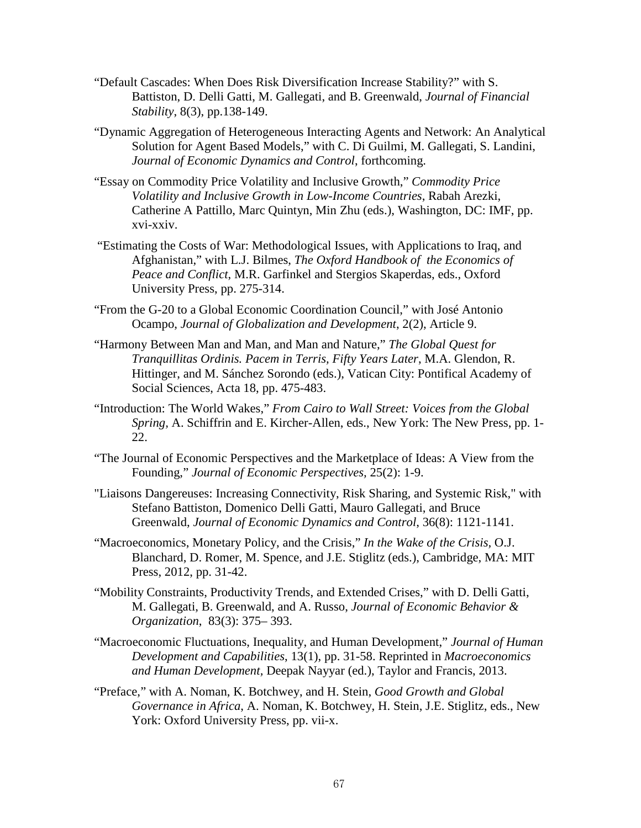- "Default Cascades: When Does Risk Diversification Increase Stability?" with S. Battiston, D. Delli Gatti, M. Gallegati, and B. Greenwald, *Journal of Financial Stability*, 8(3), pp.138-149.
- "Dynamic Aggregation of Heterogeneous Interacting Agents and Network: An Analytical Solution for Agent Based Models," with C. Di Guilmi, M. Gallegati, S. Landini, *Journal of Economic Dynamics and Control*, forthcoming.
- "Essay on Commodity Price Volatility and Inclusive Growth," *Commodity Price Volatility and Inclusive Growth in Low-Income Countries*, Rabah Arezki, Catherine A Pattillo, Marc Quintyn, Min Zhu (eds.), Washington, DC: IMF, pp. xvi-xxiv.
- "Estimating the Costs of War: Methodological Issues, with Applications to Iraq, and Afghanistan," with L.J. Bilmes, *The Oxford Handbook of the Economics of Peace and Conflict*, M.R. Garfinkel and Stergios Skaperdas, eds., Oxford University Press, pp. 275-314.
- "From the G-20 to a Global Economic Coordination Council," with José Antonio Ocampo, *Journal of Globalization and Development*, 2(2), Article 9.
- "Harmony Between Man and Man, and Man and Nature," *The Global Quest for Tranquillitas Ordinis. Pacem in Terris, Fifty Years Later*, M.A. Glendon, R. Hittinger, and M. Sánchez Sorondo (eds.), Vatican City: Pontifical Academy of Social Sciences, Acta 18, pp. 475-483.
- "Introduction: The World Wakes," *From Cairo to Wall Street: Voices from the Global Spring,* A. Schiffrin and E. Kircher-Allen, eds., New York: The New Press, pp. 1- 22.
- "The Journal of Economic Perspectives and the Marketplace of Ideas: A View from the Founding," *Journal of Economic Perspectives,* 25(2): 1-9.
- "Liaisons Dangereuses: Increasing Connectivity, Risk Sharing, and Systemic Risk," with Stefano Battiston, Domenico Delli Gatti, Mauro Gallegati, and Bruce Greenwald, *Journal of Economic Dynamics and Control*, 36(8): 1121-1141.
- "Macroeconomics, Monetary Policy, and the Crisis," *In the Wake of the Crisis,* O.J. Blanchard, D. Romer, M. Spence, and J.E. Stiglitz (eds.), Cambridge, MA: MIT Press, 2012, pp. 31-42.
- "Mobility Constraints, Productivity Trends, and Extended Crises," with D. Delli Gatti, M. Gallegati, B. Greenwald, and A. Russo, *Journal of Economic Behavior & Organization*, 83(3): 375– 393.
- "Macroeconomic Fluctuations, Inequality, and Human Development," *Journal of Human Development and Capabilities*, 13(1), pp. 31-58. Reprinted in *Macroeconomics and Human Development,* Deepak Nayyar (ed.), Taylor and Francis, 2013.
- "Preface," with A. Noman, K. Botchwey, and H. Stein, *Good Growth and Global Governance in Africa*, A. Noman, K. Botchwey, H. Stein, J.E. Stiglitz, eds., New York: Oxford University Press, pp. vii-x.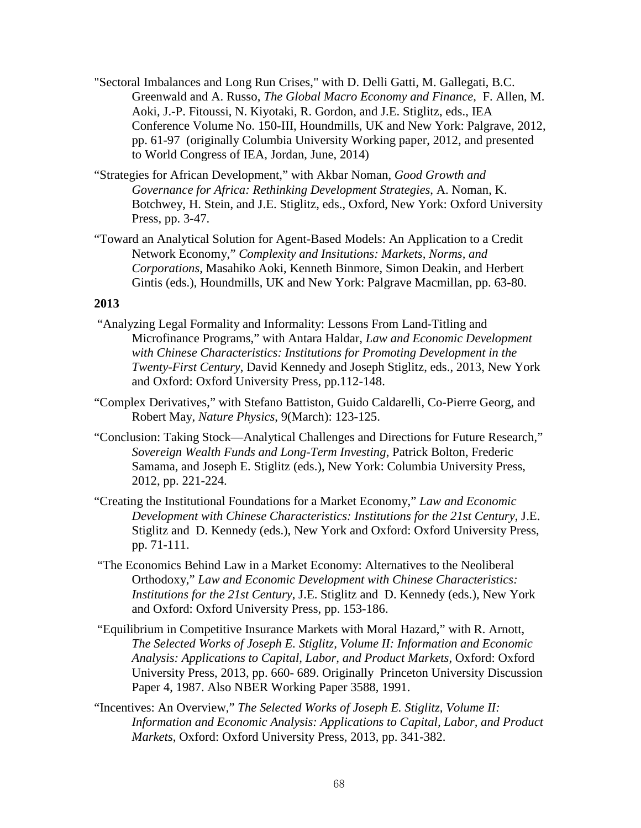- "Sectoral Imbalances and Long Run Crises," with D. Delli Gatti, M. Gallegati, B.C. Greenwald and A. Russo, *The Global Macro Economy and Finance*, F. Allen, M. Aoki, J.-P. Fitoussi, N. Kiyotaki, R. Gordon, and J.E. Stiglitz, eds., IEA Conference Volume No. 150-III, Houndmills, UK and New York: Palgrave, 2012, pp. 61-97 (originally Columbia University Working paper, 2012, and presented to World Congress of IEA, Jordan, June, 2014)
- "Strategies for African Development," with Akbar Noman, *Good Growth and Governance for Africa: Rethinking Development Strategies*, A. Noman, K. Botchwey, H. Stein, and J.E. Stiglitz, eds., Oxford, New York: Oxford University Press, pp. 3-47.
- "Toward an Analytical Solution for Agent-Based Models: An Application to a Credit Network Economy," *Complexity and Insitutions: Markets, Norms, and Corporations*, Masahiko Aoki, Kenneth Binmore, Simon Deakin, and Herbert Gintis (eds.), Houndmills, UK and New York: Palgrave Macmillan, pp. 63-80.

- "Analyzing Legal Formality and Informality: Lessons From Land-Titling and Microfinance Programs," with Antara Haldar, *Law and Economic Development with Chinese Characteristics: Institutions for Promoting Development in the Twenty-First Century*, David Kennedy and Joseph Stiglitz, eds., 2013, New York and Oxford: Oxford University Press, pp.112-148.
- "Complex Derivatives," with Stefano Battiston, Guido Caldarelli, Co-Pierre Georg, and Robert May, *Nature Physics*, 9(March): 123-125.
- "Conclusion: Taking Stock—Analytical Challenges and Directions for Future Research," *Sovereign Wealth Funds and Long-Term Investing*, Patrick Bolton, Frederic Samama, and Joseph E. Stiglitz (eds.), New York: Columbia University Press, 2012, pp. 221-224.
- "Creating the Institutional Foundations for a Market Economy," *Law and Economic Development with Chinese Characteristics: Institutions for the 21st Century*, J.E. Stiglitz and D. Kennedy (eds.), New York and Oxford: Oxford University Press, pp. 71-111.
- "The Economics Behind Law in a Market Economy: Alternatives to the Neoliberal Orthodoxy," *Law and Economic Development with Chinese Characteristics: Institutions for the 21st Century*, J.E. Stiglitz and D. Kennedy (eds.), New York and Oxford: Oxford University Press, pp. 153-186.
- "Equilibrium in Competitive Insurance Markets with Moral Hazard," with R. Arnott, *The Selected Works of Joseph E. Stiglitz, Volume II: Information and Economic Analysis: Applications to Capital, Labor, and Product Markets*, Oxford: Oxford University Press, 2013, pp. 660- 689. Originally Princeton University Discussion Paper 4, 1987. Also NBER Working Paper 3588, 1991.
- "Incentives: An Overview," *The Selected Works of Joseph E. Stiglitz, Volume II: Information and Economic Analysis: Applications to Capital, Labor, and Product Markets*, Oxford: Oxford University Press, 2013, pp. 341-382.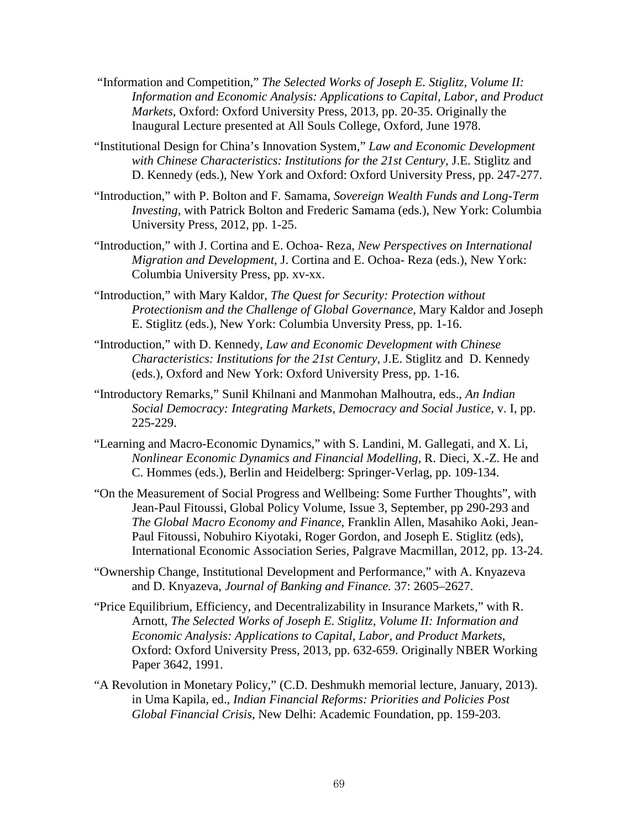- "Information and Competition," *The Selected Works of Joseph E. Stiglitz, Volume II: Information and Economic Analysis: Applications to Capital, Labor, and Product Markets*, Oxford: Oxford University Press, 2013, pp. 20-35. Originally the Inaugural Lecture presented at All Souls College, Oxford, June 1978.
- "Institutional Design for China's Innovation System," *Law and Economic Development with Chinese Characteristics: Institutions for the 21st Century*, J.E. Stiglitz and D. Kennedy (eds.), New York and Oxford: Oxford University Press, pp. 247-277.
- "Introduction," with P. Bolton and F. Samama, *Sovereign Wealth Funds and Long-Term Investing*, with Patrick Bolton and Frederic Samama (eds.), New York: Columbia University Press, 2012, pp. 1-25.
- "Introduction," with J. Cortina and E. Ochoa- Reza, *New Perspectives on International Migration and Development*, J. Cortina and E. Ochoa- Reza (eds.), New York: Columbia University Press, pp. xv-xx.
- "Introduction," with Mary Kaldor, *The Quest for Security: Protection without Protectionism and the Challenge of Global Governance*, Mary Kaldor and Joseph E. Stiglitz (eds.), New York: Columbia Unversity Press, pp. 1-16.
- "Introduction," with D. Kennedy, *Law and Economic Development with Chinese Characteristics: Institutions for the 21st Century*, J.E. Stiglitz and D. Kennedy (eds.), Oxford and New York: Oxford University Press, pp. 1-16.
- "Introductory Remarks," Sunil Khilnani and Manmohan Malhoutra, eds., *An Indian Social Democracy: Integrating Markets, Democracy and Social Justice*, v. I, pp. 225-229.
- "Learning and Macro-Economic Dynamics," with S. Landini, M. Gallegati, and X. Li, *Nonlinear Economic Dynamics and Financial Modelling*, R. Dieci, X.-Z. He and C. Hommes (eds.), Berlin and Heidelberg: Springer-Verlag, pp. 109-134.
- "On the Measurement of Social Progress and Wellbeing: Some Further Thoughts", with Jean-Paul Fitoussi, Global Policy Volume, Issue 3, September, pp 290-293 and *The Global Macro Economy and Finance*, [Franklin Allen,](http://link.springer.com/search?facet-creator=%22Franklin+Allen%22) [Masahiko Aoki,](http://link.springer.com/search?facet-creator=%22Masahiko+Aoki%22) [Jean-](http://link.springer.com/search?facet-creator=%22Jean-Paul+Fitoussi%22)[Paul Fitoussi,](http://link.springer.com/search?facet-creator=%22Jean-Paul+Fitoussi%22) [Nobuhiro Kiyotaki,](http://link.springer.com/search?facet-creator=%22Nobuhiro+Kiyotaki%22) [Roger Gordon,](http://link.springer.com/search?facet-creator=%22Roger+Gordon%22) and [Joseph E. Stiglitz](http://link.springer.com/search?facet-creator=%22Joseph+E.+Stiglitz%22) (eds), International Economic Association Series, Palgrave Macmillan, 2012, pp. 13-24.
- "Ownership Change, Institutional Development and Performance," with A. Knyazeva and D. Knyazeva, *Journal of Banking and Finance.* 37: 2605–2627.
- "Price Equilibrium, Efficiency, and Decentralizability in Insurance Markets," with R. Arnott, *The Selected Works of Joseph E. Stiglitz, Volume II: Information and Economic Analysis: Applications to Capital, Labor, and Product Markets*, Oxford: Oxford University Press, 2013, pp. 632-659. Originally NBER Working Paper 3642, 1991.
- "A Revolution in Monetary Policy," (C.D. Deshmukh memorial lecture, January, 2013). in Uma Kapila, ed., *Indian Financial Reforms: Priorities and Policies Post Global Financial Crisis*, New Delhi: Academic Foundation, pp. 159-203.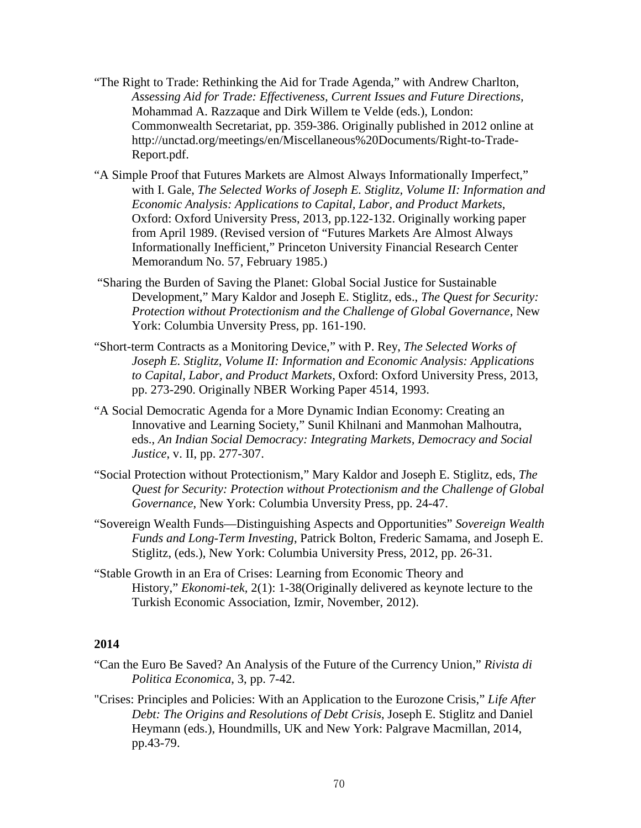- "The Right to Trade: Rethinking the Aid for Trade Agenda," with Andrew Charlton, *Assessing Aid for Trade: Effectiveness, Current Issues and Future Directions,*  Mohammad A. Razzaque and Dirk Willem te Velde (eds.), London: Commonwealth Secretariat, pp. 359-386. Originally published in 2012 online at http://unctad.org/meetings/en/Miscellaneous%20Documents/Right-to-Trade-Report.pdf.
- "A Simple Proof that Futures Markets are Almost Always Informationally Imperfect," with I. Gale, *The Selected Works of Joseph E. Stiglitz, Volume II: Information and Economic Analysis: Applications to Capital, Labor, and Product Markets*, Oxford: Oxford University Press, 2013, pp.122-132. Originally working paper from April 1989. (Revised version of "Futures Markets Are Almost Always Informationally Inefficient," Princeton University Financial Research Center Memorandum No. 57, February 1985.)
- "Sharing the Burden of Saving the Planet: Global Social Justice for Sustainable Development," Mary Kaldor and Joseph E. Stiglitz, eds., *The Quest for Security: Protection without Protectionism and the Challenge of Global Governance*, New York: Columbia Unversity Press, pp. 161-190.
- "Short-term Contracts as a Monitoring Device," with P. Rey, *The Selected Works of Joseph E. Stiglitz, Volume II: Information and Economic Analysis: Applications to Capital, Labor, and Product Markets*, Oxford: Oxford University Press, 2013, pp. 273-290. Originally NBER Working Paper 4514, 1993.
- "A Social Democratic Agenda for a More Dynamic Indian Economy: Creating an Innovative and Learning Society," Sunil Khilnani and Manmohan Malhoutra, eds., *An Indian Social Democracy: Integrating Markets, Democracy and Social Justice*, v. II, pp. 277-307.
- "Social Protection without Protectionism," Mary Kaldor and Joseph E. Stiglitz, eds, *The Quest for Security: Protection without Protectionism and the Challenge of Global Governance*, New York: Columbia Unversity Press, pp. 24-47.
- "Sovereign Wealth Funds—Distinguishing Aspects and Opportunities" *Sovereign Wealth Funds and Long-Term Investing*, Patrick Bolton, Frederic Samama, and Joseph E. Stiglitz, (eds.), New York: Columbia University Press, 2012, pp. 26-31.
- "Stable Growth in an Era of Crises: Learning from Economic Theory and History," *Ekonomi-tek,* 2(1): 1-38(Originally delivered as keynote lecture to the Turkish Economic Association, Izmir, November, 2012).

- "Can the Euro Be Saved? An Analysis of the Future of the Currency Union," *Rivista di Politica Economica*, 3, pp. 7-42.
- "Crises: Principles and Policies: With an Application to the Eurozone Crisis," *Life After Debt: The Origins and Resolutions of Debt Crisis*, Joseph E. Stiglitz and Daniel Heymann (eds.), Houndmills, UK and New York: Palgrave Macmillan, 2014, pp.43-79.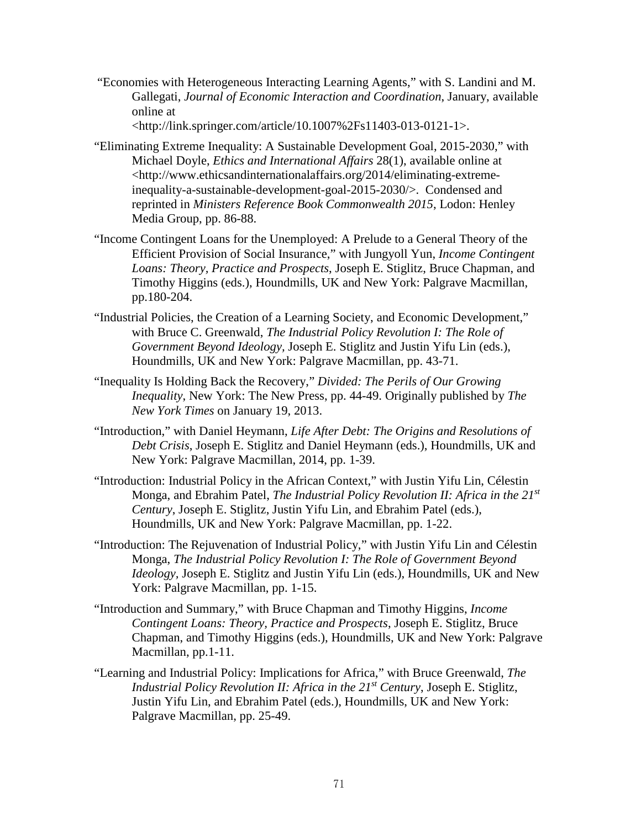"Economies with Heterogeneous Interacting Learning Agents," with S. Landini and M. Gallegati, *Journal of Economic Interaction and Coordination*, January, available online at

<http://link.springer.com/article/10.1007%2Fs11403-013-0121-1>.

- "Eliminating Extreme Inequality: A Sustainable Development Goal, 2015-2030," with Michael Doyle, *Ethics and International Affairs* 28(1), available online at <http://www.ethicsandinternationalaffairs.org/2014/eliminating-extremeinequality-a-sustainable-development-goal-2015-2030/>. Condensed and reprinted in *Ministers Reference Book Commonwealth 2015*, Lodon: Henley Media Group, pp. 86-88.
- "Income Contingent Loans for the Unemployed: A Prelude to a General Theory of the Efficient Provision of Social Insurance," with Jungyoll Yun, *Income Contingent Loans: Theory, Practice and Prospects*, Joseph E. Stiglitz, Bruce Chapman, and Timothy Higgins (eds.), Houndmills, UK and New York: Palgrave Macmillan, pp.180-204.
- "Industrial Policies, the Creation of a Learning Society, and Economic Development," with Bruce C. Greenwald, *The Industrial Policy Revolution I: The Role of Government Beyond Ideology,* Joseph E. Stiglitz and Justin Yifu Lin (eds.), Houndmills, UK and New York: Palgrave Macmillan, pp. 43-71.
- "Inequality Is Holding Back the Recovery," *Divided: The Perils of Our Growing Inequality*, New York: The New Press, pp. 44-49. Originally published by *The New York Times* on January 19, 2013.
- "Introduction," with Daniel Heymann, *Life After Debt: The Origins and Resolutions of Debt Crisis*, Joseph E. Stiglitz and Daniel Heymann (eds.), Houndmills, UK and New York: Palgrave Macmillan, 2014, pp. 1-39.
- "Introduction: Industrial Policy in the African Context," with Justin Yifu Lin, Célestin Monga, and Ebrahim Patel, *The Industrial Policy Revolution II: Africa in the 21st Century*, Joseph E. Stiglitz, Justin Yifu Lin, and Ebrahim Patel (eds.), Houndmills, UK and New York: Palgrave Macmillan, pp. 1-22.
- "Introduction: The Rejuvenation of Industrial Policy," with Justin Yifu Lin and Célestin Monga, *The Industrial Policy Revolution I: The Role of Government Beyond Ideology,* Joseph E. Stiglitz and Justin Yifu Lin (eds.), Houndmills, UK and New York: Palgrave Macmillan, pp. 1-15.
- "Introduction and Summary," with Bruce Chapman and Timothy Higgins, *Income Contingent Loans: Theory, Practice and Prospects*, Joseph E. Stiglitz, Bruce Chapman, and Timothy Higgins (eds.), Houndmills, UK and New York: Palgrave Macmillan, pp.1-11.
- "Learning and Industrial Policy: Implications for Africa," with Bruce Greenwald, *The Industrial Policy Revolution II: Africa in the 21st Century*, Joseph E. Stiglitz, Justin Yifu Lin, and Ebrahim Patel (eds.), Houndmills, UK and New York: Palgrave Macmillan, pp. 25-49.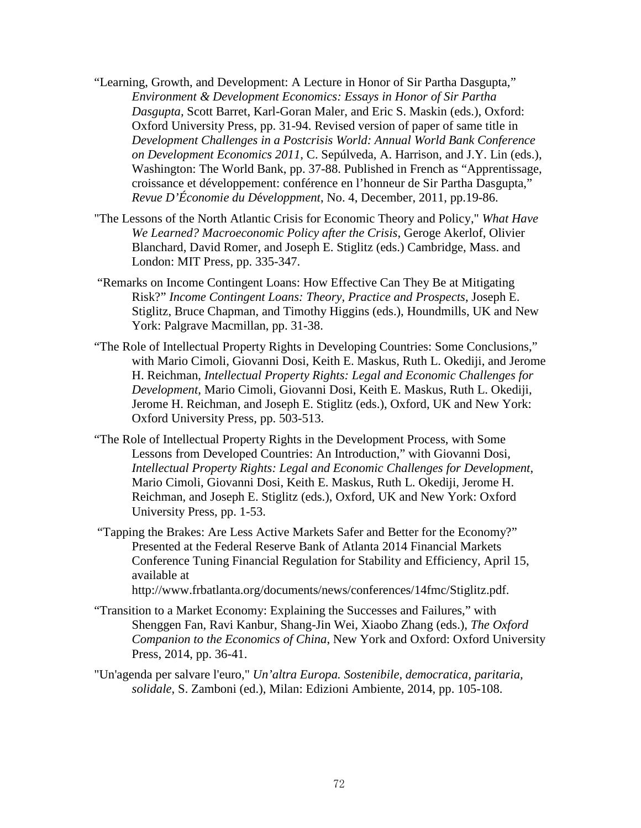- "Learning, Growth, and Development: A Lecture in Honor of Sir Partha Dasgupta," *Environment & Development Economics: Essays in Honor of Sir Partha Dasgupta,* Scott Barret, Karl-Goran Maler, and Eric S. Maskin (eds.), Oxford: Oxford University Press, pp. 31-94. Revised version of paper of same title in *Development Challenges in a Postcrisis World: Annual World Bank Conference on Development Economics 2011*, C. Sepúlveda, A. Harrison, and J.Y. Lin (eds.), Washington: The World Bank, pp. 37-88. Published in French as "Apprentissage, croissance et développement: conférence en l'honneur de Sir Partha Dasgupta," *Revue D'Économie du D*é*veloppment*, No. 4, December, 2011, pp.19-86.
- "The Lessons of the North Atlantic Crisis for Economic Theory and Policy," *What Have We Learned? Macroeconomic Policy after the Crisis*, Geroge Akerlof, Olivier Blanchard, David Romer, and Joseph E. Stiglitz (eds.) Cambridge, Mass. and London: MIT Press, pp. 335-347.
- "Remarks on Income Contingent Loans: How Effective Can They Be at Mitigating Risk?" *Income Contingent Loans: Theory, Practice and Prospects*, Joseph E. Stiglitz, Bruce Chapman, and Timothy Higgins (eds.), Houndmills, UK and New York: Palgrave Macmillan, pp. 31-38.
- "The Role of Intellectual Property Rights in Developing Countries: Some Conclusions," with Mario Cimoli, Giovanni Dosi, Keith E. Maskus, Ruth L. Okediji, and Jerome H. Reichman, *Intellectual Property Rights: Legal and Economic Challenges for Development*, Mario Cimoli, Giovanni Dosi, Keith E. Maskus, Ruth L. Okediji, Jerome H. Reichman, and Joseph E. Stiglitz (eds.), Oxford, UK and New York: Oxford University Press, pp. 503-513.
- "The Role of Intellectual Property Rights in the Development Process, with Some Lessons from Developed Countries: An Introduction," with Giovanni Dosi, *Intellectual Property Rights: Legal and Economic Challenges for Development*, Mario Cimoli, Giovanni Dosi, Keith E. Maskus, Ruth L. Okediji, Jerome H. Reichman, and Joseph E. Stiglitz (eds.), Oxford, UK and New York: Oxford University Press, pp. 1-53.
- "Tapping the Brakes: Are Less Active Markets Safer and Better for the Economy?" Presented at the Federal Reserve Bank of Atlanta 2014 Financial Markets Conference Tuning Financial Regulation for Stability and Efficiency, April 15, available at

http://www.frbatlanta.org/documents/news/conferences/14fmc/Stiglitz.pdf.

- "Transition to a Market Economy: Explaining the Successes and Failures," with Shenggen Fan, Ravi Kanbur, Shang-Jin Wei, Xiaobo Zhang (eds.), *The Oxford Companion to the Economics of China*, New York and Oxford: Oxford University Press, 2014, pp. 36-41.
- "Un'agenda per salvare l'euro," *Un'altra Europa. Sostenibile, democratica, paritaria, solidale*, S. Zamboni (ed.), Milan: Edizioni Ambiente, 2014, pp. 105-108.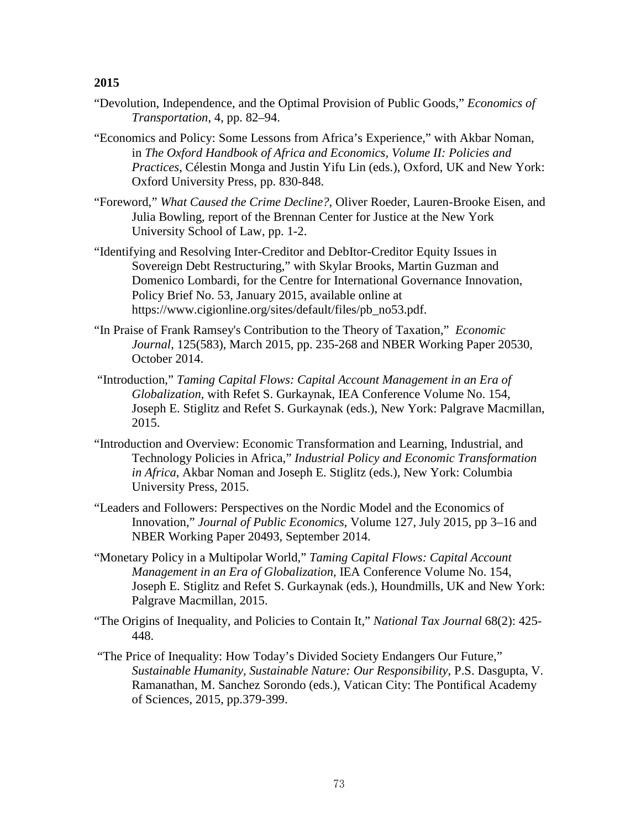- "Devolution, Independence, and the Optimal Provision of Public Goods," *Economics of Transportation*, 4, pp. 82–94.
- "Economics and Policy: Some Lessons from Africa's Experience," with Akbar Noman, in *The Oxford Handbook of Africa and Economics, Volume II: Policies and Practices*, Célestin Monga and Justin Yifu Lin (eds.), Oxford, UK and New York: Oxford University Press, pp. 830-848.
- "Foreword," *What Caused the Crime Decline?,* Oliver Roeder, Lauren-Brooke Eisen, and Julia Bowling, report of the Brennan Center for Justice at the New York University School of Law, pp. 1-2.
- "Identifying and Resolving Inter-Creditor and DebItor-Creditor Equity Issues in Sovereign Debt Restructuring," with Skylar Brooks, Martin Guzman and Domenico Lombardi, for the Centre for International Governance Innovation, Policy Brief No. 53, January 2015, available online at https://www.cigionline.org/sites/default/files/pb\_no53.pdf.
- "In Praise of Frank Ramsey's Contribution to the Theory of Taxation," *Economic Journal*, 125(583), March 2015, pp. 235-268 and NBER Working Paper 20530, October 2014.
- "Introduction," *Taming Capital Flows: Capital Account Management in an Era of Globalization,* with [Refet S. Gurkaynak,](http://www.palgrave.com/authors/author-detail/Refet-S.-Gurkaynak/49381) IEA Conference Volume No. 154, [Joseph E. Stiglitz](http://www.palgrave.com/authors/author-detail/Joseph-E.-Stiglitz/5307) and [Refet S. Gurkaynak](http://www.palgrave.com/authors/author-detail/Refet-S.-Gurkaynak/49381) (eds.), New York: Palgrave Macmillan, 2015.
- "Introduction and Overview: Economic Transformation and Learning, Industrial, and Technology Policies in Africa," *Industrial Policy and Economic Transformation in Africa*, Akbar Noman and Joseph E. Stiglitz (eds.), New York: Columbia University Press, 2015.
- ["Leaders and Followers: Perspectives on the Nordic Model and the Economics of](http://www8.gsb.columbia.edu/faculty/jstiglitz/sites/jstiglitz/files/Leaders%20and%20followers%20Perspectives%20on%20the%20Nordic%20model%20and%20the%20economics%20of%20innovation.pdf)  [Innovation,](http://www8.gsb.columbia.edu/faculty/jstiglitz/sites/jstiglitz/files/Leaders%20and%20followers%20Perspectives%20on%20the%20Nordic%20model%20and%20the%20economics%20of%20innovation.pdf)" *Journal of Public Economics*, Volume 127, July 2015, pp 3–16 and NBER Working Paper 20493, September 2014.
- "Monetary Policy in a Multipolar World," *Taming Capital Flows: Capital Account Management in an Era of Globalization,* IEA Conference Volume No. 154, [Joseph E. Stiglitz](http://www.palgrave.com/authors/author-detail/Joseph-E.-Stiglitz/5307) and [Refet S. Gurkaynak](http://www.palgrave.com/authors/author-detail/Refet-S.-Gurkaynak/49381) (eds.), Houndmills, UK and New York: Palgrave Macmillan, 2015.
- "The Origins of Inequality, and Policies to Contain It," *National Tax Journal* 68(2): 425- 448.
- "The Price of Inequality: How Today's Divided Society Endangers Our Future," *Sustainable Humanity, Sustainable Nature: Our Responsibility*, P.S. Dasgupta, V. Ramanathan, M. Sanchez Sorondo (eds.), Vatican City: The Pontifical Academy of Sciences, 2015, pp.379-399.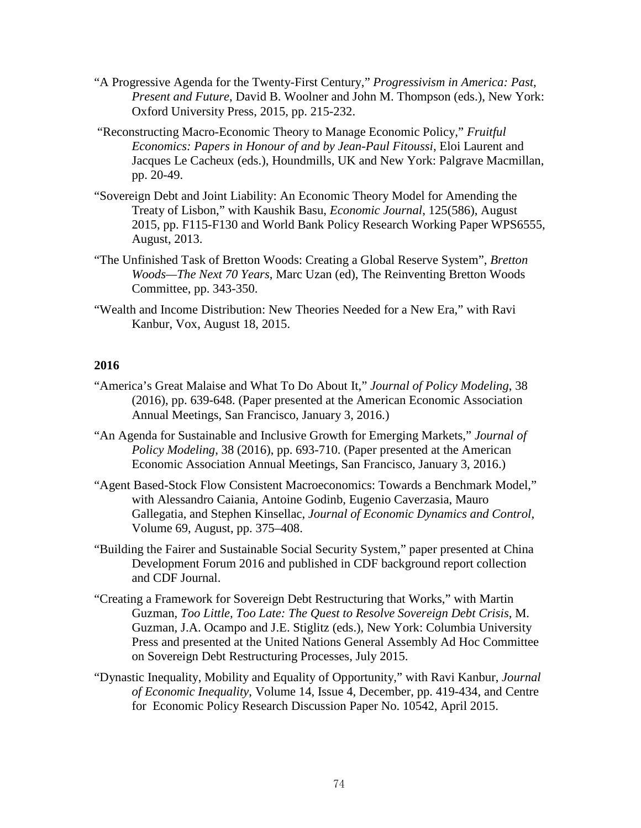- "A Progressive Agenda for the Twenty-First Century," *Progressivism in America: Past, Present and Future*, David B. Woolner and John M. Thompson (eds.), New York: Oxford University Press, 2015, pp. 215-232.
- "Reconstructing Macro-Economic Theory to Manage Economic Policy," *Fruitful Economics: Papers in Honour of and by Jean-Paul Fitoussi*, Eloi Laurent and Jacques Le Cacheux (eds.), Houndmills, UK and New York: Palgrave Macmillan, pp. 20-49.
- "Sovereign Debt and Joint Liability: An Economic Theory Model for Amending the Treaty of Lisbon," with Kaushik Basu, *Economic Journal*, 125(586), August 2015, pp. F115-F130 and World Bank Policy Research Working Paper WPS6555, August, 2013.
- "The Unfinished Task of Bretton Woods: Creating a Global Reserve System", *Bretton Woods—The Next 70 Years*, Marc Uzan (ed), The Reinventing Bretton Woods Committee, pp. 343-350.
- ["Wealth and Income Distribution: New Theories Needed for a New Era,](http://www8.gsb.columbia.edu/faculty/jstiglitz/sites/jstiglitz/files/2015%20VoxEU%20Wealth.pdf)" with Ravi Kanbur, Vox, August 18, 2015.

- "America's Great Malaise and What To Do About It," *Journal of Policy Modeling*, 38 (2016), pp. 639-648. (Paper presented at the American Economic Association Annual Meetings, San Francisco, January 3, 2016.)
- "An Agenda for Sustainable and Inclusive Growth for Emerging Markets," *Journal of Policy Modeling*, 38 (2016), pp. 693-710. (Paper presented at the American Economic Association Annual Meetings, San Francisco, January 3, 2016.)
- "Agent Based-Stock Flow Consistent Macroeconomics: Towards a Benchmark Model," with [Alessandro Caiania, Antoine Godinb, Eugenio Caverzasia, Mauro](http://www.sciencedirect.com/science/article/pii/S0165188915301020)  [Gallegati](http://www.sciencedirect.com/science/article/pii/S0165188915301020)[a,](http://www.sciencedirect.com/science/article/pii/S0165188915301020#aff0005) and [Stephen Kinsellac,](http://www.sciencedirect.com/science/article/pii/S0165188915301020) *Journal of Economic Dynamics and Control,*  [Volume 69,](http://www.sciencedirect.com/science/journal/01651889/69/supp/C) August, pp. 375–408.
- "Building the Fairer and Sustainable Social Security System," paper presented at China Development Forum 2016 and published in CDF background report collection and CDF Journal.
- ["Creating a Framework for Sovereign Debt Restructuring that Works,](http://www8.gsb.columbia.edu/faculty/jstiglitz/sites/jstiglitz/files/CreatingaFrameworkforSovereignDebtRestructuring.pdf)" with Martin Guzman, *Too Little, Too Late: The Quest to Resolve Sovereign Debt Crisis*, M. Guzman, J.A. Ocampo and J.E. Stiglitz (eds.), New York: Columbia University Press and presented at the United Nations General Assembly Ad Hoc Committee on Sovereign Debt Restructuring Processes, July 2015.
- "Dynastic Inequality, Mobility and Equality of Opportunity," with Ravi Kanbur, *Journal of Economic Inequality*, Volume 14, Issue 4, December, pp. 419-434, and Centre for Economic Policy Research Discussion Paper No. 10542, April 2015.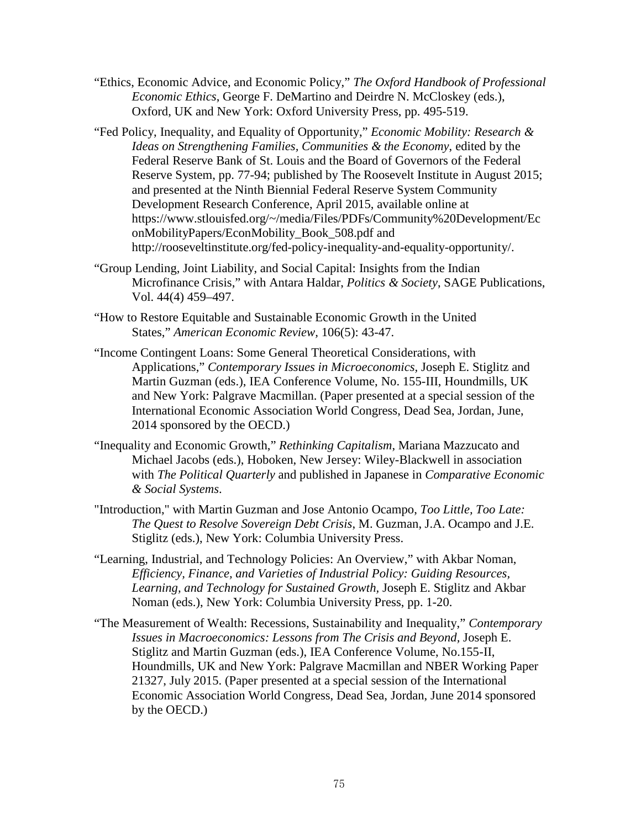- "Ethics, Economic Advice, and Economic Policy," *The Oxford Handbook of Professional Economic Ethics*, George F. DeMartino and Deirdre N. McCloskey (eds.), Oxford, UK and New York: Oxford University Press, pp. 495-519.
- "Fed Policy, Inequality, and Equality of Opportunity," *Economic Mobility: Research & Ideas on Strengthening Families, Communities & the Economy*, edited by the Federal Reserve Bank of St. Louis and the Board of Governors of the Federal Reserve System, pp. 77-94; published by The Roosevelt Institute in August 2015; and presented at the Ninth Biennial Federal Reserve System Community Development Research Conference, April 2015, available online at [https://www.stlouisfed.org/~/media/Files/PDFs/Community%20Development/Ec](https://www.stlouisfed.org/%7E/media/Files/PDFs/Community%20Development/EconMobilityPapers/EconMobility_Book_508.pdf) [onMobilityPapers/EconMobility\\_Book\\_508.pdf](https://www.stlouisfed.org/%7E/media/Files/PDFs/Community%20Development/EconMobilityPapers/EconMobility_Book_508.pdf) and http://rooseveltinstitute.org/fed-policy-inequality-and-equality-opportunity/.
- "Group Lending, Joint Liability, and Social Capital: Insights from the Indian Microfinance Crisis," with Antara Haldar, *Politics & Society*, SAGE Publications, Vol. 44(4) 459–497.
- "How to Restore Equitable and Sustainable Economic Growth in the United States," *American Economic Review,* 106(5): 43-47.
- "Income Contingent Loans: Some General Theoretical Considerations, with Applications," *Contemporary Issues in Microeconomics,* Joseph E. Stiglitz and Martin Guzman (eds.), IEA Conference Volume, No. 155-III, Houndmills, UK and New York: Palgrave Macmillan. (Paper presented at a special session of the International Economic Association World Congress, Dead Sea, Jordan, June, 2014 sponsored by the OECD.)
- "Inequality and Economic Growth," *Rethinking Capitalism*, Mariana Mazzucato and Michael Jacobs (eds.), Hoboken, New Jersey: Wiley-Blackwell in association with *The Political Quarterly* and [published in Japanese in](http://www8.gsb.columbia.edu/faculty/jstiglitz/sites/jstiglitz/files/Inequality%20and%20Economic%20Growth%20Japanese.docx) *Comparative Economic [& Social Systems](http://www8.gsb.columbia.edu/faculty/jstiglitz/sites/jstiglitz/files/Inequality%20and%20Economic%20Growth%20Japanese.docx)*.
- ["Introduction,"](http://www8.gsb.columbia.edu/faculty/jstiglitz/sites/jstiglitz/files/introductionI.pdf) with Martin Guzman and Jose Antonio Ocampo, *Too Little, Too Late: The Quest to Resolve Sovereign Debt Crisis*, M. Guzman, J.A. Ocampo and J.E. Stiglitz (eds.), New York: Columbia University Press.
- "Learning, Industrial, and Technology Policies: An Overview," with Akbar Noman, *Efficiency, Finance, and Varieties of Industrial Policy: Guiding Resources, Learning, and Technology for Sustained Growth,* Joseph E. Stiglitz and Akbar Noman (eds.), New York: Columbia University Press, pp. 1-20.
- "The Measurement of Wealth: Recessions, Sustainability and Inequality," *Contemporary Issues in Macroeconomics: Lessons from The Crisis and Beyond,* Joseph E. Stiglitz and Martin Guzman (eds.), IEA Conference Volume, No.155-II, Houndmills, UK and New York: Palgrave Macmillan and NBER Working Paper 21327, July 2015. (Paper presented at a special session of the International Economic Association World Congress, Dead Sea, Jordan, June 2014 sponsored by the OECD.)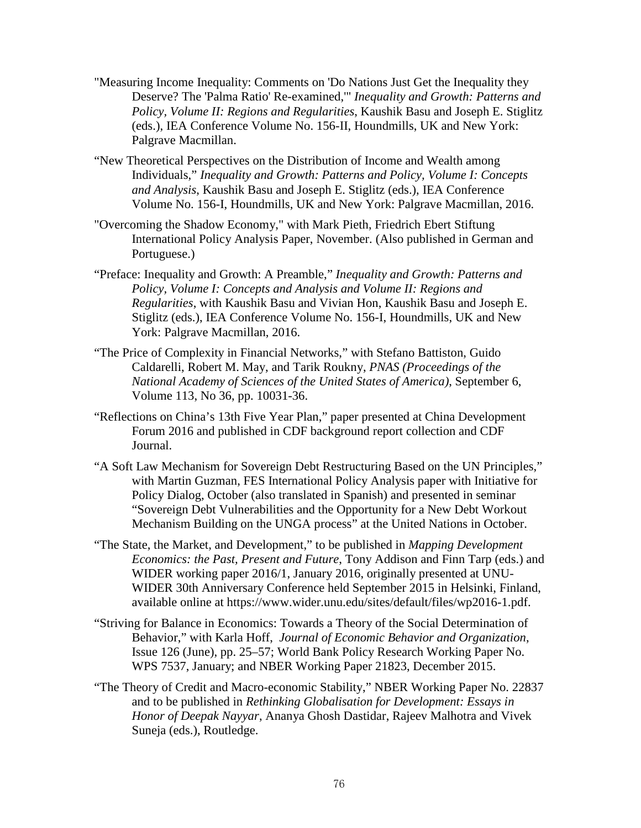- ["Measuring Income Inequality: Comments on 'Do Nations Just Get the Inequality they](http://www8.gsb.columbia.edu/faculty/jstiglitz/sites/jstiglitz/files/MeasuringIncomeInequality.pdf)  [Deserve? The 'Palma Ratio' Re-examined,'"](http://www8.gsb.columbia.edu/faculty/jstiglitz/sites/jstiglitz/files/MeasuringIncomeInequality.pdf) *Inequality and Growth: Patterns and Policy, Volume II: Regions and Regularities*, Kaushik Basu and Joseph E. Stiglitz (eds.), IEA Conference Volume No. 156-II, Houndmills, UK and New York: Palgrave Macmillan.
- "New Theoretical Perspectives on the Distribution of Income and Wealth among Individuals," *Inequality and Growth: Patterns and Policy, Volume I: Concepts and Analysis*, Kaushik Basu and Joseph E. Stiglitz (eds.), IEA Conference Volume No. 156-I, Houndmills, UK and New York: Palgrave Macmillan, 2016.
- "Overcoming the Shadow Economy," with Mark Pieth, Friedrich Ebert Stiftung International Policy Analysis Paper, November. (Also published in German and Portuguese.)
- "Preface: Inequality and Growth: A Preamble," *Inequality and Growth: Patterns and Policy, Volume I: Concepts and Analysis and Volume II: Regions and Regularities*, with Kaushik Basu and Vivian Hon, Kaushik Basu and Joseph E. Stiglitz (eds.), IEA Conference Volume No. 156-I, Houndmills, UK and New York: Palgrave Macmillan, 2016.
- "The Price of Complexity in Financial Networks," with Stefano Battiston, Guido Caldarelli, Robert M. May, and Tarik Roukny, *PNAS (Proceedings of the National Academy of Sciences of the United States of America)*, September 6, Volume 113, No 36, pp. 10031-36.
- "Reflections on China's 13th Five Year Plan," paper presented at China Development Forum 2016 and published in CDF background report collection and CDF Journal.
- "A Soft Law Mechanism for Sovereign Debt Restructuring Based on the UN Principles," with Martin Guzman, FES International Policy Analysis paper with Initiative for Policy Dialog, October (also translated in Spanish) and presented in seminar "Sovereign Debt Vulnerabilities and the Opportunity for a New Debt Workout Mechanism Building on the UNGA process" at the United Nations in October.
- "The State, the Market, and Development," to be published in *Mapping Development Economics: the Past, Present and Future*, Tony Addison and Finn Tarp (eds.) and WIDER working paper 2016/1, January 2016, originally presented at UNU-WIDER 30th Anniversary Conference held September 2015 in Helsinki, Finland, available online at https://www.wider.unu.edu/sites/default/files/wp2016-1.pdf.
- "Striving for Balance in Economics: Towards a Theory of the Social Determination of Behavior," with Karla Hoff, *Journal of Economic Behavior and Organization*, Issue 126 (June), pp. 25–57; World Bank Policy Research Working Paper No. WPS 7537, January; and NBER Working Paper 21823, December 2015.
- "The Theory of Credit and Macro-economic Stability," NBER Working Paper No. 22837 and to be published in *Rethinking Globalisation for Development: Essays in Honor of Deepak Nayyar*, Ananya Ghosh Dastidar, Rajeev Malhotra and Vivek Suneja (eds.), Routledge.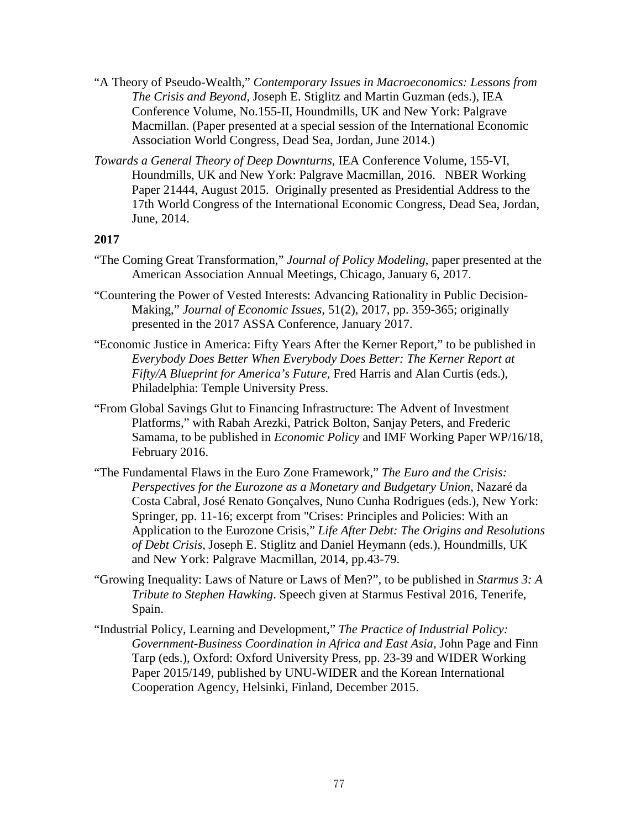- "A Theory of Pseudo-Wealth," *Contemporary Issues in Macroeconomics: Lessons from The Crisis and Beyond,* Joseph E. Stiglitz and Martin Guzman (eds.), IEA Conference Volume, No.155-II, Houndmills, UK and New York: Palgrave Macmillan. (Paper presented at a special session of the International Economic Association World Congress, Dead Sea, Jordan, June 2014.)
- *Towards a General Theory of Deep Downturns*, IEA Conference Volume, 155-VI, Houndmills, UK and New York: Palgrave Macmillan, 2016. NBER Working Paper 21444, August 2015. Originally presented as Presidential Address to the 17th World Congress of the International Economic Congress, Dead Sea, Jordan, June, 2014.

- "The Coming Great Transformation," *Journal of Policy Modeling*, paper presented at the American Association Annual Meetings, Chicago, January 6, 2017.
- "Countering the Power of Vested Interests: Advancing Rationality in Public Decision-Making," *Journal of Economic Issues,* 51(2), 2017, pp. 359-365; originally presented in the 2017 ASSA Conference, January 2017.
- "Economic Justice in America: Fifty Years After the Kerner Report," to be published in *Everybody Does Better When Everybody Does Better: The Kerner Report at Fifty/A Blueprint for America's Future,* Fred Harris and Alan Curtis (eds.), Philadelphia: Temple University Press.
- "From Global Savings Glut to Financing Infrastructure: The Advent of Investment Platforms," with Rabah Arezki, Patrick Bolton, Sanjay Peters, and Frederic Samama, to be published in *Economic Policy* and IMF Working Paper WP/16/18, February 2016.
- "The Fundamental Flaws in the Euro Zone Framework," *The Euro and the Crisis: Perspectives for the Eurozone as a Monetary and Budgetary Union*, Nazaré da Costa Cabral, José Renato Gonçalves, Nuno Cunha Rodrigues (eds.), New York: Springer, pp. 11-16; excerpt from "Crises: Principles and Policies: With an Application to the Eurozone Crisis," *Life After Debt: The Origins and Resolutions of Debt Crisis*, Joseph E. Stiglitz and Daniel Heymann (eds.), Houndmills, UK and New York: Palgrave Macmillan, 2014, pp.43-79.
- "Growing Inequality: Laws of Nature or Laws of Men?", to be published in *Starmus 3: A Tribute to Stephen Hawking*. Speech given at Starmus Festival 2016, Tenerife, Spain.
- "Industrial Policy, Learning and Development," *The Practice of Industrial Policy: Government-Business Coordination in Africa and East Asia,* John Page and Finn Tarp (eds.), Oxford: Oxford University Press, pp. 23-39 and WIDER Working Paper 2015/149, published by UNU-WIDER and the Korean International Cooperation Agency, Helsinki, Finland, December 2015.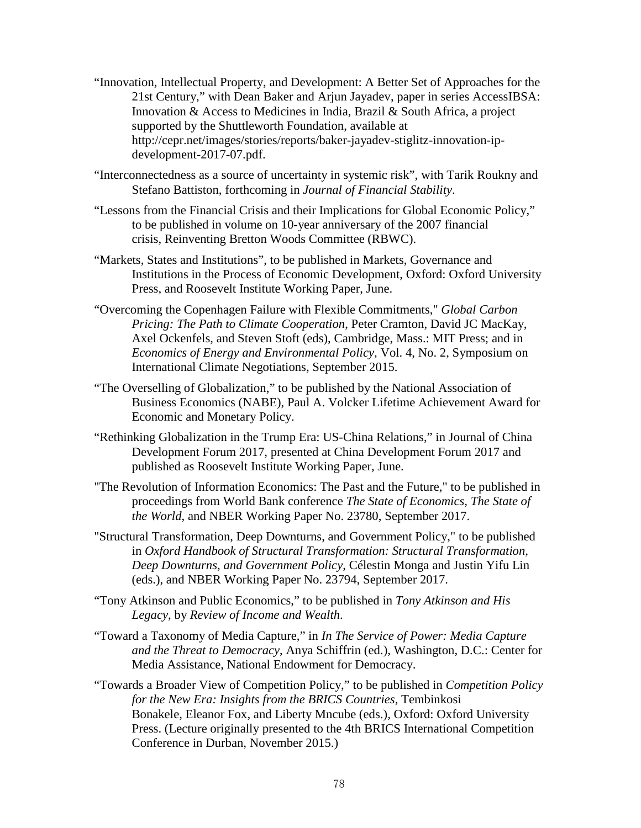- "Innovation, Intellectual Property, and Development: A Better Set of Approaches for the 21st Century," with Dean Baker and Arjun Jayadev, paper in series AccessIBSA: Innovation & Access to Medicines in India, Brazil & South Africa, a project supported by the Shuttleworth Foundation, available at http://cepr.net/images/stories/reports/baker-jayadev-stiglitz-innovation-ipdevelopment-2017-07.pdf.
- "Interconnectedness as a source of uncertainty in systemic risk", with Tarik Roukny and Stefano Battiston, forthcoming in *Journal of Financial Stability*.
- "Lessons from the Financial Crisis and their Implications for Global Economic Policy," to be published in volume on 10-year anniversary of the 2007 financial crisis, Reinventing Bretton Woods Committee (RBWC).
- ["Markets, States and Institutions"](https://www8.gsb.columbia.edu/faculty/jstiglitz/sites/jstiglitz/files/Markets-States-and-Institutions.pdf), to be published in Markets, Governance and Institutions in the Process of Economic Development, Oxford: Oxford University Press, and Roosevelt Institute Working Paper, June.
- ["Overcoming the Copenhagen Failure with Flexible Commitments,"](https://www0.gsb.columbia.edu/faculty/jstiglitz/download/papers/2015%20Overcoming%20the%20Copenhagen%20Failure.pdf) *Global Carbon Pricing: The Path to Climate Cooperation*, Peter Cramton, David JC MacKay, Axel Ockenfels, and Steven Stoft (eds), Cambridge, Mass.: MIT Press; and in *Economics of Energy and Environmental Policy,* Vol. 4, No. 2, Symposium on International Climate Negotiations, September 2015.
- ["The Overselling of Globalization,](https://www8.gsb.columbia.edu/faculty/jstiglitz/sites/jstiglitz/files/Volcker%20Award%20Speech%20Paper.pdf)" to be published by the National Association of Business Economics (NABE), Paul A. Volcker Lifetime Achievement Award for Economic and Monetary Policy.
- ["Rethinking Globalization in the Trump Era: US-China Relations,](https://www8.gsb.columbia.edu/faculty/jstiglitz/sites/jstiglitz/files/Rethinking%20Globalziation%20in%20the%20Trump%20Era.pdf)" in Journal of China Development Forum 2017, presented at China Development Forum 2017 and published as Roosevelt Institute Working Paper, June.
- "The Revolution of Information Economics: The Past and the Future," to be published in proceedings from World Bank conference *The State of Economics, The State of the World*, and NBER Working Paper No. 23780, September 2017.
- "Structural Transformation, Deep Downturns, and Government Policy," to be published in *Oxford Handbook of Structural Transformation: Structural Transformation, Deep Downturns, and Government Policy*, Célestin Monga and Justin Yifu Lin (eds.), and NBER Working Paper No. 23794, September 2017.
- "Tony Atkinson and Public Economics," to be published in *Tony Atkinson and His Legacy*, by *Review of Income and Wealth*.
- "Toward a Taxonomy of Media Capture," in *In The Service of Power: Media Capture and the Threat to Democracy*, Anya Schiffrin (ed.), Washington, D.C.: Center for Media Assistance, National Endowment for Democracy.
- "Towards a Broader View of Competition Policy," to be published in *Competition Policy for the New Era: Insights from the BRICS Countries*, Tembinkosi Bonakele, Eleanor Fox, and Liberty Mncube (eds.), Oxford: Oxford University Press. (Lecture originally presented to the 4th BRICS International Competition Conference in Durban, November 2015.)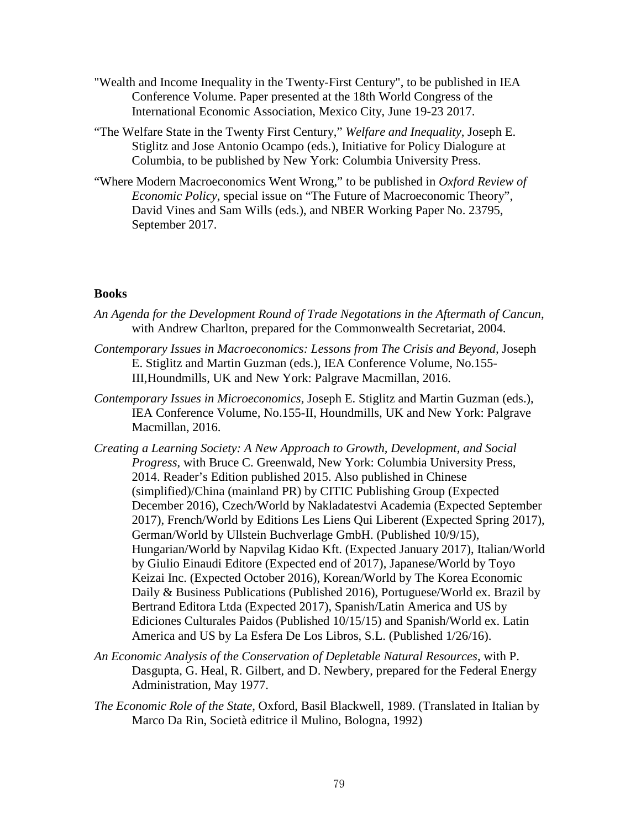- ["Wealth and Income Inequality in the Twenty-First Century"](https://www8.gsb.columbia.edu/faculty/jstiglitz/sites/jstiglitz/files/mexicokeynote%206.15.17%20Final.pdf), to be published in IEA Conference Volume. Paper presented at the 18th World Congress of the International Economic Association, Mexico City, June 19-23 2017.
- "The Welfare State in the Twenty First Century," *Welfare and Inequality*, Joseph E. Stiglitz and Jose Antonio Ocampo (eds.), Initiative for Policy Dialogure at Columbia, to be published by New York: Columbia University Press.
- "Where Modern Macroeconomics Went Wrong," to be published in *Oxford Review of Economic Policy*, special issue on "The Future of Macroeconomic Theory", David Vines and Sam Wills (eds.), and NBER Working Paper No. 23795, September 2017.

#### **Books**

- *An Agenda for the Development Round of Trade Negotations in the Aftermath of Cancun*, with Andrew Charlton, prepared for the Commonwealth Secretariat, 2004.
- *Contemporary Issues in Macroeconomics: Lessons from The Crisis and Beyond,* Joseph E. Stiglitz and Martin Guzman (eds.), IEA Conference Volume, No.155- III,Houndmills, UK and New York: Palgrave Macmillan, 2016.
- *Contemporary Issues in Microeconomics,* Joseph E. Stiglitz and Martin Guzman (eds.), IEA Conference Volume, No.155-II, Houndmills, UK and New York: Palgrave Macmillan, 2016.
- *Creating a Learning Society: A New Approach to Growth, Development, and Social Progress*, with Bruce C. Greenwald, New York: Columbia University Press, 2014. Reader's Edition published 2015. Also published in Chinese (simplified)/China (mainland PR) by CITIC Publishing Group (Expected December 2016), Czech/World by Nakladatestvi Academia (Expected September 2017), French/World by Editions Les Liens Qui Liberent (Expected Spring 2017), German/World by Ullstein Buchverlage GmbH. (Published 10/9/15), Hungarian/World by Napvilag Kidao Kft. (Expected January 2017), Italian/World by Giulio Einaudi Editore (Expected end of 2017), Japanese/World by Toyo Keizai Inc. (Expected October 2016), Korean/World by The Korea Economic Daily & Business Publications (Published 2016), Portuguese/World ex. Brazil by Bertrand Editora Ltda (Expected 2017), Spanish/Latin America and US by Ediciones Culturales Paidos (Published 10/15/15) and Spanish/World ex. Latin America and US by La Esfera De Los Libros, S.L. (Published 1/26/16).
- *An Economic Analysis of the Conservation of Depletable Natural Resources*, with P. Dasgupta, G. Heal, R. Gilbert, and D. Newbery, prepared for the Federal Energy Administration, May 1977.
- *The Economic Role of the State*, Oxford, Basil Blackwell, 1989. (Translated in Italian by Marco Da Rin, Società editrice il Mulino, Bologna, 1992)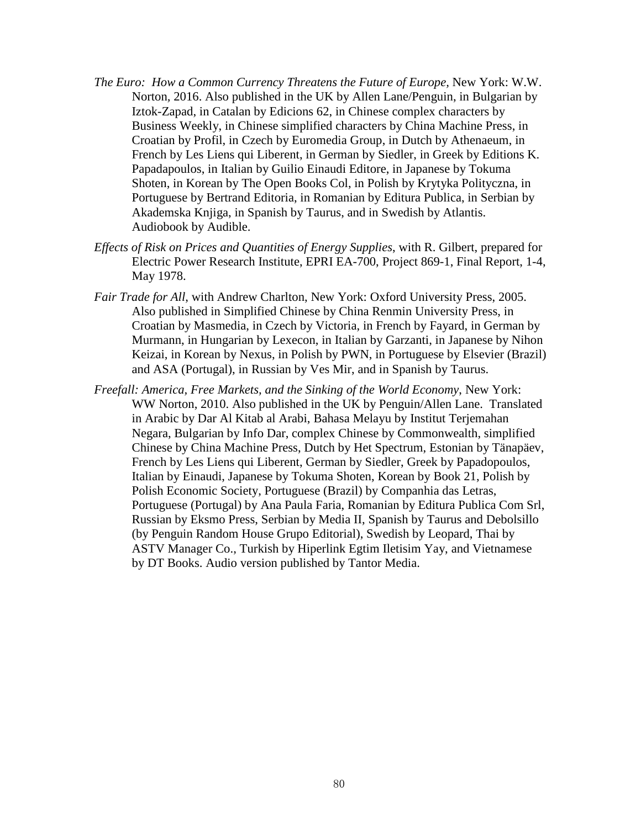- *The Euro: How a Common Currency Threatens the Future of Europe,* New York: W.W. Norton*,* 2016. Also published in the UK by Allen Lane/Penguin, in Bulgarian by Iztok-Zapad, in Catalan by Edicions 62, in Chinese complex characters by Business Weekly, in Chinese simplified characters by China Machine Press, in Croatian by Profil, in Czech by Euromedia Group, in Dutch by Athenaeum, in French by Les Liens qui Liberent, in German by Siedler, in Greek by Editions K. Papadapoulos, in Italian by Guilio Einaudi Editore, in Japanese by Tokuma Shoten, in Korean by The Open Books Col, in Polish by Krytyka Polityczna, in Portuguese by Bertrand Editoria, in Romanian by Editura Publica, in Serbian by Akademska Knjiga, in Spanish by Taurus, and in Swedish by Atlantis. [Audiobook](http://www.audible.com/pd/Nonfiction/The-Euro-Audiobook/B01J4BTL8W?source_code=AUDOR95IDWS042413) by Audible.
- *Effects of Risk on Prices and Quantities of Energy Supplies*, with R. Gilbert, prepared for Electric Power Research Institute, EPRI EA-700, Project 869-1, Final Report, 1-4, May 1978.
- *Fair Trade for All*, with Andrew Charlton, New York: Oxford University Press, 2005. Also published in Simplified Chinese by China Renmin University Press, in Croatian by Masmedia, in Czech by Victoria, in French by Fayard, in German by Murmann, in Hungarian by Lexecon, in Italian by Garzanti, in Japanese by Nihon Keizai, in Korean by Nexus, in Polish by PWN, in Portuguese by Elsevier (Brazil) and ASA (Portugal), in Russian by Ves Mir, and in Spanish by Taurus.
- *Freefall: America, Free Markets, and the Sinking of the World Economy*, New York: WW Norton, 2010. Also published in the UK by Penguin/Allen Lane. Translated in Arabic by Dar Al Kitab al Arabi, Bahasa Melayu by Institut Terjemahan Negara, Bulgarian by Info Dar, complex Chinese by Commonwealth, simplified Chinese by China Machine Press, Dutch by Het Spectrum, Estonian by Tänapäev, French by Les Liens qui Liberent, German by Siedler, Greek by Papadopoulos, Italian by Einaudi, Japanese by Tokuma Shoten, Korean by Book 21, Polish by Polish Economic Society, Portuguese (Brazil) by Companhia das Letras, Portuguese (Portugal) by Ana Paula Faria, Romanian by Editura Publica Com Srl, Russian by Eksmo Press, Serbian by Media II, Spanish by Taurus and Debolsillo (by Penguin Random House Grupo Editorial), Swedish by Leopard, Thai by ASTV Manager Co., Turkish by Hiperlink Egtim Iletisim Yay, and Vietnamese by DT Books. Audio version published by Tantor Media.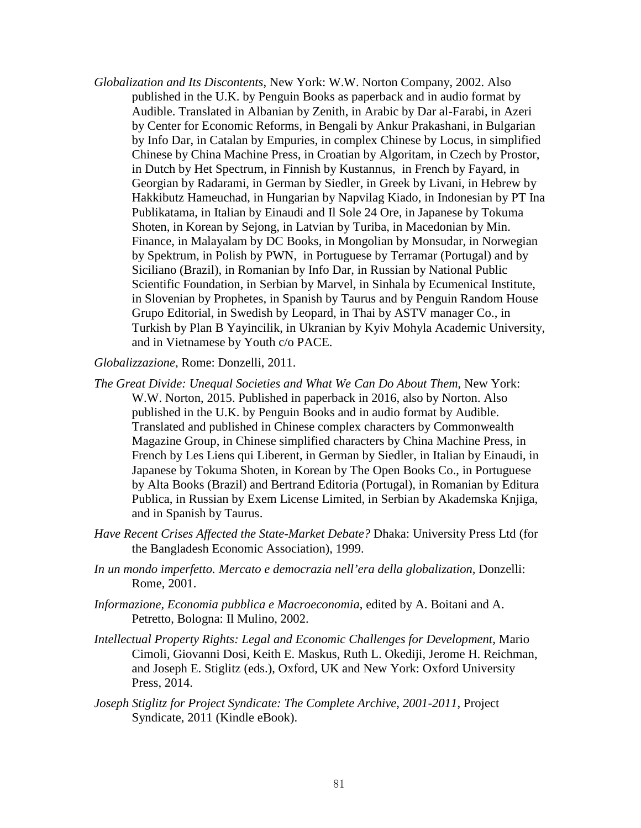*Globalization and Its Discontents*, New York: W.W. Norton Company, 2002. Also published in the U.K. by Penguin Books as paperback and in audio format by Audible. Translated in Albanian by Zenith, in Arabic by Dar al-Farabi, in Azeri by Center for Economic Reforms, in Bengali by Ankur Prakashani, in Bulgarian by Info Dar, in Catalan by Empuries, in complex Chinese by Locus, in simplified Chinese by China Machine Press, in Croatian by Algoritam, in Czech by Prostor, in Dutch by Het Spectrum, in Finnish by Kustannus, in French by Fayard, in Georgian by Radarami, in German by Siedler, in Greek by Livani, in Hebrew by Hakkibutz Hameuchad, in Hungarian by Napvilag Kiado, in Indonesian by PT Ina Publikatama, in Italian by Einaudi and Il Sole 24 Ore, in Japanese by Tokuma Shoten, in Korean by Sejong, in Latvian by Turiba, in Macedonian by Min. Finance, in Malayalam by DC Books, in Mongolian by Monsudar, in Norwegian by Spektrum, in Polish by PWN, in Portuguese by Terramar (Portugal) and by Siciliano (Brazil), in Romanian by Info Dar, in Russian by National Public Scientific Foundation, in Serbian by Marvel, in Sinhala by Ecumenical Institute, in Slovenian by Prophetes, in Spanish by Taurus and by Penguin Random House Grupo Editorial, in Swedish by Leopard, in Thai by ASTV manager Co., in Turkish by Plan B Yayincilik, in Ukranian by Kyiv Mohyla Academic University, and in Vietnamese by Youth c/o PACE.

*Globalizzazione*, Rome: Donzelli, 2011.

- *The Great Divide: Unequal Societies and What We Can Do About Them*, New York: W.W. Norton, 2015. Published in paperback in 2016, also by Norton. Also published in the U.K. by Penguin Books and in audio format by Audible. Translated and published in Chinese complex characters by Commonwealth Magazine Group, in Chinese simplified characters by China Machine Press, in French by Les Liens qui Liberent, in German by Siedler, in Italian by Einaudi, in Japanese by Tokuma Shoten, in Korean by The Open Books Co., in Portuguese by Alta Books (Brazil) and Bertrand Editoria (Portugal), in Romanian by Editura Publica, in Russian by Exem License Limited, in Serbian by Akademska Knjiga, and in Spanish by Taurus.
- *Have Recent Crises Affected the State-Market Debate?* Dhaka: University Press Ltd (for the Bangladesh Economic Association), 1999.
- *In un mondo imperfetto. Mercato e democrazia nell'era della globalization,* Donzelli: Rome, 2001.
- *Informazione, Economia pubblica e Macroeconomia*, edited by A. Boitani and A. Petretto, Bologna: Il Mulino, 2002.
- *Intellectual Property Rights: Legal and Economic Challenges for Development*, Mario Cimoli, Giovanni Dosi, Keith E. Maskus, Ruth L. Okediji, Jerome H. Reichman, and Joseph E. Stiglitz (eds.), Oxford, UK and New York: Oxford University Press, 2014.
- *Joseph Stiglitz for Project Syndicate: The Complete Archive, 2001-2011*, Project Syndicate, 2011 (Kindle eBook).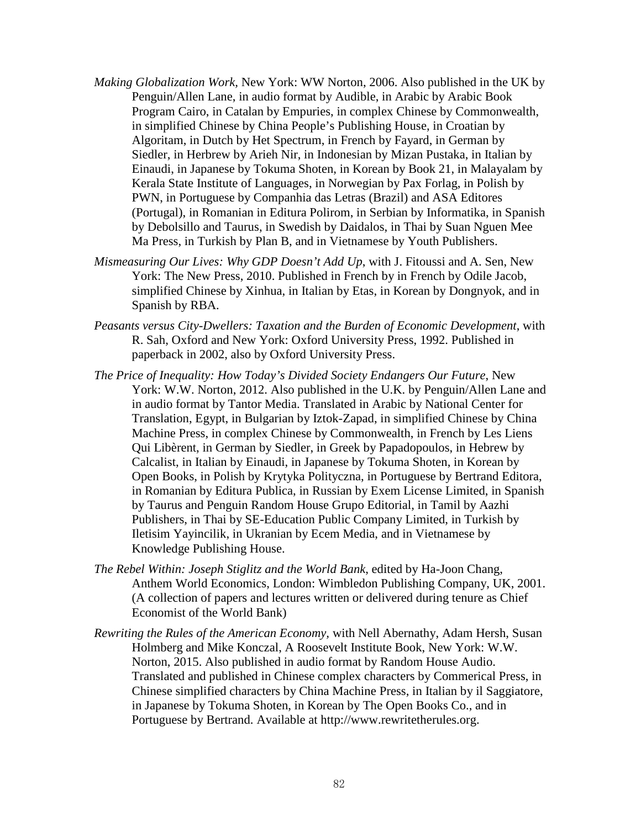- *Making Globalization Work,* New York: WW Norton, 2006. Also published in the UK by Penguin/Allen Lane, in audio format by Audible, in Arabic by Arabic Book Program Cairo, in Catalan by Empuries, in complex Chinese by Commonwealth, in simplified Chinese by China People's Publishing House, in Croatian by Algoritam, in Dutch by Het Spectrum, in French by Fayard, in German by Siedler, in Herbrew by Arieh Nir, in Indonesian by Mizan Pustaka, in Italian by Einaudi, in Japanese by Tokuma Shoten, in Korean by Book 21, in Malayalam by Kerala State Institute of Languages, in Norwegian by Pax Forlag, in Polish by PWN, in Portuguese by Companhia das Letras (Brazil) and ASA Editores (Portugal), in Romanian in Editura Polirom, in Serbian by Informatika, in Spanish by Debolsillo and Taurus, in Swedish by Daidalos, in Thai by Suan Nguen Mee Ma Press, in Turkish by Plan B, and in Vietnamese by Youth Publishers.
- *Mismeasuring Our Lives: Why GDP Doesn't Add Up*, with J. Fitoussi and A. Sen, New York: The New Press, 2010. Published in French by in French by Odile Jacob, simplified Chinese by Xinhua, in Italian by Etas, in Korean by Dongnyok, and in Spanish by RBA.
- *Peasants versus City-Dwellers: Taxation and the Burden of Economic Development*, with R. Sah, Oxford and New York: Oxford University Press, 1992. Published in paperback in 2002, also by Oxford University Press.
- *The Price of Inequality: How Today's Divided Society Endangers Our Future*, New York: W.W. Norton, 2012. Also published in the U.K. by Penguin/Allen Lane and in audio format by Tantor Media. Translated in Arabic by National Center for Translation, Egypt, in Bulgarian by Iztok-Zapad, in simplified Chinese by China Machine Press, in complex Chinese by Commonwealth, in French by Les Liens Qui Libèrent, in German by Siedler, in Greek by Papadopoulos, in Hebrew by Calcalist, in Italian by Einaudi, in Japanese by Tokuma Shoten, in Korean by Open Books, in Polish by Krytyka Polityczna, in Portuguese by Bertrand Editora, in Romanian by Editura Publica, in Russian by Exem License Limited, in Spanish by Taurus and Penguin Random House Grupo Editorial, in Tamil by Aazhi Publishers, in Thai by SE-Education Public Company Limited, in Turkish by Iletisim Yayincilik, in Ukranian by Ecem Media, and in Vietnamese by Knowledge Publishing House.
- *The Rebel Within: Joseph Stiglitz and the World Bank*, edited by Ha-Joon Chang, Anthem World Economics, London: Wimbledon Publishing Company, UK, 2001. (A collection of papers and lectures written or delivered during tenure as Chief Economist of the World Bank)
- *Rewriting the Rules of the American Economy,* with Nell Abernathy, Adam Hersh, Susan Holmberg and Mike Konczal, A Roosevelt Institute Book, New York: W.W. Norton, 2015. Also published in audio format by Random House Audio. Translated and published in Chinese complex characters by Commerical Press, in Chinese simplified characters by China Machine Press, in Italian by il Saggiatore, in Japanese by Tokuma Shoten, in Korean by The Open Books Co., and in Portuguese by Bertrand. Available at http://www.rewritetherules.org.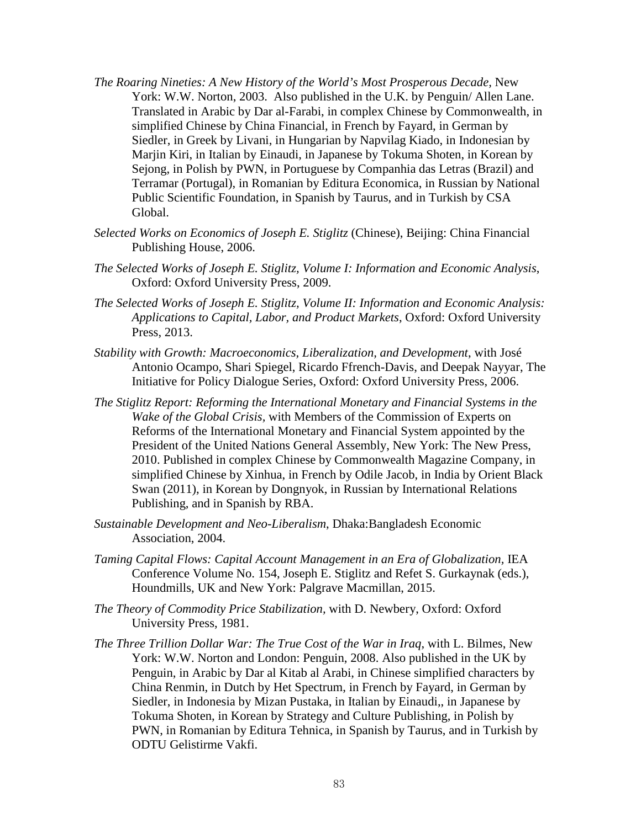- *The Roaring Nineties: A New History of the World's Most Prosperous Decade,* New York: W.W. Norton, 2003. Also published in the U.K. by Penguin/ Allen Lane. Translated in Arabic by Dar al-Farabi, in complex Chinese by Commonwealth, in simplified Chinese by China Financial, in French by Fayard, in German by Siedler, in Greek by Livani, in Hungarian by Napvilag Kiado, in Indonesian by Marjin Kiri, in Italian by Einaudi, in Japanese by Tokuma Shoten, in Korean by Sejong, in Polish by PWN, in Portuguese by Companhia das Letras (Brazil) and Terramar (Portugal), in Romanian by Editura Economica, in Russian by National Public Scientific Foundation, in Spanish by Taurus, and in Turkish by CSA Global.
- *Selected Works on Economics of Joseph E. Stiglitz* (Chinese), Beijing: China Financial Publishing House, 2006.
- *The Selected Works of Joseph E. Stiglitz, Volume I: Information and Economic Analysis*, Oxford: Oxford University Press, 2009.
- *The Selected Works of Joseph E. Stiglitz, Volume II: Information and Economic Analysis: Applications to Capital, Labor, and Product Markets*, Oxford: Oxford University Press, 2013.
- *Stability with Growth: Macroeconomics, Liberalization, and Development*, with José Antonio Ocampo, Shari Spiegel, Ricardo Ffrench-Davis, and Deepak Nayyar, The Initiative for Policy Dialogue Series, Oxford: Oxford University Press, 2006.
- *The Stiglitz Report: Reforming the International Monetary and Financial Systems in the Wake of the Global Crisis,* with Members of the Commission of Experts on Reforms of the International Monetary and Financial System appointed by the President of the United Nations General Assembly, New York: The New Press, 2010. Published in complex Chinese by Commonwealth Magazine Company, in simplified Chinese by Xinhua, in French by Odile Jacob, in India by Orient Black Swan (2011), in Korean by Dongnyok, in Russian by International Relations Publishing, and in Spanish by RBA.
- *Sustainable Development and Neo-Liberalism*, Dhaka:Bangladesh Economic Association, 2004.
- *Taming Capital Flows: Capital Account Management in an Era of Globalization, IEA* Conference Volume No. 154, [Joseph E. Stiglitz](http://www.palgrave.com/authors/author-detail/Joseph-E.-Stiglitz/5307) and [Refet S. Gurkaynak](http://www.palgrave.com/authors/author-detail/Refet-S.-Gurkaynak/49381) (eds.), Houndmills, UK and New York: Palgrave Macmillan, 2015.
- *The Theory of Commodity Price Stabilization,* with D. Newbery, Oxford: Oxford University Press, 1981.
- *The Three Trillion Dollar War: The True Cost of the War in Iraq*, with L. Bilmes, New York: W.W. Norton and London: Penguin, 2008. Also published in the UK by Penguin, in Arabic by Dar al Kitab al Arabi, in Chinese simplified characters by China Renmin, in Dutch by Het Spectrum, in French by Fayard, in German by Siedler, in Indonesia by Mizan Pustaka, in Italian by Einaudi,, in Japanese by Tokuma Shoten, in Korean by Strategy and Culture Publishing, in Polish by PWN, in Romanian by Editura Tehnica, in Spanish by Taurus, and in Turkish by ODTU Gelistirme Vakfi.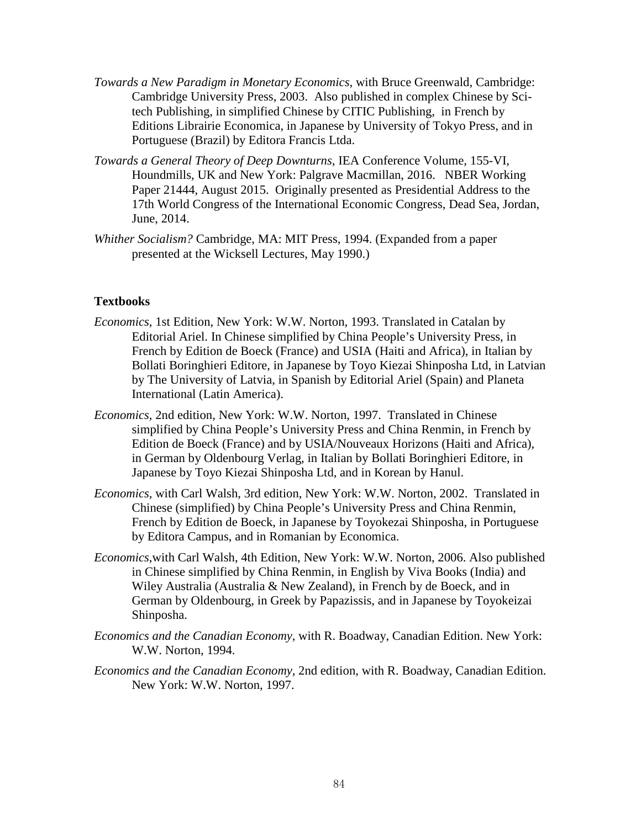- *Towards a New Paradigm in Monetary Economics,* with Bruce Greenwald, Cambridge: Cambridge University Press, 2003. Also published in complex Chinese by Scitech Publishing, in simplified Chinese by CITIC Publishing, in French by Editions Librairie Economica, in Japanese by University of Tokyo Press, and in Portuguese (Brazil) by Editora Francis Ltda.
- *Towards a General Theory of Deep Downturns*, IEA Conference Volume, 155-VI, Houndmills, UK and New York: Palgrave Macmillan, 2016. NBER Working Paper 21444, August 2015. Originally presented as Presidential Address to the 17th World Congress of the International Economic Congress, Dead Sea, Jordan, June, 2014.
- *Whither Socialism?* Cambridge, MA: MIT Press, 1994. (Expanded from a paper presented at the Wicksell Lectures, May 1990.)

### **Textbooks**

- *Economics,* 1st Edition, New York: W.W. Norton, 1993. Translated in Catalan by Editorial Ariel. In Chinese simplified by China People's University Press, in French by Edition de Boeck (France) and USIA (Haiti and Africa), in Italian by Bollati Boringhieri Editore, in Japanese by Toyo Kiezai Shinposha Ltd, in Latvian by The University of Latvia, in Spanish by Editorial Ariel (Spain) and Planeta International (Latin America).
- *Economics,* 2nd edition, New York: W.W. Norton, 1997. Translated in Chinese simplified by China People's University Press and China Renmin, in French by Edition de Boeck (France) and by USIA/Nouveaux Horizons (Haiti and Africa), in German by Oldenbourg Verlag, in Italian by Bollati Boringhieri Editore, in Japanese by Toyo Kiezai Shinposha Ltd, and in Korean by Hanul.
- *Economics,* with Carl Walsh, 3rd edition, New York: W.W. Norton, 2002. Translated in Chinese (simplified) by China People's University Press and China Renmin, French by Edition de Boeck, in Japanese by Toyokezai Shinposha, in Portuguese by Editora Campus, and in Romanian by Economica.
- *Economics*,with Carl Walsh, 4th Edition, New York: W.W. Norton, 2006. Also published in Chinese simplified by China Renmin, in English by Viva Books (India) and Wiley Australia (Australia & New Zealand), in French by de Boeck, and in German by Oldenbourg, in Greek by Papazissis, and in Japanese by Toyokeizai Shinposha.
- *Economics and the Canadian Economy,* with R. Boadway, Canadian Edition. New York: W.W. Norton, 1994.
- *Economics and the Canadian Economy,* 2nd edition, with R. Boadway, Canadian Edition. New York: W.W. Norton, 1997.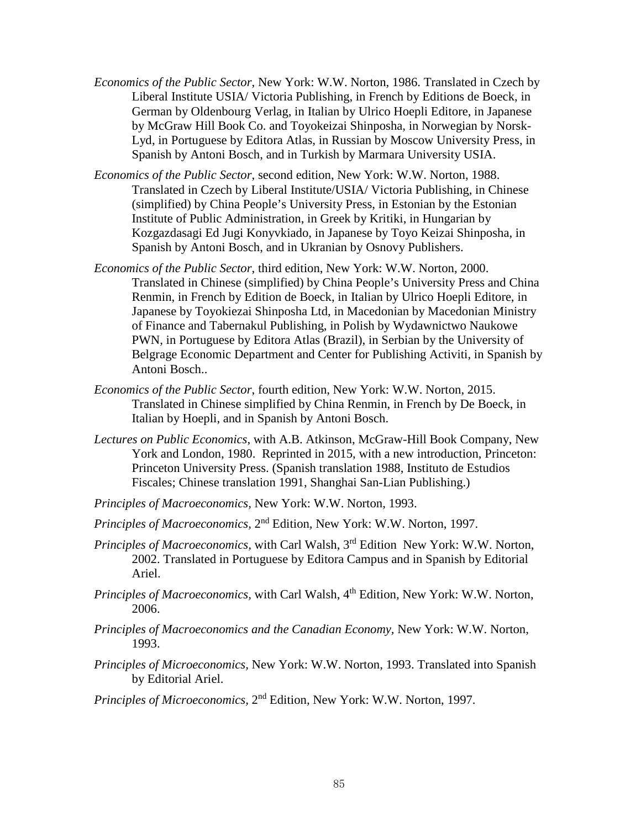- *Economics of the Public Sector*, New York: W.W. Norton, 1986. Translated in Czech by Liberal Institute USIA/ Victoria Publishing, in French by Editions de Boeck, in German by Oldenbourg Verlag, in Italian by Ulrico Hoepli Editore, in Japanese by McGraw Hill Book Co. and Toyokeizai Shinposha, in Norwegian by Norsk-Lyd, in Portuguese by Editora Atlas, in Russian by Moscow University Press, in Spanish by Antoni Bosch, and in Turkish by Marmara University USIA.
- *Economics of the Public Sector*, second edition, New York: W.W. Norton, 1988. Translated in Czech by Liberal Institute/USIA/ Victoria Publishing, in Chinese (simplified) by China People's University Press, in Estonian by the Estonian Institute of Public Administration, in Greek by Kritiki, in Hungarian by Kozgazdasagi Ed Jugi Konyvkiado, in Japanese by Toyo Keizai Shinposha, in Spanish by Antoni Bosch, and in Ukranian by Osnovy Publishers.
- *Economics of the Public Sector*, third edition, New York: W.W. Norton, 2000. Translated in Chinese (simplified) by China People's University Press and China Renmin, in French by Edition de Boeck, in Italian by Ulrico Hoepli Editore, in Japanese by Toyokiezai Shinposha Ltd, in Macedonian by Macedonian Ministry of Finance and Tabernakul Publishing, in Polish by Wydawnictwo Naukowe PWN, in Portuguese by Editora Atlas (Brazil), in Serbian by the University of Belgrage Economic Department and Center for Publishing Activiti, in Spanish by Antoni Bosch..
- *Economics of the Public Sector*, fourth edition, New York: W.W. Norton, 2015. Translated in Chinese simplified by China Renmin, in French by De Boeck, in Italian by Hoepli, and in Spanish by Antoni Bosch.
- *Lectures on Public Economics*, with A.B. Atkinson, McGraw-Hill Book Company, New York and London, 1980. Reprinted in 2015, with a new introduction, Princeton: Princeton University Press. (Spanish translation 1988, Instituto de Estudios Fiscales; Chinese translation 1991, Shanghai San-Lian Publishing.)
- *Principles of Macroeconomics,* New York: W.W. Norton, 1993.
- *Principles of Macroeconomics,* 2nd Edition*,* New York: W.W. Norton, 1997.
- *Principles of Macroeconomics,* with Carl Walsh, 3rd Edition New York: W.W. Norton, 2002. Translated in Portuguese by Editora Campus and in Spanish by Editorial Ariel.
- *Principles of Macroeconomics, with Carl Walsh, 4<sup>th</sup> Edition, New York: W.W. Norton,* 2006.
- *Principles of Macroeconomics and the Canadian Economy,* New York: W.W. Norton, 1993.
- *Principles of Microeconomics,* New York: W.W. Norton, 1993. Translated into Spanish by Editorial Ariel.
- *Principles of Microeconomics,* 2nd Edition*,* New York: W.W. Norton, 1997.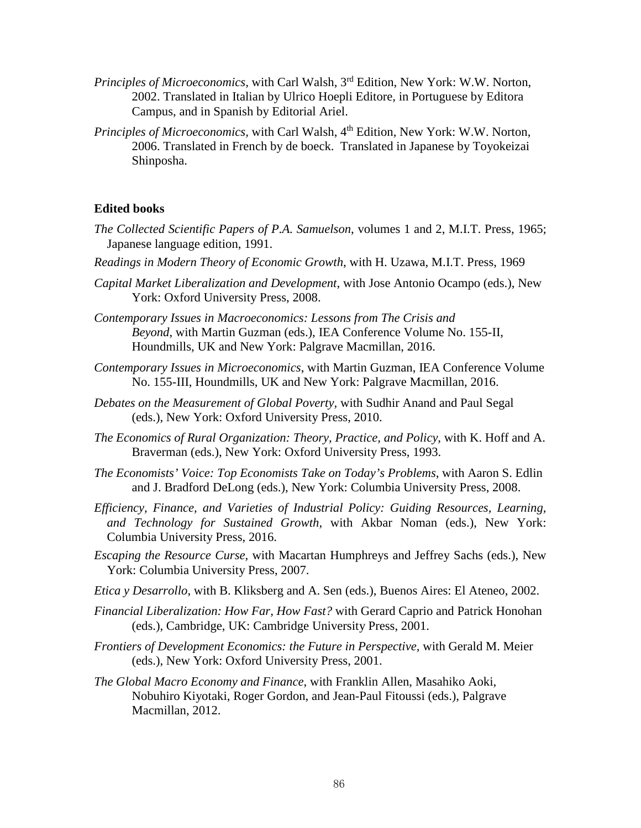- *Principles of Microeconomics,* with Carl Walsh, 3rd Edition, New York: W.W. Norton, 2002. Translated in Italian by Ulrico Hoepli Editore, in Portuguese by Editora Campus, and in Spanish by Editorial Ariel.
- *Principles of Microeconomics, with Carl Walsh, 4<sup>th</sup> Edition, New York: W.W. Norton,* 2006. Translated in French by de boeck. Translated in Japanese by Toyokeizai Shinposha.

#### **Edited books**

- *The Collected Scientific Papers of P.A. Samuelson*, volumes 1 and 2, M.I.T. Press, 1965; Japanese language edition, 1991.
- *Readings in Modern Theory of Economic Growth*, with H. Uzawa, M.I.T. Press, 1969
- *Capital Market Liberalization and Development*, with Jose Antonio Ocampo (eds.), New York: Oxford University Press, 2008.
- *[Contemporary Issues in Macroeconomics: Lessons from The Crisis and](http://www.amazon.co.uk/Contemporary-Issues-Macroeconomics-International-Association/dp/toc/1137529571)  [Beyond](http://www.amazon.co.uk/Contemporary-Issues-Macroeconomics-International-Association/dp/toc/1137529571)*, with Martin Guzman (eds.), IEA Conference Volume No. 155-II, Houndmills, UK and New York: Palgrave Macmillan, 2016.
- *[Contemporary Issues in Microeconomics](http://www.palgrave.com/br/book/9781137529701)*, with Martin Guzman, IEA Conference Volume No. 155-III, Houndmills, UK and New York: Palgrave Macmillan, 2016.
- *Debates on the Measurement of Global Poverty,* with Sudhir Anand and Paul Segal (eds.), New York: Oxford University Press, 2010.
- *The Economics of Rural Organization: Theory, Practice, and Policy,* with K. Hoff and A. Braverman (eds.), New York: Oxford University Press, 1993.
- *The Economists' Voice: Top Economists Take on Today's Problems*, with Aaron S. Edlin and J. Bradford DeLong (eds.), New York: Columbia University Press, 2008.
- *Efficiency, Finance, and Varieties of Industrial Policy: Guiding Resources, Learning, and Technology for Sustained Growth,* with Akbar Noman (eds.), New York: Columbia University Press, 2016.
- *Escaping the Resource Curse*, with Macartan Humphreys and Jeffrey Sachs (eds.), New York: Columbia University Press, 2007.
- *Etica y Desarrollo*, with B. Kliksberg and A. Sen (eds.), Buenos Aires: El Ateneo, 2002.
- *Financial Liberalization: How Far, How Fast?* with Gerard Caprio and Patrick Honohan (eds.), Cambridge, UK: Cambridge University Press, 2001.
- *Frontiers of Development Economics: the Future in Perspective,* with Gerald M. Meier (eds.), New York: Oxford University Press, 2001.
- *The Global Macro Economy and Finance*, with Franklin Allen, Masahiko Aoki, Nobuhiro Kiyotaki, Roger Gordon, and Jean-Paul Fitoussi (eds.), Palgrave Macmillan, 2012.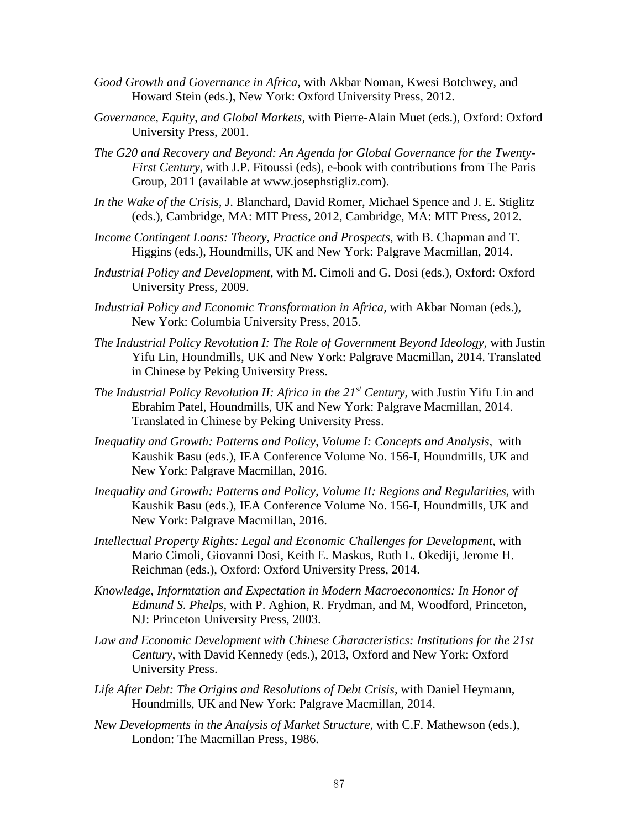- *Good Growth and Governance in Africa*, with Akbar Noman, Kwesi Botchwey, and Howard Stein (eds.), New York: Oxford University Press, 2012.
- *Governance, Equity, and Global Markets,* with Pierre-Alain Muet (eds.), Oxford: Oxford University Press, 2001.
- *The G20 and Recovery and Beyond: An Agenda for Global Governance for the Twenty-First Century*, with J.P. Fitoussi (eds), e-book with contributions from The Paris Group, 2011 (available at www.josephstigliz.com).
- *In the Wake of the Crisis,* J. Blanchard, David Romer, Michael Spence and J. E. Stiglitz (eds.), Cambridge, MA: MIT Press, 2012, Cambridge, MA: MIT Press, 2012.
- *Income Contingent Loans: Theory, Practice and Prospects*, with B. Chapman and T. Higgins (eds.), Houndmills, UK and New York: Palgrave Macmillan, 2014.
- *Industrial Policy and Development,* with M. Cimoli and G. Dosi (eds.), Oxford: Oxford University Press, 2009.
- *Industrial Policy and Economic Transformation in Africa,* with Akbar Noman (eds.), New York: Columbia University Press, 2015.
- *The Industrial Policy Revolution I: The Role of Government Beyond Ideology,* with Justin Yifu Lin, Houndmills, UK and New York: Palgrave Macmillan, 2014. Translated in Chinese by Peking University Press.
- *The Industrial Policy Revolution II: Africa in the 21<sup>st</sup> Century, with Justin Yifu Lin and* Ebrahim Patel, Houndmills, UK and New York: Palgrave Macmillan, 2014. Translated in Chinese by Peking University Press.
- *Inequality and Growth: Patterns and Policy, Volume I: Concepts and Analysis*, with Kaushik Basu (eds.), IEA Conference Volume No. 156-I, Houndmills, UK and New York: Palgrave Macmillan, 2016.
- *Inequality and Growth: Patterns and Policy, Volume II: Regions and Regularities*, with Kaushik Basu (eds.), IEA Conference Volume No. 156-I, Houndmills, UK and New York: Palgrave Macmillan, 2016.
- *[Intellectual Property Rights: Legal and Economic Challenges for Development](http://www.amazon.com/Intellectual-Property-Rights-Challenges-Development-ebook/dp/B00MN971IU/ref=sr_1_1?s=books&ie=UTF8&qid=1455304807&sr=1-1&keywords=Intellectual+Property+Rights%3A+Legal+and+Economic+Challenges+for+Development+2014)*, with Mario Cimoli, Giovanni Dosi, Keith E. Maskus, Ruth L. Okediji, Jerome H. Reichman (eds.), Oxford: Oxford University Press, 2014.
- *Knowledge, Informtation and Expectation in Modern Macroeconomics: In Honor of Edmund S. Phelps*, with P. Aghion, R. Frydman, and M, Woodford*,* Princeton, NJ: Princeton University Press, 2003.
- *Law and Economic Development with Chinese Characteristics: Institutions for the 21st Century*, with David Kennedy (eds.), 2013, Oxford and New York: Oxford University Press.
- *Life After Debt: The Origins and Resolutions of Debt Crisis*, with Daniel Heymann, Houndmills, UK and New York: Palgrave Macmillan, 2014.
- *New Developments in the Analysis of Market Structure*, with C.F. Mathewson (eds.), London: The Macmillan Press, 1986.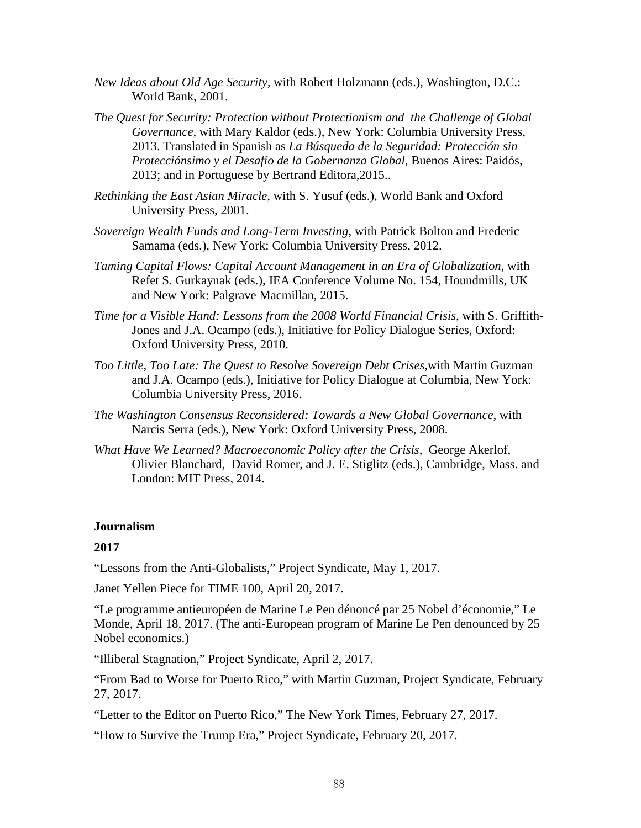- *New Ideas about Old Age Security,* with Robert Holzmann (eds.), Washington, D.C.: World Bank, 2001.
- *The Quest for Security: Protection without Protectionism and the Challenge of Global Governance*, with Mary Kaldor (eds.), New York: Columbia University Press, 2013. Translated in Spanish as *La Búsqueda de la Seguridad: Protección sin Protecciónsimo y el Desafío de la Gobernanza Global*, Buenos Aires: Paidós, 2013; and in Portuguese by Bertrand Editora,2015..
- *Rethinking the East Asian Miracle,* with S. Yusuf (eds.), World Bank and Oxford University Press, 2001.
- *Sovereign Wealth Funds and Long-Term Investing*, with Patrick Bolton and Frederic Samama (eds.), New York: Columbia University Press, 2012.
- *[Taming Capital Flows: Capital Account Management in an Era of Globalization](http://www.amazon.com/Taming-Capital-Flows-Globalization-International-ebook/dp/B00UK5JOSE)*, with Refet S. Gurkaynak (eds.), IEA Conference Volume No. 154, Houndmills, UK and New York: Palgrave Macmillan, 2015.
- *Time for a Visible Hand: Lessons from the 2008 World Financial Crisis*, with S. Griffith-Jones and J.A. Ocampo (eds.), Initiative for Policy Dialogue Series, Oxford: Oxford University Press, 2010.
- *Too Little, Too Late: The Quest to Resolve Sovereign Debt Crises,*with Martin Guzman and J.A. Ocampo (eds.), Initiative for Policy Dialogue at Columbia, New York: Columbia University Press, 2016.
- *The Washington Consensus Reconsidered: Towards a New Global Governance*, with Narcis Serra (eds.), New York: Oxford University Press, 2008.
- *What Have We Learned? Macroeconomic Policy after the Crisis*, George Akerlof, Olivier Blanchard, David Romer, and J. E. Stiglitz (eds.), Cambridge, Mass. and London: MIT Press, 2014.

# **Journalism**

#### **2017**

["Lessons from the Anti-Globalists,](https://www.project-syndicate.org/commentary/macron-fight-against-populism-by-joseph-e--stiglitz-2017-05)" Project Syndicate, May 1, 2017.

[Janet Yellen Piece for TIME 100,](http://time.com/collection/2017-time-100/4742751/janet-yellen/) April 20, 2017.

["Le programme antieuropéen de Marine Le Pen dénoncé par 25 Nobel d'économie,](http://www.lemonde.fr/idees/article/2017/04/18/25-nobel-d-economie-denoncent-les-programmes-anti-europeens_5112711_3232.html)" Le Monde, April 18, 2017. (The anti-European program of Marine Le Pen denounced by 25 Nobel economics.)

["Illiberal Stagnation,](https://www.project-syndicate.org/commentary/illiberal-stagnation-russia-transition-by-joseph-e--stiglitz-2017-04)" Project Syndicate, April 2, 2017.

["From Bad to Worse for Puerto Rico,](https://www.project-syndicate.org/commentary/puerto-rico-debt-plan-deep-depression-by-joseph-e--stiglitz-and-martin-guzman-2017-02)" with Martin Guzman, Project Syndicate, February 27, 2017.

["Letter to the Editor on Puerto Rico,](https://www.nytimes.com/2017/02/27/opinion/joseph-stiglitz-the-nobel-laureate-on-saving-puerto-rico.html?_r=0)" The New York Times, February 27, 2017.

["How to Survive the Trump Era,](https://www.project-syndicate.org/commentary/surviving-the-trump-era-by-joseph-e--stiglitz-2017-02)" Project Syndicate, February 20, 2017.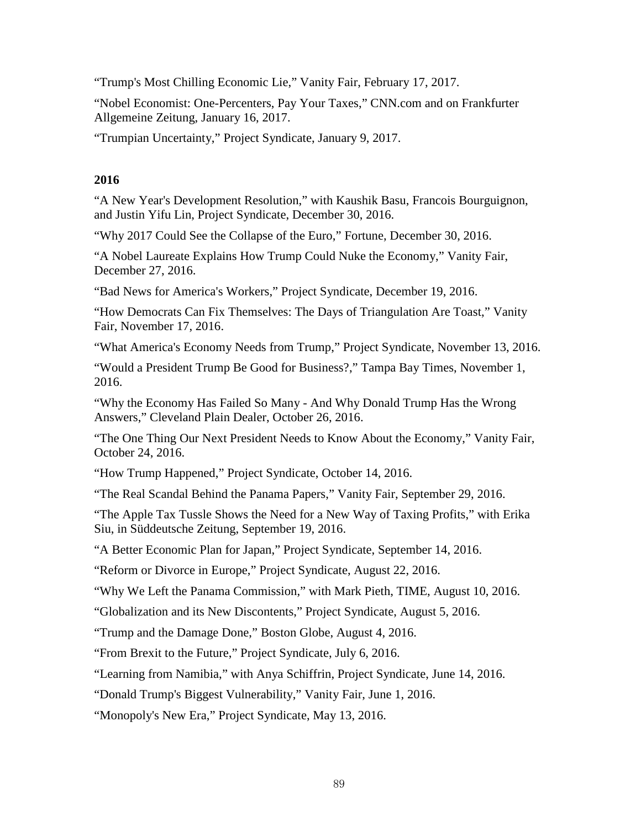["Trump's Most Chilling Economic Lie,](http://www.vanityfair.com/news/2017/02/donald-trump-china-economics-trade)" Vanity Fair, February 17, 2017.

["Nobel Economist: One-Percenters, Pay Your Taxes,](http://www.cnn.com/2017/01/16/opinions/eight-men-with-as-much-wealth-as-half-the-world-stiglitz/)" CNN.com and on [Frankfurter](http://www.faz.net/aktuell/wirtschaft/weltwirtschaftsforum/joseph-e-stiglitz-wachsende-ungleichheit-eines-der-groessten-risiken-fuer-weltwirtschaft-14660246.html)  [Allgemeine Zeitung,](http://www.faz.net/aktuell/wirtschaft/weltwirtschaftsforum/joseph-e-stiglitz-wachsende-ungleichheit-eines-der-groessten-risiken-fuer-weltwirtschaft-14660246.html) January 16, 2017.

["Trumpian Uncertainty,](https://www.project-syndicate.org/commentary/2017-economic-forecast-trump-uncertainty-by-joseph-e--stiglitz-2017-01)" Project Syndicate, January 9, 2017.

# **2016**

["A New Year's Development Resolution,](https://www.project-syndicate.org/commentary/update-development-policy-inequality-by-kaushik-basu-et-al-2016-12)" with Kaushik Basu, Francois Bourguignon, and Justin Yifu Lin, Project Syndicate, December 30, 2016.

["Why 2017 Could See the Collapse of the Euro,](http://fortune.com/2016/12/30/euro-outlook-2017/)" Fortune, December 30, 2016.

["A Nobel Laureate Explains How Trump Could Nuke the Economy,](http://www.vanityfair.com/news/2016/12/a-nobel-laureate-explains-how-trump-could-nuke-the-economy)" Vanity Fair, December 27, 2016.

["Bad News for America's Workers,](https://www.project-syndicate.org/commentary/trump-economy-hurts-workers-by-joseph-e--stiglitz-2016-12)" Project Syndicate, December 19, 2016.

["How Democrats Can Fix Themselves: The Days of Triangulation Are Toast,](http://www.vanityfair.com/news/2016/11/how-the-democrats-can-fix-themselves)" Vanity Fair, November 17, 2016.

["What America's Economy Needs from Trump,](https://www.project-syndicate.org/commentary/trump-agenda-america-economy-by-joseph-e--stiglitz-2016-11)" Project Syndicate, November 13, 2016.

["Would a President Trump Be Good for Business?,](http://www.tampabay.com/opinion/columns/column-would-a-president-trump-be-good-for-business/2300932)" Tampa Bay Times, November 1, 2016.

["Why the Economy Has Failed So Many -](http://www.cleveland.com/opinion/index.ssf/2016/10/why_the_economy_has_failed_so.html#incart_2box_opinion) And Why Donald Trump Has the Wrong [Answers,](http://www.cleveland.com/opinion/index.ssf/2016/10/why_the_economy_has_failed_so.html#incart_2box_opinion)" Cleveland Plain Dealer, October 26, 2016.

["The One Thing Our Next President Needs to Know About the Economy,](http://www.vanityfair.com/news/2016/10/one-thing-our-next-president-needs-to-know-about-the-economy)" Vanity Fair, October 24, 2016.

["How Trump Happened,](https://www.project-syndicate.org/commentary/trump-candidacy-message-to-political-leaders-by-joseph-e--stiglitz-2016-10)" Project Syndicate, October 14, 2016.

["The Real Scandal Behind the Panama Papers,](http://www.vanityfair.com/news/2016/09/the-real-scandal-behind-the-panama-papers)" Vanity Fair, September 29, 2016.

["The Apple Tax Tussle Shows the Need for a New Way of Taxing Profits,](http://www8.gsb.columbia.edu/faculty/jstiglitz/sites/jstiglitz/files/Apple%20Tax%20Tussle_0.pdf)" with Erika Siu, [in Süddeutsche Zeitung,](http://www8.gsb.columbia.edu/faculty/jstiglitz/sites/jstiglitz/files/Stiglitz_Siu_20160919.pdf) September 19, 2016.

["A Better Economic Plan for Japan,](https://www.project-syndicate.org/commentary/new-economic-plan-for-japan-by-joseph-e--stiglitz-2016-09)" Project Syndicate, September 14, 2016.

["Reform or Divorce in Europe,](https://www.project-syndicate.org/commentary/reform-or-divorce-in-eurozone-by-joseph-e--stiglitz-2016-08)" Project Syndicate, August 22, 2016.

"Why We [Left the Panama Commission,](http://time.com/4446733/joseph-stiglitz-panama-commission/)" with Mark Pieth, TIME, August 10, 2016.

["Globalization and its New Discontents,](https://www.project-syndicate.org/commentary/globalization-new-discontents-by-joseph-e--stiglitz-2016-08)" Project Syndicate, August 5, 2016.

["Trump and the Damage Done,](http://www.bostonglobe.com/opinion/2016/08/04/trump-and-damage-done/u8Lqa64AoCEqw3znmINJ3K/story.html)" Boston Globe, August 4, 2016.

["From Brexit to the Future,](https://www.project-syndicate.org/commentary/brexit-future-of-advanced-economies-by-joseph-e--stiglitz-2016-07)" Project Syndicate, July 6, 2016.

["Learning from Namibia,](https://www.project-syndicate.org/commentary/namibia-economic-social-success-story-by-joseph-e--stiglitz-and-anya-schiffrin-2016-06#comments)" with Anya Schiffrin, Project Syndicate, June 14, 2016.

["Donald Trump's Biggest Vulnerability,](http://www.vanityfair.com/news/2016/06/joseph-e-stiglitz-on-donald-trumps-biggest-vulnerability)" Vanity Fair, June 1, 2016.

["Monopoly's New Era,](https://www.project-syndicate.org/commentary/high-monopoly-profits-persist-in-markets-by-joseph-e--stiglitz-2016-05)" Project Syndicate, May 13, 2016.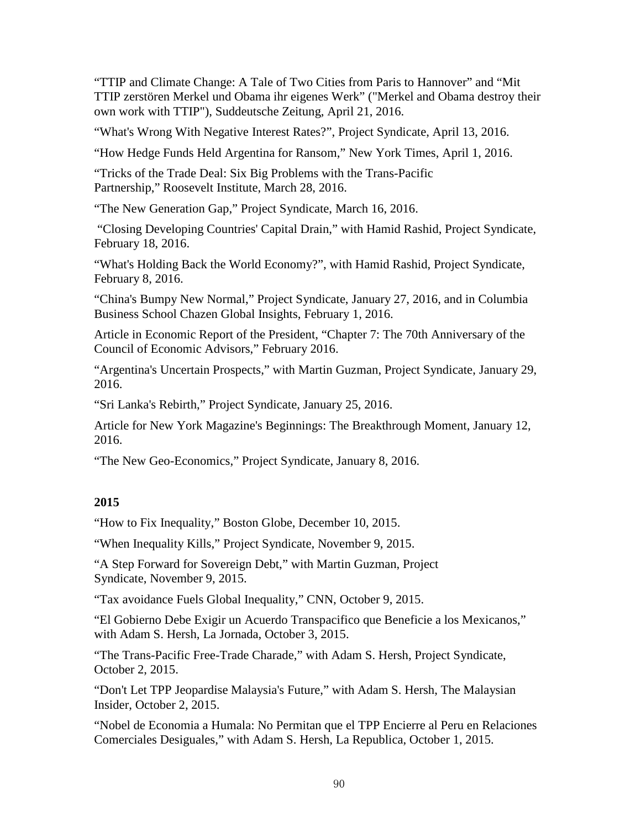["TTIP and Climate Change: A Tale of Two Cities from Paris to Hannover"](http://www.sueddeutsche.de/politik/exterior-view-ttip-and-climate-change-a-tale-of-two-cities-from-paris-to-hannover-1.2963133) and ["Mit](http://www.sueddeutsche.de/politik/aussenansicht-sie-zerstoeren-ihr-eigenes-werk-1.2959846)  [TTIP zerstören Merkel und Obama ihr eigenes Werk" \("Merkel and Obama destroy their](http://www.sueddeutsche.de/politik/aussenansicht-sie-zerstoeren-ihr-eigenes-werk-1.2959846)  [own work with TTIP"\),](http://www.sueddeutsche.de/politik/aussenansicht-sie-zerstoeren-ihr-eigenes-werk-1.2959846) Suddeutsche Zeitung, April 21, 2016.

["What's Wrong With Negative Interest Rates?"](https://www.project-syndicate.org/commentary/negative-rates-flawed-economic-model-by-joseph-e--stiglitz-2016-04), Project Syndicate, April 13, 2016.

["How Hedge Funds Held Argentina for Ransom,](http://www8.gsb.columbia.edu/faculty/jstiglitz/sites/jstiglitz/files/How%20Hedge%20Funds%20Held%20Argentina%20for%20Ransom%20-%20The%20New%20York%20Times.pdf)" New York Times, April 1, 2016.

["Tricks of the Trade Deal: Six Big Problems with the Trans-Pacific](http://rooseveltinstitute.org/tricks-trade-deal-six-big-problems-trans-pacific-partnership/)  [Partnership,](http://rooseveltinstitute.org/tricks-trade-deal-six-big-problems-trans-pacific-partnership/)" Roosevelt Institute, March 28, 2016.

["The New Generation Gap,](http://www.project-syndicate.org/commentary/new-generation-gap-social-injustice-by-joseph-e--stiglitz-2016-03)" Project Syndicate, March 16, 2016.

["Closing Developing Countries' Capital Drain,](http://www8.gsb.columbia.edu/faculty/jstiglitz/sites/jstiglitz/files/Closing%20Developing%20Countries%E2%80%99%20Capital%20Drain.pdf)" with Hamid Rashid, Project Syndicate, February 18, 2016.

["What's Holding Back the World Economy?"](http://www8.gsb.columbia.edu/faculty/jstiglitz/sites/jstiglitz/files/What%E2%80%99s%20Holding%20Back%20the%20World%20Economy_%20by%20Joseph%20E.pdf), with Hamid Rashid, Project Syndicate, February 8, 2016.

["China's Bumpy New Normal,](http://www8.gsb.columbia.edu/faculty/jstiglitz/sites/jstiglitz/files/China%E2%80%99s%20Bumpy%20New%20Normal%20by%20Joseph%20E.pdf)" Project Syndicate, January 27, 2016, and in [Columbia](http://www8.gsb.columbia.edu/chazen/globalinsights/node/317)  [Business School Chazen Global Insights,](http://www8.gsb.columbia.edu/chazen/globalinsights/node/317) February 1, 2016.

[Article in Economic Report of the President,](http://www8.gsb.columbia.edu/faculty/jstiglitz/sites/jstiglitz/files/Former%20CEA%20Chairman%20Joseph%20Stiglitz.pdf) "Chapter 7: The 70th Anniversary of the Council of Economic Advisors," February 2016.

["Argentina's Uncertain Prospects,](http://www8.gsb.columbia.edu/faculty/jstiglitz/sites/jstiglitz/files/China%E2%80%99s%20Bumpy%20New%20Normal%20by%20Joseph%20E.pdf)" with Martin Guzman, Project Syndicate, January 29, 2016.

["Sri Lanka's Rebirth,](http://www8.gsb.columbia.edu/faculty/jstiglitz/sites/jstiglitz/files/Sri%20Lanka%E2%80%99s%20Rebirth.pdf)" Project Syndicate, January 25, 2016.

[Article for New York Magazine's Beginnings: The Breakthrough Moment,](http://nymag.com/news/features/beginnings/joseph-stiglitz/) January 12, 2016.

["The New Geo-Economics,](http://www8.gsb.columbia.edu/faculty/jstiglitz/sites/jstiglitz/files/The%20New%20Geo-Economics.pdf)" Project Syndicate, January 8, 2016.

# **2015**

["How to Fix Inequality,](https://www.bostonglobe.com/opinion/2015/12/10/joseph-stiglitz-how-fix-inequality/TTkPkJKNXruJc2iOviB8gN/story.html)" Boston Globe, December 10, 2015.

["When Inequality Kills,](http://www.project-syndicate.org/commentary/lower-life-expectancy-white-americans-by-joseph-e--stiglitz-2015-12)" Project Syndicate, November 9, 2015.

["A Step Forward for Sovereign Debt,](http://www.project-syndicate.org/commentary/sovereign-debt-restructuring-un-principles-by-joseph-e--stiglitz-and-martin-guzman-2015-11)" with Martin Guzman, Project Syndicate, November 9, 2015.

["Tax avoidance Fuels Global Inequality,](http://www.cnn.com/2015/10/09/opinions/stiglitz-tax-avoidance-globalization/)" CNN, October 9, 2015.

["El Gobierno Debe Exigir un Acuerdo Transpacifico que Beneficie a los Mexicanos,](http://www8.gsb.columbia.edu/faculty/jstiglitz/sites/jstiglitz/files/2015%20La%20Jornada.pdf)" with Adam S. Hersh, La Jornada, October 3, 2015.

["The Trans-Pacific Free-Trade Charade,](http://www.project-syndicate.org/commentary/trans-pacific-partnership-charade-by-joseph-e--stiglitz-and-adam-s--hersh-2015-10)" with Adam S. Hersh, Project Syndicate, October 2, 2015.

["Don't Let TPP Jeopardise Malaysia's Future,](http://www8.gsb.columbia.edu/faculty/jstiglitz/sites/jstiglitz/files/2015%20TPP%20Malaysia.pdf)" with Adam S. Hersh, The Malaysian Insider, October 2, 2015.

["Nobel de Economia a Humala: No Permitan que el TPP Encierre al Peru en Relaciones](http://www8.gsb.columbia.edu/faculty/jstiglitz/sites/jstiglitz/files/2015%20La%20Republica.pdf)  [Comerciales Desiguales,](http://www8.gsb.columbia.edu/faculty/jstiglitz/sites/jstiglitz/files/2015%20La%20Republica.pdf)" with Adam S. Hersh, La Republica, October 1, 2015.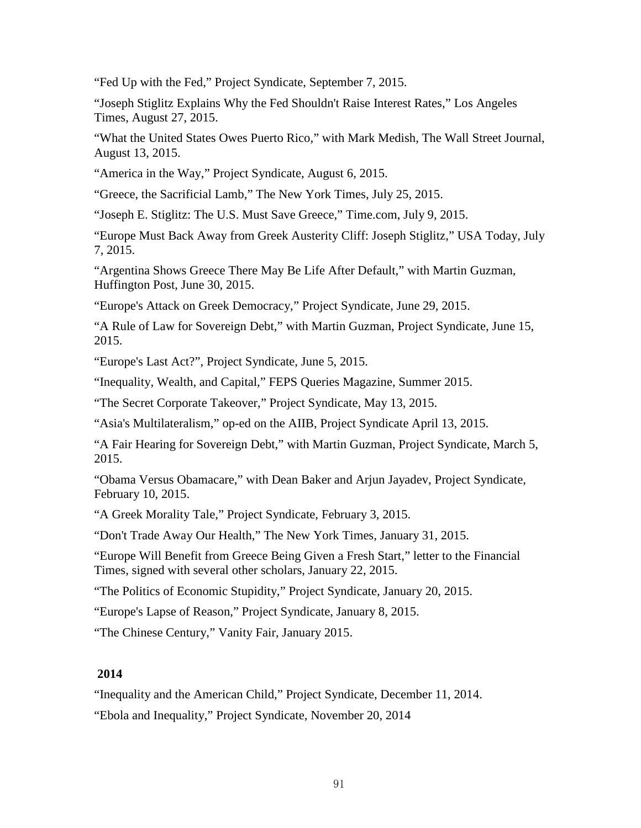["Fed Up with the Fed,](http://www.project-syndicate.org/commentary/us-fed-interest-rate-hike-low-inflation-by-joseph-e--stiglitz-2015-09)" Project Syndicate, September 7, 2015.

["Joseph Stiglitz Explains Why the Fed Shouldn't Raise Interest Rates,](http://www8.gsb.columbia.edu/faculty/jstiglitz/sites/jstiglitz/files/2015%20Fed%20shouldn)" Los Angeles Times, August 27, 2015.

["What the United States Owes Puerto Rico,](http://www.wsj.com/articles/what-the-united-states-owes-puerto-rico-1439506799)" with Mark Medish, The Wall Street Journal, August 13, 2015.

["America in the Way,](http://www.project-syndicate.org/commentary/us-international-development-finance-by-joseph-e--stiglitz-2015-08)" Project Syndicate, August 6, 2015.

["Greece, the Sacrificial Lamb,](http://www.nytimes.com/2015/07/26/opinion/greece-the-sacrificial-lamb.html?_r=0)" The New York Times, July 25, 2015.

["Joseph E. Stiglitz: The U.S. Must Save Greece,](http://time.com/3949954/joseph-e-stiglitz-greece-crisis/)" Time.com, July 9, 2015.

["Europe Must Back Away from Greek Austerity Cliff: Joseph Stiglitz,](http://www.usatoday.com/story/opinion/2015/07/07/greece-crisis-referendum-eu-austerity-column/29763347/)" USA Today, July 7, 2015.

["Argentina Shows Greece There May Be Life After Default,](http://www.huffingtonpost.com/joseph-e-stiglitz/argentina-greece-default_b_7697838.html)" with Martin Guzman, Huffington Post, June 30, 2015.

["Europe's Attack on Greek Democracy,](http://www.project-syndicate.org/commentary/greece-referendum-troika-eurozone-by-joseph-e--stiglitz-2015-06)" Project Syndicate, June 29, 2015.

["A Rule of Law for Sovereign Debt,](http://www.project-syndicate.org/commentary/sovereign-debt-restructuring-by-joseph-e-stiglitz-and-martin-guzman-2015-06)" with Martin Guzman, Project Syndicate, June 15, 2015.

["Europe's Last Act?"](http://www.project-syndicate.org/commentary/greece-creditor-demands-by-joseph-e--stiglitz-2015-06), Project Syndicate, June 5, 2015.

["Inequality, Wealth, and Capital,](http://www8.gsb.columbia.edu/faculty/jstiglitz/sites/jstiglitz/files/Inequality%2C%20Wealth%20and%20Capital.pdf)" FEPS Queries Magazine, Summer 2015.

["The Secret Corporate Takeover,](http://www.project-syndicate.org/commentary/us-secret-corporate-takeover-by-joseph-e--stiglitz-2015-05)" Project Syndicate, May 13, 2015.

["Asia's Multilateralism,](http://www.project-syndicate.org/commentary/china-aiib-us-opposition-by-joseph-e--stiglitz-2015-04)" op-ed on the AIIB, Project Syndicate April 13, 2015.

["A Fair Hearing for Sovereign Debt,](http://www.project-syndicate.org/commentary/argentina-repay-vulture-fund-by-joseph-e--stiglitz-and-martin-guzman-2015-03)" with Martin Guzman, Project Syndicate, March 5, 2015.

["Obama Versus Obamacare,](http://www.project-syndicate.org/commentary/obamacare-india-generic-drugs-by-dean-baker-et-al-2015-02)" with Dean Baker and Arjun Jayadev, Project Syndicate, February 10, 2015.

["A Greek Morality Tale,](http://www.project-syndicate.org/commentary/greece-eurozone-austerity-reform-by-joseph-e--stiglitz-2015-02)" Project Syndicate, February 3, 2015.

["Don't Trade Away Our Health,](http://nyti.ms/1wIJ9i4)" The New York Times, January 31, 2015.

["Europe Will Benefit from Greece Being Given a Fresh Start,](http://www.ft.com/intl/cms/s/0/639cf9b0-a1a0-11e4-bd03-00144feab7de.html?siteedition=intl#axzz3Pahdp9XI)" letter to the Financial Times, signed with several other scholars, January 22, 2015.

["The Politics of Economic Stupidity,](http://www.project-syndicate.org/commentary/politics-of-economic-stupidity-by-joseph-e--stiglitz)" Project Syndicate, January 20, 2015.

["Europe's Lapse of Reason,](http://www.project-syndicate.org/commentary/european-union-austerity-backlash-by-joseph-e--stiglitz-2015-01)" Project Syndicate, January 8, 2015.

["The Chinese Century,](http://www.vanityfair.com/business/2015/01/china-worlds-largest-economy)" Vanity Fair, January 2015.

# **2014**

["Inequality and the American Child,](http://www.project-syndicate.org/commentary/american-children-lack-equal-opportunity-by-joseph-e--stiglitz-2014-12)" Project Syndicate, December 11, 2014.

["Ebola and Inequality,](https://www.project-syndicate.org/commentary/ebola-highlights-inequality-by-joseph-e--stiglitz-2014-11)" Project Syndicate, November 20, 2014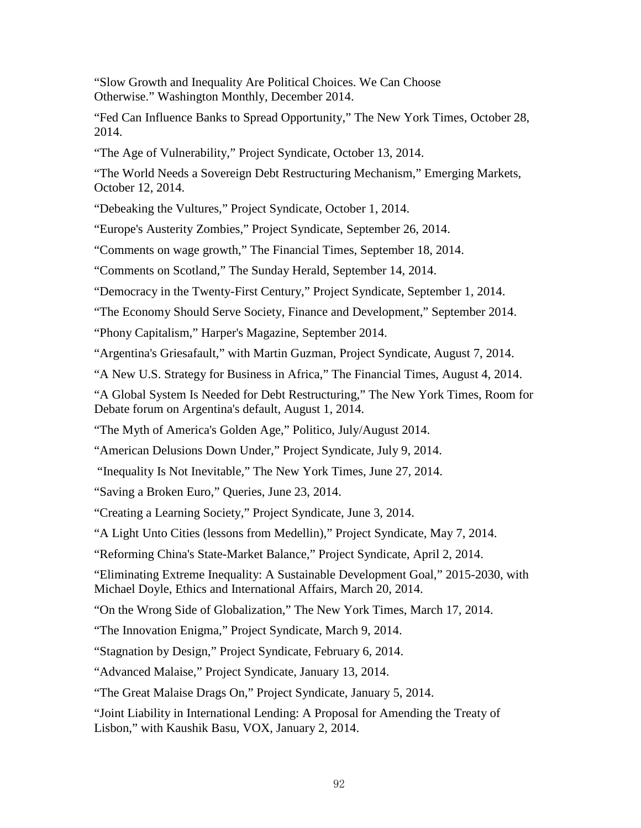["Slow Growth and Inequality Are Political Choices. We Can Choose](http://www.washingtonmonthly.com/magazine/novemberdecember_2014/features/conclusion_slow_growth_and_ine052716.php?page=all)  [Otherwise."](http://www.washingtonmonthly.com/magazine/novemberdecember_2014/features/conclusion_slow_growth_and_ine052716.php?page=all) Washington Monthly, December 2014.

["Fed Can Influence Banks to Spread Opportunity,](http://www.nytimes.com/roomfordebate/2014/10/27/what-could-the-fed-do-to-address-inequality/fed-can-influence-or-banks-to-spread-opportunity)" The New York Times, October 28, 2014.

["The Age of Vulnerability,](http://www.project-syndicate.org/commentary/economic-failure-individual-insecurity-by-joseph-e--stiglitz-2014-10)" Project Syndicate, October 13, 2014.

["The World Needs a Sovereign Debt Restructuring Mechanism,](http://www.emergingmarkets.org/Article/3389531/JOSEPH-STIGLITZ-The-world-needs-a-sovereign-debt-restructuring-mechanism.html)" Emerging Markets, October 12, 2014.

["Debeaking the Vultures,](http://www.project-syndicate.org/commentary/joseph-e--stiglitz-and-martin-guzman-on-the-efforts-to-remove-new-legal-obstacles-to-sovereign-debt-restructuring-2014-10)" Project Syndicate, October 1, 2014.

["Europe's Austerity Zombies,](http://www.project-syndicate.org/commentary/joseph-e--stiglitz-wonders-why-eu-leaders-are-nursing-a-dead-theory)" Project Syndicate, September 26, 2014.

["Comments on wage growth,](http://www.ft.com/intl/cms/s/2/ec422956-3f22-11e4-a861-00144feabdc0.html#axzz3DmpL5EGu)" The Financial Times, September 18, 2014.

["Comments on Scotland,](http://www.heraldscotland.com/comment/columnists/there-is-no-basis-for-this-scaremongering-but-this-is-not-just-about-money.25313968)" The Sunday Herald, September 14, 2014.

["Democracy in the Twenty-First Century,](http://www.project-syndicate.org/commentary/joseph-e--stiglitz-blames-rising-inequality-on-an-ersatz-form-of-capitalism-that-benefits-only-the-rich)" Project Syndicate, September 1, 2014.

["The Economy Should Serve Society,](http://www.imf.org/external/pubs/ft/fandd/2014/09/nobels.htm) Finance and Development," September 2014.

["Phony Capitalism,](http://harpers.org/archive/2014/09/phony-capitalism/)" Harper's Magazine, September 2014.

["Argentina's Griesafault,](http://www.project-syndicate.org/commentary/joseph-e--stiglitz-and-martin-guzman-argue-that-the-country-s-default-will-ultimately-harm-america)" with Martin Guzman, Project Syndicate, August 7, 2014.

["A New U.S. Strategy for Business in Africa,](http://www.ft.com/intl/cms/s/0/5ea74b42-1ae9-11e4-a633-00144feabdc0.html?ftcamp=published_links%2Frss%2Fcomment_opinion%2Ffeed%2F%2Fproduct#axzz39Ql6UWNN)" The Financial Times, August 4, 2014.

["A Global System Is Needed for Debt Restructuring,](http://www.nytimes.com/roomfordebate/2014/08/01/the-justice-of-argentinas-default/a-global-system-is-needed-for-debt-restructuring)" The New York Times, Room for Debate forum on Argentina's default, August 1, 2014.

["The Myth of America's Golden Age,](http://www.politico.com/magazine/story/2014/06/the-myth-of-americas-golden-age-108013.html#.U-vM9vldUrU)" Politico, July/August 2014.

["American Delusions Down Under,](http://www.project-syndicate.org/commentary/joseph-e--stiglitz-wonders-why-australian-prime-minister-tony-abbott-wants-to-emulate-the-us-economic-model)" Project Syndicate, July 9, 2014.

["Inequality Is Not Inevitable,](http://opinionator.blogs.nytimes.com/2014/06/27/inequality-is-not-inevitable/)" The New York Times, June 27, 2014.

["Saving a Broken Euro,](http://www.queries-feps.eu/saving-a-broken-euro/)" Queries, June 23, 2014.

["Creating a Learning Society,](http://www.project-syndicate.org/commentary/joseph-e--stiglitz-makes-the-case-for-a-return-to-industrial-policy-in-developed-and-developing-countries-alike)" Project Syndicate, June 3, 2014.

["A Light Unto Cities](http://www.project-syndicate.org/commentary/joseph-e--stiglitz-on-the-lessons-that-urban-areas-should-learn-from-the-transformation-of-medellin--colombia) (lessons from Medellin)," Project Syndicate, May 7, 2014.

["Reforming China's State-Market Balance,](http://www.project-syndicate.org/commentary/joseph-e--stiglitz-asks-what-role-government-should-play-as-economic-restructuring-proceeds)" Project Syndicate, April 2, 2014.

["Eliminating Extreme Inequality: A Sustainable Development Goal," 2015-2030,](http://www.ethicsandinternationalaffairs.org/2014/eliminating-extreme-inequality-a-sustainable-development-goal-2015-2030/) with Michael Doyle, Ethics and International Affairs, March 20, 2014.

["On the Wrong Side of Globalization,](http://opinionator.blogs.nytimes.com/2014/03/15/on-the-wrong-side-of-globalization/)" The New York Times, March 17, 2014.

["The Innovation Enigma,](http://www.project-syndicate.org/commentary/joseph-e--stiglitz-argues-that-the-impact-of-technological-change-on-living-standards-has-become-increasingly-unclear)" Project Syndicate, March 9, 2014.

["Stagnation by Design,](http://www.project-syndicate.org/commentary/joseph-e--stiglitz-argues-that-bad-policies-in-rich-countries--not-economic-inevitability--have-caused-most-people-s-standard-of-living-to-decline)" Project Syndicate, February 6, 2014.

["Advanced Malaise,](http://www.project-syndicate.org/commentary/joseph-e--stiglitz-pours-cold-water-on-rosy-projections-of-faster-recovery-in-europe-and-the-us)" Project Syndicate, January 13, 2014.

["The Great Malaise Drags On,](http://www.project-syndicate.org/commentary/joseph-e--stiglitz-predicts-continued-slow-growth-and-misguided-economic-policy-in-2014)" Project Syndicate, January 5, 2014.

["Joint Liability in International Lending: A Proposal for Amending the Treaty of](http://www.voxeu.org/article/economic-theory-model-amending-treaty-lisbon)  [Lisbon,](http://www.voxeu.org/article/economic-theory-model-amending-treaty-lisbon)" with Kaushik Basu, VOX, January 2, 2014.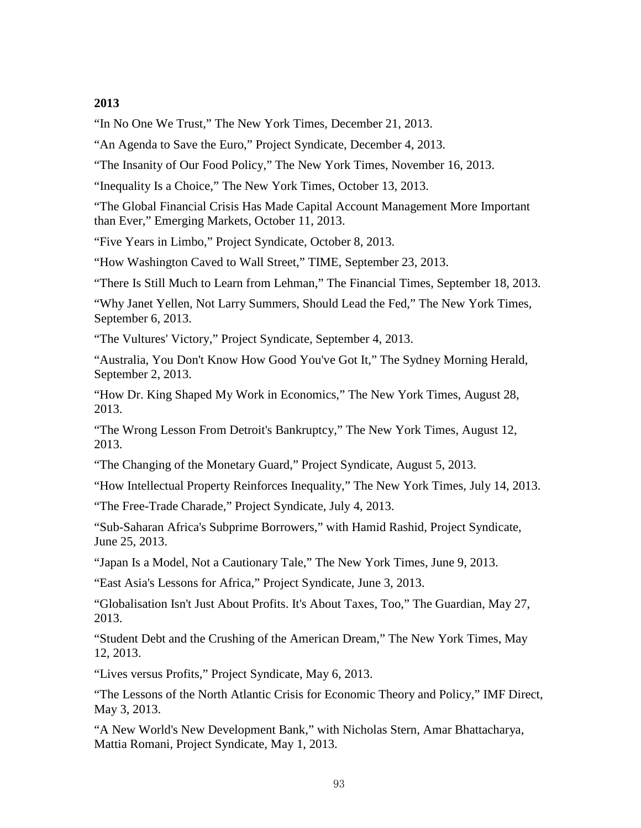["In No One We Trust,](http://opinionator.blogs.nytimes.com/2013/12/21/in-no-one-we-trust/)" The New York Times, December 21, 2013.

["An Agenda to Save the Euro,](http://www.project-syndicate.org/commentary/joseph-e--stiglitz-says-that-the-europe-will-not-recover-unless-and-until-the-eurozone-is-fundamentally-reformed)" Project Syndicate, December 4, 2013.

["The Insanity of Our Food Policy,](http://opinionator.blogs.nytimes.com/2013/11/16/the-insanity-of-our-food-policy/)" The New York Times, November 16, 2013.

["Inequality Is a Choice,](http://opinionator.blogs.nytimes.com/2013/10/13/inequality-is-a-choice/)" The New York Times, October 13, 2013.

["The Global Financial Crisis Has Made Capital Account Management More Important](http://www.emergingmarkets.org/Article/3266187/Financial-Markets/JOSEPH-STIGLITZ-Government-intervention-is-desirable.html)  [than Ever,](http://www.emergingmarkets.org/Article/3266187/Financial-Markets/JOSEPH-STIGLITZ-Government-intervention-is-desirable.html)" Emerging Markets, October 11, 2013.

["Five Years in Limbo,](http://www.project-syndicate.org/commentary/joseph-e--stiglitzthe-sluggish-pace-of-post-crisis-financial-reform)" Project Syndicate, October 8, 2013.

["How Washington Caved to Wall Street,](http://ideas.time.com/2013/09/23/how-washington-caved-to-wall-street/?xid=gonewsedit)" TIME, September 23, 2013.

["There Is Still Much to Learn from Lehman,](http://blogs.ft.com/the-a-list/2013/09/18/there-is-still-much-to-learn-from-lehman/#axzz2fG6zkcwO)" The Financial Times, September 18, 2013.

["Why Janet Yellen, Not Larry Summers, Should Lead the Fed,](http://opinionator.blogs.nytimes.com/2013/09/06/why-janet-yellen-not-larry-summers-should-lead-the-fed/)" The New York Times, September 6, 2013.

["The Vultures' Victory,](http://www.project-syndicate.org/commentary/argentina-s-debt-and-american-courts-by-joseph-e--stiglitz)" Project Syndicate, September 4, 2013.

["Australia, You Don't Know How Good You've Got It,](http://www.smh.com.au/comment/australia-you-dont-know-how-good-youve-got-it-20130901-2sytb.html)" The Sydney Morning Herald, September 2, 2013.

["How Dr. King Shaped My Work in Economics,](http://opinionator.blogs.nytimes.com/2013/08/27/how-dr-king-shaped-my-work-in-economics/)" The New York Times, August 28, 2013.

["The Wrong Lesson From Detroit's Bankruptcy,](http://opinionator.blogs.nytimes.com/2013/08/11/the-wrong-lesson-from-detroits-bankruptcy/)" The New York Times, August 12, 2013.

["The Changing of the Monetary Guard,](http://www.project-syndicate.org/commentary/guidelines-for-new-central-bankers-by-joseph-e--stiglitz)" Project Syndicate, August 5, 2013.

["How Intellectual Property Reinforces Inequality,](http://opinionator.blogs.nytimes.com/2013/07/14/how-intellectual-property-reinforces-inequality/)" The New York Times, July 14, 2013.

["The Free-Trade Charade,](http://www.project-syndicate.org/commentary/transatlantic-and-transpacific-free-trade-trouble-by-joseph-e--stiglitz)" Project Syndicate, July 4, 2013.

["Sub-Saharan Africa's Subprime Borrowers,](http://www.project-syndicate.org/commentary/sub-saharan-africa-s-subprime-borrowers-by-joseph-e--stiglitz-and-hamid-rashid)" with Hamid Rashid, Project Syndicate, June 25, 2013.

["Japan Is a Model, Not a Cautionary Tale,](http://opinionator.blogs.nytimes.com/2013/06/09/japan-is-a-model-not-a-cautionary-tale/)" The New York Times, June 9, 2013.

["East Asia's Lessons for Africa,](http://www.project-syndicate.org/commentary/east-asia-s-lessons-for-african-economic-development-by-joseph-e--stiglitz)" Project Syndicate, June 3, 2013.

["Globalisation Isn't Just About Profits. It's About Taxes, Too,](http://www.guardian.co.uk/commentisfree/2013/may/27/globalisation-is-about-taxes-too)" The Guardian, May 27, 2013.

"Student Debt and the [Crushing of the American Dream,](http://opinionator.blogs.nytimes.com/2013/05/12/student-debt-and-the-crushing-of-the-american-dream/)" The New York Times, May 12, 2013.

["Lives versus Profits,](http://www.project-syndicate.org/commentary/the-myriad-problems-of-intellectual-property-by-joseph-e--stiglitz)" Project Syndicate, May 6, 2013.

["The Lessons of the North Atlantic Crisis for Economic Theory and Policy,](http://blog-imfdirect.imf.org/2013/05/03/the-lessons-of-the-north-atlantic-crisis-for-economic-theory-and-policy/)" IMF Direct, May 3, 2013.

["A New World's New Development Bank,](http://www.project-syndicate.org/commentary/the-benefits-of-the-brics-development-bank)" with Nicholas Stern, Amar Bhattacharya, Mattia Romani, Project Syndicate, May 1, 2013.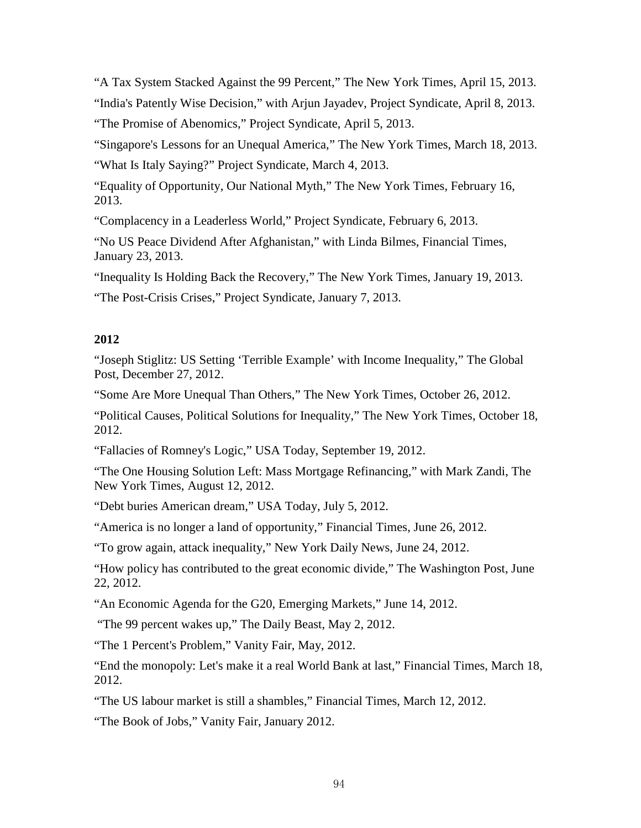["A Tax System Stacked Against the 99 Percent,](http://opinionator.blogs.nytimes.com/2013/04/14/a-tax-system-stacked-against-the-99-percent/)" The New York Times, April 15, 2013. ["India's Patently Wise Decision,](http://www.project-syndicate.org/commentary/the-impact-of-the-indian-supreme-court-s-patent-decision-by-joseph-e--stiglitz-and-arjun-jayadev)" with Arjun Jayadev, Project Syndicate, April 8, 2013. ["The Promise of Abenomics,](http://www.project-syndicate.org/commentary/shinzo-abe-and-soaring-confidence-in-japan-by-joseph-e--stiglitz)" Project Syndicate, April 5, 2013.

"Singapore's [Lessons for an Unequal America,](http://opinionator.blogs.nytimes.com/2013/03/18/singapores-lessons-for-an-unequal-america/)" The New York Times, March 18, 2013.

["What Is Italy Saying?"](http://www.project-syndicate.org/commentary/listening-to-european-voters--rejection-of-austerity-by-joseph-e--stiglitz) Project Syndicate, March 4, 2013.

["Equality of Opportunity, Our National Myth,](http://opinionator.blogs.nytimes.com/2013/02/16/equal-opportunity-our-national-myth/)" The New York Times, February 16, 2013.

["Complacency in a Leaderless World,](http://www.project-syndicate.org/commentary/lessons-from-davos-by-joseph-e--stiglitz)" Project Syndicate, February 6, 2013.

["No US Peace Dividend After Afghanistan,](http://www.ft.com/intl/cms/s/0/da88f8fe-63e9-11e2-84d8-00144feab49a.html#axzz2IuHhUGHk)" with Linda Bilmes, Financial Times, January 23, 2013.

["Inequality Is Holding Back the](http://opinionator.blogs.nytimes.com/2013/01/19/inequality-is-holding-back-the-recovery/) Recovery," The New York Times, January 19, 2013.

["The Post-Crisis Crises,](http://www.project-syndicate.org/commentary/global-warming--inequality--and-structural-change-by-joseph-e--stiglitz)" Project Syndicate, January 7, 2013.

# **2012**

["Joseph Stiglitz: US Setting 'Terrible Example' with Income Inequality,](http://www.globalpost.com/dispatch/news/regions/americas/united-states/121226/joseph-stiglitz-us-income-inequality)" The Global Post, December 27, 2012.

["Some Are More Unequal Than Others,](http://campaignstops.blogs.nytimes.com/2012/10/26/stiglitz-some-are-more-unequal-than-others/)" The New York Times, October 26, 2012.

["Political Causes, Political Solutions for Inequality,](http://www.nytimes.com/roomfordebate/2012/10/18/shrink-inequality-to-grow-the-economy/political-causes-political-solutions)" The New York Times, October 18, 2012.

["Fallacies of Romney's Logic,](http://www.usatoday.com/news/opinion/forum/story/2012-09-18/joseph-stiglitz-romney-tax/57803446/1)" USA Today, September 19, 2012.

["The One Housing Solution Left: Mass Mortgage Refinancing,](http://www.nytimes.com/2012/08/13/opinion/the-one-housing-solution-left-mass-mortgage-refinancing.html)" with Mark Zandi, The New York Times, August 12, 2012.

["Debt buries American dream,](http://www.usatoday.com/news/opinion/forum/story/2012-07-03/student-loans-debt-crisis/56006496/1)" USA Today, July 5, 2012.

["America is no longer a land of opportunity,](http://www8.gsb.columbia.edu/faculty/jstiglitz/sites/jstiglitz/files/2012_FT_America_no_longer.pdf)" Financial Times, June 26, 2012.

["To grow again, attack inequality,](http://www.nydailynews.com/opinion/grow-attack-inequality-article-1.1100939?localLinksEnabled=false)" New York Daily News, June 24, 2012.

["How policy has contributed to the great economic divide,](http://www.washingtonpost.com/opinions/how-policy-has-contributed-to-the-great-economic-divide/2012/06/22/gJQAXTX2vV_story.html)" The Washington Post, June 22, 2012.

["An Economic Agenda for the G20,](http://www.emergingmarkets.org/Article/3046369/Search/Results/JOSEPH-STIGLITZ-An-economic-agenda-for-the-G20.html?Keywords=Stiglitz) Emerging Markets," June 14, 2012.

["The 99 percent wakes up,](http://www.thedailybeast.com/articles/2012/05/02/joseph-stiglitz-the-99-percent-wakes-up.html#comments)" The Daily Beast, May 2, 2012.

["The 1 Percent's Problem,](http://www.vanityfair.com/politics/2012/05/joseph-stiglitz-the-price-on-inequality)" Vanity Fair, May, 2012.

["End the monopoly: Let's make it a real World Bank at last,](http://www.ft.com/intl/cms/s/0/4f96f8a4-6f7f-11e1-b3f9-00144feab49a.html#axzz1prKYne5W)" Financial Times, March 18, 2012.

["The US labour market is still a shambles,](http://www.ft.com/intl/cms/s/0/22e87a10-6c34-11e1-8c9d-00144feab49a.html#axzz1p1c3JR1C)" Financial Times, March 12, 2012.

["The Book of Jobs,](http://www.vanityfair.com/politics/2012/01/stiglitz-depression-201201)" Vanity Fair, January 2012.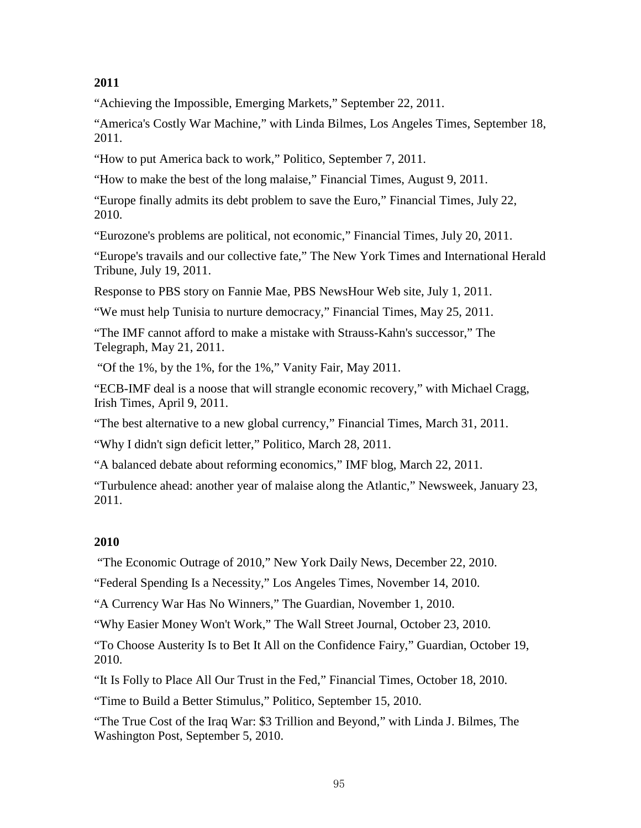["Achieving the Impossible,](http://www.emergingmarkets.org/Article/2905740/JOSEPH-STIGLITZ-Achieving-the-impossible.html) Emerging Markets," September 22, 2011.

["America's Costly War Machine,](http://www.latimes.com/news/opinion/commentary/la-oe--bilmes-war-cost-20110918,0,1598244.story)" with Linda Bilmes, Los Angeles Times, September 18, 2011.

["How to put America back to work,](http://www.politico.com/news/stories/0911/62847.html)" Politico, September 7, 2011.

["How to make the best of the long malaise,](http://www.ft.com/intl/cms/s/0/c864cd58-c1d1-11e0-bc71-00144feabdc0.html#axzz1UdEj1Mzk)" Financial Times, August 9, 2011.

["Europe finally admits its debt problem to save the Euro,](http://blogs.ft.com/the-a-list/2011/07/22/europe-finally-admits-its-debt-problem-to-save-the-euro/#axzz1SkoNkaPv)" Financial Times, July 22, 2010.

["Eurozone's problems are political, not economic,](http://blogs.ft.com/the-a-list/2011/07/20/eurozones-problems-are-political-not-economic/)" Financial Times, July 20, 2011.

["Europe's travails and our collective fate,](http://www.nytimes.com/2011/07/20/opinion/20iht-edstiglitz20.html)" The New York Times and International Herald Tribune, July 19, 2011.

[Response to PBS story on Fannie Mae,](http://www.pbs.org/newshour/making-sense/joseph-stiglitz-barney-frank-r/) PBS NewsHour Web site, July 1, 2011.

["We must help Tunisia to nurture democracy,](http://www.ft.com/intl/cms/s/0/e8dfb754-86c7-11e0-9d41-00144feabdc0.html#axzz1NwNYG2me)" Financial Times, May 25, 2011.

["The IMF cannot afford to make a mistake with Strauss-Kahn's successor,](http://www.telegraph.co.uk/news/worldnews/dominique-strauss-kahn/8527773/Joseph-Stiglitz-the-IMF-cannot-afford-to-make-a-mistake-with-Strauss-Kahns-successor.html)" The Telegraph, May 21, 2011.

["Of the 1%, by the 1%, for the 1%,](http://www.vanityfair.com/society/features/2011/05/top-one-percent-201105)" Vanity Fair, May 2011.

["ECB-IMF deal is a noose that will strangle economic recovery,](http://www.irishtimes.com/newspaper/opinion/2011/0409/1224294304548.html)" with Michael Cragg, Irish Times, April 9, 2011.

["The best alternative to a new global currency,](http://www.ft.com/cms/s/0/c2215510-5bc4-11e0-b8e7-00144feab49a.html#axzz1IqQ7ofkv)" Financial Times, March 31, 2011.

["Why I didn't sign deficit letter,](http://www.politico.com/news/stories/0311/52027.html)" Politico, March 28, 2011.

["A balanced debate about reforming economics,](http://blog-imfdirect.imf.org/2011/03/22/balanced-debate-about-reforming-macroeconomics/)" IMF blog, March 22, 2011.

["Turbulence ahead: another year of malaise along the Atlantic,](http://www.newsweek.com/2011/01/23/turbulence-ahead.html)" Newsweek, January 23, 2011.

# **2010**

["The Economic Outrage of 2010,](http://www.nydailynews.com/opinions/2010/12/22/2010-12-22_the_economic_outrage_of_2010_cowardly_leaders_failed_to_help_working_people__and.html)" New York Daily News, December 22, 2010.

["Federal Spending Is a Necessity,](http://www.latimes.com/news/opinion/la-oe-economists-20101114-web,0,4478455,full.story)" Los Angeles Times, November 14, 2010.

["A Currency War Has No Winners,](http://www.theguardian.com/commentisfree/cifamerica/2010/nov/01/currency-war-no-winners)" The Guardian, November 1, 2010.

["Why Easier Money Won't Work,"](http://online.wsj.com/article/SB10001424052702304023804575566573119083334.html) The Wall Street Journal, October 23, 2010.

["To Choose Austerity Is to Bet It All on the Confidence Fairy,](http://www.guardian.co.uk/commentisfree/cifamerica/2010/oct/19/no-confidence-fairy-for-austerity-britain)" Guardian, October 19, 2010.

["It Is Folly to Place All Our Trust in the Fed,"](http://www.ft.com/cms/s/0/0f1f8a26-db05-11df-a870-00144feabdc0.html) Financial Times, October 18, 2010.

["Time to Build a Better Stimulus,"](http://www.politico.com/news/stories/0910/42150.html) Politico, September 15, 2010.

["The True Cost of the Iraq War: \\$3 Trillion and Beyond,"](http://www.washingtonpost.com/wp-dyn/content/article/2010/09/03/AR2010090302200.html) with Linda J. Bilmes, The Washington Post, September 5, 2010.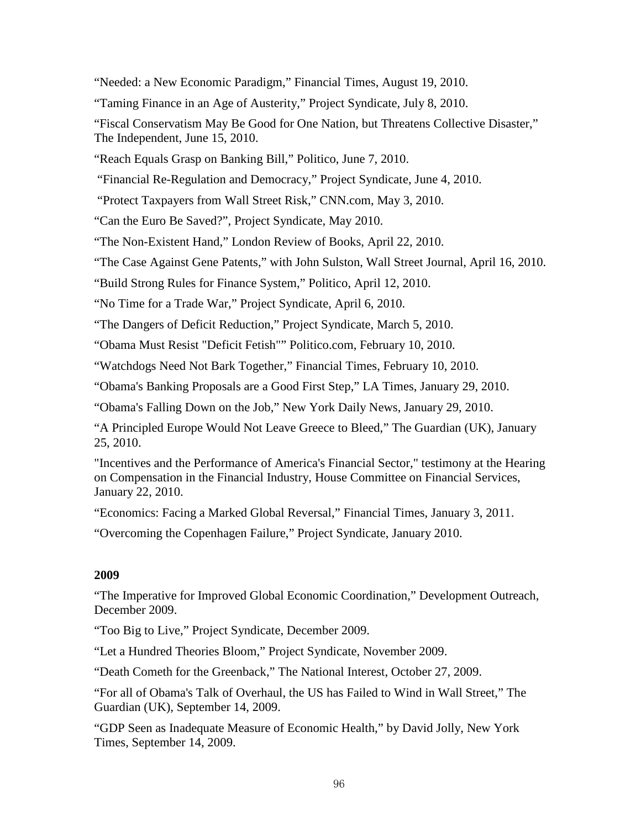["Needed: a New Economic Paradigm,"](http://www.ft.com/cms/s/0/d5108f90-abc2-11df-9f02-00144feabdc0.html) Financial Times, August 19, 2010.

["Taming Finance in an Age of Austerity,](http://www.project-syndicate.org/commentary/stiglitz127/English)" Project Syndicate, July 8, 2010.

["Fiscal Conservatism May Be Good for One Nation, but Threatens Collective Disaster,](http://www.independent.co.uk/opinion/commentators/joseph-stiglitz-fiscal-conservatism-may-be-good-for-one-nation-but-threatens-collective-disaster-2000517.html)" The Independent, June 15, 2010.

["Reach Equals Grasp on Banking Bill,](http://www.politico.com/news/stories/0610/38214.html)" Politico, June 7, 2010.

"Financial Re-Regulation and Democracy," Project Syndicate, June 4, 2010.

["Protect Taxpayers from Wall Street Risk,](http://www.cnn.com/2010/OPINION/05/03/stiglitz.wall.street.reform/index.html)" CNN.com, May 3, 2010.

["Can the Euro Be Saved?"](http://www.project-syndicate.org/commentary/stiglitz125/English), Project Syndicate, May 2010.

["The Non-Existent Hand,](http://www.lrb.co.uk/v32/n08/joseph-stiglitz/the-non-existent-hand)" London Review of Books, April 22, 2010.

["The Case Against Gene Patents,](http://www8.gsb.columbia.edu/faculty/jstiglitz/sites/jstiglitz/files/WSJ_Stiglitz_Sulston.pdf)" with John Sulston, Wall Street Journal, April 16, 2010.

["Build Strong Rules for Finance System,](http://www.politico.com/news/stories/0410/35636.html)" Politico, April 12, 2010.

["No Time for a Trade War,](http://www.project-syndicate.org/commentary/stiglitz124)" Project Syndicate, April 6, 2010.

["The Dangers of Deficit Reduction,](http://www.project-syndicate.org/commentary/stiglitz123/English)" Project Syndicate, March 5, 2010.

["Obama Must Resist "Deficit Fetish""](http://www.politico.com/news/stories/0210/32748.html) Politico.com, February 10, 2010.

["Watchdogs Need Not Bark Together,](http://www.ft.com/cms/s/0/fc3cf34a-15e2-11df-b65b-00144feab49a.html)" Financial Times, February 10, 2010.

["Obama's Banking Proposals are a Good First Step,](http://www.latimes.com/news/opinion/la-oe-stiglitz29-2010jan29,0,2749155.story)" LA Times, January 29, 2010.

["Obama's Falling Down on the Job,](http://www.nydailynews.com/opinions/2010/01/29/2010-01-29_obamas_falling_down_on_the_job.html)" New York Daily News, January 29, 2010.

["A Principled Europe Would Not Leave Greece to Bleed,](http://www.guardian.co.uk/commentisfree/2010/jan/25/principled-europe-not-let-greece-bleed)" The Guardian (UK), January 25, 2010.

["Incentives and the Performance of America's Financial Sector,"](http://financialservices.house.gov/media/file/hearings/111/stiglitz.pdf) testimony at the Hearing on Compensation in the Financial Industry, House Committee on Financial Services, January 22, 2010.

["Economics: Facing a Marked Global Reversal,](http://www.ft.com/cms/s/0/62a34642-1773-11e0-badd-00144feabdc0.html#axzz1A5RLUDUK)" Financial Times, January 3, 2011.

"Overcoming the [Copenhagen Failure,](http://www.project-syndicate.org/commentary/stiglitz121)" Project Syndicate, January 2010.

#### **2009**

["The Imperative for Improved Global Economic Coordination,](http://siteresources.worldbank.org/WBI/Resources/213798-1259968479602/outreach_stiglitz_dec09.pdf)" Development Outreach, December 2009.

["Too Big to Live,](http://www.project-syndicate.org/commentary/stiglitz119)" Project Syndicate, December 2009.

["Let a Hundred Theories Bloom,](http://www.project-syndicate.org/commentary/stiglitz118)" Project Syndicate, November 2009.

["Death Cometh for the Greenback,](http://www.nationalinterest.org/Article.aspx?id=22348)" The National Interest, October 27, 2009.

["For all of Obama's Talk of Overhaul, the US has Failed to Wind in Wall Street,](http://www.guardian.co.uk/commentisfree/2009/sep/14/lehmans-one-year-after1)" The Guardian (UK), September 14, 2009.

["GDP Seen as Inadequate Measure of Economic Health,](http://www.nytimes.com/2009/09/15/business/global/15gdp.html?sq=stiglitz&st=cse&adxnnl=1&scp=6&adxnnlx=1253037716-WroigcDW13rxyy6vnlL5bw)" by David Jolly, New York Times, September 14, 2009.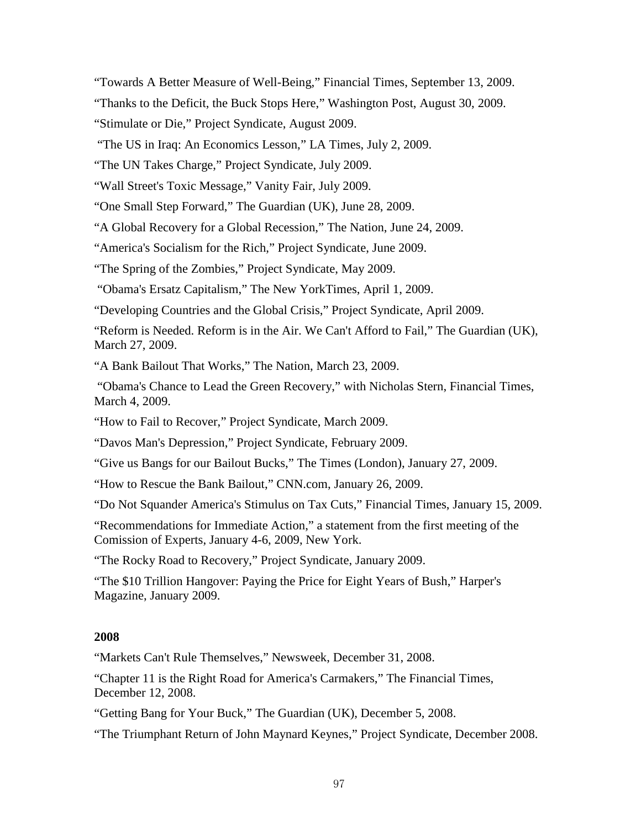["Towards A Better Measure of Well-Being,](http://www.ft.com/cms/s/0/95b492a8-a095-11de-b9ef-00144feabdc0.html?nclick_check=1)" Financial Times, September 13, 2009.

["Thanks to the Deficit, the Buck Stops Here,](http://www.washingtonpost.com/wp-dyn/content/article/2009/08/28/AR2009082802111.html)" Washington Post, August 30, 2009.

["Stimulate or Die,](http://www.project-syndicate.org/commentary/stiglitz115)" Project Syndicate, August 2009.

["The US in Iraq: An Economics Lesson,](http://www.latimes.com/news/opinion/la-oe-bilmes2-2009jul02,0,1621172.story)" LA Times, July 2, 2009.

["The UN Takes Charge,](http://www.project-syndicate.org/commentary/stiglitz114)" Project Syndicate, July 2009.

["Wall Street's Toxic Message,"](http://www.vanityfair.com/politics/features/2009/07/third-world-debt200907) Vanity Fair, July 2009.

["One Small Step Forward,](http://www.guardian.co.uk/commentisfree/2009/jun/28/joseph-stiglitz-un-economic-crisis)" The Guardian (UK), June 28, 2009.

["A Global Recovery for a Global Recession,"](http://www.thenation.com/article/global-recovery-global-recession) The Nation, June 24, 2009.

["America's Socialism for the Rich,](http://www.project-syndicate.org/commentary/stiglitz113)" Project Syndicate, June 2009.

["The Spring of the Zombies,](http://www.project-syndicate.org/commentary/stiglitz112)" Project Syndicate, May 2009.

["Obama's Ersatz Capitalism,](http://www.nytimes.com/2009/04/01/opinion/01stiglitz.html?_r=1)" The New YorkTimes, April 1, 2009.

["Developing Countries and the Global Crisis,](http://www.project-syndicate.org/commentary/stiglitz111)" Project Syndicate, April 2009.

["Reform is Needed. Reform is in the Air. We Can't Afford to Fail,](http://www.guardian.co.uk/commentisfree/2009/mar/27/global-recession-reform)" The Guardian (UK), March 27, 2009.

["A Bank Bailout That Works,](http://www.thenation.com/article/bank-bailout-works/)" The Nation, March 23, 2009.

["Obama's Chance to Lead the Green Recovery,](http://www8.gsb.columbia.edu/faculty/jstiglitz/sites/jstiglitz/files/2009_March_FT_Stern.pdf)" with Nicholas Stern, Financial Times, March 4, 2009.

["How to Fail to Recover,](http://www.project-syndicate.org/commentary/stiglitz110)" Project Syndicate, March 2009.

["Davos Man's Depression,](http://www.project-syndicate.org/commentary/stiglitz109)" Project Syndicate, February 2009.

["Give us Bangs for our Bailout Bucks,](http://business.timesonline.co.uk/tol/business/economics/article5594556.ece)" The Times (London), January 27, 2009.

["How to Rescue the Bank Bailout,](http://www.cnn.com/2009/POLITICS/01/26/stiglitz.finance.crisis/index.html)" CNN.com, January 26, 2009.

["Do Not Squander America's Stimulus on Tax Cuts,](http://www.ft.com/cms/s/0/a78e69a4-e30d-11dd-a5cf-0000779fd2ac.html)" Financial Times, January 15, 2009.

["Recommendations for Immediate Action,](http://www8.gsb.columbia.edu/faculty/jstiglitz/sites/jstiglitz/files/UN_firstmeeting.pdf)" a statement from the first meeting of the Comission of Experts, January 4-6, 2009, New York.

"The [Rocky Road to Recovery,](http://www.project-syndicate.org/commentary/stiglitz108)" Project Syndicate, January 2009.

["The \\$10 Trillion Hangover: Paying the Price for Eight Years of Bush,](http://www8.gsb.columbia.edu/faculty/jstiglitz/sites/jstiglitz/files/StiglitzBilmes_Harpers.pdf)" Harper's Magazine, January 2009.

# **2008**

["Markets Can't Rule Themselves,](http://www.newsweek.com/id/177447)" Newsweek, December 31, 2008.

["Chapter 11 is the Right Road for America's Carmakers,](http://www.ft.com/cms/s/0/8ddfbe5a-c7eb-11dd-b611-000077b07658.html?nclick_check=1)" The Financial Times, December 12, 2008.

["Getting Bang for Your Buck,](http://www.guardian.co.uk/commentisfree/cifamerica/2008/dec/05/us-economy-keynesian-economic-theory)" The Guardian (UK), December 5, 2008.

["The Triumphant Return of John Maynard Keynes,](http://www.project-syndicate.org/commentary/stiglitz107)" Project Syndicate, December 2008.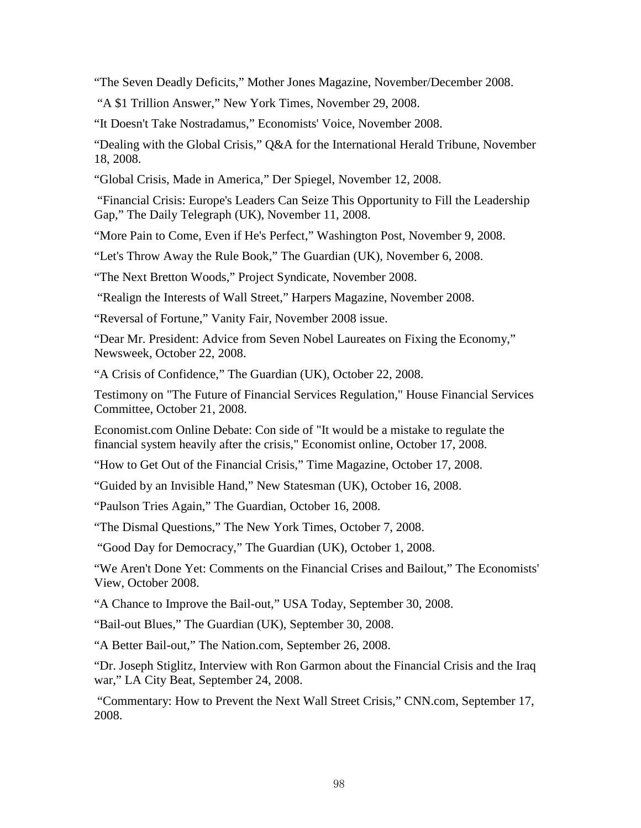["The Seven Deadly Deficits,](http://www.motherjones.com/news/feature/2008/11/the-seven-deadly-deficits.html)" Mother Jones Magazine, November/December 2008.

["A \\$1 Trillion Answer,](http://www8.gsb.columbia.edu/faculty/jstiglitz/sites/jstiglitz/files/Op-Ed%20Contributor%20-%20Transitions%20-%20A%20%241%20Trillion%20Answer%20-%20NYTimes.pdf)" New York Times, November 29, 2008.

["It Doesn't Take Nostradamus,](http://www.bepress.com/cgi/viewcontent.cgi?article=1487&context=ev)" Economists' Voice, November 2008.

["Dealing with the Global Crisis,](http://www.iht.com/articles/2008/11/18/business/glob19.php)" Q&A for the International Herald Tribune, November 18, 2008.

["Global Crisis, Made in America,](http://www.spiegel.de/international/business/0,1518,590028,00.html)" Der Spiegel, November 12, 2008.

["Financial Crisis: Europe's Leaders Can Seize This Opportunity to Fill the Leadership](http://www.telegraph.co.uk/finance/financetopics/financialcrisis/3425000/Financial-crisis-Europes-leaders-can-seize-this-opportunity-to-fill-the-leadership-gap.html)  [Gap,"](http://www.telegraph.co.uk/finance/financetopics/financialcrisis/3425000/Financial-crisis-Europes-leaders-can-seize-this-opportunity-to-fill-the-leadership-gap.html) The Daily Telegraph (UK), November 11, 2008.

["More Pain to Come, Even if He's Perfect,](http://www.washingtonpost.com/wp-dyn/content/article/2008/11/06/AR2008110602997.html)" Washington Post, November 9, 2008.

["Let's Throw Away the Rule Book,](http://www.guardian.co.uk/commentisfree/2008/nov/06/economy-useconomicgrowth)" The Guardian (UK), November 6, 2008.

["The Next Bretton Woods,](http://www.project-syndicate.org/commentary/stiglitz105/English)" Project Syndicate, November 2008.

["Realign the Interests of Wall Street,](http://www8.gsb.columbia.edu/faculty/jstiglitz/sites/jstiglitz/files/HarpersMagazine-2008-11-0082250.pdf)" Harpers Magazine, November 2008.

["Reversal of Fortune,](http://www.vanityfair.com/politics/features/2008/11/stiglitz200811)" Vanity Fair, November 2008 issue.

["Dear Mr. President: Advice from Seven Nobel Laureates on Fixing the Economy,](http://www.newsweek.com/nobel-laureates-fixing-economy-92009)" Newsweek, October 22, 2008.

["A Crisis of Confidence,](http://www.guardian.co.uk/commentisfree/cifamerica/2008/oct/22/economy-financial-crisis-regulation)" The Guardian (UK), October 22, 2008.

[Testimony on "The Future of Financial Services Regulation,"](http://www8.gsb.columbia.edu/faculty/jstiglitz/sites/jstiglitz/files/Oct2008_HouseFinancialServices.pdf) House Financial Services Committee, October 21, 2008.

[Economist.com Online Debate: Con side of "It would be a mistake to regulate the](http://www.economist.com/debate/index.cfm?debate_id=14&action=hall)  [financial system heavily after the crisis,"](http://www.economist.com/debate/index.cfm?debate_id=14&action=hall) Economist online, October 17, 2008.

["How to Get Out of the Financial Crisis,](http://www.time.com/time/business/article/0,8599,1851739,00.html)" Time Magazine, October 17, 2008.

["Guided by an Invisible Hand,](http://www.newstatesman.com/business/2008/10/economy-world-crisis-financial)" New Statesman (UK), October 16, 2008.

["Paulson Tries Again,](http://www.guardian.co.uk/commentisfree/2008/oct/16/useconomy-usa)" The Guardian, October 16, 2008.

["The Dismal Questions,](http://www.nytimes.com/2008/10/07/opinion/07intro.html?_r=1&ref=opinion&oref=slogin)" The New York Times, October 7, 2008.

["Good Day for Democracy,"](http://www.guardian.co.uk/commentisfree/2008/oct/01/useconomy.congress) The Guardian (UK), October 1, 2008.

["We Aren't Done Yet: Comments on the Financial Crises and Bailout,](http://www.bepress.com/cgi/viewcontent.cgi?context=ev&article=1425&date=&mt=MTIyMjk4MzkwNQ==&access_ok_form=Continue)" The Economists' View, October 2008.

["A Chance to Improve the Bail-out,"](http://blogs.usatoday.com/oped/2008/09/a-chance-to-imp.html) USA Today, September 30, 2008.

["Bail-out Blues,"](http://www.guardian.co.uk/commentisfree/2008/sep/30/marketturmoil.wallstreet) The Guardian (UK), September 30, 2008.

["A Better Bail-out,](http://www.thenation.com/article/henry-paulsons-shell-game/)" The Nation.com, September 26, 2008.

["Dr. Joseph Stiglitz,](http://www.lacitybeat.com/cms/story/detail/dr_joseph_stiglitz/7545/) Interview with Ron Garmon about the Financial Crisis and the Iraq war," LA City Beat, September 24, 2008.

["Commentary: How to Prevent the Next Wall Street Crisis,"](http://www.cnn.com/2008/POLITICS/09/17/stiglitz.crisis/index.html) CNN.com, September 17, 2008.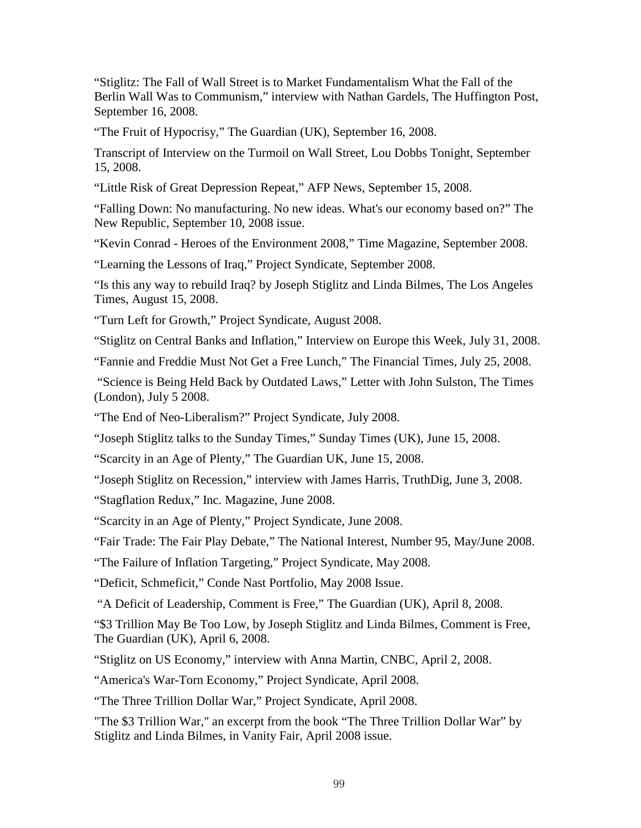["Stiglitz: The Fall of Wall Street is to Market Fundamentalism What the Fall of the](http://www.huffingtonpost.com/nathan-gardels/stiglitz-the-fall-of-wall_b_126911.html)  [Berlin Wall Was to Communism,"](http://www.huffingtonpost.com/nathan-gardels/stiglitz-the-fall-of-wall_b_126911.html) interview with Nathan Gardels, The Huffington Post, September 16, 2008.

["The Fruit of Hypocrisy,](http://www.guardian.co.uk/commentisfree/2008/sep/16/economics.wallstreet)" The Guardian (UK), September 16, 2008.

[Transcript of Interview on the Turmoil on Wall Street,](http://transcripts.cnn.com/TRANSCRIPTS/0809/15/ldt.01.html) Lou Dobbs Tonight, September 15, 2008.

["Little Risk of Great Depression Repeat,](http://afp.google.com/article/ALeqM5jCnzgzRR8SxMsgQWF33NJGOv7pgw)" AFP News, September 15, 2008.

["Falling Down: No manufacturing. No new ideas. What's our economy based on?"](http://www.newrepublic.com/article/falling-down) The New Republic, September 10, 2008 issue.

"Kevin Conrad - [Heroes of the Environment 2008,"](http://www.time.com/time/specials/packages/article/0,28804,1841778_1841779_1841795,00.html) Time Magazine, September 2008.

["Learning the Lessons of Iraq,"](http://www.project-syndicate.org/commentary/stiglitz103) Project Syndicate, September 2008.

"Is [this any way to rebuild Iraq?](http://www.latimes.com/news/opinion/la-oe-bilmes15-2008aug15,0,4432303.story) by Joseph Stiglitz and Linda Bilmes, The Los Angeles Times, August 15, 2008.

["Turn Left for Growth,](http://www.project-syndicate.org/commentary/stiglitz102)" Project Syndicate, August 2008.

["Stiglitz on Central Banks and Inflation,](http://www.cnbc.com/id/15840232?video=770004840)" Interview on Europe this Week, July 31, 2008.

["Fannie and Freddie Must Not Get a Free Lunch,](http://www8.gsb.columbia.edu/faculty/jstiglitz/sites/jstiglitz/files/2008_FannieandFreddie.pdf)" The Financial Times, July 25, 2008.

"Science is Being Held Back by Outdated Laws," Letter with John Sulston, The Times (London), July 5 2008.

["The End of Neo-Liberalism?"](http://www.project-syndicate.org/commentary/stiglitz101) Project Syndicate, July 2008.

["Joseph Stiglitz talks to the Sunday Times,"](http://business.timesonline.co.uk/tol/business/economics/article4136761.ece) Sunday Times (UK), June 15, 2008.

["Scarcity in an Age of Plenty,"](http://www.guardian.co.uk/commentisfree/2008/jun/15/economics.food) The Guardian UK, June 15, 2008.

["Joseph Stiglitz on Recession,"](http://www.truthdig.com/report/item/20080603_joseph_stiglitz_on_recession/) interview with James Harris, TruthDig, June 3, 2008.

["Stagflation Redux,](http://www.inc.com/magazine/20080601/guest-speaker-joseph-e-stiglitz-stagflation-redux.html)" Inc. Magazine, June 2008.

["Scarcity in an Age of Plenty,](http://www.project-syndicate.org/commentary/stiglitz100)" Project Syndicate, June 2008.

["Fair Trade: The Fair Play Debate,](http://nationalinterest.org/article/the-fair-play-debate-fair-trade-2053)" The National Interest, Number 95, May/June 2008.

["The Failure of Inflation Targeting,](http://www.project-syndicate.org/commentary/stiglitz99)" Project Syndicate, May 2008.

["Deficit, Schmeficit,](http://www.portfolio.com/views/columns/2008/04/14/The-Economy-and-the-Next-President)" Conde Nast Portfolio, May 2008 Issue.

["A Deficit of Leadership,](http://commentisfree.guardian.co.uk/joseph_stiglitz/2008/04/the_financial_crisis_being_fel.html) Comment is Free," The Guardian (UK), April 8, 2008.

["\\$3 Trillion May Be Too Low,](http://commentisfree.guardian.co.uk/joseph_stiglitz_and_linda_bilmes/2008/04/3_trillion_may_be_too_low.html) by Joseph Stiglitz and Linda Bilmes, Comment is Free, The Guardian (UK), April 6, 2008.

["Stiglitz on US Economy,"](http://www.cnbc.com/id/15840232?video=700588068) interview with Anna Martin, CNBC, April 2, 2008.

["America's War-Torn Economy,](http://www.project-syndicate.org/commentary/stiglitz98)" Project Syndicate, April 2008.

["The Three Trillion Dollar War,"](http://www.project-syndicate.org/commentary/stiglitz77) Project Syndicate, April 2008.

["The \\$3 Trillion War,"](http://www.vanityfair.com/politics/features/2008/04/stiglitz200804) an excerpt from the book "The Three Trillion Dollar War" by Stiglitz and Linda Bilmes, in Vanity Fair, April 2008 issue.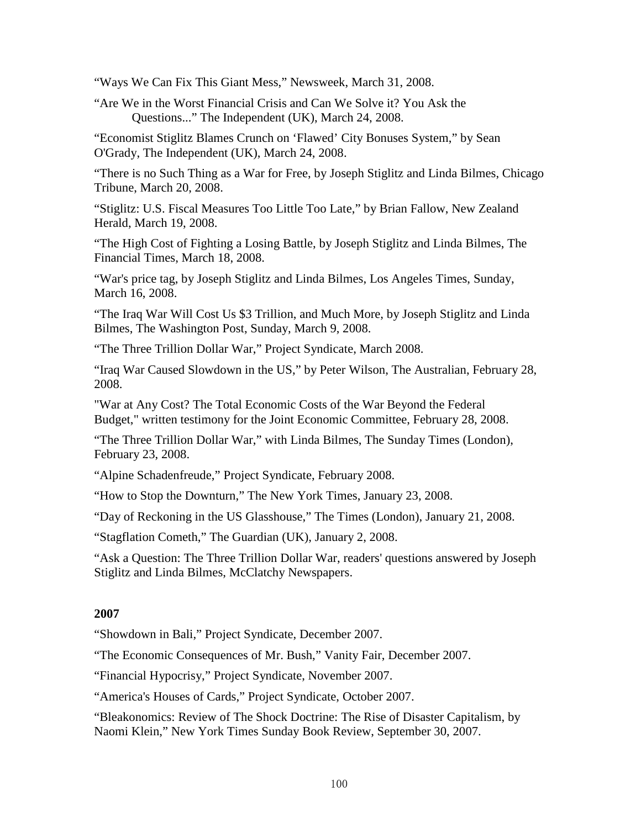["Ways We Can Fix This Giant Mess,"](http://www.newsweek.com/ways-we-can-fix-giant-mess-84231) Newsweek, March 31, 2008.

["Are We in the Worst Financial Crisis and Can We Solve it? You Ask the](http://www.independent.co.uk/news/people/joseph-stiglitz-you-ask-the-questions-799885.html)  [Questions..."](http://www.independent.co.uk/news/people/joseph-stiglitz-you-ask-the-questions-799885.html) The Independent (UK), March 24, 2008.

["Economist Stiglitz Blames Crunch on 'Flawed' City Bonuses System,"](http://www8.gsb.columbia.edu/faculty/jstiglitz/sites/jstiglitz/files/%27Flawed%27%20City%20bonus%20system%20takes%20some%20flak%20for%20crunch%20-%20Business%20-%20NZ%20Herald%20News.pdf) by Sean O'Grady, The Independent (UK), March 24, 2008.

["There is no Such Thing as a War for Free,](http://www.informationclearinghouse.info/article19575.htm) by Joseph Stiglitz and Linda Bilmes, Chicago Tribune, March 20, 2008.

["Stiglitz: U.S. Fiscal Measures Too Little Too Late,"](http://www.nzherald.co.nz/topic/story.cfm?c_id=126&objectid=10498965) by Brian Fallow, New Zealand Herald, March 19, 2008.

["The High Cost of Fighting a Losing Battle,](http://www.ft.com/cms/s/0/de4571f2-f503-11dc-a21b-000077b07658.html?nclick_check=1) by Joseph Stiglitz and Linda Bilmes, The Financial Times, March 18, 2008.

"War's price tag, by Joseph Stiglitz and Linda Bilmes, Los Angeles Times, Sunday, March 16, 2008.

["The Iraq War Will Cost Us \\$3 Trillion, and Much More,](http://www.washingtonpost.com/wp-dyn/content/article/2008/03/07/AR2008030702846.html) by Joseph Stiglitz and Linda Bilmes, The Washington Post, Sunday, March 9, 2008.

["The Three Trillion Dollar War,"](http://www.project-syndicate.org/commentary/stiglitz97) Project Syndicate, March 2008.

["Iraq War Caused Slowdown in the US,"](http://www.theaustralian.com.au/archive/news/iraq-war-caused-slowdown-in-the-us/story-e6frg6tf-1111115661208) by Peter Wilson, The Australian, February 28, 2008.

["War at Any Cost? The Total Economic Costs of the War Beyond the Federal](http://www8.gsb.columbia.edu/faculty/jstiglitz/sites/jstiglitz/files/Stiglitz_testimony.pdf)  [Budget,"](http://www8.gsb.columbia.edu/faculty/jstiglitz/sites/jstiglitz/files/Stiglitz_testimony.pdf) written testimony for the Joint Economic Committee, February 28, 2008.

["The Three Trillion Dollar War,"](http://www.timesonline.co.uk/tol/comment/columnists/guest_contributors/article3419840.ece) with Linda Bilmes, The Sunday Times (London), February 23, 2008.

["Alpine Schadenfreude,"](http://www.project-syndicate.org/commentary/stiglitz96) Project Syndicate, February 2008.

["How to Stop the Downturn,"](http://www.nytimes.com/2008/01/23/opinion/23stiglitz.html) The New York Times, January 23, 2008.

["Day of Reckoning in the US Glasshouse,"](http://business.timesonline.co.uk/tol/business/economics/wef/article3220961.ece) The Times (London), January 21, 2008.

["Stagflation Cometh,"](http://commentisfree.guardian.co.uk/joseph_stiglitz/2008/01/stagflation_cometh.html) The Guardian (UK), January 2, 2008.

["Ask a Question: The Three Trillion Dollar War,](http://www8.gsb.columbia.edu/faculty/jstiglitz/sites/jstiglitz/files/Nobel%20laureate%20estimates%20wars%27%20cost%20at%20more%20than%20%243%20trillion%20_%20McClatchy%20DC.pdf) readers' questions answered by Joseph Stiglitz and Linda Bilmes, McClatchy Newspapers.

#### **2007**

["Showdown in Bali,"](http://www.project-syndicate.org/commentary/stiglitz94) Project Syndicate, December 2007.

["The Economic Consequences of Mr. Bush,"](http://www.vanityfair.com/politics/features/2007/12/bush200712) Vanity Fair, December 2007.

["Financial Hypocrisy,](http://www.project-syndicate.org/commentary/stiglitz93)" Project Syndicate, November 2007.

["America's Houses of Cards,](http://www.project-syndicate.org/commentary/stiglitz92)" Project Syndicate, October 2007.

"Bleakonomics: Review of The Shock Doctrine: The Rise of Disaster Capitalism, by Naomi Klein," New York Times Sunday Book Review, September 30, 2007.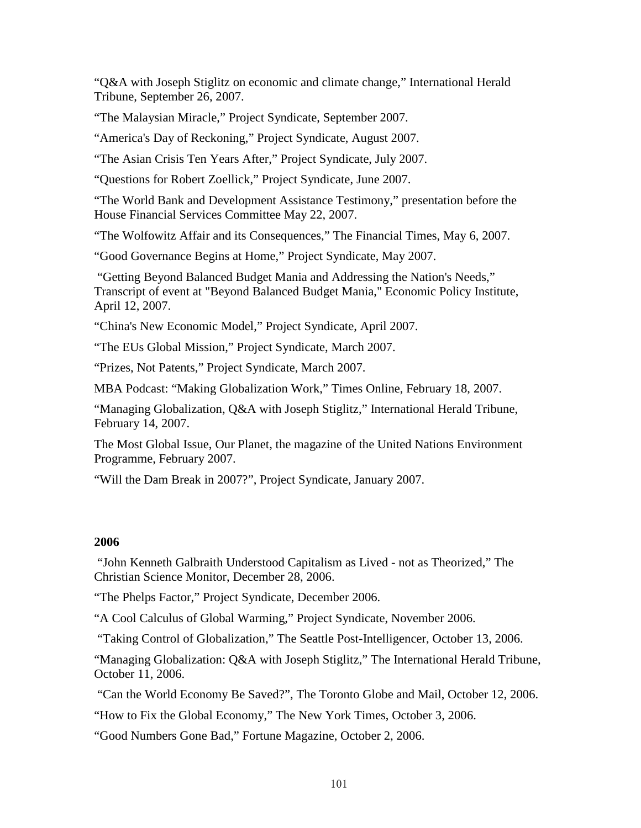["Q&A with Joseph Stiglitz on economic and climate change,"](http://www8.gsb.columbia.edu/faculty/jstiglitz/sites/jstiglitz/files/Global%20Warming%2C%20inequality%20and%20structural%20change.pdf) International Herald Tribune, September 26, 2007.

["The Malaysian Miracle,"](http://www.project-syndicate.org/commentary/stiglitz91) Project Syndicate, September 2007.

["America's Day of Reckoning,"](http://www.project-syndicate.org/commentary/stiglitz90) Project Syndicate, August 2007.

["The Asian Crisis Ten Years After,"](http://www.project-syndicate.org/commentary/stiglitz89) Project Syndicate, July 2007.

["Questions for Robert Zoellick,](http://www.project-syndicate.org/commentary/stiglitz88)" Project Syndicate, June 2007.

["The World Bank and Development Assistance Testimony,"](http://www8.gsb.columbia.edu/faculty/jstiglitz/sites/jstiglitz/files/2007_House_WB_Testimony.pdf) presentation before the House Financial Services Committee May 22, 2007.

["The Wolfowitz Affair and its Consequences,](http://www8.gsb.columbia.edu/faculty/jstiglitz/sites/jstiglitz/files/2007_FT_Wolfowitz.pdf)" The Financial Times, May 6, 2007.

["Good Governance Begins at Home,](http://www.project-syndicate.org/commentary/stiglitz87)" Project Syndicate, May 2007.

["Getting Beyond Balanced Budget Mania and Addressing the Nation's Needs,](http://www.epi.org/content.cfm/webfeatures_viewpoints_beyond_balanced_budget_mania)" Transcript of event at "Beyond Balanced Budget Mania," Economic Policy Institute, April 12, 2007.

["China's New Economic Model,"](http://www.project-syndicate.org/commentary/stiglitz86) Project Syndicate, April 2007.

["The EUs Global Mission,](http://www.project-syndicate.org/commentary/stiglitz85)" Project Syndicate, March 2007.

["Prizes, Not Patents,](http://www.project-syndicate.org/commentary/stiglitz81)" Project Syndicate, March 2007.

[MBA Podcast: "Making Globalization Work,](http://business.timesonline.co.uk/tol/business/economics/article1402854.ece)" Times Online, February 18, 2007.

["Managing Globalization, Q&A with Joseph Stiglitz,"](http://blogs.iht.com/tribtalk/business/globalization/?p=361) International Herald Tribune, February 14, 2007.

[The Most Global Issue,](http://www8.gsb.columbia.edu/faculty/jstiglitz/sites/jstiglitz/files/2007_OurPlanet.pdf) Our Planet, the magazine of the United Nations Environment Programme, February 2007.

"Will the [Dam Break in 2007?"](http://www.project-syndicate.org/commentary/stiglitz79), Project Syndicate, January 2007.

#### **2006**

["John Kenneth Galbraith Understood Capitalism as Lived -](http://www.csmonitor.com/2006/1228/p09s02-coop.html) not as Theorized," The Christian Science Monitor, December 28, 2006.

["The Phelps Factor,](http://www.project-syndicate.org/commentary/stiglitz78)" Project Syndicate, December 2006.

["A Cool Calculus of Global Warming,](http://www.project-syndicate.org/commentary/stiglitz77)" Project Syndicate, November 2006.

["Taking Control of Globalization,"](http://seattlepi.nwsource.com/opinion/288524_ourplace13.html) The Seattle Post-Intelligencer, October 13, 2006.

["Managing Globalization: Q&A with Joseph Stiglitz,"](http://www8.gsb.columbia.edu/faculty/jstiglitz/sites/jstiglitz/files/Economist%27s%20View_%20Joseph%20Stiglitz%20Q%20%26%20A.pdf) The International Herald Tribune, October 11, 2006.

["Can the World Economy Be Saved?",](http://www8.gsb.columbia.edu/faculty/jstiglitz/sites/jstiglitz/files/Globe_and_Mail.pdf) The Toronto Globe and Mail, October 12, 2006.

["How to Fix the Global Economy,"](http://www8.gsb.columbia.edu/faculty/jstiglitz/sites/jstiglitz/files/stiglitz_nytimes.pdf) The New York Times, October 3, 2006.

["Good Numbers Gone Bad,"](http://money.cnn.com/magazines/fortune/fortune_archive/2006/10/02/8387507/index.htm) Fortune Magazine, October 2, 2006.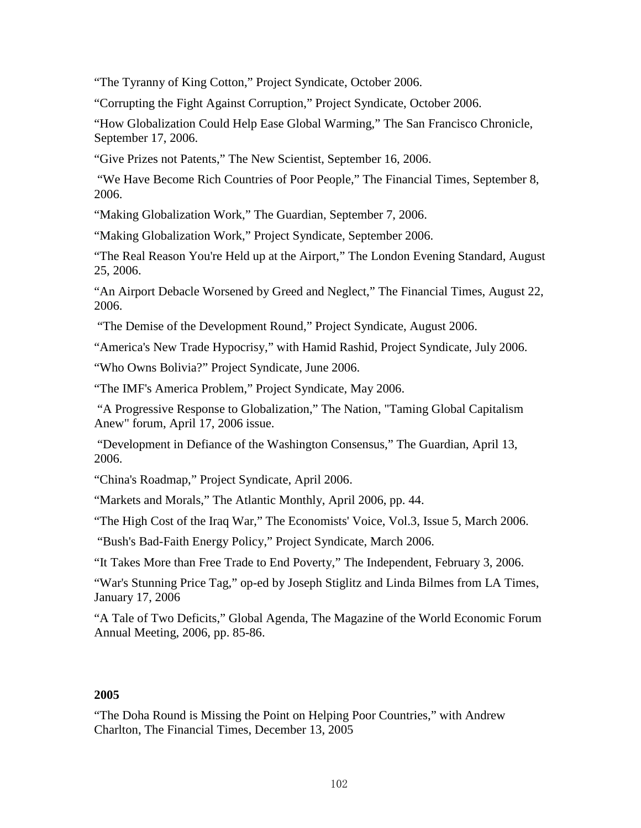["The Tyranny of King Cotton,](http://www.project-syndicate.org/commentary/stiglitz76)" Project Syndicate, October 2006.

["Corrupting the Fight Against Corruption,](http://www.project-syndicate.org/commentary/stiglitz75)" Project Syndicate, October 2006.

["How Globalization Could Help Ease Global Warming,"](http://sfgate.com/cgi-bin/article.cgi?f=/c/a/2006/09/17/INGEJL4C1T1.DTL) The San Francisco Chronicle, September 17, 2006.

["Give Prizes not Patents,"](http://www8.gsb.columbia.edu/faculty/jstiglitz/sites/jstiglitz/files/2006_New_Scientist.pdf) The New Scientist, September 16, 2006.

["We Have Become Rich Countries of Poor People,](http://www.ft.com/cms/s/7aba84d6-3ed6-11db-b4de-0000779e2340.htmlf)" The Financial Times, September 8, 2006.

["Making Globalization Work,"](http://commentisfree.guardian.co.uk/joseph_stiglitz/2006/09/stiglitz.html) The Guardian, September 7, 2006.

["Making Globalization Work,](http://www.project-syndicate.org/commentary/stiglitz74)" Project Syndicate, September 2006.

["The Real Reason You're Held up at the Airport,"](http://www8.gsb.columbia.edu/faculty/jstiglitz/sites/jstiglitz/files/2006_Evening_Standard.pdf) The London Evening Standard, August 25, 2006.

["An Airport Debacle Worsened by Greed and Neglect,](http://www8.gsb.columbia.edu/faculty/jstiglitz/sites/jstiglitz/files/2006_FT_BAA.pdf)" The Financial Times, August 22, 2006.

["The Demise of the Development Round,](http://www.project-syndicate.org/commentary/stiglitz73)" Project Syndicate, August 2006.

["America's New Trade Hypocrisy,](http://www.project-syndicate.org/commentary/stiglitz72)" with Hamid Rashid, Project Syndicate, July 2006.

["Who Owns Bolivia?"](http://www.project-syndicate.org/commentary/stiglitz71) Project Syndicate, June 2006.

["The IMF's America Problem,](http://www.project-syndicate.org/commentary/stiglitz70)" Project Syndicate, May 2006.

["A Progressive Response to Globalization,](http://economistsview.typepad.com/economistsview/2006/04/stiglitz_a_prog.html)" The Nation, "Taming Global Capitalism Anew" forum, April 17, 2006 issue.

["Development in Defiance of the Washington Consensus,](http://www.guardian.co.uk/commentisfree/story/0,,1752817,00.html)" The Guardian, April 13, 2006.

["China's Roadmap,](http://www.project-syndicate.org/commentary/stiglitz69)" Project Syndicate, April 2006.

["Markets and Morals,"](http://www8.gsb.columbia.edu/faculty/jstiglitz/sites/jstiglitz/files/2006_MarketsandMorals.pdf) The Atlantic Monthly, April 2006, pp. 44.

["The High Cost of the Iraq War,](http://www.bepress.com/cgi/viewcontent.cgi?article=1171&context=ev)" The Economists' Voice, Vol.3, Issue 5, March 2006.

["Bush's Bad-Faith Energy Policy,](http://www.project-syndicate.org/commentary/stiglitz68)" Project Syndicate, March 2006.

["It Takes More than Free Trade to End Poverty,](http://www.independent.co.uk/voices/commentators/joseph-stiglitz-it-takes-more-than-free-trade-to-end-poverty-6109999.html)" The Independent, February 3, 2006.

["War's Stunning Price Tag,](http://www8.gsb.columbia.edu/faculty/jstiglitz/sites/jstiglitz/files/LATimes_Iraq.pdf)" op-ed by Joseph Stiglitz and Linda Bilmes from LA Times, January 17, 2006

["A Tale of Two Deficits,](http://www8.gsb.columbia.edu/faculty/jstiglitz/sites/jstiglitz/files/2006_Tale_Two_Deficits.pdf)" Global Agenda, The Magazine of the World Economic Forum Annual Meeting, 2006, pp. 85-86.

# **2005**

["The Doha Round is Missing the Point on Helping Poor Countries,](http://www8.gsb.columbia.edu/faculty/jstiglitz/sites/jstiglitz/files/Doha_Round_FT.pdf)" with Andrew Charlton, The Financial Times, December 13, 2005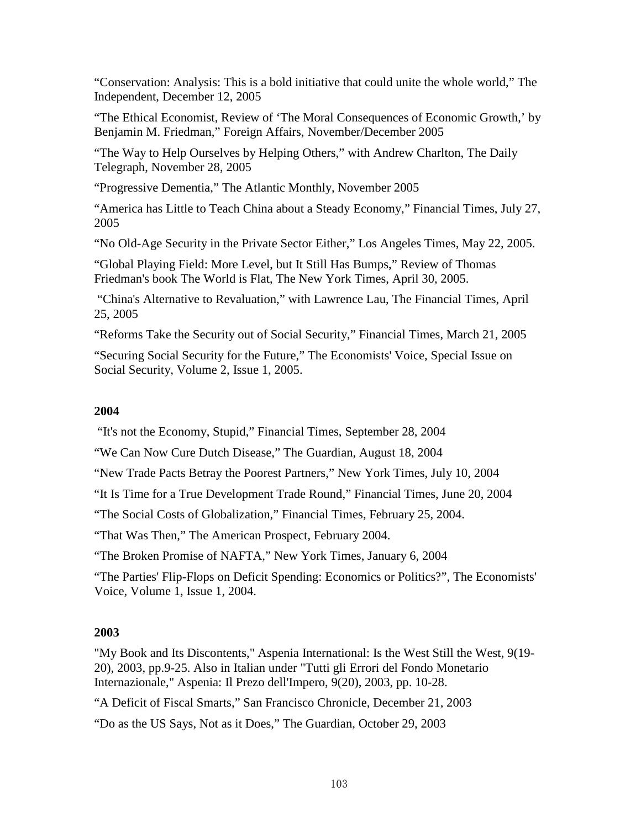["Conservation: Analysis: This is a bold initiative that could unite the whole world,"](http://www8.gsb.columbia.edu/faculty/jstiglitz/sites/jstiglitz/files/2003_Independent_Conservation.pdf) The Independent, December 12, 2005

["The Ethical Economist,](http://www8.gsb.columbia.edu/faculty/jstiglitz/sites/jstiglitz/files/Ethical_Economist_FA.pdf) Review of 'The Moral Consequences of Economic Growth,' by Benjamin M. Friedman," Foreign Affairs, November/December 2005

"The Way to [Help Ourselves by Helping Others,](http://www8.gsb.columbia.edu/faculty/jstiglitz/sites/jstiglitz/files/Help_Ourselves_Telegraph.pdf)" with Andrew Charlton, The Daily Telegraph, November 28, 2005

["Progressive Dementia,](http://www8.gsb.columbia.edu/faculty/jstiglitz/sites/jstiglitz/files/Progressive_Dementia.pdf)" The Atlantic Monthly, November 2005

["America has Little to Teach China about a Steady Economy,](http://www8.gsb.columbia.edu/faculty/jstiglitz/sites/jstiglitz/files/America_teach_China.pdf)" Financial Times, July 27, 2005

["No Old-Age Security in the Private Sector Either,](http://www8.gsb.columbia.edu/faculty/jstiglitz/sites/jstiglitz/files/No%20Old-Age%20Security%20in%20the%20Private%20Sector%20Either%20-%20latimes.pdf)" Los Angeles Times, May 22, 2005.

["Global Playing Field: More Level, but It Still Has Bumps,](http://www.nytimes.com/2005/04/30/books/30stig.html?ex=1162094400&en=f62fcbc580cde49d&ei=5070)" Review of Thomas Friedman's book The World is Flat, The New York Times, April 30, 2005.

["China's Alternative to Revaluation,](http://www8.gsb.columbia.edu/faculty/jstiglitz/sites/jstiglitz/files/Chinas_Alternative.pdf)" with Lawrence Lau, The Financial Times, April 25, 2005

["Reforms Take the Security out of Social Security,](http://www8.gsb.columbia.edu/faculty/jstiglitz/sites/jstiglitz/files/Reforms%20take%20the%20security%20out%20of%20Social%20Security_%20JOSEPH%20STIGLITZ__%20%5BLONDON%201ST%20EDITION%5D%20-%20ProQuest.pdf)" Financial Times, March 21, 2005

["Securing Social Security for the Future,](http://www.bepress.com/cgi/viewcontent.cgi?article=1038&context=ev)" The Economists' Voice, Special Issue on Social Security, Volume 2, Issue 1, 2005.

# **2004**

["It's not the Economy, Stupid,](http://www8.gsb.columbia.edu/faculty/jstiglitz/sites/jstiglitz/files/Economy_Stupid.pdf)" Financial Times, September 28, 2004

["We Can Now Cure Dutch Disease,](http://www8.gsb.columbia.edu/faculty/jstiglitz/sites/jstiglitz/files/We_Can_Now_Cure_Dutch_Disease.pdf)" The Guardian, August 18, 2004

["New Trade Pacts Betray the Poorest Partners,](http://www.nytimes.com/2004/07/10/opinion/new-trade-pacts-betray-the-poorest-partners.html)" New York Times, July 10, 2004

["It Is Time for a True Development Trade Round,](http://www8.gsb.columbia.edu/faculty/jstiglitz/sites/jstiglitz/files/It_Is_Time_for_a_True_Development_Trade_Round.pdf)" Financial Times, June 20, 2004

["The Social Costs of Globalization,](http://www8.gsb.columbia.edu/faculty/jstiglitz/sites/jstiglitz/files/Social_Costs.pdf)" Financial Times, February 25, 2004.

["That Was Then,](http://www8.gsb.columbia.edu/faculty/jstiglitz/sites/jstiglitz/files/that_was_then.pdf)" The American Prospect, February 2004.

["The Broken Promise of NAFTA,](http://www8.gsb.columbia.edu/faculty/jstiglitz/sites/jstiglitz/files/The_Broken_Promise_of_NAFTA.pdf)" New York Times, January 6, 2004

["The Parties' Flip-Flops on Deficit Spending: Economics or Politics?"](http://www.bepress.com/cgi/viewcontent.cgi?article=1001&context=ev), The Economists' Voice, Volume 1, Issue 1, 2004.

# **2003**

["My Book and Its Discontents,](http://www.digitalnpq.org/global_services/nobel%20laureates/09-03-03.html)" Aspenia International: Is the West Still the West, 9(19- 20), 2003, pp.9-25. Also in Italian under "Tutti gli Errori del Fondo Monetario Internazionale," Aspenia: Il Prezo dell'Impero, 9(20), 2003, pp. 10-28.

["A Deficit of Fiscal Smarts,](http://www.sfgate.com/cgi-bin/article.cgi?f=/c/a/2003/12/21/INGH63P9601.DTL&hw=stiglitz&sn=008&sc=183)" San Francisco Chronicle, December 21, 2003

["Do as the US Says, Not as it Does,](http://www8.gsb.columbia.edu/faculty/jstiglitz/sites/jstiglitz/files/Do_as_the_US_Says.pdf)" The Guardian, October 29, 2003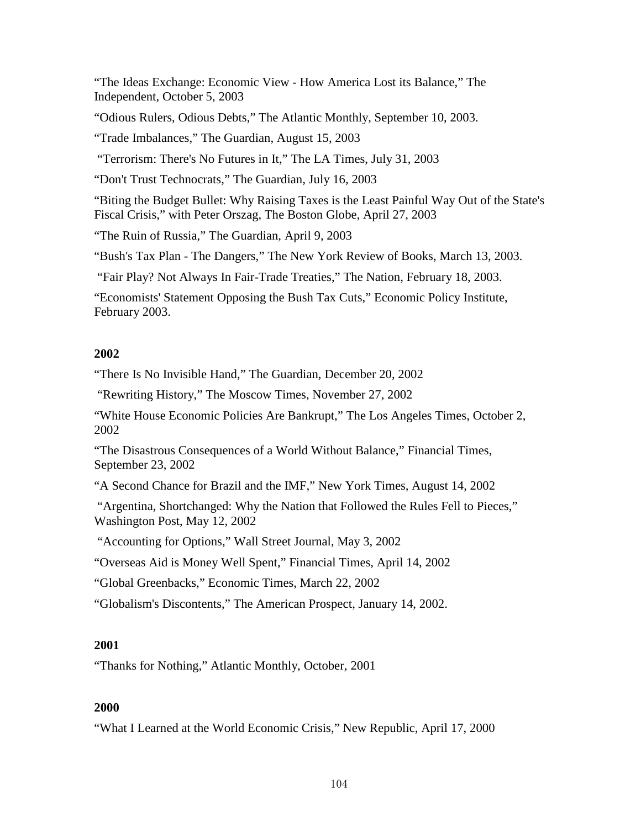["The Ideas Exchange: Economic View -](http://www8.gsb.columbia.edu/faculty/jstiglitz/sites/jstiglitz/files/2003_Independent_Ideas.pdf) How America Lost its Balance," The Independent, October 5, 2003

["Odious Rulers, Odious Debts,](http://www8.gsb.columbia.edu/faculty/jstiglitz/sites/jstiglitz/files/Odious_Debt.pdf)" The Atlantic Monthly, September 10, 2003.

["Trade Imbalances,](http://www8.gsb.columbia.edu/faculty/jstiglitz/sites/jstiglitz/files/Trade_Imbalances.pdf)" The Guardian, August 15, 2003

["Terrorism: There's No Futures in It,](http://www8.gsb.columbia.edu/faculty/jstiglitz/sites/jstiglitz/files/No_futures_in_terrorism.pdf)" The LA Times, July 31, 2003

["Don't Trust Technocrats,](http://www8.gsb.columbia.edu/faculty/jstiglitz/sites/jstiglitz/files/Dont_Trust_Technocrats.pdf)" The Guardian, July 16, 2003

["Biting the Budget Bullet: Why Raising Taxes is the Least Painful Way Out of the State's](http://www8.gsb.columbia.edu/faculty/jstiglitz/sites/jstiglitz/files/2003_BG_Budget.pdf)  [Fiscal Crisis,"](http://www8.gsb.columbia.edu/faculty/jstiglitz/sites/jstiglitz/files/2003_BG_Budget.pdf) with Peter Orszag, The Boston Globe, April 27, 2003

["The Ruin of Russia,](http://www8.gsb.columbia.edu/faculty/jstiglitz/sites/jstiglitz/files/The_Ruin_of_Russia.pdf)" The Guardian, April 9, 2003

["Bush's Tax Plan -](http://www.nybooks.com/articles/16116) The Dangers," The New York Review of Books, March 13, 2003.

["Fair Play? Not Always In Fair-Trade Treaties,](http://www8.gsb.columbia.edu/faculty/jstiglitz/sites/jstiglitz/files/Fair_Play.pdf)" The Nation, February 18, 2003.

"Economists' [Statement Opposing the Bush Tax Cuts,](http://www.epi.org/publication/econ_stmt_2003/)" Economic Policy Institute, February 2003.

# **2002**

["There Is No Invisible Hand,](http://www8.gsb.columbia.edu/faculty/jstiglitz/sites/jstiglitz/files/There_Is_No_Invisible_Hand.pdf)" The Guardian, December 20, 2002

["Rewriting History,](http://www8.gsb.columbia.edu/faculty/jstiglitz/sites/jstiglitz/files/2002_MoscowTimes.pdf)" The Moscow Times, November 27, 2002

["White House Economic Policies Are Bankrupt,](http://www8.gsb.columbia.edu/faculty/jstiglitz/sites/jstiglitz/files/2002_LATimes.pdf)" The Los Angeles Times, October 2, 2002

["The Disastrous Consequences of a World Without Balance,](http://www8.gsb.columbia.edu/faculty/jstiglitz/sites/jstiglitz/files/The_Disastrous_Consequences.pdf)" Financial Times, September 23, 2002

["A Second Chance for Brazil and the IMF,](http://www8.gsb.columbia.edu/faculty/jstiglitz/sites/jstiglitz/files/A_Second_Chance_for_Brazil_and_the_IMF.pdf)" New York Times, August 14, 2002

["Argentina, Shortchanged: Why the Nation that Followed the Rules Fell to Pieces,](http://www8.gsb.columbia.edu/faculty/jstiglitz/sites/jstiglitz/files/Argentina.pdf)" Washington Post, May 12, 2002

["Accounting for Options,](http://www8.gsb.columbia.edu/faculty/jstiglitz/sites/jstiglitz/files/2002_WSJ.pdf)" Wall Street Journal, May 3, 2002

["Overseas Aid is Money Well Spent,](http://www8.gsb.columbia.edu/faculty/jstiglitz/sites/jstiglitz/files/Overseas_Aid_is_Money_Well_Spent.pdf)" Financial Times, April 14, 2002

["Global Greenbacks,](http://www8.gsb.columbia.edu/faculty/jstiglitz/sites/jstiglitz/files/Global_Greenbacks.pdf)" Economic Times, March 22, 2002

["Globalism's Discontents,](http://www8.gsb.columbia.edu/faculty/jstiglitz/sites/jstiglitz/files/2006_Globalisms_Discontents.pdf)" The American Prospect, January 14, 2002.

# **2001**

["Thanks for Nothing,](http://www8.gsb.columbia.edu/faculty/jstiglitz/sites/jstiglitz/files/Thanks_for_Nothing.pdf)" Atlantic Monthly, October, 2001

# **2000**

["What I Learned at the World Economic Crisis,](http://www8.gsb.columbia.edu/faculty/jstiglitz/sites/jstiglitz/files/What_I_Learned_at_the_World_Economic_Crisis.pdf)" New Republic, April 17, 2000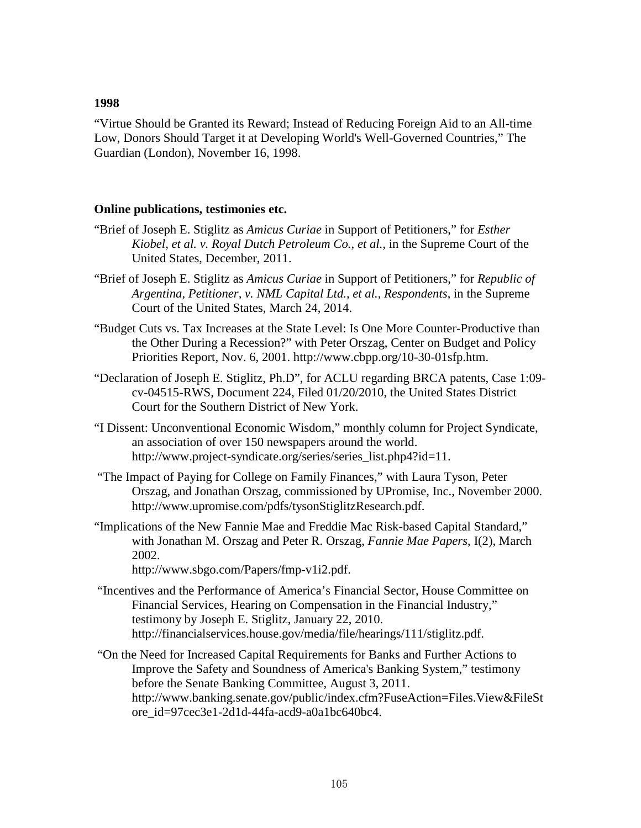["Virtue Should be Granted its Reward; Instead of Reducing Foreign Aid to an All-time](http://www8.gsb.columbia.edu/faculty/jstiglitz/sites/jstiglitz/files/1998_Virtue_Reward.pdf)  [Low, Donors Should Target it at Developing World's Well-Governed Countries,](http://www8.gsb.columbia.edu/faculty/jstiglitz/sites/jstiglitz/files/1998_Virtue_Reward.pdf)" The Guardian (London), November 16, 1998.

#### **Online publications, testimonies etc.**

- "Brief of Joseph E. Stiglitz as *Amicus Curiae* in Support of Petitioners," for *Esther Kiobel, et al. v. Royal Dutch Petroleum Co., et al.,* in the Supreme Court of the United States, December, 2011.
- "Brief of Joseph E. Stiglitz as *Amicus Curiae* in Support of Petitioners," for *Republic of Argentina, Petitioner, v. NML Capital Ltd., et al., Respondents*, in the Supreme Court of the United States, March 24, 2014.
- "Budget Cuts vs. Tax Increases at the State Level: Is One More Counter-Productive than the Other During a Recession?" with Peter Orszag, Center on Budget and Policy Priorities Report, Nov. 6, 2001. http://www.cbpp.org/10-30-01sfp.htm.
- "Declaration of Joseph E. Stiglitz, Ph.D", for ACLU regarding BRCA patents, Case 1:09 cv-04515-RWS, Document 224, Filed 01/20/2010, the United States District Court for the Southern District of New York.
- "I Dissent: Unconventional Economic Wisdom," monthly column for Project Syndicate, an association of over 150 newspapers around the world. http://www.project-syndicate.org/series/series\_list.php4?id=11.
- "The Impact of Paying for College on Family Finances," with Laura Tyson, Peter Orszag, and Jonathan Orszag, commissioned by UPromise, Inc., November 2000. http://www.upromise.com/pdfs/tysonStiglitzResearch.pdf.
- "Implications of the New Fannie Mae and Freddie Mac Risk-based Capital Standard," with Jonathan M. Orszag and Peter R. Orszag, *Fannie Mae Papers*, I(2), March 2002.

http://www.sbgo.com/Papers/fmp-v1i2.pdf.

"Incentives and the Performance of America's Financial Sector, House Committee on Financial Services, Hearing on Compensation in the Financial Industry," testimony by Joseph E. Stiglitz, January 22, 2010. http://financialservices.house.gov/media/file/hearings/111/stiglitz.pdf.

"On the Need for Increased Capital Requirements for Banks and Further Actions to Improve the Safety and Soundness of America's Banking System," testimony before the Senate Banking Committee, August 3, 2011. http://www.banking.senate.gov/public/index.cfm?FuseAction=Files.View&FileSt ore\_id=97cec3e1-2d1d-44fa-acd9-a0a1bc640bc4.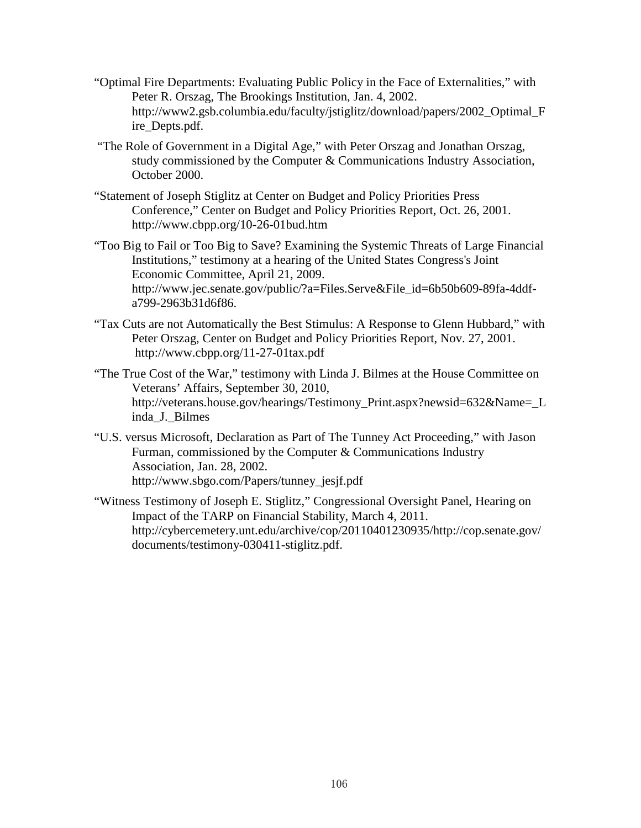- "Optimal Fire Departments: Evaluating Public Policy in the Face of Externalities," with Peter R. Orszag, The Brookings Institution, Jan. 4, 2002. http://www2.gsb.columbia.edu/faculty/jstiglitz/download/papers/2002\_Optimal\_F ire\_Depts.pdf.
- "The Role of Government in a Digital Age," with Peter Orszag and Jonathan Orszag, study commissioned by the Computer & Communications Industry Association, October 2000.
- "Statement of Joseph Stiglitz at Center on Budget and Policy Priorities Press Conference," Center on Budget and Policy Priorities Report, Oct. 26, 2001. http://www.cbpp.org/10-26-01bud.htm
- "Too Big to Fail or Too Big to Save? Examining the Systemic Threats of Large Financial Institutions," testimony at a hearing of the United States Congress's Joint Economic Committee, April 21, 2009. http://www.jec.senate.gov/public/?a=Files.Serve&File\_id=6b50b609-89fa-4ddfa799-2963b31d6f86.
- "Tax Cuts are not Automatically the Best Stimulus: A Response to Glenn Hubbard," with Peter Orszag, Center on Budget and Policy Priorities Report, Nov. 27, 2001. http://www.cbpp.org/11-27-01tax.pdf
- "The True Cost of the War," testimony with Linda J. Bilmes at the House Committee on Veterans' Affairs, September 30, 2010, http://veterans.house.gov/hearings/Testimony\_Print.aspx?newsid=632&Name=\_L inda\_J.\_Bilmes
- "U.S. versus Microsoft, Declaration as Part of The Tunney Act Proceeding," with Jason Furman, commissioned by the Computer & Communications Industry Association, Jan. 28, 2002. http://www.sbgo.com/Papers/tunney\_jesjf.pdf
- "Witness Testimony of Joseph E. Stiglitz," Congressional Oversight Panel, Hearing on Impact of the TARP on Financial Stability, March 4, 2011. [http://cybercemetery.unt.edu/archive/cop/20110401230935/http://cop.senate.gov/](http://cybercemetery.unt.edu/archive/cop/20110401230935/http:/cop.senate.gov/documents/testimony-030411-stiglitz.pdf) [documents/testimony-030411-stiglitz.pdf.](http://cybercemetery.unt.edu/archive/cop/20110401230935/http:/cop.senate.gov/documents/testimony-030411-stiglitz.pdf)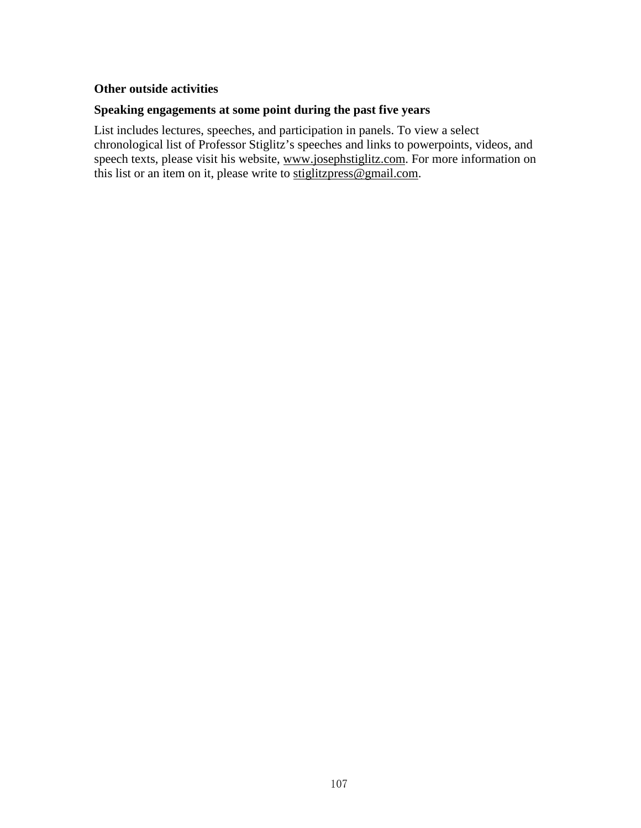# **Other outside activities**

# **Speaking engagements at some point during the past five years**

List includes lectures, speeches, and participation in panels. To view a select chronological list of Professor Stiglitz's speeches and links to powerpoints, videos, and speech texts, please visit his website, www.josephstiglitz.com. For more information on this list or an item on it, please write to stiglitzpress@gmail.com.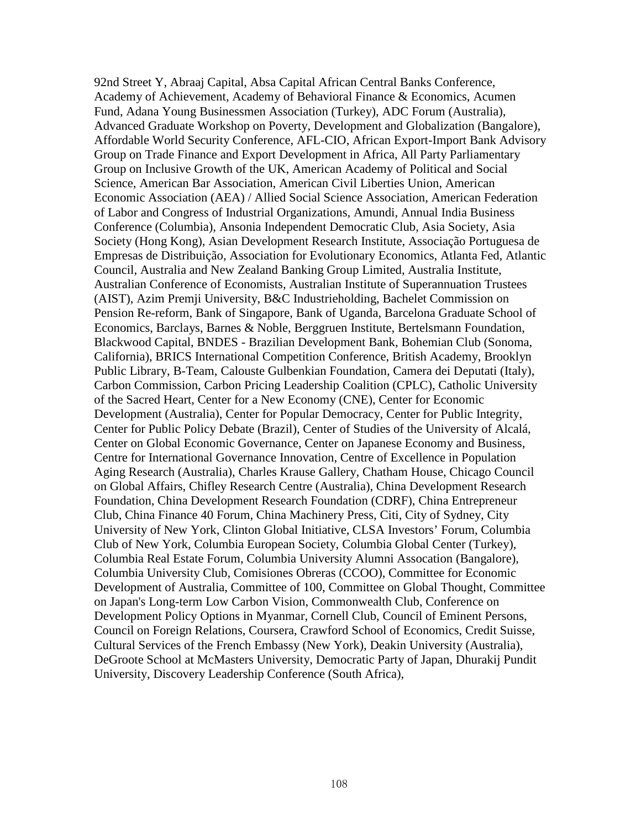92nd Street Y, Abraaj Capital, Absa Capital African Central Banks Conference, Academy of Achievement, Academy of Behavioral Finance & Economics, Acumen Fund, Adana Young Businessmen Association (Turkey), ADC Forum (Australia), Advanced Graduate Workshop on Poverty, Development and Globalization (Bangalore), Affordable World Security Conference, AFL-CIO, African Export-Import Bank Advisory Group on Trade Finance and Export Development in Africa, All Party Parliamentary Group on Inclusive Growth of the UK, American Academy of Political and Social Science, American Bar Association, American Civil Liberties Union, American Economic Association (AEA) / Allied Social Science Association, American Federation of Labor and Congress of Industrial Organizations, Amundi, Annual India Business Conference (Columbia), Ansonia Independent Democratic Club, Asia Society, Asia Society (Hong Kong), Asian Development Research Institute, Associação Portuguesa de Empresas de Distribuição, Association for Evolutionary Economics, Atlanta Fed, Atlantic Council, Australia and New Zealand Banking Group Limited, Australia Institute, Australian Conference of Economists, Australian Institute of Superannuation Trustees (AIST), Azim Premji University, B&C Industrieholding, Bachelet Commission on Pension Re-reform, Bank of Singapore, Bank of Uganda, Barcelona Graduate School of Economics, Barclays, Barnes & Noble, Berggruen Institute, Bertelsmann Foundation, Blackwood Capital, BNDES - Brazilian Development Bank, Bohemian Club (Sonoma, California), BRICS International Competition Conference, British Academy, Brooklyn Public Library, B-Team, Calouste Gulbenkian Foundation, Camera dei Deputati (Italy), Carbon Commission, Carbon Pricing Leadership Coalition (CPLC), Catholic University of the Sacred Heart, Center for a New Economy (CNE), Center for Economic Development (Australia), Center for Popular Democracy, Center for Public Integrity, Center for Public Policy Debate (Brazil), Center of Studies of the University of Alcalá, Center on Global Economic Governance, Center on Japanese Economy and Business, Centre for International Governance Innovation, Centre of Excellence in Population Aging Research (Australia), Charles Krause Gallery, Chatham House, Chicago Council on Global Affairs, Chifley Research Centre (Australia), China Development Research Foundation, China Development Research Foundation (CDRF), China Entrepreneur Club, China Finance 40 Forum, China Machinery Press, Citi, City of Sydney, City University of New York, Clinton Global Initiative, CLSA Investors' Forum, Columbia Club of New York, Columbia European Society, Columbia Global Center (Turkey), Columbia Real Estate Forum, Columbia University Alumni Assocation (Bangalore), Columbia University Club, Comisiones Obreras (CCOO), Committee for Economic Development of Australia, Committee of 100, Committee on Global Thought, Committee on Japan's Long-term Low Carbon Vision, Commonwealth Club, Conference on Development Policy Options in Myanmar, Cornell Club, Council of Eminent Persons, Council on Foreign Relations, Coursera, Crawford School of Economics, Credit Suisse, Cultural Services of the French Embassy (New York), Deakin University (Australia), DeGroote School at McMasters University, Democratic Party of Japan, Dhurakij Pundit University, Discovery Leadership Conference (South Africa),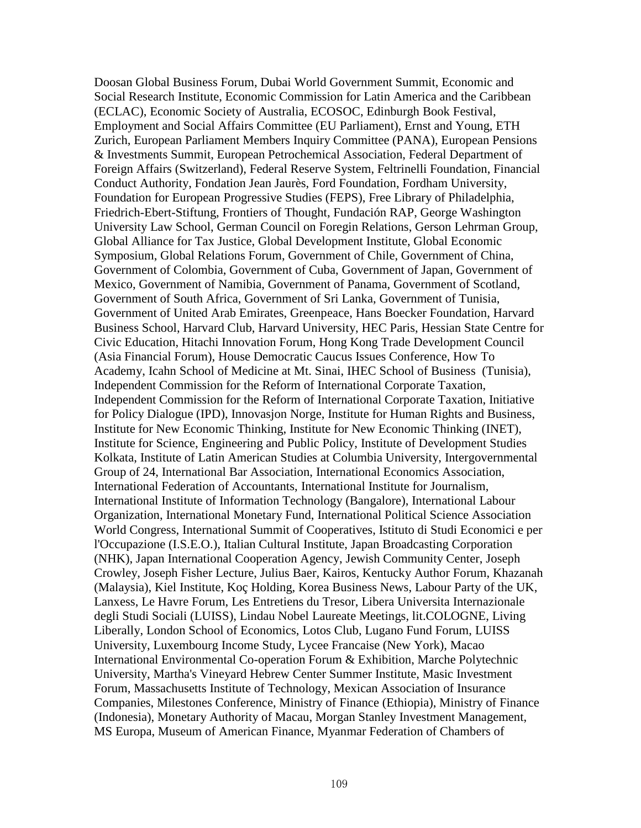Doosan Global Business Forum, Dubai World Government Summit, Economic and Social Research Institute, Economic Commission for Latin America and the Caribbean (ECLAC), Economic Society of Australia, ECOSOC, Edinburgh Book Festival, Employment and Social Affairs Committee (EU Parliament), Ernst and Young, ETH Zurich, European Parliament Members Inquiry Committee (PANA), European Pensions & Investments Summit, European Petrochemical Association, Federal Department of Foreign Affairs (Switzerland), Federal Reserve System, Feltrinelli Foundation, Financial Conduct Authority, Fondation Jean Jaurès, Ford Foundation, Fordham University, Foundation for European Progressive Studies (FEPS), Free Library of Philadelphia, Friedrich-Ebert-Stiftung, Frontiers of Thought, Fundación RAP, George Washington University Law School, German Council on Foregin Relations, Gerson Lehrman Group, Global Alliance for Tax Justice, Global Development Institute, Global Economic Symposium, Global Relations Forum, Government of Chile, Government of China, Government of Colombia, Government of Cuba, Government of Japan, Government of Mexico, Government of Namibia, Government of Panama, Government of Scotland, Government of South Africa, Government of Sri Lanka, Government of Tunisia, Government of United Arab Emirates, Greenpeace, Hans Boecker Foundation, Harvard Business School, Harvard Club, Harvard University, HEC Paris, Hessian State Centre for Civic Education, Hitachi Innovation Forum, Hong Kong Trade Development Council (Asia Financial Forum), House Democratic Caucus Issues Conference, How To Academy, Icahn School of Medicine at Mt. Sinai, IHEC School of Business (Tunisia), Independent Commission for the Reform of International Corporate Taxation, Independent Commission for the Reform of International Corporate Taxation, Initiative for Policy Dialogue (IPD), Innovasjon Norge, Institute for Human Rights and Business, Institute for New Economic Thinking, Institute for New Economic Thinking (INET), Institute for Science, Engineering and Public Policy, Institute of Development Studies Kolkata, Institute of Latin American Studies at Columbia University, Intergovernmental Group of 24, International Bar Association, International Economics Association, International Federation of Accountants, International Institute for Journalism, International Institute of Information Technology (Bangalore), International Labour Organization, International Monetary Fund, International Political Science Association World Congress, International Summit of Cooperatives, Istituto di Studi Economici e per l'Occupazione (I.S.E.O.), Italian Cultural Institute, Japan Broadcasting Corporation (NHK), Japan International Cooperation Agency, Jewish Community Center, Joseph Crowley, Joseph Fisher Lecture, Julius Baer, Kairos, Kentucky Author Forum, Khazanah (Malaysia), Kiel Institute, Koç Holding, Korea Business News, Labour Party of the UK, Lanxess, Le Havre Forum, Les Entretiens du Tresor, Libera Universita Internazionale degli Studi Sociali (LUISS), Lindau Nobel Laureate Meetings, lit.COLOGNE, Living Liberally, London School of Economics, Lotos Club, Lugano Fund Forum, LUISS University, Luxembourg Income Study, Lycee Francaise (New York), Macao International Environmental Co-operation Forum & Exhibition, Marche Polytechnic University, Martha's Vineyard Hebrew Center Summer Institute, Masic Investment Forum, Massachusetts Institute of Technology, Mexican Association of Insurance Companies, Milestones Conference, Ministry of Finance (Ethiopia), Ministry of Finance (Indonesia), Monetary Authority of Macau, Morgan Stanley Investment Management, MS Europa, Museum of American Finance, Myanmar Federation of Chambers of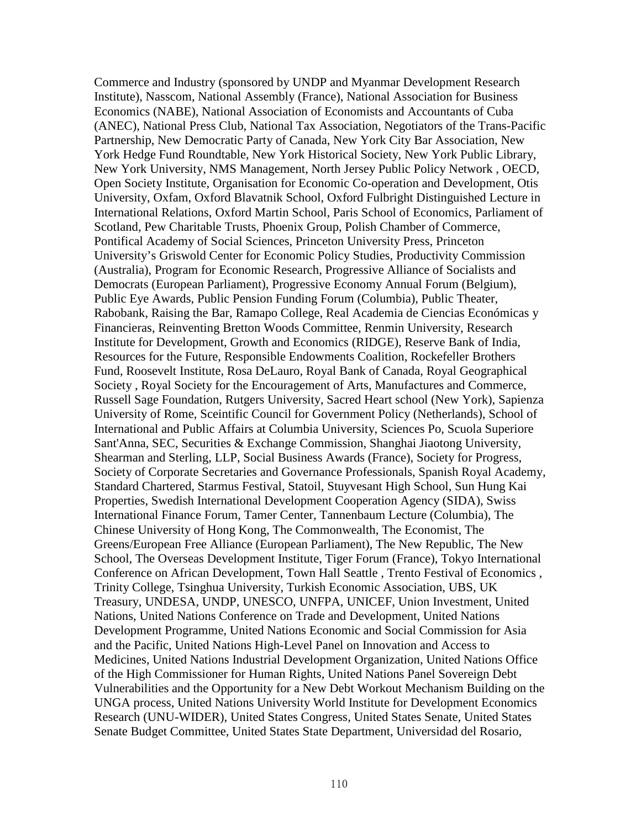Commerce and Industry (sponsored by UNDP and Myanmar Development Research Institute), Nasscom, National Assembly (France), National Association for Business Economics (NABE), National Association of Economists and Accountants of Cuba (ANEC), National Press Club, National Tax Association, Negotiators of the Trans-Pacific Partnership, New Democratic Party of Canada, New York City Bar Association, New York Hedge Fund Roundtable, New York Historical Society, New York Public Library, New York University, NMS Management, North Jersey Public Policy Network , OECD, Open Society Institute, Organisation for Economic Co-operation and Development, Otis University, Oxfam, Oxford Blavatnik School, Oxford Fulbright Distinguished Lecture in International Relations, Oxford Martin School, Paris School of Economics, Parliament of Scotland, Pew Charitable Trusts, Phoenix Group, Polish Chamber of Commerce, Pontifical Academy of Social Sciences, Princeton University Press, Princeton University's Griswold Center for Economic Policy Studies, Productivity Commission (Australia), Program for Economic Research, Progressive Alliance of Socialists and Democrats (European Parliament), Progressive Economy Annual Forum (Belgium), Public Eye Awards, Public Pension Funding Forum (Columbia), Public Theater, Rabobank, Raising the Bar, Ramapo College, Real Academia de Ciencias Económicas y Financieras, Reinventing Bretton Woods Committee, Renmin University, Research Institute for Development, Growth and Economics (RIDGE), Reserve Bank of India, Resources for the Future, Responsible Endowments Coalition, Rockefeller Brothers Fund, Roosevelt Institute, Rosa DeLauro, Royal Bank of Canada, Royal Geographical Society , Royal Society for the Encouragement of Arts, Manufactures and Commerce, Russell Sage Foundation, Rutgers University, Sacred Heart school (New York), Sapienza University of Rome, Sceintific Council for Government Policy (Netherlands), School of International and Public Affairs at Columbia University, Sciences Po, Scuola Superiore Sant'Anna, SEC, Securities & Exchange Commission, Shanghai Jiaotong University, Shearman and Sterling, LLP, Social Business Awards (France), Society for Progress, Society of Corporate Secretaries and Governance Professionals, Spanish Royal Academy, Standard Chartered, Starmus Festival, Statoil, Stuyvesant High School, Sun Hung Kai Properties, Swedish International Development Cooperation Agency (SIDA), Swiss International Finance Forum, Tamer Center, Tannenbaum Lecture (Columbia), The Chinese University of Hong Kong, The Commonwealth, The Economist, The Greens/European Free Alliance (European Parliament), The New Republic, The New School, The Overseas Development Institute, Tiger Forum (France), Tokyo International Conference on African Development, Town Hall Seattle , Trento Festival of Economics , Trinity College, Tsinghua University, Turkish Economic Association, UBS, UK Treasury, UNDESA, UNDP, UNESCO, UNFPA, UNICEF, Union Investment, United Nations, United Nations Conference on Trade and Development, United Nations Development Programme, United Nations Economic and Social Commission for Asia and the Pacific, United Nations High-Level Panel on Innovation and Access to Medicines, United Nations Industrial Development Organization, United Nations Office of the High Commissioner for Human Rights, United Nations Panel Sovereign Debt Vulnerabilities and the Opportunity for a New Debt Workout Mechanism Building on the UNGA process, United Nations University World Institute for Development Economics Research (UNU-WIDER), United States Congress, United States Senate, United States Senate Budget Committee, United States State Department, Universidad del Rosario,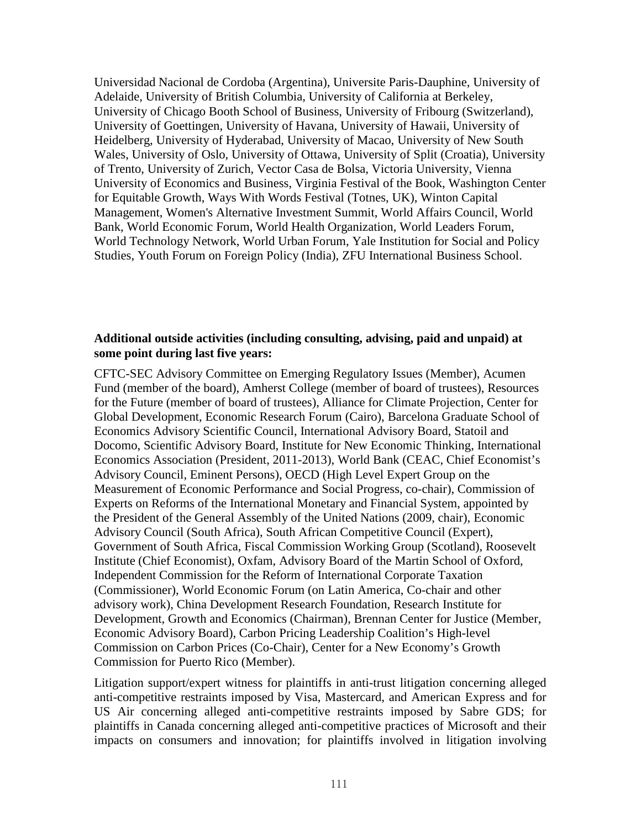Universidad Nacional de Cordoba (Argentina), Universite Paris-Dauphine, University of Adelaide, University of British Columbia, University of California at Berkeley, University of Chicago Booth School of Business, University of Fribourg (Switzerland), University of Goettingen, University of Havana, University of Hawaii, University of Heidelberg, University of Hyderabad, University of Macao, University of New South Wales, University of Oslo, University of Ottawa, University of Split (Croatia), University of Trento, University of Zurich, Vector Casa de Bolsa, Victoria University, Vienna University of Economics and Business, Virginia Festival of the Book, Washington Center for Equitable Growth, Ways With Words Festival (Totnes, UK), Winton Capital Management, Women's Alternative Investment Summit, World Affairs Council, World Bank, World Economic Forum, World Health Organization, World Leaders Forum, World Technology Network, World Urban Forum, Yale Institution for Social and Policy Studies, Youth Forum on Foreign Policy (India), ZFU International Business School.

### **Additional outside activities (including consulting, advising, paid and unpaid) at some point during last five years:**

CFTC-SEC Advisory Committee on Emerging Regulatory Issues (Member), Acumen Fund (member of the board), Amherst College (member of board of trustees), Resources for the Future (member of board of trustees), Alliance for Climate Projection, Center for Global Development, Economic Research Forum (Cairo), Barcelona Graduate School of Economics Advisory Scientific Council, International Advisory Board, Statoil and Docomo, Scientific Advisory Board, Institute for New Economic Thinking, International Economics Association (President, 2011-2013), World Bank (CEAC, Chief Economist's Advisory Council, Eminent Persons), OECD (High Level Expert Group on the Measurement of Economic Performance and Social Progress, co-chair), Commission of Experts on Reforms of the International Monetary and Financial System, appointed by the President of the General Assembly of the United Nations (2009, chair), Economic Advisory Council (South Africa), South African Competitive Council (Expert), Government of South Africa, Fiscal Commission Working Group (Scotland), Roosevelt Institute (Chief Economist), Oxfam, Advisory Board of the Martin School of Oxford, Independent Commission for the Reform of International Corporate Taxation (Commissioner), World Economic Forum (on Latin America, Co-chair and other advisory work), China Development Research Foundation, Research Institute for Development, Growth and Economics (Chairman), Brennan Center for Justice (Member, Economic Advisory Board), Carbon Pricing Leadership Coalition's High-level Commission on Carbon Prices (Co-Chair), Center for a New Economy's Growth Commission for Puerto Rico (Member).

Litigation support/expert witness for plaintiffs in anti-trust litigation concerning alleged anti-competitive restraints imposed by Visa, Mastercard, and American Express and for US Air concerning alleged anti-competitive restraints imposed by Sabre GDS; for plaintiffs in Canada concerning alleged anti-competitive practices of Microsoft and their impacts on consumers and innovation; for plaintiffs involved in litigation involving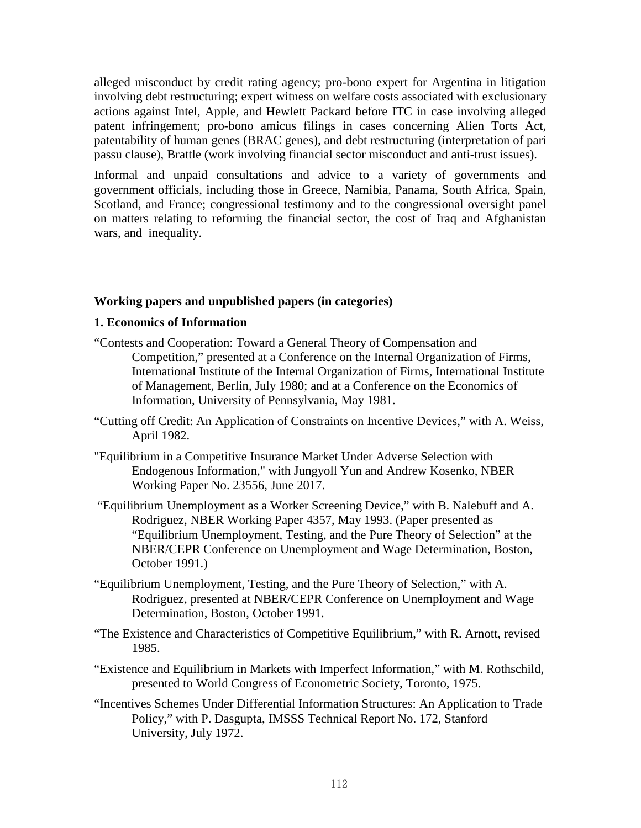alleged misconduct by credit rating agency; pro-bono expert for Argentina in litigation involving debt restructuring; expert witness on welfare costs associated with exclusionary actions against Intel, Apple, and Hewlett Packard before ITC in case involving alleged patent infringement; pro-bono amicus filings in cases concerning Alien Torts Act, patentability of human genes (BRAC genes), and debt restructuring (interpretation of pari passu clause), Brattle (work involving financial sector misconduct and anti-trust issues).

Informal and unpaid consultations and advice to a variety of governments and government officials, including those in Greece, Namibia, Panama, South Africa, Spain, Scotland, and France; congressional testimony and to the congressional oversight panel on matters relating to reforming the financial sector, the cost of Iraq and Afghanistan wars, and inequality.

#### **Working papers and unpublished papers (in categories)**

### **1. Economics of Information**

- "Contests and Cooperation: Toward a General Theory of Compensation and Competition," presented at a Conference on the Internal Organization of Firms, International Institute of the Internal Organization of Firms, International Institute of Management, Berlin, July 1980; and at a Conference on the Economics of Information, University of Pennsylvania, May 1981.
- "Cutting off Credit: An Application of Constraints on Incentive Devices," with A. Weiss, April 1982.
- "Equilibrium in a Competitive Insurance Market Under Adverse Selection with Endogenous Information," with Jungyoll Yun and Andrew Kosenko, NBER Working Paper No. 23556, June 2017.
- "Equilibrium Unemployment as a Worker Screening Device," with B. Nalebuff and A. Rodriguez, NBER Working Paper 4357, May 1993. (Paper presented as "Equilibrium Unemployment, Testing, and the Pure Theory of Selection" at the NBER/CEPR Conference on Unemployment and Wage Determination, Boston, October 1991.)
- "Equilibrium Unemployment, Testing, and the Pure Theory of Selection," with A. Rodriguez, presented at NBER/CEPR Conference on Unemployment and Wage Determination, Boston, October 1991.
- "The Existence and Characteristics of Competitive Equilibrium," with R. Arnott, revised 1985.
- "Existence and Equilibrium in Markets with Imperfect Information," with M. Rothschild, presented to World Congress of Econometric Society, Toronto, 1975.
- "Incentives Schemes Under Differential Information Structures: An Application to Trade Policy," with P. Dasgupta, IMSSS Technical Report No. 172, Stanford University, July 1972.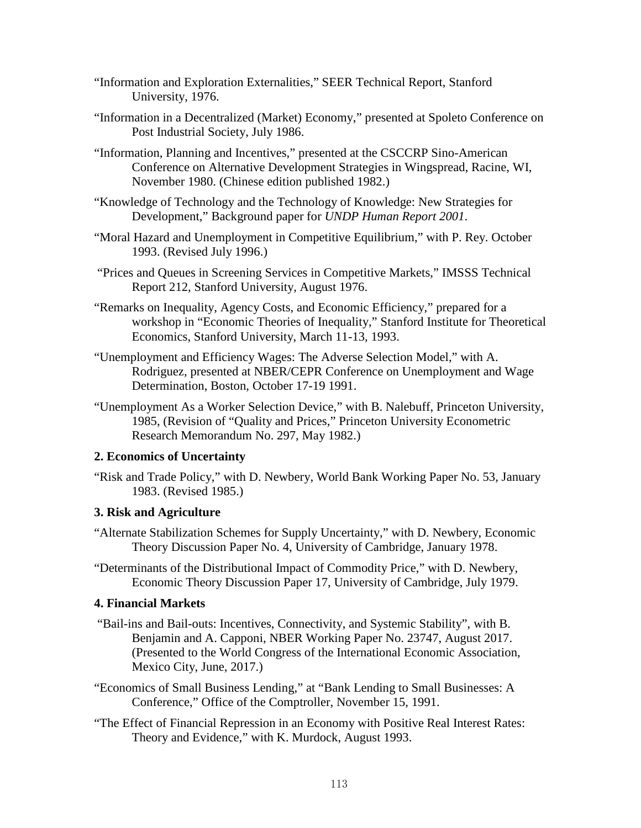- "Information and Exploration Externalities," SEER Technical Report, Stanford University, 1976.
- "Information in a Decentralized (Market) Economy," presented at Spoleto Conference on Post Industrial Society, July 1986.
- "Information, Planning and Incentives," presented at the CSCCRP Sino-American Conference on Alternative Development Strategies in Wingspread, Racine, WI, November 1980. (Chinese edition published 1982.)
- "Knowledge of Technology and the Technology of Knowledge: New Strategies for Development," Background paper for *UNDP Human Report 2001*.
- "Moral Hazard and Unemployment in Competitive Equilibrium," with P. Rey. October 1993. (Revised July 1996.)
- "Prices and Queues in Screening Services in Competitive Markets," IMSSS Technical Report 212, Stanford University, August 1976.
- "Remarks on Inequality, Agency Costs, and Economic Efficiency," prepared for a workshop in "Economic Theories of Inequality," Stanford Institute for Theoretical Economics, Stanford University, March 11-13, 1993.
- "Unemployment and Efficiency Wages: The Adverse Selection Model," with A. Rodriguez, presented at NBER/CEPR Conference on Unemployment and Wage Determination, Boston, October 17-19 1991.
- "Unemployment As a Worker Selection Device," with B. Nalebuff, Princeton University, 1985, (Revision of "Quality and Prices," Princeton University Econometric Research Memorandum No. 297, May 1982.)

# **2. Economics of Uncertainty**

"Risk and Trade Policy," with D. Newbery, World Bank Working Paper No. 53, January 1983. (Revised 1985.)

# **3. Risk and Agriculture**

- "Alternate Stabilization Schemes for Supply Uncertainty," with D. Newbery, Economic Theory Discussion Paper No. 4, University of Cambridge, January 1978.
- "Determinants of the Distributional Impact of Commodity Price," with D. Newbery, Economic Theory Discussion Paper 17, University of Cambridge, July 1979.

# **4. Financial Markets**

- "Bail-ins and Bail-outs: Incentives, Connectivity, and Systemic Stability", with B. Benjamin and A. Capponi, NBER Working Paper No. 23747, August 2017. (Presented to the World Congress of the International Economic Association, Mexico City, June, 2017.)
- "Economics of Small Business Lending," at "Bank Lending to Small Businesses: A Conference," Office of the Comptroller, November 15, 1991.
- "The Effect of Financial Repression in an Economy with Positive Real Interest Rates: Theory and Evidence," with K. Murdock, August 1993.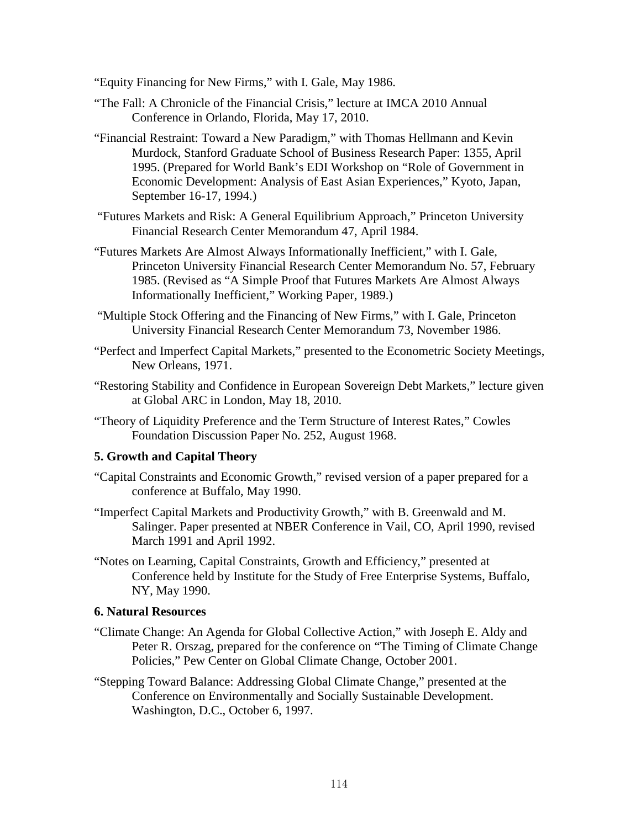"Equity Financing for New Firms," with I. Gale, May 1986.

- "The Fall: A Chronicle of the Financial Crisis," lecture at IMCA 2010 Annual Conference in Orlando, Florida, May 17, 2010.
- "Financial Restraint: Toward a New Paradigm," with Thomas Hellmann and Kevin Murdock, Stanford Graduate School of Business Research Paper: 1355, April 1995. (Prepared for World Bank's EDI Workshop on "Role of Government in Economic Development: Analysis of East Asian Experiences," Kyoto, Japan, September 16-17, 1994.)
- "Futures Markets and Risk: A General Equilibrium Approach," Princeton University Financial Research Center Memorandum 47, April 1984.
- "Futures Markets Are Almost Always Informationally Inefficient," with I. Gale, Princeton University Financial Research Center Memorandum No. 57, February 1985. (Revised as "A Simple Proof that Futures Markets Are Almost Always Informationally Inefficient," Working Paper, 1989.)
- "Multiple Stock Offering and the Financing of New Firms," with I. Gale, Princeton University Financial Research Center Memorandum 73, November 1986.
- "Perfect and Imperfect Capital Markets," presented to the Econometric Society Meetings, New Orleans, 1971.
- "Restoring Stability and Confidence in European Sovereign Debt Markets," lecture given at Global ARC in London, May 18, 2010.
- "Theory of Liquidity Preference and the Term Structure of Interest Rates," Cowles Foundation Discussion Paper No. 252, August 1968.

#### **5. Growth and Capital Theory**

- "Capital Constraints and Economic Growth," revised version of a paper prepared for a conference at Buffalo, May 1990.
- "Imperfect Capital Markets and Productivity Growth," with B. Greenwald and M. Salinger. Paper presented at NBER Conference in Vail, CO, April 1990, revised March 1991 and April 1992.
- "Notes on Learning, Capital Constraints, Growth and Efficiency," presented at Conference held by Institute for the Study of Free Enterprise Systems, Buffalo, NY, May 1990.

#### **6. Natural Resources**

- "Climate Change: An Agenda for Global Collective Action," with Joseph E. Aldy and Peter R. Orszag, prepared for the conference on "The Timing of Climate Change Policies," Pew Center on Global Climate Change, October 2001.
- "Stepping Toward Balance: Addressing Global Climate Change," presented at the Conference on Environmentally and Socially Sustainable Development. Washington, D.C., October 6, 1997.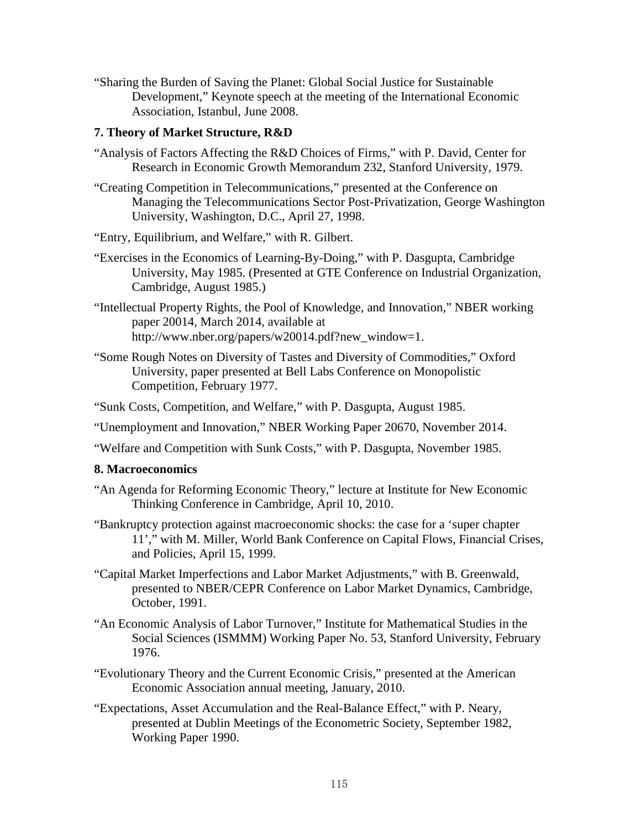"Sharing the Burden of Saving the Planet: Global Social Justice for Sustainable Development," Keynote speech at the meeting of the International Economic Association, Istanbul, June 2008.

### **7. Theory of Market Structure, R&D**

- "Analysis of Factors Affecting the R&D Choices of Firms," with P. David, Center for Research in Economic Growth Memorandum 232, Stanford University, 1979.
- "Creating Competition in Telecommunications," presented at the Conference on Managing the Telecommunications Sector Post-Privatization, George Washington University, Washington, D.C., April 27, 1998.
- "Entry, Equilibrium, and Welfare," with R. Gilbert.
- "Exercises in the Economics of Learning-By-Doing," with P. Dasgupta, Cambridge University, May 1985. (Presented at GTE Conference on Industrial Organization, Cambridge, August 1985.)
- "Intellectual Property Rights, the Pool of Knowledge, and Innovation," NBER working paper 20014, March 2014, available at http://www.nber.org/papers/w20014.pdf?new\_window=1.
- "Some Rough Notes on Diversity of Tastes and Diversity of Commodities," Oxford University, paper presented at Bell Labs Conference on Monopolistic Competition, February 1977.
- "Sunk Costs, Competition, and Welfare," with P. Dasgupta, August 1985.
- "Unemployment and Innovation," NBER Working Paper 20670, November 2014.
- "Welfare and Competition with Sunk Costs," with P. Dasgupta, November 1985.

#### **8. Macroeconomics**

- "An Agenda for Reforming Economic Theory," lecture at Institute for New Economic Thinking Conference in Cambridge, April 10, 2010.
- "Bankruptcy protection against macroeconomic shocks: the case for a 'super chapter 11'," with M. Miller, World Bank Conference on Capital Flows, Financial Crises, and Policies, April 15, 1999.
- "Capital Market Imperfections and Labor Market Adjustments," with B. Greenwald, presented to NBER/CEPR Conference on Labor Market Dynamics, Cambridge, October, 1991.
- "An Economic Analysis of Labor Turnover," Institute for Mathematical Studies in the Social Sciences (ISMMM) Working Paper No. 53, Stanford University, February 1976.
- "Evolutionary Theory and the Current Economic Crisis," presented at the American Economic Association annual meeting, January, 2010.
- "Expectations, Asset Accumulation and the Real-Balance Effect," with P. Neary, presented at Dublin Meetings of the Econometric Society, September 1982, Working Paper 1990.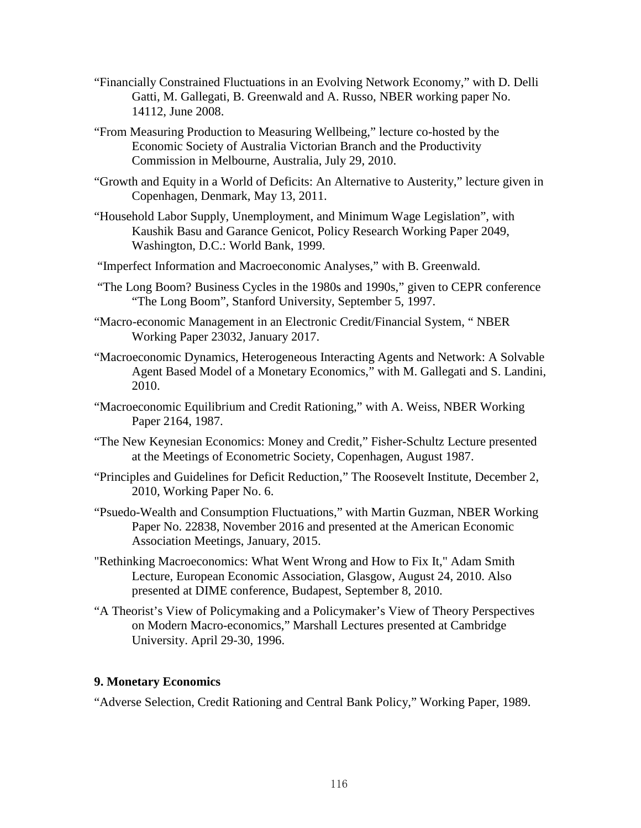- "Financially Constrained Fluctuations in an Evolving Network Economy," with D. Delli Gatti, M. Gallegati, B. Greenwald and A. Russo, NBER working paper No. 14112, June 2008.
- "From Measuring Production to Measuring Wellbeing," lecture co-hosted by the Economic Society of Australia Victorian Branch and the Productivity Commission in Melbourne, Australia, July 29, 2010.
- "Growth and Equity in a World of Deficits: An Alternative to Austerity," lecture given in Copenhagen, Denmark, May 13, 2011.
- "Household Labor Supply, Unemployment, and Minimum Wage Legislation", with Kaushik Basu and Garance Genicot, Policy Research Working Paper 2049, Washington, D.C.: World Bank, 1999.
- "Imperfect Information and Macroeconomic Analyses," with B. Greenwald.
- "The Long Boom? Business Cycles in the 1980s and 1990s," given to CEPR conference "The Long Boom", Stanford University, September 5, 1997.
- "Macro-economic Management in an Electronic Credit/Financial System, " NBER Working Paper 23032, January 2017.
- "Macroeconomic Dynamics, Heterogeneous Interacting Agents and Network: A Solvable Agent Based Model of a Monetary Economics," with M. Gallegati and S. Landini, 2010.
- "Macroeconomic Equilibrium and Credit Rationing," with A. Weiss, NBER Working Paper 2164, 1987.
- "The New Keynesian Economics: Money and Credit," Fisher-Schultz Lecture presented at the Meetings of Econometric Society, Copenhagen, August 1987.
- "Principles and Guidelines for Deficit Reduction," The Roosevelt Institute, December 2, 2010, Working Paper No. 6.
- "Psuedo-Wealth and Consumption Fluctuations," with Martin Guzman, NBER Working Paper No. 22838, November 2016 and presented at the American Economic Association Meetings, January, 2015.
- "Rethinking Macroeconomics: What Went Wrong and How to Fix It," Adam Smith Lecture, European Economic Association, Glasgow, August 24, 2010. Also presented at DIME conference, Budapest, September 8, 2010.
- "A Theorist's View of Policymaking and a Policymaker's View of Theory Perspectives on Modern Macro-economics," Marshall Lectures presented at Cambridge University. April 29-30, 1996.

#### **9. Monetary Economics**

"Adverse Selection, Credit Rationing and Central Bank Policy," Working Paper, 1989.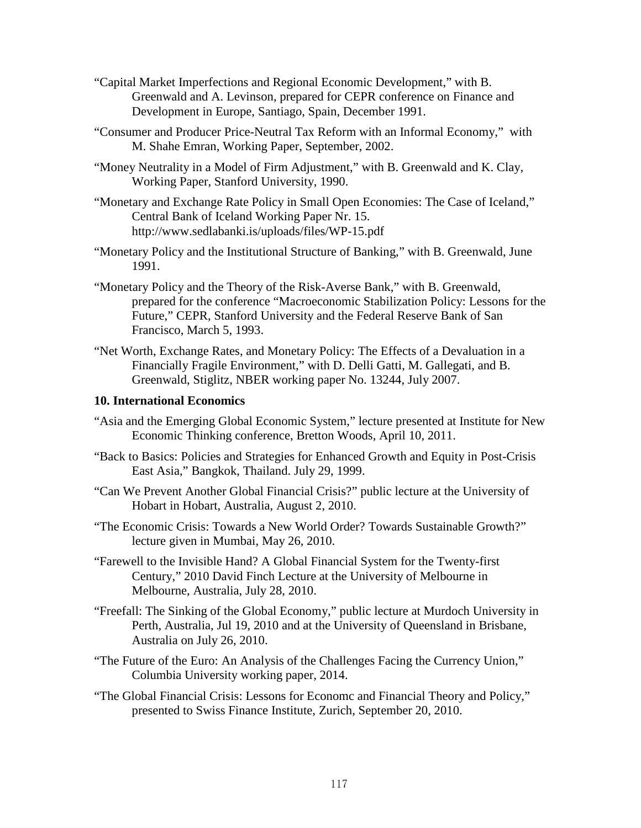- "Capital Market Imperfections and Regional Economic Development," with B. Greenwald and A. Levinson, prepared for CEPR conference on Finance and Development in Europe, Santiago, Spain, December 1991.
- "Consumer and Producer Price-Neutral Tax Reform with an Informal Economy," with M. Shahe Emran, Working Paper, September, 2002.
- "Money Neutrality in a Model of Firm Adjustment," with B. Greenwald and K. Clay, Working Paper, Stanford University, 1990.
- "Monetary and Exchange Rate Policy in Small Open Economies: The Case of Iceland," Central Bank of Iceland Working Paper Nr. 15. http://www.sedlabanki.is/uploads/files/WP-15.pdf
- "Monetary Policy and the Institutional Structure of Banking," with B. Greenwald, June 1991.
- "Monetary Policy and the Theory of the Risk-Averse Bank," with B. Greenwald, prepared for the conference "Macroeconomic Stabilization Policy: Lessons for the Future," CEPR, Stanford University and the Federal Reserve Bank of San Francisco, March 5, 1993.
- "Net Worth, Exchange Rates, and Monetary Policy: The Effects of a Devaluation in a Financially Fragile Environment," with D. Delli Gatti, M. Gallegati, and B. Greenwald, Stiglitz, NBER working paper No. 13244, July 2007.

#### **10. International Economics**

- "Asia and the Emerging Global Economic System," lecture presented at Institute for New Economic Thinking conference, Bretton Woods, April 10, 2011.
- "Back to Basics: Policies and Strategies for Enhanced Growth and Equity in Post-Crisis East Asia," Bangkok, Thailand. July 29, 1999.
- "Can We Prevent Another Global Financial Crisis?" public lecture at the University of Hobart in Hobart, Australia, August 2, 2010.
- "The Economic Crisis: Towards a New World Order? Towards Sustainable Growth?" lecture given in Mumbai, May 26, 2010.
- "Farewell to the Invisible Hand? A Global Financial System for the Twenty-first Century," 2010 David Finch Lecture at the University of Melbourne in Melbourne, Australia, July 28, 2010.
- "Freefall: The Sinking of the Global Economy," public lecture at Murdoch University in Perth, Australia, Jul 19, 2010 and at the University of Queensland in Brisbane, Australia on July 26, 2010.
- "The Future of the Euro: An Analysis of the Challenges Facing the Currency Union," Columbia University working paper, 2014.
- "The Global Financial Crisis: Lessons for Economc and Financial Theory and Policy," presented to Swiss Finance Institute, Zurich, September 20, 2010.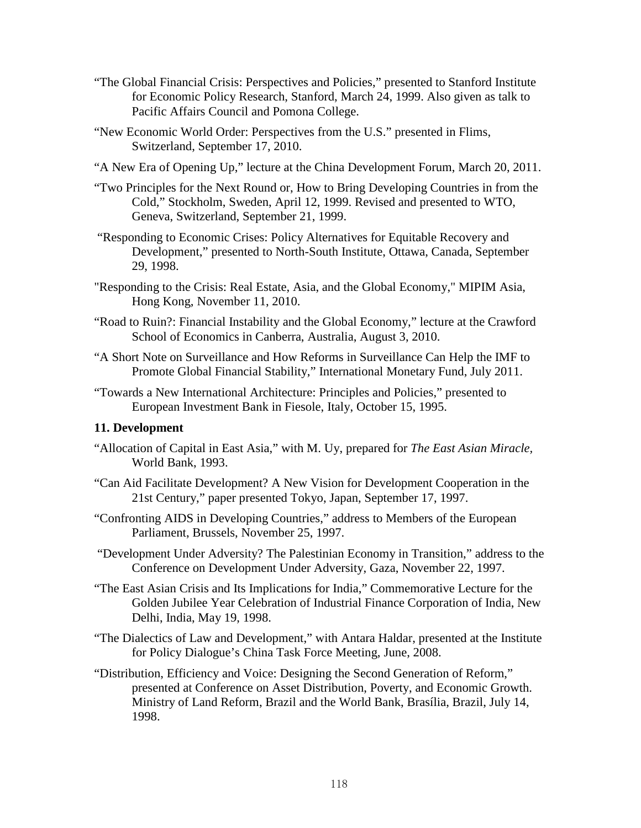- "The Global Financial Crisis: Perspectives and Policies," presented to Stanford Institute for Economic Policy Research, Stanford, March 24, 1999. Also given as talk to Pacific Affairs Council and Pomona College.
- "New Economic World Order: Perspectives from the U.S." presented in Flims, Switzerland, September 17, 2010.
- "A New Era of Opening Up," lecture at the China Development Forum, March 20, 2011.
- "Two Principles for the Next Round or, How to Bring Developing Countries in from the Cold," Stockholm, Sweden, April 12, 1999. Revised and presented to WTO, Geneva, Switzerland, September 21, 1999.
- "Responding to Economic Crises: Policy Alternatives for Equitable Recovery and Development," presented to North-South Institute, Ottawa, Canada, September 29, 1998.
- "Responding to the Crisis: Real Estate, Asia, and the Global Economy," MIPIM Asia, Hong Kong, November 11, 2010.
- "Road to Ruin?: Financial Instability and the Global Economy," lecture at the Crawford School of Economics in Canberra, Australia, August 3, 2010.
- "A Short Note on Surveillance and How Reforms in Surveillance Can Help the IMF to Promote Global Financial Stability," International Monetary Fund, July 2011.
- "Towards a New International Architecture: Principles and Policies," presented to European Investment Bank in Fiesole, Italy, October 15, 1995.

# **11. Development**

- "Allocation of Capital in East Asia," with M. Uy, prepared for *The East Asian Miracle,* World Bank, 1993.
- "Can Aid Facilitate Development? A New Vision for Development Cooperation in the 21st Century," paper presented Tokyo, Japan, September 17, 1997.
- "Confronting AIDS in Developing Countries," address to Members of the European Parliament, Brussels, November 25, 1997.
- "Development Under Adversity? The Palestinian Economy in Transition," address to the Conference on Development Under Adversity, Gaza, November 22, 1997.
- "The East Asian Crisis and Its Implications for India," Commemorative Lecture for the Golden Jubilee Year Celebration of Industrial Finance Corporation of India, New Delhi, India, May 19, 1998.
- "The Dialectics of Law and Development," with Antara Haldar, presented at the Institute for Policy Dialogue's China Task Force Meeting, June, 2008.
- "Distribution, Efficiency and Voice: Designing the Second Generation of Reform," presented at Conference on Asset Distribution, Poverty, and Economic Growth. Ministry of Land Reform, Brazil and the World Bank, Brasília, Brazil, July 14, 1998.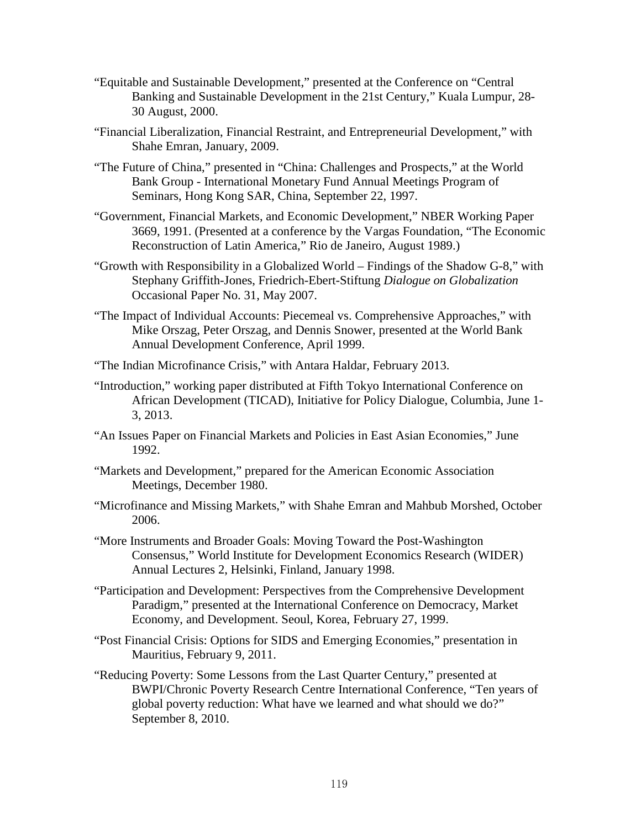- "Equitable and Sustainable Development," presented at the Conference on "Central Banking and Sustainable Development in the 21st Century," Kuala Lumpur, 28- 30 August, 2000.
- "Financial Liberalization, Financial Restraint, and Entrepreneurial Development," with Shahe Emran, January, 2009.
- "The Future of China," presented in "China: Challenges and Prospects," at the World Bank Group - International Monetary Fund Annual Meetings Program of Seminars, Hong Kong SAR, China, September 22, 1997.
- "Government, Financial Markets, and Economic Development," NBER Working Paper 3669, 1991. (Presented at a conference by the Vargas Foundation, "The Economic Reconstruction of Latin America," Rio de Janeiro, August 1989.)
- "Growth with Responsibility in a Globalized World Findings of the Shadow G-8," with Stephany Griffith-Jones, Friedrich-Ebert-Stiftung *Dialogue on Globalization* Occasional Paper No. 31, May 2007.
- "The Impact of Individual Accounts: Piecemeal vs. Comprehensive Approaches," with Mike Orszag, Peter Orszag, and Dennis Snower, presented at the World Bank Annual Development Conference, April 1999.

"The Indian Microfinance Crisis," with Antara Haldar, February 2013.

- "Introduction," working paper distributed at Fifth Tokyo International Conference on African Development (TICAD), Initiative for Policy Dialogue, Columbia, June 1- 3, 2013.
- "An Issues Paper on Financial Markets and Policies in East Asian Economies," June 1992.
- "Markets and Development," prepared for the American Economic Association Meetings, December 1980.
- "Microfinance and Missing Markets," with Shahe Emran and Mahbub Morshed, October 2006.
- "More Instruments and Broader Goals: Moving Toward the Post-Washington Consensus," World Institute for Development Economics Research (WIDER) Annual Lectures 2, Helsinki, Finland, January 1998.
- "Participation and Development: Perspectives from the Comprehensive Development Paradigm," presented at the International Conference on Democracy, Market Economy, and Development. Seoul, Korea, February 27, 1999.
- "Post Financial Crisis: Options for SIDS and Emerging Economies," presentation in Mauritius, February 9, 2011.
- "Reducing Poverty: Some Lessons from the Last Quarter Century," presented at BWPI/Chronic Poverty Research Centre International Conference, "Ten years of global poverty reduction: What have we learned and what should we do?" September 8, 2010.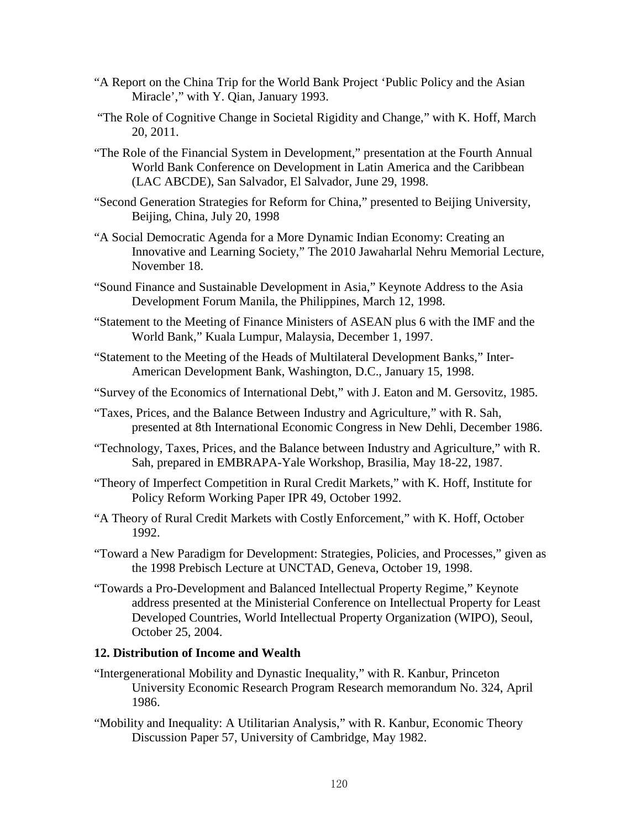- "A Report on the China Trip for the World Bank Project 'Public Policy and the Asian Miracle'," with Y. Qian, January 1993.
- "The Role of Cognitive Change in Societal Rigidity and Change," with K. Hoff, March 20, 2011.
- "The Role of the Financial System in Development," presentation at the Fourth Annual World Bank Conference on Development in Latin America and the Caribbean (LAC ABCDE), San Salvador, El Salvador, June 29, 1998.
- "Second Generation Strategies for Reform for China," presented to Beijing University, Beijing, China, July 20, 1998
- "A Social Democratic Agenda for a More Dynamic Indian Economy: Creating an Innovative and Learning Society," The 2010 Jawaharlal Nehru Memorial Lecture, November 18.
- "Sound Finance and Sustainable Development in Asia," Keynote Address to the Asia Development Forum Manila, the Philippines, March 12, 1998.
- "Statement to the Meeting of Finance Ministers of ASEAN plus 6 with the IMF and the World Bank," Kuala Lumpur, Malaysia, December 1, 1997.
- "Statement to the Meeting of the Heads of Multilateral Development Banks," Inter-American Development Bank, Washington, D.C., January 15, 1998.
- "Survey of the Economics of International Debt," with J. Eaton and M. Gersovitz, 1985.
- "Taxes, Prices, and the Balance Between Industry and Agriculture," with R. Sah, presented at 8th International Economic Congress in New Dehli, December 1986.
- "Technology, Taxes, Prices, and the Balance between Industry and Agriculture," with R. Sah, prepared in EMBRAPA-Yale Workshop, Brasilia, May 18-22, 1987.
- "Theory of Imperfect Competition in Rural Credit Markets," with K. Hoff, Institute for Policy Reform Working Paper IPR 49, October 1992.
- "A Theory of Rural Credit Markets with Costly Enforcement," with K. Hoff, October 1992.
- "Toward a New Paradigm for Development: Strategies, Policies, and Processes," given as the 1998 Prebisch Lecture at UNCTAD, Geneva, October 19, 1998.
- "Towards a Pro-Development and Balanced Intellectual Property Regime," Keynote address presented at the Ministerial Conference on Intellectual Property for Least Developed Countries, World Intellectual Property Organization (WIPO), Seoul, October 25, 2004.

#### **12. Distribution of Income and Wealth**

- "Intergenerational Mobility and Dynastic Inequality," with R. Kanbur, Princeton University Economic Research Program Research memorandum No. 324, April 1986.
- "Mobility and Inequality: A Utilitarian Analysis," with R. Kanbur, Economic Theory Discussion Paper 57, University of Cambridge, May 1982.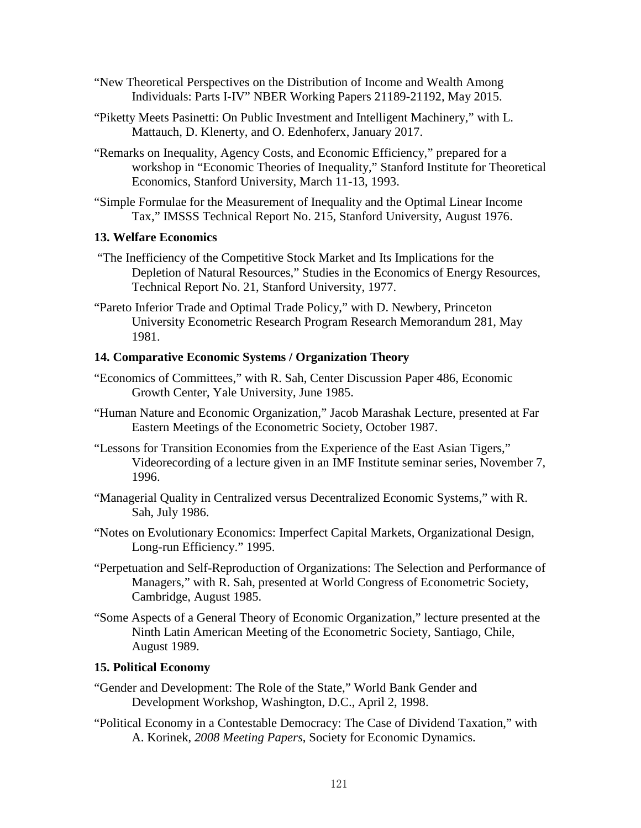- "New Theoretical Perspectives on the Distribution of Income and Wealth Among Individuals: Parts I-IV" NBER Working Papers 21189-21192, May 2015.
- "Piketty Meets Pasinetti: On Public Investment and Intelligent Machinery," with L. Mattauch, D. Klenerty, and O. Edenhoferx, January 2017.
- "Remarks on Inequality, Agency Costs, and Economic Efficiency," prepared for a workshop in "Economic Theories of Inequality," Stanford Institute for Theoretical Economics, Stanford University, March 11-13, 1993.
- "Simple Formulae for the Measurement of Inequality and the Optimal Linear Income Tax," IMSSS Technical Report No. 215, Stanford University, August 1976.

#### **13. Welfare Economics**

- "The Inefficiency of the Competitive Stock Market and Its Implications for the Depletion of Natural Resources," Studies in the Economics of Energy Resources, Technical Report No. 21, Stanford University, 1977.
- "Pareto Inferior Trade and Optimal Trade Policy," with D. Newbery, Princeton University Econometric Research Program Research Memorandum 281, May 1981.

#### **14. Comparative Economic Systems / Organization Theory**

- "Economics of Committees," with R. Sah, Center Discussion Paper 486, Economic Growth Center, Yale University, June 1985.
- "Human Nature and Economic Organization," Jacob Marashak Lecture, presented at Far Eastern Meetings of the Econometric Society, October 1987.
- "Lessons for Transition Economies from the Experience of the East Asian Tigers," Videorecording of a lecture given in an IMF Institute seminar series, November 7, 1996.
- "Managerial Quality in Centralized versus Decentralized Economic Systems," with R. Sah, July 1986.
- "Notes on Evolutionary Economics: Imperfect Capital Markets, Organizational Design, Long-run Efficiency." 1995.
- "Perpetuation and Self-Reproduction of Organizations: The Selection and Performance of Managers," with R. Sah, presented at World Congress of Econometric Society, Cambridge, August 1985.
- "Some Aspects of a General Theory of Economic Organization," lecture presented at the Ninth Latin American Meeting of the Econometric Society, Santiago, Chile, August 1989.

#### **15. Political Economy**

- "Gender and Development: The Role of the State," World Bank Gender and Development Workshop, Washington, D.C., April 2, 1998.
- "Political Economy in a Contestable Democracy: The Case of Dividend Taxation," with A. Korinek, *2008 Meeting Papers*, Society for Economic Dynamics.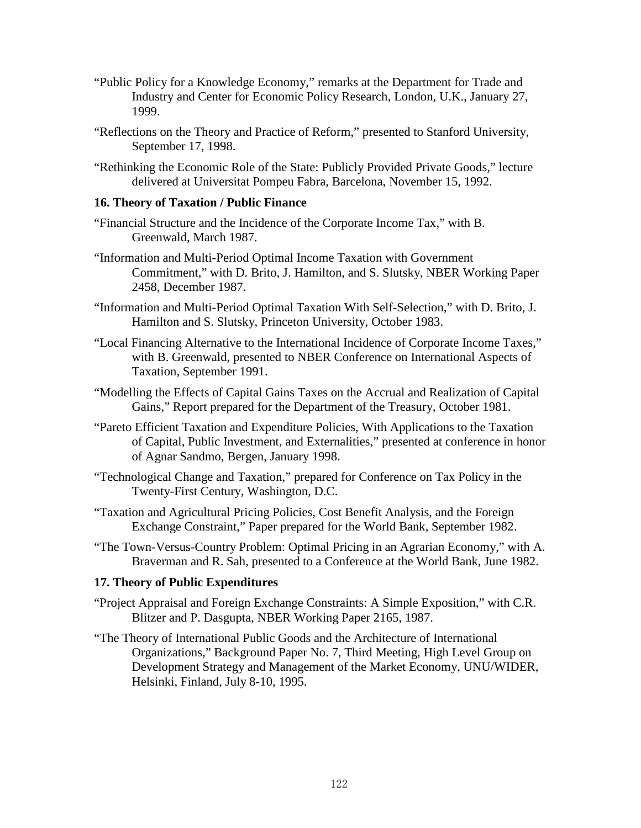- "Public Policy for a Knowledge Economy," remarks at the Department for Trade and Industry and Center for Economic Policy Research, London, U.K., January 27, 1999.
- "Reflections on the Theory and Practice of Reform," presented to Stanford University, September 17, 1998.
- "Rethinking the Economic Role of the State: Publicly Provided Private Goods," lecture delivered at Universitat Pompeu Fabra, Barcelona, November 15, 1992.

#### **16. Theory of Taxation / Public Finance**

- "Financial Structure and the Incidence of the Corporate Income Tax," with B. Greenwald, March 1987.
- "Information and Multi-Period Optimal Income Taxation with Government Commitment," with D. Brito, J. Hamilton, and S. Slutsky, NBER Working Paper 2458, December 1987.
- "Information and Multi-Period Optimal Taxation With Self-Selection," with D. Brito, J. Hamilton and S. Slutsky, Princeton University, October 1983.
- "Local Financing Alternative to the International Incidence of Corporate Income Taxes," with B. Greenwald, presented to NBER Conference on International Aspects of Taxation, September 1991.
- "Modelling the Effects of Capital Gains Taxes on the Accrual and Realization of Capital Gains," Report prepared for the Department of the Treasury, October 1981.
- "Pareto Efficient Taxation and Expenditure Policies, With Applications to the Taxation of Capital, Public Investment, and Externalities," presented at conference in honor of Agnar Sandmo, Bergen, January 1998.
- "Technological Change and Taxation," prepared for Conference on Tax Policy in the Twenty-First Century, Washington, D.C.
- "Taxation and Agricultural Pricing Policies, Cost Benefit Analysis, and the Foreign Exchange Constraint," Paper prepared for the World Bank, September 1982.
- "The Town-Versus-Country Problem: Optimal Pricing in an Agrarian Economy," with A. Braverman and R. Sah, presented to a Conference at the World Bank, June 1982.

#### **17. Theory of Public Expenditures**

- "Project Appraisal and Foreign Exchange Constraints: A Simple Exposition," with C.R. Blitzer and P. Dasgupta, NBER Working Paper 2165, 1987.
- "The Theory of International Public Goods and the Architecture of International Organizations," Background Paper No. 7, Third Meeting, High Level Group on Development Strategy and Management of the Market Economy, UNU/WIDER, Helsinki, Finland, July 8-10, 1995.